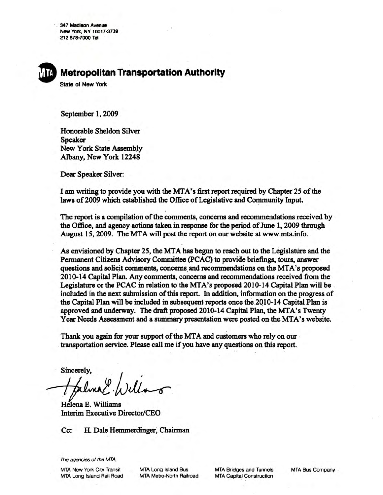347 Madison Avenue New York, NY 10017-3739 212 878-7000 Tel

# **Metropolitan Transportation Authority**

**State of New York** 

September 1, 2009

Honorable Sheldon Silver **Speaker New York State Assembly** Albany, New York 12248

Dear Speaker Silver:

I am writing to provide you with the MTA's first report required by Chapter 25 of the laws of 2009 which established the Office of Legislative and Community Input.

The report is a compilation of the comments, concerns and recommendations received by the Office, and agency actions taken in response for the period of June 1, 2009 through August 15, 2009. The MTA will post the report on our website at www.mta.info.

As envisioned by Chapter 25, the MTA has begun to reach out to the Legislature and the Permanent Citizens Advisory Committee (PCAC) to provide briefings, tours, answer questions and solicit comments, concerns and recommendations on the MTA's proposed 2010-14 Capital Plan. Any comments, concerns and recommendations received from the Legislature or the PCAC in relation to the MTA's proposed 2010-14 Capital Plan will be included in the next submission of this report. In addition, information on the progress of the Capital Plan will be included in subsequent reports once the 2010-14 Capital Plan is approved and underway. The draft proposed 2010-14 Capital Plan, the MTA's Twenty Year Needs Assessment and a summary presentation were posted on the MTA's website.

Thank you again for your support of the MTA and customers who rely on our transportation service. Please call me if you have any questions on this report.

Sincerely,

Helena E. Williams **Interim Executive Director/CEO** 

H. Dale Hemmerdinger, Chairman Cc:

The agencies of the MTA

**MTA New York City Transit** MTA Long Island Rail Road **MTA Long Island Bus** MTA Metro-North Railroad **MTA Bridges and Tunnels MTA Capital Construction** 

MTA Bus Company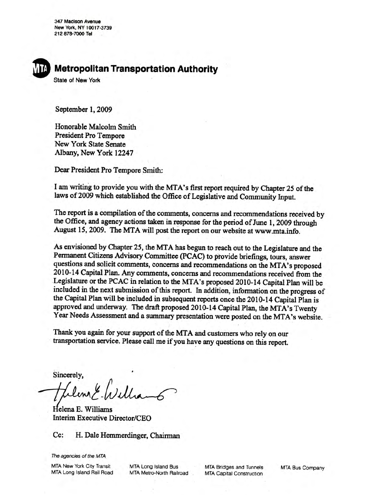347 Madison Avenue New York, NY 10017-3739 212 878-7000 Tel



**State of New York** 

September 1, 2009

Honorable Malcolm Smith **President Pro Tempore** New York State Senate Albany, New York 12247

Dear President Pro Tempore Smith:

I am writing to provide you with the MTA's first report required by Chapter 25 of the laws of 2009 which established the Office of Legislative and Community Input.

The report is a compilation of the comments, concerns and recommendations received by the Office, and agency actions taken in response for the period of June 1, 2009 through August 15, 2009. The MTA will post the report on our website at www.mta.info.

As envisioned by Chapter 25, the MTA has begun to reach out to the Legislature and the Permanent Citizens Advisory Committee (PCAC) to provide briefings, tours, answer questions and solicit comments, concerns and recommendations on the MTA's proposed 2010-14 Capital Plan. Any comments, concerns and recommendations received from the Legislature or the PCAC in relation to the MTA's proposed 2010-14 Capital Plan will be included in the next submission of this report. In addition, information on the progress of the Capital Plan will be included in subsequent reports once the 2010-14 Capital Plan is approved and underway. The draft proposed 2010-14 Capital Plan, the MTA's Twenty Year Needs Assessment and a summary presentation were posted on the MTA's website.

Thank you again for your support of the MTA and customers who rely on our transportation service. Please call me if you have any questions on this report.

Sincerely,

Helena E. Williams Interim Executive Director/CEO

#### H. Dale Hemmerdinger, Chairman  $Cc$ :

The agencies of the MTA

**MTA New York City Transit** MTA Long Island Rail Road

MTA Long Island Bus MTA Metro-North Railroad

**MTA Bridges and Tunnels MTA Capital Construction** 

**MTA Bus Company**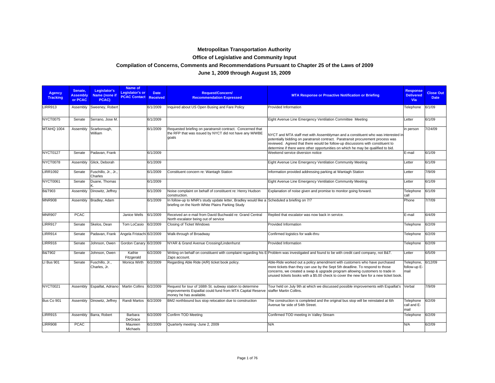# **Metropolitan Transportation Authority**

## **Office of Legislative and Community Input**

#### **Compilation of Concerns, Comments and Recommendations Pursuant to Chapter 25 of the Laws of 2009**

### **June 1, 2009 through August 15, 2009**

| <b>Agency</b><br><b>Tracking</b> | Senate.<br><b>Assembly</b><br>or PCAC | Legislator's<br>Name (none if<br>PCAC) | Name of<br>Legislator's or<br><b>PCAC Contact Received</b> | <b>Date</b> | <b>Request/Concern/</b><br><b>Recommendation Expressed</b>                                                                                         | <b>MTA Response or Proactive Notification or Briefing</b>                                                                                                                                                                                                                                                                                 | <b>Response</b><br><b>Delivered</b><br><b>Via</b> | <b>Close Out</b><br><b>Date</b> |
|----------------------------------|---------------------------------------|----------------------------------------|------------------------------------------------------------|-------------|----------------------------------------------------------------------------------------------------------------------------------------------------|-------------------------------------------------------------------------------------------------------------------------------------------------------------------------------------------------------------------------------------------------------------------------------------------------------------------------------------------|---------------------------------------------------|---------------------------------|
| <b>LIRR913</b>                   | Assembly                              | Sweeney, Robert                        |                                                            | 6/1/2009    | Inquired about US Open Busing and Fare Policy                                                                                                      | Provided Information                                                                                                                                                                                                                                                                                                                      | Telephone                                         | 6/1/09                          |
| NYCT0075                         | Senate                                | Serrano, Jose M.                       |                                                            | 6/1/2009    |                                                                                                                                                    | Eight Avenue Line Emergency Ventilation Committee Meeting                                                                                                                                                                                                                                                                                 | Letter                                            | 6/1/09                          |
| MTAHQ 1004                       | Assembly                              | Scarborough,<br>William                |                                                            | 6/1/2009    | Requested briefing on paratransit contract. Concerned that<br>the RFP that was issued by NYCT did not have any M/WBE<br>qoals                      | NYCT and MTA staff met with Assemblyman and a constituent who was interested in<br>potentially bidding on paratransit contract. Paratransit procurement process was<br>reviewed. Agreed that there would be follow-up discussions with constituent to<br>determine if there were other opportunities on which he may be qualified to bid. | in person                                         | 7/24/09                         |
| NYCT0127                         | Senate                                | Padavan, Frank                         |                                                            | 6/1/2009    |                                                                                                                                                    | Weekend service diversion notice                                                                                                                                                                                                                                                                                                          | E-mail                                            | 6/1/09                          |
| NYCT0078                         | Assembly                              | Glick, Deborah                         |                                                            | 6/1/2009    |                                                                                                                                                    | Eight Avenue Line Emergency Ventilation Community Meeting                                                                                                                                                                                                                                                                                 | Letter                                            | 6/1/09                          |
| <b>LIRR1092</b>                  | Senate                                | Fuschillo, Jr., Jr.,<br>Charles        |                                                            | 6/1/2009    | Constituent concern re: Wantagh Station                                                                                                            | Information provided addressing parking at Wantagh Station                                                                                                                                                                                                                                                                                | Letter                                            | 7/9/09                          |
| NYCT0061                         | Senate                                | Duane, Thomas                          |                                                            | 6/1/2009    |                                                                                                                                                    | Eight Avenue Line Emergency Ventilation Community Meeting                                                                                                                                                                                                                                                                                 | Letter                                            | 6/1/09                          |
| <b>B&amp;T903</b>                | Assembly                              | Dinowitz, Jeffrey                      |                                                            | 6/1/2009    | Noise complaint on behalf of constituent re: Henry Hudson<br>construction.                                                                         | Explanation of noise given and promise to monitor going forward.                                                                                                                                                                                                                                                                          | Telephone<br>call                                 | 6/1/09                          |
| <b>MNR908</b>                    | Assembly                              | Bradley, Adam                          |                                                            | 6/1/2009    | In follow-up to MNR's study update letter, Bradley would like a<br>briefing on the North White Plains Parking Study                                | Scheduled a briefing on 7/7                                                                                                                                                                                                                                                                                                               | Phone                                             | 7/7/09                          |
| <b>MNR907</b>                    | <b>PCAC</b>                           |                                        | Janice Wells                                               | 6/1/2009    | Received an e-mail from David Buchwald re: Grand Central<br>North escalator being out of service                                                   | Replied that escalator was now back in service.                                                                                                                                                                                                                                                                                           | E-mail                                            | 6/4/09                          |
| <b>LIRR917</b>                   | Senate                                | Skelos, Dean                           | Tom LoCasio                                                | 6/2/2009    | Closing of Ticket Windows                                                                                                                          | Provided Information                                                                                                                                                                                                                                                                                                                      | Telephone                                         | 6/2/09                          |
| <b>LIRR914</b>                   | Senate                                | Padavan, Frank                         | Angela Fristachi 6/2/2009                                  |             | Walk-through of Broadway                                                                                                                           | Confirmed logistics for walk-thru                                                                                                                                                                                                                                                                                                         | Telephone                                         | 6/2/09                          |
| <b>LIRR916</b>                   | Senate                                | Johnson, Owen                          | Gordon Canary                                              | 6/2/2009    | NYAR & Grand Avenue Crossing/Lindenhurst                                                                                                           | Provided Information                                                                                                                                                                                                                                                                                                                      | Telephone                                         | 6/2/09                          |
| <b>B&amp;T902</b>                | Senate                                | Johnson, Owen                          | Kathie<br>Fitzgerald                                       | 6/2/2009    | Zaps account.                                                                                                                                      | Writing on behalf on constituent with complaint regarding his E-Problem was investigated and found to be with credit card company, not B&T.                                                                                                                                                                                               | Letter                                            | 6/5/09                          |
| LI Bus 901                       | Senate                                | Fuschillo, Jr.,<br>Charles, Jr.        | Monica Wirth                                               | 6/2/2009    | Regarding Able Ride (A/R) ticket book policy.                                                                                                      | Able-Ride worked out a policy amendment with customers who have purchased<br>more tickets than they can use by the Sept 5th deadline. To respond to those<br>concerns, we created a swap & upgrade program allowing customers to trade in<br>unused tickets books with a \$5.00 check to cover the new fare for a new ticket book.        | Telephone.<br>follow-up E-<br>mail                | 6/12/09                         |
| NYCT0021                         | Assembly                              | Espaillat, Adriano                     | <b>Martin Collins</b>                                      | 6/2/2009    | Request for tour of 168th St. subway station to determine<br>improvements Espaillat could fund from MTA Capital Reserve<br>money he has available. | Tour held on July 9th at which we discussed possible improvements with Espaillat's<br>staffer Martin Collins.                                                                                                                                                                                                                             | Verbal                                            | 7/9/09                          |
| Bus Co 901                       | Assembly                              | Dinowitz, Jeffrey                      | Randi Martos                                               | 6/2/2009    | BM2 northbound bus stop relocation due to construction                                                                                             | The construction is completed and the original bus stop will be reinstated at 6th<br>Avenue far side of 54th Street.                                                                                                                                                                                                                      | Telephone<br>call and E-<br>mail                  | 6/2/09                          |
| <b>LIRR915</b>                   | Assembly                              | Barra, Robert                          | Barbara<br>DeGrace                                         | 6/2/2009    | Confirm TOD Meeting                                                                                                                                | Confirmed TOD meeting in Valley Stream                                                                                                                                                                                                                                                                                                    | Telephone                                         | 6/2/09                          |
| <b>LIRR908</b>                   | <b>PCAC</b>                           |                                        | Maureen<br><b>Michaels</b>                                 | 6/2/2009    | Quarterly meeting -June 2, 2009                                                                                                                    | N/A                                                                                                                                                                                                                                                                                                                                       | N/A                                               | 6/2/09                          |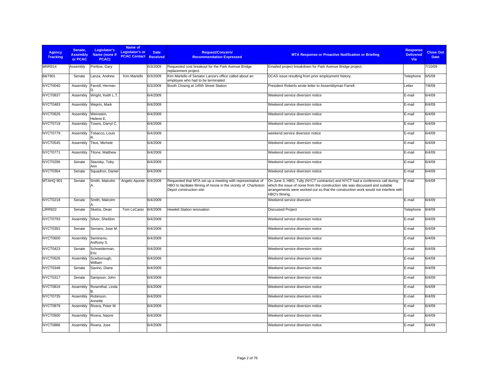| <b>Agency</b><br><b>Tracking</b> | Senate.<br><b>Assembly</b><br>or PCAC | Legislator's<br>Name (none if<br>PCAC) | Name of<br><b>Legislator's or</b><br><b>PCAC Contact Received</b> | <b>Date</b> | <b>Request/Concern/</b><br><b>Recommendation Expressed</b>                                                                                                 | <b>MTA Response or Proactive Notification or Briefing</b>                                                                                                                                                                                                                | <b>Response</b><br><b>Delivered</b><br>Via | <b>Close Out</b><br><b>Date</b> |
|----------------------------------|---------------------------------------|----------------------------------------|-------------------------------------------------------------------|-------------|------------------------------------------------------------------------------------------------------------------------------------------------------------|--------------------------------------------------------------------------------------------------------------------------------------------------------------------------------------------------------------------------------------------------------------------------|--------------------------------------------|---------------------------------|
| <b>MNR914</b>                    | Assembly                              | Pretlow, Gary                          |                                                                   | 6/3/2009    | Requested cost breakout for the Park Avenue Bridge<br>replacement project.                                                                                 | Emailed project breakdown for Park Avenue Bridge project.                                                                                                                                                                                                                |                                            | 7/10/09                         |
| <b>B&amp;T901</b>                | Senate                                | Lanza, Andrew                          | Kim Martello                                                      | 6/3/2009    | Kim Martello of Senator Lanza's office called about an<br>employee who had to be terminated.                                                               | DCAS issue resulting from prior employment history.                                                                                                                                                                                                                      | Telephone                                  | 6/5/09                          |
| NYCT0040                         | Assembly                              | Farrell, Herman                        |                                                                   | 6/3/2009    | Booth Closing at 145th Street Station                                                                                                                      | President Roberts wrote letter to Assemblyman Farrell.                                                                                                                                                                                                                   | Letter                                     | 7/8/09                          |
| NYCT0837                         | Assembly                              | Wright, Keith L.T.                     |                                                                   | 6/4/2009    |                                                                                                                                                            | Weekend service diversion notice                                                                                                                                                                                                                                         | E-mail                                     | 6/4/09                          |
| NYCT0483                         | Assembly                              | Weprin, Mark                           |                                                                   | 6/4/2009    |                                                                                                                                                            | Weekend service diversion notice                                                                                                                                                                                                                                         | E-mail                                     | 6/4/09                          |
| NYCT0626                         | Assembly                              | Weinstein,<br>Helene E.                |                                                                   | 6/4/2009    |                                                                                                                                                            | Weekend service diversion notice                                                                                                                                                                                                                                         | E-mail                                     | 6/4/09                          |
| NYCT0719                         | Assembly                              | Towns, Darryl C.                       |                                                                   | 6/4/2009    |                                                                                                                                                            | Weekend service diversion notice                                                                                                                                                                                                                                         | E-mail                                     | 6/4/09                          |
| NYCT0779                         | Assembly                              | Tobacco, Louis                         |                                                                   | 6/4/2009    |                                                                                                                                                            | weekend service diversion notice                                                                                                                                                                                                                                         | E-mail                                     | 6/4/09                          |
| NYCT0545                         | Assembly                              | Titus, Michele                         |                                                                   | 6/4/2009    |                                                                                                                                                            | Weekend service diversion notice                                                                                                                                                                                                                                         | E-mail                                     | 6/4/09                          |
| NYCT0771                         | Assembly                              | Titone, Matthew                        |                                                                   | 6/4/2009    |                                                                                                                                                            | Weekend service diversion notice                                                                                                                                                                                                                                         | E-mail                                     | 6/4/09                          |
| NYCT0296                         | Senate                                | Stavisky, Toby<br>Ann                  |                                                                   | 6/4/2009    |                                                                                                                                                            | Weekend service diversion notice                                                                                                                                                                                                                                         | E-mail                                     | 6/4/09                          |
| NYCT0364                         | Senate                                | Squadron, Daniel                       |                                                                   | 6/4/2009    |                                                                                                                                                            | Weekend service diversion notice                                                                                                                                                                                                                                         | E-mail                                     | 6/4/09                          |
| MTAHQ 901                        | Senate                                | Smith, Malcolm                         | Angelo Aponte 6/4/2009                                            |             | Requested that MTA set up a meeting with representative of<br>HBO to facilitate filming of movie in the vicinity of Charleston<br>Depot construction site. | On June 3, HBO, Tully (NYCT contractor) and NYCT had a conference call during<br>which the issue of noise from the construction site was discussed and suitable<br>arrangements were worked out so that the construction work would not interfere with<br>HBO's filming. | E-mail                                     | 6/4/09                          |
| <b>NYCT0218</b>                  | Senate                                | Smith, Malcolm                         |                                                                   | 6/4/2009    |                                                                                                                                                            | Weekend service diversion                                                                                                                                                                                                                                                | E-mail                                     | 6/4/09                          |
| <b>LIRR922</b>                   | Senate                                | Skelos, Dean                           | Tom LoCasio                                                       | 6/4/2009    | <b>Hewlett Station renovation</b>                                                                                                                          | <b>Discussed Project</b>                                                                                                                                                                                                                                                 | Telephone                                  | 6/4/09                          |
| NYCT0793                         | Assembly                              | Silver, Sheldon                        |                                                                   | 6/4/2009    |                                                                                                                                                            | Weekend service diversion notice                                                                                                                                                                                                                                         | E-mail                                     | 6/4/09                          |
| NYCT0391                         | Senate                                | Serrano, Jose M.                       |                                                                   | 6/4/2009    |                                                                                                                                                            | Weekend service diversion notice                                                                                                                                                                                                                                         | E-mail                                     | 6/4/09                          |
| <b>NYCT0600</b>                  | Assembly                              | Seminerio,<br>Anthony S.               |                                                                   | 6/4/2009    |                                                                                                                                                            | Weekend service diversion notice                                                                                                                                                                                                                                         | E-mail                                     | 6/4/09                          |
| NYCT0423                         | Senate                                | Schneiderman,<br>Eric                  |                                                                   | 6/4/2009    |                                                                                                                                                            | Weekend service diversion notice                                                                                                                                                                                                                                         | E-mail                                     | 6/4/09                          |
| NYCT0526                         | Assembly                              | Scarborough,<br>William                |                                                                   | 6/4/2009    |                                                                                                                                                            | Weekend service diversion notice                                                                                                                                                                                                                                         | E-mail                                     | 6/4/09                          |
| NYCT0348                         | Senate                                | Savino, Diane                          |                                                                   | 6/4/2009    |                                                                                                                                                            | Weekend service diversion notice                                                                                                                                                                                                                                         | E-mail                                     | 6/4/09                          |
| NYCT0317                         | Senate                                | Sampson, John                          |                                                                   | 6/4/2009    |                                                                                                                                                            | Weekend service diversion notice                                                                                                                                                                                                                                         | E-mail                                     | 6/4/09                          |
| <b>NYCT0816</b>                  | Assembly                              | Rosenthal, Linda<br>R                  |                                                                   | 6/4/2009    |                                                                                                                                                            | Weekend service diversion notice                                                                                                                                                                                                                                         | E-mail                                     | 6/4/09                          |
| NYCT0735                         | Assembly                              | Robinson,<br>Annette                   |                                                                   | 6/4/2009    |                                                                                                                                                            | Weekend service diversion notice                                                                                                                                                                                                                                         | E-mail                                     | 6/4/09                          |
| <b>NYCT0879</b>                  | Assembly                              | Rivera, Peter M.                       |                                                                   | 6/4/2009    |                                                                                                                                                            | Weekend service diversion notice                                                                                                                                                                                                                                         | E-mail                                     | 6/4/09                          |
| NYCT0900                         | Assembly                              | Rivera, Naomi                          |                                                                   | 6/4/2009    |                                                                                                                                                            | Weekend service diversion notice                                                                                                                                                                                                                                         | E-mail                                     | 6/4/09                          |
| NYCT0886                         | Assembly                              | Rivera, Jose                           |                                                                   | 6/4/2009    |                                                                                                                                                            | Weekend service diversion notice                                                                                                                                                                                                                                         | E-mail                                     | 6/4/09                          |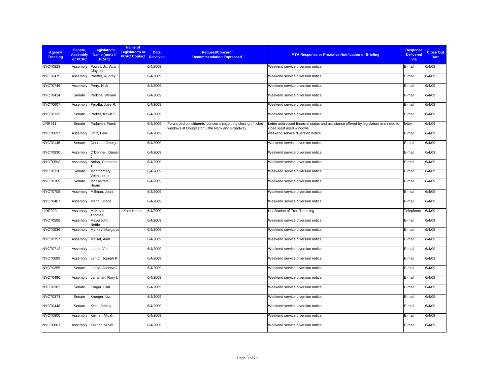| <b>Agency</b><br><b>Tracking</b> | Senate.<br><b>Assembly</b><br>or PCAC | Legislator's<br>Name (none if<br>PCAC) | Name of<br><b>Legislator's or</b><br><b>PCAC Contact Received</b> | <b>Date</b> | Request/Concern/<br><b>Recommendation Expressed</b>                                                            | <b>MTA Response or Proactive Notification or Briefing</b>                                                        | <b>Response</b><br><b>Delivered</b><br>Via | <b>Close Out</b><br><b>Date</b> |
|----------------------------------|---------------------------------------|----------------------------------------|-------------------------------------------------------------------|-------------|----------------------------------------------------------------------------------------------------------------|------------------------------------------------------------------------------------------------------------------|--------------------------------------------|---------------------------------|
| <b>NYCT0823</b>                  | Assembly                              | Powell, Jr., Adam<br>Clayton           |                                                                   | 6/4/2009    |                                                                                                                | Weekend service diversion notice                                                                                 | E-mail                                     | 6/4/09                          |
| NYCT0475                         | Assembly                              | Pheffer, Audrey I.                     |                                                                   | 6/4/2009    |                                                                                                                | Weekend service diversion notice                                                                                 | E-mail                                     | 6/4/09                          |
| NYCT0749                         | Assembly                              | Perry, Nick                            |                                                                   | 6/4/2009    |                                                                                                                | Weekend service diversion notice                                                                                 | E-mail                                     | 6/4/09                          |
| NYCT0414                         | Senate                                | Perkins, William                       |                                                                   | 6/4/2009    |                                                                                                                | Weekend service diversion notice                                                                                 | E-mail                                     | 6/4/09                          |
| NYCT0607                         | Assembly                              | Peralta, Jose R.                       |                                                                   | 6/4/2009    |                                                                                                                | Weekend service diversion notice                                                                                 | E-mail                                     | 6/4/09                          |
| <b>NYCT0333</b>                  | Senate                                | Parker, Kevin S.                       |                                                                   | 6/4/2009    |                                                                                                                | Weekend service diversion notice                                                                                 | E-mail                                     | 6/4/09                          |
| <b>LIRR911</b>                   | Senate                                | Padavan, Frank                         |                                                                   | 6/4/2009    | Forwarded constituents' concerns regarding closing of ticket<br>windows at Douglaston Little Neck and Broadway | Letter addressed financial status and assistance offered by legislature and need to<br>close least used windows. | letter                                     | 6/4/09                          |
| NYCT0697                         | Assembly                              | Ortiz, Felix                           |                                                                   | 6/4/2009    |                                                                                                                | weekend service diversion notice                                                                                 | E-mail                                     | 6/4/09                          |
| NYCT0145                         | Senate                                | Onorato, George                        |                                                                   | 6/4/2009    |                                                                                                                | Weekend service diversion notice                                                                                 | E-mail                                     | 6/4/09                          |
| <b>NYCT0830</b>                  | Assembly                              | O'Donnell, Daniel                      |                                                                   | 6/4/2009    |                                                                                                                | Weekend service diversion notice                                                                                 | E-mail                                     | 6/4/09                          |
| <b>NYCT0593</b>                  | Assembly                              | Nolan, Catherine                       |                                                                   | 6/4/2009    |                                                                                                                | Weekend service diversion notice                                                                                 | E-mail                                     | 6/4/09                          |
| <b>NYCT0310</b>                  | Senate                                | Montgomery,<br>Velmanette              |                                                                   | 6/4/2009    |                                                                                                                | Weekend service diversion notice                                                                                 | E-mail                                     | 6/4/09                          |
| NYCT0169                         | Senate                                | Monserrate,<br>Hiram                   |                                                                   | 6/4/2009    |                                                                                                                | Weekend service diversion notice                                                                                 | E-mail                                     | 6/4/09                          |
| NYCT0705                         | Assembly                              | Millman, Joan                          |                                                                   | 6/4/2009    |                                                                                                                | Weekend service diversion notice                                                                                 | E-mail                                     | 6/4/09                          |
| NYCT0467                         | Assembly                              | Meng, Grace                            |                                                                   | 6/4/2009    |                                                                                                                | Weekend service diversion notice                                                                                 | E-mail                                     | 6/4/09                          |
| <b>LIRR920</b>                   | Assembly                              | McKevitt,<br>Thomas                    | Kate Hunter                                                       | 6/4/2009    |                                                                                                                | Notification of Tree Trimming                                                                                    | Telephone                                  | 6/4/09                          |
| <b>NYCT0508</b>                  | Assembly                              | Mayersohn,<br>Nettie                   |                                                                   | 6/4/2009    |                                                                                                                | Weekend service diversion notice                                                                                 | E-mail                                     | 6/4/09                          |
| NYCT0536                         | Assembly                              | Markey, Margaret                       |                                                                   | 6/4/2009    |                                                                                                                | Weekend service diversion notice                                                                                 | E-mail                                     | 6/4/09                          |
| NYCT0757                         | Assembly                              | Maisel, Alan                           |                                                                   | 6/4/2009    |                                                                                                                | Weekend service diversion notice                                                                                 | E-mail                                     | 6/4/09                          |
| <b>NYCT0712</b>                  | Assembly                              | Lopez, Vito                            |                                                                   | 6/4/2009    |                                                                                                                | Weekend service diversion notice                                                                                 | E-mail                                     | 6/4/09                          |
| NYCT0689                         | Assembly                              | Lentol, Joseph R.                      |                                                                   | 6/4/2009    |                                                                                                                | Weekend service diversion notice                                                                                 | E-mail                                     | 6/4/09                          |
| <b>NYCT0355</b>                  | Senate                                | Lanza, Andrew J.                       |                                                                   | 6/4/2009    |                                                                                                                | Weekend service diversion notice                                                                                 | E-mail                                     | 6/4/09                          |
| NYCT0490                         | Assembly                              | Lancman, Rory I.                       |                                                                   | 6/4/2009    |                                                                                                                | Weekend service diversion notice                                                                                 | E-mail                                     | 6/4/09                          |
| <b>NYCT0382</b>                  | Senate                                | Kruger, Carl                           |                                                                   | 6/4/2009    |                                                                                                                | Weekend service diversion notice                                                                                 | E-mail                                     | 6/4/09                          |
| <b>NYCT0373</b>                  | Senate                                | Krueger, Liz                           |                                                                   | 6/4/2009    |                                                                                                                | Weekend service diversion notice                                                                                 | E-mail                                     | 6/4/09                          |
| NYCT0448                         | Senate                                | Klein, Jeffrey                         |                                                                   | 6/4/2009    |                                                                                                                | Weekend service diversion notice                                                                                 | E-mail                                     | 6/4/09                          |
| <b>NYCT0800</b>                  | Assembly                              | Kellner, Micah                         |                                                                   | 6/4/2009    |                                                                                                                | Weekend service diversion notice                                                                                 | E-mail                                     | 6/4/09                          |
| <b>NYCT0801</b>                  | Assembly                              | Kellner, Micah                         |                                                                   | 6/4/2009    |                                                                                                                | Weekend service diversion notice                                                                                 | E-mail                                     | 6/4/09                          |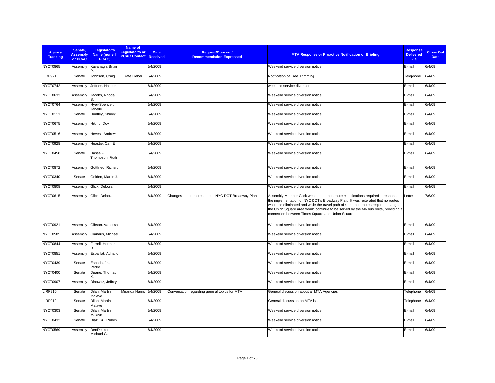| <b>Agency</b><br><b>Tracking</b> | Senate,<br><b>Assembly</b><br>or PCAC | Legislator's<br>Name (none if<br>PCAC) | Name of<br>Legislator's or<br><b>PCAC Contact Received</b> | <b>Date</b> | <b>Request/Concern/</b><br><b>Recommendation Expressed</b> | <b>MTA Response or Proactive Notification or Briefing</b>                                                                                                                                                                                                                                                                                                                                                    | <b>Response</b><br><b>Delivered</b><br>Via | <b>Close Out</b><br><b>Date</b> |
|----------------------------------|---------------------------------------|----------------------------------------|------------------------------------------------------------|-------------|------------------------------------------------------------|--------------------------------------------------------------------------------------------------------------------------------------------------------------------------------------------------------------------------------------------------------------------------------------------------------------------------------------------------------------------------------------------------------------|--------------------------------------------|---------------------------------|
| <b>NYCT0865</b>                  | Assembly                              | Kavanagh, Brian                        |                                                            | 6/4/2009    |                                                            | Weekend service diversion notice                                                                                                                                                                                                                                                                                                                                                                             | E-mail                                     | 6/4/09                          |
| <b>LIRR921</b>                   | Senate                                | Johnson, Craig                         | Rafe Lieber                                                | 6/4/2009    |                                                            | Notification of Tree Trimming                                                                                                                                                                                                                                                                                                                                                                                | Telephone                                  | 6/4/09                          |
| NYCT0742                         | Assembly                              | Jeffries, Hakeem                       |                                                            | 6/4/2009    |                                                            | weekend service diversion                                                                                                                                                                                                                                                                                                                                                                                    | E-mail                                     | 6/4/09                          |
| <b>NYCT0633</b>                  | Assembly                              | Jacobs, Rhoda                          |                                                            | 6/4/2009    |                                                            | Weekend service diversion notice                                                                                                                                                                                                                                                                                                                                                                             | E-mail                                     | 6/4/09                          |
| NYCT0764                         | Assembly                              | Hyer-Spencer,<br>Janelle               |                                                            | 6/4/2009    |                                                            | Weekend service diversion notice                                                                                                                                                                                                                                                                                                                                                                             | E-mail                                     | 6/4/09                          |
| NYCT0111                         | Senate                                | Huntley, Shirley                       |                                                            | 6/4/2009    |                                                            | Weekend service diversion notice                                                                                                                                                                                                                                                                                                                                                                             | E-mail                                     | 6/4/09                          |
| <b>NYCT0675</b>                  | Assembly                              | Hikind, Dov                            |                                                            | 6/4/2009    |                                                            | Weekend service diversion notice                                                                                                                                                                                                                                                                                                                                                                             | E-mail                                     | 6/4/09                          |
| <b>NYCT0516</b>                  | Assembly                              | Hevesi, Andrew                         |                                                            | 6/4/2009    |                                                            | Weekend service diversion notice                                                                                                                                                                                                                                                                                                                                                                             | E-mail                                     | 6/4/09                          |
| <b>NYCT0928</b>                  | Assembly                              | Heastie, Carl E.                       |                                                            | 6/4/2009    |                                                            | Weekend service diversion notice                                                                                                                                                                                                                                                                                                                                                                             | E-mail                                     | 6/4/09                          |
| NYCT0458                         | Senate                                | Hassell-<br>Thompson, Ruth             |                                                            | 6/4/2009    |                                                            | Weekend service diversion notice                                                                                                                                                                                                                                                                                                                                                                             | E-mail                                     | 6/4/09                          |
| <b>NYCT0872</b>                  | Assembly                              | Gottfried, Richard                     |                                                            | 6/4/2009    |                                                            | Weekend service diversion notice                                                                                                                                                                                                                                                                                                                                                                             | E-mail                                     | 6/4/09                          |
| <b>NYCT0340</b>                  | Senate                                | Golden, Martin J.                      |                                                            | 6/4/2009    |                                                            | Weekend service diversion notice                                                                                                                                                                                                                                                                                                                                                                             | E-mail                                     | 6/4/09                          |
| <b>NYCT0808</b>                  | Assembly                              | Glick, Deborah                         |                                                            | 6/4/2009    |                                                            | Weekend service diversion notice                                                                                                                                                                                                                                                                                                                                                                             | E-mail                                     | 6/4/09                          |
| <b>NYCT0615</b>                  | Assembly                              | Glick, Deborah                         |                                                            | 6/4/2009    | Changes in bus routes due to NYC DOT Broadway Plan         | Assembly Member Glick wrote about bus route modifications required in response to Letter<br>the implementation of NYC DOT's Broadway Plan. It was reiterated that no routes<br>would be eliminated and while the travel path of some bus routes required changes,<br>the Union Square area would continue to be served by the M6 bus route, providing a<br>connection between Times Square and Union Square. |                                            | 7/6/09                          |
| <b>NYCT0921</b>                  | Assembly                              | Gibson, Vanessa                        |                                                            | 6/4/2009    |                                                            | Weekend service diversion notice                                                                                                                                                                                                                                                                                                                                                                             | E-mail                                     | 6/4/09                          |
| NYCT0585                         | Assembly                              | Gianaris, Michael                      |                                                            | 6/4/2009    |                                                            | Weekend service diversion notice                                                                                                                                                                                                                                                                                                                                                                             | E-mail                                     | 6/4/09                          |
| NYCT0844                         | Assembly                              | Farrell, Herman<br>n.                  |                                                            | 6/4/2009    |                                                            | Weekend service diversion notice                                                                                                                                                                                                                                                                                                                                                                             | E-mail                                     | 6/4/09                          |
| <b>NYCT0851</b>                  | Assembly                              | Espaillat, Adriano                     |                                                            | 6/4/2009    |                                                            | Weekend service diversion notice                                                                                                                                                                                                                                                                                                                                                                             | E-mail                                     | 6/4/09                          |
| NYCT0439                         | Senate                                | Espada, Jr.,<br>Pedro                  |                                                            | 6/4/2009    |                                                            | Weekend service diversion notice                                                                                                                                                                                                                                                                                                                                                                             | E-mail                                     | 6/4/09                          |
| <b>NYCT0400</b>                  | Senate                                | Duane, Thomas                          |                                                            | 6/4/2009    |                                                            | Weekend service diversion notice                                                                                                                                                                                                                                                                                                                                                                             | E-mail                                     | 6/4/09                          |
| NYCT0907                         | Assembly                              | Dinowitz, Jeffrey                      |                                                            | 6/4/2009    |                                                            | Weekend service diversion notice                                                                                                                                                                                                                                                                                                                                                                             | E-mail                                     | 6/4/09                          |
| <b>LIRR910</b>                   | Senate                                | Dilan, Martin<br>Malave                | Miranda Harris                                             | 6/4/2009    | Conversation regarding general topics for MTA              | General discussion about all MTA Agencies                                                                                                                                                                                                                                                                                                                                                                    | Telephone                                  | 6/4/09                          |
| <b>LIRR912</b>                   | Senate                                | Dilan, Martin<br>Malave                |                                                            | 6/4/2009    |                                                            | General discussion on MTA issues                                                                                                                                                                                                                                                                                                                                                                             | Telephone                                  | 6/4/09                          |
| <b>NYCT0303</b>                  | Senate                                | Dilan, Martin<br>Malave                |                                                            | 6/4/2009    |                                                            | Weekend service diversion notice                                                                                                                                                                                                                                                                                                                                                                             | E-mail                                     | 6/4/09                          |
| <b>NYCT0432</b>                  | Senate                                | Diaz, Sr., Ruben                       |                                                            | 6/4/2009    |                                                            | Weekend service diversion notice                                                                                                                                                                                                                                                                                                                                                                             | E-mail                                     | 6/4/09                          |
| NYCT0569                         | Assembly                              | DenDekker,<br>Michael G.               |                                                            | 6/4/2009    |                                                            | Weekend service diversion notice                                                                                                                                                                                                                                                                                                                                                                             | E-mail                                     | 6/4/09                          |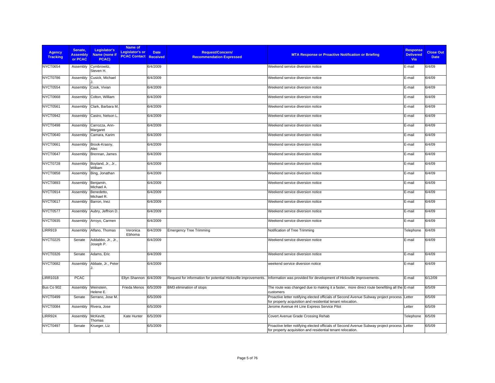| <b>Agency</b><br><b>Tracking</b> | Senate.<br><b>Assembly</b><br>or PCAC | Legislator's<br>Name (none if<br>PCAC) | Name of<br><b>Legislator's or</b><br><b>PCAC Contact Received</b> | <b>Date</b> | Request/Concern/<br><b>Recommendation Expressed</b>            | <b>MTA Response or Proactive Notification or Briefing</b>                                                                                                  | <b>Response</b><br><b>Delivered</b><br><b>Via</b> | <b>Close Out</b><br><b>Date</b> |
|----------------------------------|---------------------------------------|----------------------------------------|-------------------------------------------------------------------|-------------|----------------------------------------------------------------|------------------------------------------------------------------------------------------------------------------------------------------------------------|---------------------------------------------------|---------------------------------|
| <b>NYCT0654</b>                  | Assembly                              | Cymbrowitz,<br>Steven H.               |                                                                   | 6/4/2009    |                                                                | Weekend service diversion notice                                                                                                                           | E-mail                                            | 6/4/09                          |
| NYCT0786                         | Assembly                              | Cusick. Michael                        |                                                                   | 6/4/2009    |                                                                | Weekend service diversion notice                                                                                                                           | E-mail                                            | 6/4/09                          |
| <b>NYCT0554</b>                  | Assembly                              | Cook, Vivian                           |                                                                   | 6/4/2009    |                                                                | Weekend service diversion notice                                                                                                                           | E-mail                                            | 6/4/09                          |
| <b>NYCT0668</b>                  | Assembly                              | Colton, William                        |                                                                   | 6/4/2009    |                                                                | Weekend service diversion notice                                                                                                                           | E-mail                                            | 6/4/09                          |
| NYCT0561                         | Assembly                              | Clark, Barbara M.                      |                                                                   | 6/4/2009    |                                                                | Weekend service diversion notice                                                                                                                           | E-mail                                            | 6/4/09                          |
| NYCT0942                         | Assembly                              | Castro, Nelson L                       |                                                                   | 6/4/2009    |                                                                | Weekend service diversion notice                                                                                                                           | E-mail                                            | 6/4/09                          |
| NYCT0498                         | Assembly                              | Carrozza, Ann-<br>Margaret             |                                                                   | 6/4/2009    |                                                                | Weekend service diversion notice                                                                                                                           | E-mail                                            | 6/4/09                          |
| <b>NYCT0640</b>                  | Assembly                              | Camara, Karim                          |                                                                   | 6/4/2009    |                                                                | Weekend service diversion notice                                                                                                                           | E-mail                                            | 6/4/09                          |
| NYCT0661                         | Assembly                              | Brook-Krasny,<br>Alec                  |                                                                   | 6/4/2009    |                                                                | Weekend service diversion notice                                                                                                                           | E-mail                                            | 6/4/09                          |
| NYCT0647                         | Assembly                              | Brennan, James                         |                                                                   | 6/4/2009    |                                                                | Weekend service diversion notice                                                                                                                           | E-mail                                            | 6/4/09                          |
| <b>NYCT0728</b>                  | Assembly                              | Boyland, Jr., Jr.,<br>William          |                                                                   | 6/4/2009    |                                                                | Weekend service diversion notice                                                                                                                           | E-mail                                            | 6/4/09                          |
| <b>NYCT0858</b>                  | Assembly                              | Bing, Jonathan                         |                                                                   | 6/4/2009    |                                                                | Weekend service diversion notice                                                                                                                           | E-mail                                            | 6/4/09                          |
| <b>NYCT0893</b>                  | Assembly                              | Benjamin,<br>Michael A.                |                                                                   | 6/4/2009    |                                                                | Weekend service diversion notice                                                                                                                           | E-mail                                            | 6/4/09                          |
| NYCT0914                         | Assembly                              | Benedetto,<br>Michael R.               |                                                                   | 6/4/2009    |                                                                | Weekend service diversion notice                                                                                                                           | E-mail                                            | 6/4/09                          |
| NYCT0617                         | Assembly                              | Barron, Inez                           |                                                                   | 6/4/2009    |                                                                | Weekend service diversion notice                                                                                                                           | E-mail                                            | 6/4/09                          |
| NYCT0577                         | Assembly                              | Aubry, Jeffrion D.                     |                                                                   | 6/4/2009    |                                                                | Weekend service diversion notice                                                                                                                           | E-mail                                            | 6/4/09                          |
| NYCT0935                         | Assembly                              | Arroyo, Carmen                         |                                                                   | 6/4/2009    |                                                                | Weekend service diversion notice                                                                                                                           | E-mail                                            | 6/4/09                          |
| <b>LIRR919</b>                   | Assembly                              | Alfano, Thomas                         | Veronica<br>Ebhoma                                                | 6/4/2009    | <b>Emergency Tree Trimming</b>                                 | Notification of Tree Trimming                                                                                                                              | Telephone                                         | 6/4/09                          |
| <b>NYCT0225</b>                  | Senate                                | Addabbo, Jr., Jr.,<br>Joseph P.        |                                                                   | 6/4/2009    |                                                                | Weekend service diversion notice                                                                                                                           | E-mail                                            | 6/4/09                          |
| <b>NYCT0326</b>                  | Senate                                | Adams, Eric                            |                                                                   | 6/4/2009    |                                                                | Weekend service diversion notice                                                                                                                           | E-mail                                            | 6/4/09                          |
| NYCT0682                         | Assembly                              | Abbate, Jr., Peter                     |                                                                   | 6/4/2009    |                                                                | weekend service diversion notice                                                                                                                           | E-mail                                            | 6/4/09                          |
| <b>LIRR1018</b>                  | <b>PCAC</b>                           |                                        | Ellyn Shannon                                                     | 6/4/2009    | Request for information for potential Hicksville improvements. | Information was provided for development of Hicksville improvements.                                                                                       | E-mail                                            | 6/12/09                         |
| Bus Co 902                       | Assembly                              | Weinstein,<br>Helene E.                | Frieda Menos                                                      | 6/5/2009    | BM3 elimination of stops                                       | The route was changed due to making it a faster, more direct route benefiting all the E-mail<br>customers                                                  |                                                   | 6/5/09                          |
| <b>NYCT0499</b>                  | Senate                                | Serrano, Jose M.                       |                                                                   | 6/5/2009    |                                                                | Proactive letter notifying elected officials of Second Avenue Subway project process<br>for property acquisition and residential tenant relocation.        | Letter                                            | 6/5/09                          |
| NYCT0084                         | Assembly                              | Rivera, Jose                           |                                                                   | 6/5/2009    |                                                                | Jerome Avenue #4 Line Express Service Pilot                                                                                                                | Letter                                            | 6/5/09                          |
| <b>LIRR924</b>                   | Assembly                              | McKevitt,<br>Thomas                    | Kate Hunter                                                       | 6/5/2009    |                                                                | Covert Avenue Grade Crossing Rehab                                                                                                                         | Telephone                                         | 6/5/09                          |
| NYCT0497                         | Senate                                | Krueger, Liz                           |                                                                   | 6/5/2009    |                                                                | Proactive letter notifying elected officials of Second Avenue Subway project process Letter<br>for property acquisition and residential tenant relocation. |                                                   | 6/5/09                          |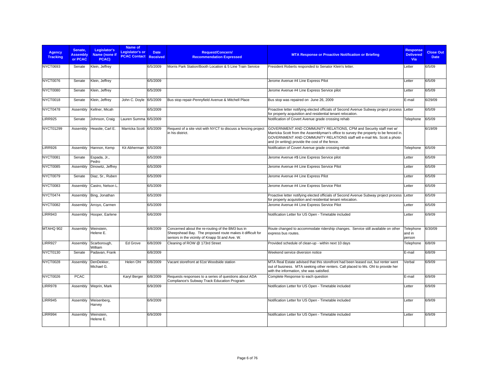| <b>Agency</b><br><b>Tracking</b> | Senate,<br><b>Assembly</b><br>or PCAC | Legislator's<br>Name (none if<br>PCAC) | Name of<br>Legislator's or<br><b>PCAC Contact Received</b> | <b>Date</b> | <b>Request/Concern/</b><br><b>Recommendation Expressed</b>                                                                                                       | <b>MTA Response or Proactive Notification or Briefing</b>                                                                                                                                                                                                                              | <b>Response</b><br><b>Delivered</b><br>Via | <b>Close Out</b><br><b>Date</b> |
|----------------------------------|---------------------------------------|----------------------------------------|------------------------------------------------------------|-------------|------------------------------------------------------------------------------------------------------------------------------------------------------------------|----------------------------------------------------------------------------------------------------------------------------------------------------------------------------------------------------------------------------------------------------------------------------------------|--------------------------------------------|---------------------------------|
| <b>NYCT0693</b>                  | Senate                                | Klein, Jeffrey                         |                                                            | 6/5/2009    | Morris Park Station/Booth Location & 5 Line Train Service                                                                                                        | President Roberts responded to Senator Klein's letter.                                                                                                                                                                                                                                 | Letter                                     | 6/5/09                          |
| NYCT0076                         | Senate                                | Klein, Jeffrey                         |                                                            | 6/5/2009    |                                                                                                                                                                  | Jerome Avenue #4 Line Express Pilot                                                                                                                                                                                                                                                    | Letter                                     | 6/5/09                          |
| NYCT0080                         | Senate                                | Klein, Jeffrey                         |                                                            | 6/5/2009    |                                                                                                                                                                  | Jerome Avenue #4 Line Express Service pilot                                                                                                                                                                                                                                            | Letter                                     | 6/5/09                          |
| NYCT0018                         | Senate                                | Klein, Jeffrey                         | John C. Doyle                                              | 6/5/2009    | Bus stop repair-Pennyfield Avenue & Mitchell Place                                                                                                               | Bus stop was repaired on June 26, 2009                                                                                                                                                                                                                                                 | E-mail                                     | 6/29/09                         |
| NYCT0478                         | Assembly                              | Kellner, Micah                         |                                                            | 6/5/2009    |                                                                                                                                                                  | Proactive letter notifying elected officials of Second Avenue Subway project process Letter<br>for property acquisition and residential tenant relocation.                                                                                                                             |                                            | 6/5/09                          |
| <b>LIRR925</b>                   | Senate                                | Johnson, Craig                         | Lauren Summa 6/5/2009                                      |             |                                                                                                                                                                  | Notification of Covert Avenue grade crossing rehab                                                                                                                                                                                                                                     | Telephone                                  | 6/5/09                          |
| NYCT01299                        | Assembly                              | Heastie, Carl E.                       | Marricka Scott                                             | 6/5/2009    | Request of a site visit with NYCT to discuss a fencing project<br>in his district.                                                                               | GOVERNMENT AND COMMUNITY RELATIONS, CPM and Security staff met w/<br>Marricka Scott from the Assemblyman's office to survey the property to be fenced in.<br>GOVERNMENT AND COMMUNITY RELATIONS staff will e-mail Ms. Scott a photo<br>and (in writing) provide the cost of the fence. |                                            | 6/19/09                         |
| <b>LIRR926</b>                   | Assembly                              | Hannon, Kemp                           | Kit Abherman                                               | 6/5/2009    |                                                                                                                                                                  | Notification of Covert Avenue grade crossing rehab                                                                                                                                                                                                                                     | Telephone                                  | 6/5/09                          |
| NYCT0081                         | Senate                                | Espada, Jr.,<br>Pedro                  |                                                            | 6/5/2009    |                                                                                                                                                                  | Jerome Avenue #\$ Line Express Service pilot                                                                                                                                                                                                                                           | Letter                                     | 6/5/09                          |
| <b>NYCT0085</b>                  | Assembly                              | Dinowitz, Jeffrey                      |                                                            | 6/5/2009    |                                                                                                                                                                  | Jerome Avenue #4 Line Express Service Pilot                                                                                                                                                                                                                                            | Letter                                     | 6/5/09                          |
| NYCT0079                         | Senate                                | Diaz, Sr., Ruben                       |                                                            | 6/5/2009    |                                                                                                                                                                  | Jerome Avenue #4 Line Express Pilot                                                                                                                                                                                                                                                    | Letter                                     | 6/5/09                          |
| NYCT0083                         | Assembly                              | Castro, Nelson L                       |                                                            | 6/5/2009    |                                                                                                                                                                  | Jerome Avenue #4 Line Express Service Pilot                                                                                                                                                                                                                                            | Letter                                     | 6/5/09                          |
| NYCT0474                         | Assembly                              | Bing, Jonathan                         |                                                            | 6/5/2009    |                                                                                                                                                                  | Proactive letter notifying elected officials of Second Avenue Subway project process Letter<br>for property acquisition and residential tenant relocation.                                                                                                                             |                                            | 6/5/09                          |
| <b>NYCT0082</b>                  | Assembly                              | Arroyo, Carmen                         |                                                            | 6/5/2009    |                                                                                                                                                                  | Jerome Avenue #4 Line Express Service Pilot                                                                                                                                                                                                                                            | Letter                                     | 6/5/09                          |
| <b>LIRR943</b>                   | Assembly                              | Hooper, Earlene                        |                                                            | 6/6/2009    |                                                                                                                                                                  | Notification Letter for US Open - Timetable included                                                                                                                                                                                                                                   | Letter                                     | 6/9/09                          |
| MTAHQ 902                        | Assembly                              | Weinstein,<br>Helene E.                |                                                            | 6/8/2009    | Concerned about the re-routing of the BM3 bus in<br>Sheepshead Bay. The proposed route makes it difficult for<br>seniors in the vicinity of Knapp St and Ave. W. | Route changed to accommodate ridership changes. Service still available on other<br>express bus routes.                                                                                                                                                                                | Telephone<br>and in<br>person              | 6/30/09                         |
| <b>LIRR927</b>                   | Assembly                              | Scarborough,<br>William                | Ed Grove                                                   | 6/8/2009    | Cleaning of ROW @ 173rd Street                                                                                                                                   | Provided schedule of clean-up - within next 10 days                                                                                                                                                                                                                                    | Telephone                                  | 6/8/09                          |
| <b>NYCT0130</b>                  | Senate                                | Padavan, Frank                         |                                                            | 6/8/2009    |                                                                                                                                                                  | Weekend service diversion notice                                                                                                                                                                                                                                                       | E-mail                                     | 6/8/09                          |
| <b>NYCT0028</b>                  | Assembly                              | DenDekker,<br>Michael G.               | Helen Ohl                                                  | 6/8/2009    | Vacant storefront at 61st Woodside station                                                                                                                       | MTA Real Estate advised that this storefront had been leased out, but renter went<br>out of business. MTA seeking other renters. Call placed to Ms. Ohl to provide her<br>with the information, she was satisfied.                                                                     | Verbal                                     | 6/9/09                          |
| NYCT0026                         | <b>PCAC</b>                           |                                        | Karyl Berger                                               | 6/8/2009    | Requests responses to a series of questions about ADA<br>Compliance's Subway Track Education Program                                                             | Complete Response to each question                                                                                                                                                                                                                                                     | E-mail                                     | 6/9/09                          |
| <b>LIRR978</b>                   | Assembly                              | Weprin, Mark                           |                                                            | 6/9/2009    |                                                                                                                                                                  | Notification Letter for US Open - Timetable included                                                                                                                                                                                                                                   | Letter                                     | 6/9/09                          |
| <b>LIRR945</b>                   | Assembly                              | Weisenberg,<br>Harvey                  |                                                            | 6/9/2009    |                                                                                                                                                                  | Notification Letter for US Open - Timetable included                                                                                                                                                                                                                                   | Letter                                     | 6/9/09                          |
| LIRR994                          | Assembly                              | Weinstein.<br>Helene E.                |                                                            | 6/9/2009    |                                                                                                                                                                  | Notification Letter for US Open - Timetable included                                                                                                                                                                                                                                   | Letter                                     | 6/9/09                          |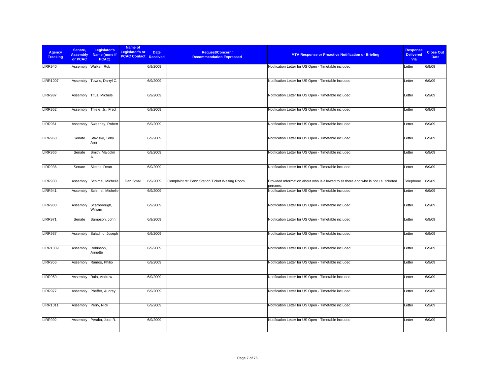| <b>Agency</b><br><b>Tracking</b> | Senate,<br><b>Assembly</b><br>or PCAC | Legislator's<br>Name (none if<br>PCAC) | Name of<br><b>Legislator's or</b><br><b>PCAC Contact Received</b> | <b>Date</b> | <b>Request/Concern/</b><br><b>Recommendation Expressed</b> | <b>MTA Response or Proactive Notification or Briefing</b>                                       | <b>Response</b><br><b>Delivered</b><br>Via | <b>Close Out</b><br><b>Date</b> |
|----------------------------------|---------------------------------------|----------------------------------------|-------------------------------------------------------------------|-------------|------------------------------------------------------------|-------------------------------------------------------------------------------------------------|--------------------------------------------|---------------------------------|
| <b>LIRR940</b>                   | Assembly                              | Walker, Rob                            |                                                                   | 6/9/2009    |                                                            | Notification Letter for US Open - Timetable included                                            | Letter                                     | 6/9/09                          |
| <b>LIRR1007</b>                  | Assembly                              | Towns, Darryl C.                       |                                                                   | 6/9/2009    |                                                            | Notification Letter for US Open - Timetable included                                            | Letter                                     | 6/9/09                          |
| <b>LIRR987</b>                   | Assembly                              | Titus, Michele                         |                                                                   | 6/9/2009    |                                                            | Notification Letter for US Open - Timetable included                                            | Letter                                     | 6/9/09                          |
| <b>LIRR952</b>                   | Assembly                              | Thiele, Jr., Fred                      |                                                                   | 6/9/2009    |                                                            | Notification Letter for US Open - Timetable included                                            | Letter                                     | 6/9/09                          |
| <b>LIRR961</b>                   | Assembly                              | Sweeney, Robert                        |                                                                   | 6/9/2009    |                                                            | Notification Letter for US Open - Timetable included                                            | Letter                                     | 6/9/09                          |
| <b>LIRR968</b>                   | Senate                                | Stavisky, Toby<br>Ann                  |                                                                   | 6/9/2009    |                                                            | Notification Letter for US Open - Timetable included                                            | Letter                                     | 6/9/09                          |
| <b>LIRR966</b>                   | Senate                                | Smith, Malcolm                         |                                                                   | 6/9/2009    |                                                            | Notification Letter for US Open - Timetable included                                            | Letter                                     | 6/9/09                          |
| <b>LIRR936</b>                   | Senate                                | Skelos, Dean                           |                                                                   | 6/9/2009    |                                                            | Notification Letter for US Open - Timetable included                                            | Letter                                     | 6/9/09                          |
| <b>LIRR930</b>                   | Assembly                              | Schimel, Michelle                      | Dan Small                                                         | 6/9/2009    | Complaint re: Penn Station Ticket Waiting Room             | Provided Information about who is allowed to sit there and who is not I.e. ticketed<br>persons. | Telephone                                  | 6/9/09                          |
| <b>LIRR941</b>                   | Assembly                              | Schimel, Michelle                      |                                                                   | 6/9/2009    |                                                            | Notification Letter for US Open - Timetable included                                            | Letter                                     | 6/9/09                          |
| <b>LIRR983</b>                   | Assembly                              | Scarborough,<br>William                |                                                                   | 6/9/2009    |                                                            | Notification Letter for US Open - Timetable included                                            | Letter                                     | 6/9/09                          |
| <b>LIRR971</b>                   | Senate                                | Sampson, John                          |                                                                   | 6/9/2009    |                                                            | Notification Letter for US Open - Timetable included                                            | Letter                                     | 6/9/09                          |
| <b>LIRR937</b>                   | Assembly                              | Saladino, Joseph                       |                                                                   | 6/9/2009    |                                                            | Notification Letter for US Open - Timetable included                                            | Letter                                     | 6/9/09                          |
| <b>LIRR1009</b>                  | Assembly                              | Robinson,<br>Annette                   |                                                                   | 6/9/2009    |                                                            | Notification Letter for US Open - Timetable included                                            | Letter                                     | 6/9/09                          |
| <b>LIRR956</b>                   | Assembly                              | Ramos, Philip                          |                                                                   | 6/9/2009    |                                                            | Notification Letter for US Open - Timetable included                                            | Letter                                     | 6/9/09                          |
| <b>LIRR959</b>                   |                                       | Assembly Raia, Andrew                  |                                                                   | 6/9/2009    |                                                            | Notification Letter for US Open - Timetable included                                            | Letter                                     | 6/9/09                          |
| <b>LIRR977</b>                   | Assembly                              | Pheffer, Audrey I.                     |                                                                   | 6/9/2009    |                                                            | Notification Letter for US Open - Timetable included                                            | Letter                                     | 6/9/09                          |
| <b>LIRR1011</b>                  | Assembly                              | Perry, Nick                            |                                                                   | 6/9/2009    |                                                            | Notification Letter for US Open - Timetable included                                            | Letter                                     | 6/9/09                          |
| <b>LIRR992</b>                   | Assembly                              | Peralta, Jose R.                       |                                                                   | 6/9/2009    |                                                            | Notification Letter for US Open - Timetable included                                            | Letter                                     | 6/9/09                          |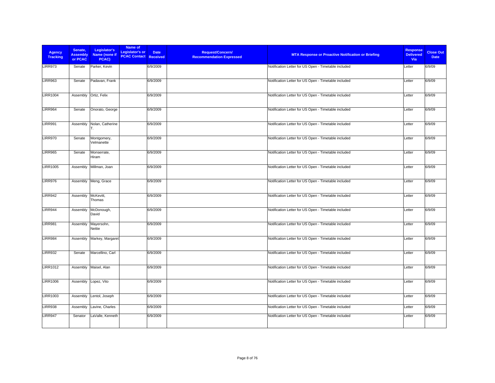| <b>Agency</b><br><b>Tracking</b> | Senate,<br><b>Assembly</b><br>or PCAC | Legislator's<br>Name (none if<br>PCAC) | Name of<br><b>Legislator's or</b><br><b>PCAC Contact Received</b> | <b>Date</b> | <b>Request/Concern/</b><br><b>Recommendation Expressed</b> | <b>MTA Response or Proactive Notification or Briefing</b> | <b>Response</b><br><b>Delivered</b><br>Via | <b>Close Out</b><br><b>Date</b> |
|----------------------------------|---------------------------------------|----------------------------------------|-------------------------------------------------------------------|-------------|------------------------------------------------------------|-----------------------------------------------------------|--------------------------------------------|---------------------------------|
| LIRR973                          | Senate                                | Parker, Kevin                          |                                                                   | 6/9/2009    |                                                            | Notification Letter for US Open - Timetable included      | Letter                                     | 6/9/09                          |
| <b>LIRR963</b>                   | Senate                                | Padavan, Frank                         |                                                                   | 6/9/2009    |                                                            | Notification Letter for US Open - Timetable included      | Letter                                     | 6/9/09                          |
| <b>LIRR1004</b>                  |                                       | Assembly Ortiz, Felix                  |                                                                   | 6/9/2009    |                                                            | Notification Letter for US Open - Timetable included      | Letter                                     | 6/9/09                          |
| <b>LIRR964</b>                   | Senate                                | Onorato, George                        |                                                                   | 6/9/2009    |                                                            | Notification Letter for US Open - Timetable included      | Letter                                     | 6/9/09                          |
| <b>LIRR991</b>                   | Assembly                              | Nolan, Catherine<br>IT.                |                                                                   | 6/9/2009    |                                                            | Notification Letter for US Open - Timetable included      | Letter                                     | 6/9/09                          |
| <b>LIRR970</b>                   | Senate                                | Montgomery,<br>Velmanette              |                                                                   | 6/9/2009    |                                                            | Notification Letter for US Open - Timetable included      | Letter                                     | 6/9/09                          |
| <b>LIRR965</b>                   | Senate                                | Monserrate,<br>Hiram                   |                                                                   | 6/9/2009    |                                                            | Notification Letter for US Open - Timetable included      | Letter                                     | 6/9/09                          |
| <b>LIRR1005</b>                  | Assembly                              | Millman, Joan                          |                                                                   | 6/9/2009    |                                                            | Notification Letter for US Open - Timetable included      | Letter                                     | 6/9/09                          |
| LIRR976                          |                                       | Assembly Meng, Grace                   |                                                                   | 6/9/2009    |                                                            | Notification Letter for US Open - Timetable included      | Letter                                     | 6/9/09                          |
| <b>LIRR942</b>                   | Assembly                              | McKevitt,<br>Thomas                    |                                                                   | 6/9/2009    |                                                            | Notification Letter for US Open - Timetable included      | Letter                                     | 6/9/09                          |
| <b>LIRR944</b>                   | Assembly                              | McDonough,<br>David                    |                                                                   | 6/9/2009    |                                                            | Notification Letter for US Open - Timetable included      | Letter                                     | 6/9/09                          |
| <b>LIRR981</b>                   | Assembly                              | Mayersohn,<br>Nettie                   |                                                                   | 6/9/2009    |                                                            | Notification Letter for US Open - Timetable included      | Letter                                     | 6/9/09                          |
| <b>LIRR984</b>                   | Assembly                              | Markey, Margaret                       |                                                                   | 6/9/2009    |                                                            | Notification Letter for US Open - Timetable included      | Letter                                     | 6/9/09                          |
| <b>LIRR932</b>                   | Senate                                | Marcellino, Carl                       |                                                                   | 6/9/2009    |                                                            | Notification Letter for US Open - Timetable included      | Letter                                     | 6/9/09                          |
| <b>LIRR1012</b>                  | Assembly                              | Maisel, Alan                           |                                                                   | 6/9/2009    |                                                            | Notification Letter for US Open - Timetable included      | Letter                                     | 6/9/09                          |
| <b>LIRR1006</b>                  |                                       | Assembly Lopez, Vito                   |                                                                   | 6/9/2009    |                                                            | Notification Letter for US Open - Timetable included      | Letter                                     | 6/9/09                          |
| <b>LIRR1003</b>                  | Assembly                              | Lentol, Joseph                         |                                                                   | 6/9/2009    |                                                            | Notification Letter for US Open - Timetable included      | Letter                                     | 6/9/09                          |
| <b>LIRR938</b>                   | Assembly                              | Lavine, Charles                        |                                                                   | 6/9/2009    |                                                            | Notification Letter for US Open - Timetable included      | Letter                                     | 6/9/09                          |
| <b>LIRR947</b>                   | Senator                               | LaValle, Kenneth                       |                                                                   | 6/9/2009    |                                                            | Notification Letter for US Open - Timetable included      | Letter                                     | 6/9/09                          |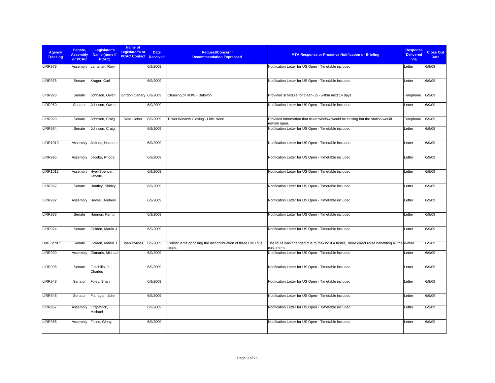| <b>Agency</b><br><b>Tracking</b> | Senate,<br><b>Assembly</b><br>or PCAC | Legislator's<br>Name (none if<br>PCAC) | Name of<br>Legislator's or<br><b>PCAC Contact</b> | <b>Date</b><br><b>Received</b> | Request/Concern/<br><b>Recommendation Expressed</b>                  | <b>MTA Response or Proactive Notification or Briefing</b>                                                 | <b>Response</b><br><b>Delivered</b><br>Via | <b>Close Out</b><br><b>Date</b> |
|----------------------------------|---------------------------------------|----------------------------------------|---------------------------------------------------|--------------------------------|----------------------------------------------------------------------|-----------------------------------------------------------------------------------------------------------|--------------------------------------------|---------------------------------|
| LIRR979                          | Assembly                              | Lancman, Rory                          |                                                   | 6/9/2009                       |                                                                      | Notification Letter for US Open - Timetable included                                                      | Letter                                     | 6/9/09                          |
| <b>LIRR975</b>                   | Senate                                | Kruger, Carl                           |                                                   | 6/9/2009                       |                                                                      | Notification Letter for US Open - Timetable included                                                      | Letter                                     | 6/9/09                          |
| <b>LIRR928</b>                   | Senate                                | Johnson, Owen                          | Gordon Canary 6/9/2009                            |                                | Cleaning of ROW - Babylon                                            | Provided schedule for clean-up - within next 14 days.                                                     | Telephone                                  | 6/9/09                          |
| <b>LIRR950</b>                   | Senator                               | Johnson, Owen                          |                                                   | 6/9/2009                       |                                                                      | Notification Letter for US Open - Timetable included                                                      | Letter                                     | 6/9/09                          |
| <b>LIRR929</b>                   | Senate                                | Johnson, Craig                         | Rafe Lieber                                       | 6/9/2009                       | Ticket Window Closing - Little Neck                                  | Provided information that ticket window would be closing but the station would<br>remain open.            | Telephone                                  | 6/9/09                          |
| <b>LIRR934</b>                   | Senate                                | Johnson, Craig                         |                                                   | 6/9/2009                       |                                                                      | Notification Letter for US Open - Timetable included                                                      | Letter                                     | 6/9/09                          |
| <b>LIRR1010</b>                  | Assembly                              | Jeffries, Hakeem                       |                                                   | 6/9/2009                       |                                                                      | Notification Letter for US Open - Timetable included                                                      | Letter                                     | 6/9/09                          |
| <b>LIRR995</b>                   | Assembly                              | Jacobs, Rhoda                          |                                                   | 6/9/2009                       |                                                                      | Notification Letter for US Open - Timetable included                                                      | Letter                                     | 6/9/09                          |
| <b>LIRR1013</b>                  | Assembly                              | Hyer-Spencer,<br>Janelle               |                                                   | 6/9/2009                       |                                                                      | Notification Letter for US Open - Timetable included                                                      | Letter                                     | 6/9/09                          |
| <b>LIRR962</b>                   | Senate                                | Huntley, Shirley                       |                                                   | 6/9/2009                       |                                                                      | Notification Letter for US Open - Timetable included                                                      | Letter                                     | 6/9/09                          |
| <b>LIRR982</b>                   | Assembly                              | Hevesi, Andrew                         |                                                   | 6/9/2009                       |                                                                      | Notification Letter for US Open - Timetable included                                                      | Letter                                     | 6/9/09                          |
| <b>LIRR933</b>                   | Senate                                | Hannon, Kemp                           |                                                   | 6/9/2009                       |                                                                      | Notification Letter for US Open - Timetable included                                                      | Letter                                     | 6/9/09                          |
| <b>LIRR974</b>                   | Senate                                | Golden, Martin J.                      |                                                   | 6/9/2009                       |                                                                      | Notification Letter for US Open - Timetable included                                                      | Letter                                     | 6/9/09                          |
| Bus Co 903                       | Senate                                | Golden, Martin J.                      | Joan Byrnes                                       | 6/9/2009                       | Constituents opposing the discontinuation of three BM3 bus<br>stops. | The route was changed due to making it a faster, more direct route benefiting all the e-mail<br>customers |                                            | 6/9/09                          |
| <b>LIRR990</b>                   | Assembly                              | Gianaris, Michael                      |                                                   | 6/9/2009                       |                                                                      | Notification Letter for US Open - Timetable included                                                      | Letter                                     | 6/9/09                          |
| <b>LIRR935</b>                   | Senate                                | Fuschillo, Jr.,<br>Charles             |                                                   | 6/9/2009                       |                                                                      | Notification Letter for US Open - Timetable included                                                      | Letter                                     | 6/9/09                          |
| <b>LIRR949</b>                   | Senator                               | Foley, Brian                           |                                                   | 6/9/2009                       |                                                                      | Notification Letter for US Open - Timetable included                                                      | Letter                                     | 6/9/09                          |
| <b>LIRR948</b>                   | Senator                               | Flanagan, John                         |                                                   | 6/9/2009                       |                                                                      | Notification Letter for US Open - Timetable included                                                      | Letter                                     | 6/9/09                          |
| <b>LIRR957</b>                   | Assembly                              | Fitzpatrick,<br>Michael                |                                                   | 6/9/2009                       |                                                                      | Notification Letter for US Open - Timetable included                                                      | Letter                                     | 6/9/09                          |
| <b>LIRR955</b>                   | Assembly                              | Fields, Ginny                          |                                                   | 6/9/2009                       |                                                                      | Notification Letter for US Open - Timetable included                                                      | Letter                                     | 6/9/09                          |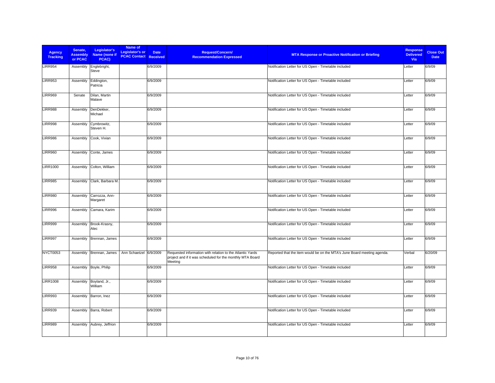| <b>Agency</b><br><b>Tracking</b> | Senate,<br><b>Assembly</b><br>or PCAC | Legislator's<br>Name (none if<br>PCAC) | Name of<br><b>Legislator's or</b><br><b>PCAC Contact Received</b> | <b>Date</b> | <b>Request/Concern/</b><br><b>Recommendation Expressed</b>                                                                        | <b>MTA Response or Proactive Notification or Briefing</b>               | <b>Response</b><br><b>Delivered</b><br>Via | <b>Close Out</b><br><b>Date</b> |
|----------------------------------|---------------------------------------|----------------------------------------|-------------------------------------------------------------------|-------------|-----------------------------------------------------------------------------------------------------------------------------------|-------------------------------------------------------------------------|--------------------------------------------|---------------------------------|
| <b>LIRR954</b>                   | Assembly                              | Englebright,<br>Steve                  |                                                                   | 6/9/2009    |                                                                                                                                   | Notification Letter for US Open - Timetable included                    | Letter                                     | 6/9/09                          |
| <b>LIRR953</b>                   | Assembly                              | Eddington,<br>Patricia                 |                                                                   | 6/9/2009    |                                                                                                                                   | Notification Letter for US Open - Timetable included                    | Letter                                     | 6/9/09                          |
| <b>LIRR969</b>                   | Senate                                | Dilan, Martin<br>Malave                |                                                                   | 6/9/2009    |                                                                                                                                   | Notification Letter for US Open - Timetable included                    | Letter                                     | 6/9/09                          |
| <b>LIRR988</b>                   | Assembly                              | DenDekker,<br>Michael                  |                                                                   | 6/9/2009    |                                                                                                                                   | Notification Letter for US Open - Timetable included                    | Letter                                     | 6/9/09                          |
| <b>LIRR998</b>                   | Assembly                              | Cymbrowitz,<br>Steven H.               |                                                                   | 6/9/2009    |                                                                                                                                   | Notification Letter for US Open - Timetable included                    | Letter                                     | 6/9/09                          |
| LIRR986                          | Assembly                              | Cook, Vivian                           |                                                                   | 6/9/2009    |                                                                                                                                   | Notification Letter for US Open - Timetable included                    | Letter                                     | 6/9/09                          |
| <b>LIRR960</b>                   | Assembly                              | Conte, James                           |                                                                   | 6/9/2009    |                                                                                                                                   | Notification Letter for US Open - Timetable included                    | Letter                                     | 6/9/09                          |
| <b>LIRR1000</b>                  | Assembly                              | Colton, William                        |                                                                   | 6/9/2009    |                                                                                                                                   | Notification Letter for US Open - Timetable included                    | Letter                                     | 6/9/09                          |
| <b>LIRR985</b>                   | Assembly                              | Clark, Barbara M.                      |                                                                   | 6/9/2009    |                                                                                                                                   | Notification Letter for US Open - Timetable included                    | Letter                                     | 6/9/09                          |
| <b>LIRR980</b>                   | Assembly                              | Carrozza, Ann-<br>Margaret             |                                                                   | 6/9/2009    |                                                                                                                                   | Notification Letter for US Open - Timetable included                    | Letter                                     | 6/9/09                          |
| <b>LIRR996</b>                   | Assembly                              | Camara, Karim                          |                                                                   | 6/9/2009    |                                                                                                                                   | Notification Letter for US Open - Timetable included                    | Letter                                     | 6/9/09                          |
| <b>LIRR999</b>                   | Assembly                              | Brook-Krasny,<br>Alec                  |                                                                   | 6/9/2009    |                                                                                                                                   | Notification Letter for US Open - Timetable included                    | Letter                                     | 6/9/09                          |
| LIRR997                          | Assembly                              | Brennan, James                         |                                                                   | 6/9/2009    |                                                                                                                                   | Notification Letter for US Open - Timetable included                    | Letter                                     | 6/9/09                          |
| NYCT0053                         | Assembly                              | Brennan, James                         | Ann Schaetzel 6/9/2009                                            |             | Requested information with relation to the Atlantic Yards<br>project and if it was scheduled for the monthly MTA Board<br>Meeting | Reported that the item would be on the MTA's June Board meeting agenda. | Verbal                                     | 6/20/09                         |
| <b>LIRR958</b>                   |                                       | Assembly Boyle, Philip                 |                                                                   | 6/9/2009    |                                                                                                                                   | Notification Letter for US Open - Timetable included                    | Letter                                     | 6/9/09                          |
| <b>LIRR1008</b>                  | Assembly                              | Boyland, Jr.,<br>William               |                                                                   | 6/9/2009    |                                                                                                                                   | Notification Letter for US Open - Timetable included                    | Letter                                     | 6/9/09                          |
| LIRR993                          | Assembly                              | Barron, Inez                           |                                                                   | 6/9/2009    |                                                                                                                                   | Notification Letter for US Open - Timetable included                    | Letter                                     | 6/9/09                          |
| <b>LIRR939</b>                   | Assembly                              | Barra, Robert                          |                                                                   | 6/9/2009    |                                                                                                                                   | Notification Letter for US Open - Timetable included                    | Letter                                     | 6/9/09                          |
| <b>LIRR989</b>                   | Assembly                              | Aubrey, Jeffrion                       |                                                                   | 6/9/2009    |                                                                                                                                   | Notification Letter for US Open - Timetable included                    | Letter                                     | 6/9/09                          |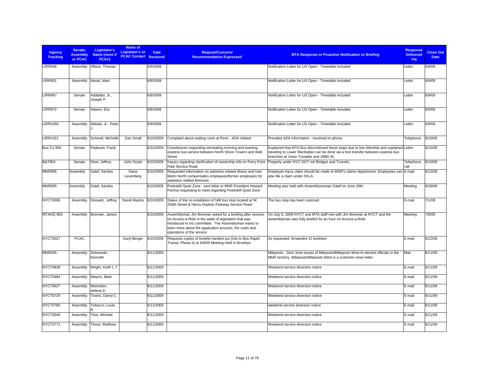| <b>Agency</b><br><b>Tracking</b> | Senate.<br><b>Assembly</b><br>or PCAC | Legislator's<br>Name (none if<br>PCAC) | Name of<br>Legislator's or<br><b>PCAC Contact Received</b> | <b>Date</b> | Request/Concern/<br><b>Recommendation Expressed</b>                                                                                                                                                                                                                  | <b>MTA Response or Proactive Notification or Briefing</b>                                                                                                                                                                 | <b>Response</b><br><b>Delivered</b><br>Via | <b>Close Out</b><br><b>Date</b> |
|----------------------------------|---------------------------------------|----------------------------------------|------------------------------------------------------------|-------------|----------------------------------------------------------------------------------------------------------------------------------------------------------------------------------------------------------------------------------------------------------------------|---------------------------------------------------------------------------------------------------------------------------------------------------------------------------------------------------------------------------|--------------------------------------------|---------------------------------|
| LIRR946                          | Assembly                              | Alfano, Thomas                         |                                                            | 6/9/2009    |                                                                                                                                                                                                                                                                      | Notification Letter for US Open - Timetable included                                                                                                                                                                      | Letter                                     | 6/9/09                          |
| <b>LIRR951</b>                   |                                       | Assembly Alessi, Marc                  |                                                            | 6/9/2009    |                                                                                                                                                                                                                                                                      | Notification Letter for US Open - Timetable included                                                                                                                                                                      | Letter                                     | 6/9/09                          |
| <b>LIRR967</b>                   | Senate                                | Addabbo, Jr.,<br>Joseph P.             |                                                            | 6/9/2009    |                                                                                                                                                                                                                                                                      | Notification Letter for US Open - Timetable included                                                                                                                                                                      | Letter                                     | 6/9/09                          |
| <b>LIRR972</b>                   | Senate                                | Adams, Eric                            |                                                            | 6/9/2009    |                                                                                                                                                                                                                                                                      | Notification Letter for US Open - Timetable included                                                                                                                                                                      | Letter                                     | 6/9/09                          |
| <b>LIRR1002</b>                  | Assembly                              | Abbate, Jr., Peter                     |                                                            | 6/9/2009    |                                                                                                                                                                                                                                                                      | Notification Letter for US Open - Timetable included                                                                                                                                                                      | Letter                                     | 6/9/09                          |
| <b>LIRR1021</b>                  | Assembly                              | Schimel, Michelle                      | Dan Small                                                  | 6/10/2009   | Complaint about waiting room at Penn - ADA related                                                                                                                                                                                                                   | Provided ADA information - resolved on phone                                                                                                                                                                              | Telephone                                  | 6/10/09                         |
| Bus Co 904                       | Senate                                | Padavan, Frank                         |                                                            | 6/10/2009   | Constituents requesting reinstating morning and evening<br>express bus service between North Shore Towers and Wall<br><b>Street</b>                                                                                                                                  | Explained that MTA Bus discontinued these stops due to low ridership and explained Letter<br>traveling to Lower Manhattan can be done via a free transfer between express bus<br>branches at Union Turnpike and 188th St. |                                            | 6/15/09                         |
| <b>B&amp;T904</b>                | Senate                                | Klein, Jeffrey                         | John Doyle                                                 | 6/10/2009   | Inquiry regarding clarification of ownership info on Ferry Point<br>Park Service Road.                                                                                                                                                                               | Property under NYC DOT not Bridges and Tunnels.                                                                                                                                                                           | Telephone<br>call                          | 6/10/09                         |
| <b>MNR906</b>                    | Assembly                              | Galef, Sandra                          | Dana<br>Levenberg                                          | 6/10/2009   | Requested information on asbestos related illness and how<br>Metro North compensates employees/former employees for<br>asbestos related illnesses.                                                                                                                   | Employee injury claim should be made to MNR's claims department. Employees can E-mail<br>also file a claim under FELA.                                                                                                    |                                            | 6/12/09                         |
| <b>MNR905</b>                    | Assembly                              | Galef, Sandra                          |                                                            | 6/10/2009   | Peekskill Quiet Zone - sent letter to MNR President Howard<br>Permut requesting to meet regarding Peekskill Quiet Zone                                                                                                                                               | Meeting was held with Assemblywoman Galef on June 26th.                                                                                                                                                                   | Meeting                                    | 6/26/09                         |
| NYCT0006                         | Assembly                              | Dinowitz, Jeffrey                      | Randi Martos                                               | 6/10/2009   | Status of the re-installation of N/B bus stop located at W.<br>250th Street & Henry Hudson Parkway Service Road                                                                                                                                                      | The bus stop has been restored.                                                                                                                                                                                           | E-mail                                     | 7/1/09                          |
| MTAHQ 903                        | Assembly                              | Brennan, James                         |                                                            | 6/10/2009   | Assemblyman Jim Brennan asked for a briefing after session<br>on Access-a-Ride in the wake of legislation that was<br>introduced in his committee. The Assemblyman wants to<br>learn more about the application process, the costs and<br>operations of the service. | On July 6, 2009 NYCT and MTA staff met with Jim Brennan at NYCT and the<br>Assemblyman was fully briefed for an hour on Access-a-Ride.                                                                                    | Meeting                                    | 7/6/09                          |
| NYCT0027                         | <b>PCAC</b>                           |                                        | Karyl Berger                                               | 6/10/2009   | Requests copies of booklet handed out (Into to Bus Rapid<br>Transit, Phase II) at 6/9/09 Meeting Held in Brooklyn                                                                                                                                                    | As requested, forwarded 12 booklets                                                                                                                                                                                       | E-mail                                     | 6/12/09                         |
| <b>MNR935</b>                    | Assembly                              | Zebrowski.<br>Kenneth                  |                                                            | 6/11/2009   |                                                                                                                                                                                                                                                                      | Mileposts - Sent June issues of Mileposts/Mileposts West to elected officials in the<br>MNR territory. Mileposts/Mileposts West is a customer news letter.                                                                | Mail                                       | 6/11/09                         |
| <b>NYCT0838</b>                  | Assembly                              | Wright, Keith L.T.                     |                                                            | 6/11/2009   |                                                                                                                                                                                                                                                                      | Weekend service diversion notice                                                                                                                                                                                          | E-mail                                     | 6/11/09                         |
| NYCT0484                         | Assembly                              | Weprin, Mark                           |                                                            | 6/11/2009   |                                                                                                                                                                                                                                                                      | Weekend service diversion notice                                                                                                                                                                                          | E-mail                                     | 6/11/09                         |
| NYCT0627                         | Assembly                              | Weinstein,<br>Helene E.                |                                                            | 6/11/2009   |                                                                                                                                                                                                                                                                      | Weekend service diversion notice                                                                                                                                                                                          | E-mail                                     | 6/11/09                         |
| <b>NYCT0720</b>                  | Assembly                              | Towns, Darryl C.                       |                                                            | 6/11/2009   |                                                                                                                                                                                                                                                                      | Weekend service diversion notice                                                                                                                                                                                          | E-mail                                     | 6/11/09                         |
| <b>NYCT0780</b>                  | Assembly                              | Tobacco, Louis                         |                                                            | 6/11/2009   |                                                                                                                                                                                                                                                                      | weekend service diversion notice                                                                                                                                                                                          | E-mail                                     | 6/11/09                         |
| NYCT0546                         | Assembly                              | Titus, Michele                         |                                                            | 6/11/2009   |                                                                                                                                                                                                                                                                      | Weekend service diversion notice                                                                                                                                                                                          | E-mail                                     | 6/11/09                         |
| NYCT0772                         | Assembly                              | Titone, Matthew                        |                                                            | 6/11/2009   |                                                                                                                                                                                                                                                                      | Weekend service diversion notice                                                                                                                                                                                          | E-mail                                     | 6/11/09                         |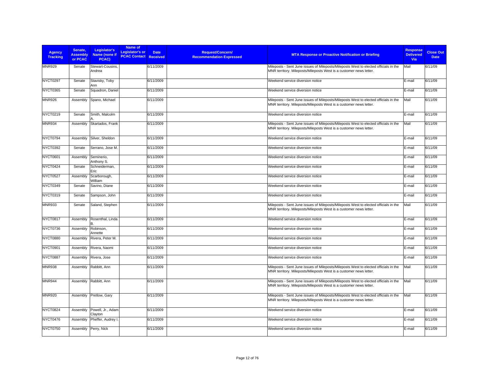| <b>Agency</b><br><b>Tracking</b> | Senate,<br><b>Assembly</b><br>or PCAC | Legislator's<br>Name (none if<br>PCAC) | Name of<br><b>Legislator's or</b><br><b>PCAC Contact Received</b> | <b>Date</b> | <b>Request/Concern/</b><br><b>Recommendation Expressed</b> | <b>MTA Response or Proactive Notification or Briefing</b>                                                                                                  | <b>Response</b><br><b>Delivered</b><br>Via | <b>Close Out</b><br><b>Date</b> |
|----------------------------------|---------------------------------------|----------------------------------------|-------------------------------------------------------------------|-------------|------------------------------------------------------------|------------------------------------------------------------------------------------------------------------------------------------------------------------|--------------------------------------------|---------------------------------|
| <b>MNR929</b>                    | Senate                                | Stewart-Cousins,<br>Andrea             |                                                                   | 6/11/2009   |                                                            | Mileposts - Sent June issues of Mileposts/Mileposts West to elected officials in the<br>MNR territory. Mileposts/Mileposts West is a customer news letter. | Mail                                       | 6/11/09                         |
| NYCT0297                         | Senate                                | Stavisky, Toby<br>Ann                  |                                                                   | 6/11/2009   |                                                            | Weekend service diversion notice                                                                                                                           | E-mail                                     | 6/11/09                         |
| NYCT0365                         | Senate                                | Squadron, Daniel                       |                                                                   | 6/11/2009   |                                                            | Weekend service diversion notice                                                                                                                           | E-mail                                     | 6/11/09                         |
| <b>MNR926</b>                    | Assembly                              | Spano, Michael                         |                                                                   | 6/11/2009   |                                                            | Mileposts - Sent June issues of Mileposts/Mileposts West to elected officials in the<br>MNR territory. Mileposts/Mileposts West is a customer news letter. | Mail                                       | 6/11/09                         |
| <b>NYCT0219</b>                  | Senate                                | Smith, Malcolm                         |                                                                   | 6/11/2009   |                                                            | Weekend service diversion notice                                                                                                                           | E-mail                                     | 6/11/09                         |
| <b>MNR934</b>                    | Assembly                              | Skartados, Frank                       |                                                                   | 6/11/2009   |                                                            | Mileposts - Sent June issues of Mileposts/Mileposts West to elected officials in the<br>MNR territory. Mileposts/Mileposts West is a customer news letter. | Mail                                       | 6/11/09                         |
| NYCT0794                         | Assembly                              | Silver, Sheldon                        |                                                                   | 6/11/2009   |                                                            | Weekend service diversion notice                                                                                                                           | E-mail                                     | 6/11/09                         |
| NYCT0392                         | Senate                                | Serrano, Jose M.                       |                                                                   | 6/11/2009   |                                                            | Weekend service diversion notice                                                                                                                           | E-mail                                     | 6/11/09                         |
| NYCT0601                         | Assembly                              | Seminerio,<br>Anthony S.               |                                                                   | 6/11/2009   |                                                            | Weekend service diversion notice                                                                                                                           | E-mail                                     | 6/11/09                         |
| NYCT0424                         | Senate                                | Schneiderman.<br>Eric                  |                                                                   | 6/11/2009   |                                                            | Weekend service diversion notice                                                                                                                           | E-mail                                     | 6/11/09                         |
| NYCT0527                         | Assembly                              | Scarborough,<br>William                |                                                                   | 6/11/2009   |                                                            | Weekend service diversion notice                                                                                                                           | E-mail                                     | 6/11/09                         |
| NYCT0349                         | Senate                                | Savino, Diane                          |                                                                   | 6/11/2009   |                                                            | Weekend service diversion notice                                                                                                                           | E-mail                                     | 6/11/09                         |
| NYCT0319                         | Senate                                | Sampson, John                          |                                                                   | 6/11/2009   |                                                            | Weekend service diversion notice                                                                                                                           | E-mail                                     | 6/11/09                         |
| <b>MNR933</b>                    | Senate                                | Saland, Stephen                        |                                                                   | 6/11/2009   |                                                            | Mileposts - Sent June issues of Mileposts/Mileposts West to elected officials in the<br>MNR territory. Mileposts/Mileposts West is a customer news letter. | Mail                                       | 6/11/09                         |
| NYCT0817                         | Assembly                              | Rosenthal, Linda<br>B.                 |                                                                   | 6/11/2009   |                                                            | Weekend service diversion notice                                                                                                                           | E-mail                                     | 6/11/09                         |
| NYCT0736                         | Assembly                              | Robinson,<br>Annette                   |                                                                   | 6/11/2009   |                                                            | Weekend service diversion notice                                                                                                                           | E-mail                                     | 6/11/09                         |
| NYCT0880                         | Assembly                              | Rivera, Peter M.                       |                                                                   | 6/11/2009   |                                                            | Weekend service diversion notice                                                                                                                           | E-mail                                     | 6/11/09                         |
| NYCT0901                         | Assembly                              | Rivera, Naomi                          |                                                                   | 6/11/2009   |                                                            | Weekend service diversion notice                                                                                                                           | E-mail                                     | 6/11/09                         |
| NYCT0887                         | Assembly                              | Rivera, Jose                           |                                                                   | 6/11/2009   |                                                            | Weekend service diversion notice                                                                                                                           | E-mail                                     | 6/11/09                         |
| <b>MNR938</b>                    | Assembly                              | Rabbitt, Ann                           |                                                                   | 6/11/2009   |                                                            | Mileposts - Sent June issues of Mileposts/Mileposts West to elected officials in the<br>MNR territory. Mileposts/Mileposts West is a customer news letter. | Mail                                       | 6/11/09                         |
| <b>MNR944</b>                    | Assembly                              | Rabbitt, Ann                           |                                                                   | 6/11/2009   |                                                            | Mileposts - Sent June issues of Mileposts/Mileposts West to elected officials in the<br>MNR territory. Mileposts/Mileposts West is a customer news letter. | Mail                                       | 6/11/09                         |
| <b>MNR920</b>                    | Assembly                              | Pretlow, Gary                          |                                                                   | 6/11/2009   |                                                            | Mileposts - Sent June issues of Mileposts/Mileposts West to elected officials in the<br>MNR territory. Mileposts/Mileposts West is a customer news letter. | Mail                                       | 6/11/09                         |
| NYCT0824                         | Assembly                              | Powell, Jr., Adam<br>Clayton           |                                                                   | 6/11/2009   |                                                            | Weekend service diversion notice                                                                                                                           | E-mail                                     | 6/11/09                         |
| NYCT0476                         | Assembly                              | Pheffer, Audrey I.                     |                                                                   | 6/11/2009   |                                                            | Weekend service diversion notice                                                                                                                           | E-mail                                     | 6/11/09                         |
| <b>NYCT0750</b>                  |                                       | Assembly Perry, Nick                   |                                                                   | 6/11/2009   |                                                            | Weekend service diversion notice                                                                                                                           | E-mail                                     | 6/11/09                         |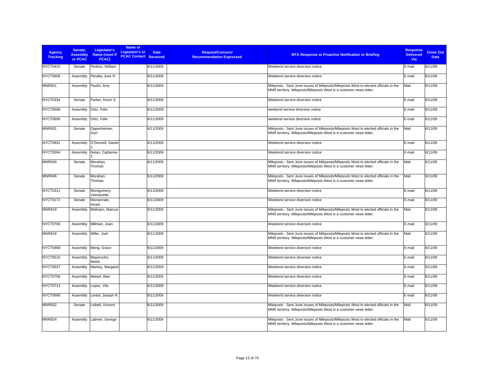| <b>Agency</b><br><b>Tracking</b> | Senate.<br><b>Assembly</b><br>or PCAC | Legislator's<br>Name (none if<br>PCAC) | Name of<br><b>Legislator's or</b><br><b>PCAC Contact Received</b> | <b>Date</b> | <b>Request/Concern/</b><br><b>Recommendation Expressed</b> | <b>MTA Response or Proactive Notification or Briefing</b>                                                                                                  | <b>Response</b><br><b>Delivered</b><br>Via | <b>Close Out</b><br><b>Date</b> |
|----------------------------------|---------------------------------------|----------------------------------------|-------------------------------------------------------------------|-------------|------------------------------------------------------------|------------------------------------------------------------------------------------------------------------------------------------------------------------|--------------------------------------------|---------------------------------|
| <b>NYCT0415</b>                  | Senate                                | Perkins, William                       |                                                                   | 6/11/2009   |                                                            | Weekend service diversion notice                                                                                                                           | E-mail                                     | 6/11/09                         |
| <b>NYCT0608</b>                  | Assembly                              | Peralta, Jose R.                       |                                                                   | 6/11/2009   |                                                            | Weekend service diversion notice                                                                                                                           | E-mail                                     | 6/11/09                         |
| <b>MNR921</b>                    | Assembly                              | Paulin, Amy                            |                                                                   | 6/11/2009   |                                                            | Mileposts - Sent June issues of Mileposts/Mileposts West to elected officials in the<br>MNR territory. Mileposts/Mileposts West is a customer news letter. | Mail                                       | 6/11/09                         |
| NYCT0334                         | Senate                                | Parker, Kevin S.                       |                                                                   | 6/11/2009   |                                                            | Weekend service diversion notice                                                                                                                           | E-mail                                     | 6/11/09                         |
| <b>NYCT0698</b>                  | Assembly                              | Ortiz, Felix                           |                                                                   | 6/11/2009   |                                                            | weekend service diversion notice                                                                                                                           | E-mail                                     | 6/11/09                         |
| NYCT0699                         | Assembly                              | Ortiz, Felix                           |                                                                   | 6/11/2009   |                                                            | weekend service diversion notice                                                                                                                           | E-mail                                     | 6/11/09                         |
| <b>MNR931</b>                    | Senate                                | Oppenheimer,<br>Suzi                   |                                                                   | 6/11/2009   |                                                            | Mileposts - Sent June issues of Mileposts/Mileposts West to elected officials in the<br>MNR territory. Mileposts/Mileposts West is a customer news letter. | Mail                                       | 6/11/09                         |
| <b>NYCT0831</b>                  | Assembly                              | O'Donnell, Daniel                      |                                                                   | 6/11/2009   |                                                            | Weekend service diversion notice                                                                                                                           | E-mail                                     | 6/11/09                         |
| <b>NYCT0594</b>                  | Assembly                              | Nolan, Catherine                       |                                                                   | 6/11/2009   |                                                            | Weekend service diversion notice                                                                                                                           | E-mail                                     | 6/11/09                         |
| <b>MNR940</b>                    | Senate                                | Morahan,<br>Thomas                     |                                                                   | 6/11/2009   |                                                            | Mileposts - Sent June issues of Mileposts/Mileposts West to elected officials in the<br>MNR territory. Mileposts/Mileposts West is a customer news letter. | Mail                                       | 6/11/09                         |
| <b>MNR946</b>                    | Senate                                | Morahan,<br>Thomas                     |                                                                   | 6/11/2009   |                                                            | Mileposts - Sent June issues of Mileposts/Mileposts West to elected officials in the<br>MNR territory. Mileposts/Mileposts West is a customer news letter. | Mail                                       | 6/11/09                         |
| <b>NYCT0311</b>                  | Senate                                | Montgomery,<br>Velmanette              |                                                                   | 6/11/2009   |                                                            | Weekend service diversion notice                                                                                                                           | E-mail                                     | 6/11/09                         |
| <b>NYCT0172</b>                  | Senate                                | Monserrate.<br>Hiram                   |                                                                   | 6/11/2009   |                                                            | Weekend service diversion notice                                                                                                                           | E-mail                                     | 6/11/09                         |
| <b>MNR919</b>                    | Assembly                              | Molinaro, Marcus                       |                                                                   | 6/11/2009   |                                                            | Mileposts - Sent June issues of Mileposts/Mileposts West to elected officials in the<br>MNR territory. Mileposts/Mileposts West is a customer news letter. | Mail                                       | 6/11/09                         |
| <b>NYCT0706</b>                  | Assembly                              | Millman, Joan                          |                                                                   | 6/11/2009   |                                                            | Weekend service diversion notice                                                                                                                           | E-mail                                     | 6/11/09                         |
| <b>MNR918</b>                    | Assembly                              | Miller, Joel                           |                                                                   | 6/11/2009   |                                                            | Mileposts - Sent June issues of Mileposts/Mileposts West to elected officials in the<br>MNR territory. Mileposts/Mileposts West is a customer news letter. | Mail                                       | 6/11/09                         |
| NYCT0468                         |                                       | Assembly Meng, Grace                   |                                                                   | 6/11/2009   |                                                            | Weekend service diversion notice                                                                                                                           | E-mail                                     | 6/11/09                         |
| NYCT0510                         | Assembly                              | Mayersohn,<br>Nettie                   |                                                                   | 6/11/2009   |                                                            | Weekend service diversion notice                                                                                                                           | E-mail                                     | 6/11/09                         |
| <b>NYCT0537</b>                  | Assembly                              | Markey, Margaret                       |                                                                   | 6/11/2009   |                                                            | Weekend service diversion notice                                                                                                                           | E-mail                                     | 6/11/09                         |
| <b>NYCT0758</b>                  | Assembly                              | Maisel, Alan                           |                                                                   | 6/11/2009   |                                                            | Weekend service diversion notice                                                                                                                           | E-mail                                     | 6/11/09                         |
| NYCT0713                         | Assembly                              | Lopez, Vito                            |                                                                   | 6/11/2009   |                                                            | Weekend service diversion notice                                                                                                                           | E-mail                                     | 6/11/09                         |
| <b>NYCT0690</b>                  | Assembly                              | Lentol, Joseph R.                      |                                                                   | 6/11/2009   |                                                            | Weekend service diversion notice                                                                                                                           | E-mail                                     | 6/11/09                         |
| <b>MNR932</b>                    | Senate                                | Leibell, Vincent                       |                                                                   | 6/11/2009   |                                                            | Mileposts - Sent June issues of Mileposts/Mileposts West to elected officials in the<br>MNR territory. Mileposts/Mileposts West is a customer news letter. | Mail                                       | 6/11/09                         |
| <b>MNR924</b>                    | Assembly                              | Latimer, George                        |                                                                   | 6/11/2009   |                                                            | Mileposts - Sent June issues of Mileposts/Mileposts West to elected officials in the<br>MNR territory. Mileposts/Mileposts West is a customer news letter. | Mail                                       | 6/11/09                         |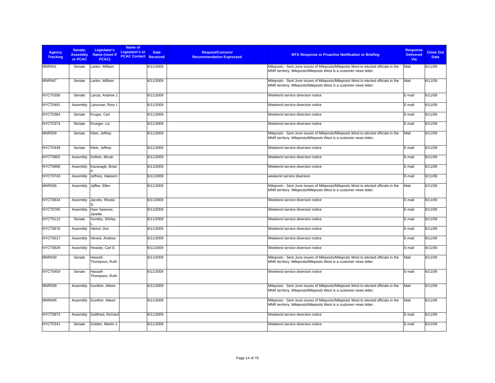| <b>Agency</b><br><b>Tracking</b> | Senate.<br><b>Assembly</b><br>or PCAC | Legislator's<br>Name (none if<br>PCAC) | Name of<br><b>Legislator's or</b><br><b>PCAC Contact</b> | <b>Date</b><br><b>Received</b> | <b>Request/Concern/</b><br><b>Recommendation Expressed</b> | <b>MTA Response or Proactive Notification or Briefing</b>                                                                                                  | <b>Response</b><br><b>Delivered</b><br>Via | <b>Close Out</b><br><b>Date</b> |
|----------------------------------|---------------------------------------|----------------------------------------|----------------------------------------------------------|--------------------------------|------------------------------------------------------------|------------------------------------------------------------------------------------------------------------------------------------------------------------|--------------------------------------------|---------------------------------|
| <b>MNR941</b>                    | Senate                                | Larkin, William                        |                                                          | 6/11/2009                      |                                                            | Mileposts - Sent June issues of Mileposts/Mileposts West to elected officials in the<br>MNR territory. Mileposts/Mileposts West is a customer news letter. | Mail                                       | 6/11/09                         |
| <b>MNR947</b>                    | Senate                                | Larkin, William                        |                                                          | 6/11/2009                      |                                                            | Mileposts - Sent June issues of Mileposts/Mileposts West to elected officials in the<br>MNR territory. Mileposts/Mileposts West is a customer news letter. | Mail                                       | 6/11/09                         |
| NYCT0356                         | Senate                                | Lanza, Andrew J.                       |                                                          | 6/11/2009                      |                                                            | Weekend service diversion notice                                                                                                                           | E-mail                                     | 6/11/09                         |
| NYCT0491                         | Assembly                              | Lancman, Rory I                        |                                                          | 6/11/2009                      |                                                            | Weekend service diversion notice                                                                                                                           | E-mail                                     | 6/11/09                         |
| NYCT0384                         | Senate                                | Kruger, Carl                           |                                                          | 6/11/2009                      |                                                            | Weekend service diversion notice                                                                                                                           | E-mail                                     | 6/11/09                         |
| NYCT0374                         | Senate                                | Krueger, Liz                           |                                                          | 6/11/2009                      |                                                            | Weekend service diversion notice                                                                                                                           | E-mail                                     | 6/11/09                         |
| <b>MNR928</b>                    | Senate                                | Klein, Jeffrey                         |                                                          | 6/11/2009                      |                                                            | Mileposts - Sent June issues of Mileposts/Mileposts West to elected officials in the<br>MNR territory. Mileposts/Mileposts West is a customer news letter. | Mail                                       | 6/11/09                         |
| NYCT0449                         | Senate                                | Klein, Jeffrey                         |                                                          | 6/11/2009                      |                                                            | Weekend service diversion notice                                                                                                                           | E-mail                                     | 6/11/09                         |
| <b>NYCT0802</b>                  | Assembly                              | Kellner, Micah                         |                                                          | 6/11/2009                      |                                                            | Weekend service diversion notice                                                                                                                           | E-mail                                     | 6/11/09                         |
| <b>NYCT0866</b>                  | Assembly                              | Kavanagh, Brian                        |                                                          | 6/11/2009                      |                                                            | Weekend service diversion notice                                                                                                                           | E-mail                                     | 6/11/09                         |
| NYCT0743                         | Assembly                              | Jeffries, Hakeem                       |                                                          | 6/11/2009                      |                                                            | weekend service diversion                                                                                                                                  | E-mail                                     | 6/11/09                         |
| <b>MNR936</b>                    | Assembly                              | Jaffee, Ellen                          |                                                          | 6/11/2009                      |                                                            | Mileposts - Sent June issues of Mileposts/Mileposts West to elected officials in the<br>MNR territory. Mileposts/Mileposts West is a customer news letter. | Mail                                       | 6/11/09                         |
| NYCT0634                         | Assembly                              | Jacobs, Rhoda                          |                                                          | 6/11/2009                      |                                                            | Weekend service diversion notice                                                                                                                           | E-mail                                     | 6/11/09                         |
| NYCT0765                         | Assembly                              | Hyer-Spencer,<br>Janelle               |                                                          | 6/11/2009                      |                                                            | Weekend service diversion notice                                                                                                                           | E-mail                                     | 6/11/09                         |
| <b>NYCT0112</b>                  | Senate                                | Huntley, Shirley                       |                                                          | 6/11/2009                      |                                                            | Weekend service diversion notice                                                                                                                           | E-mail                                     | 6/11/09                         |
| <b>NYCT0676</b>                  | Assembly                              | Hikind, Dov                            |                                                          | 6/11/2009                      |                                                            | Weekend service diversion notice                                                                                                                           | E-mail                                     | 6/11/09                         |
| <b>NYCT0517</b>                  | Assembly                              | Hevesi, Andrew                         |                                                          | 6/11/2009                      |                                                            | Weekend service diversion notice                                                                                                                           | E-mail                                     | 6/11/09                         |
| <b>NYCT0929</b>                  | Assembly                              | Heastie, Carl E.                       |                                                          | 6/11/2009                      |                                                            | Weekend service diversion notice                                                                                                                           | E-mail                                     | 6/11/09                         |
| <b>MNR930</b>                    | Senate                                | Hassell-<br>Thompson, Ruth             |                                                          | 6/11/2009                      |                                                            | Mileposts - Sent June issues of Mileposts/Mileposts West to elected officials in the<br>MNR territory. Mileposts/Mileposts West is a customer news letter. | Mail                                       | 6/11/09                         |
| NYCT0459                         | Senate                                | Hassell-<br>Thompson, Ruth             |                                                          | 6/11/2009                      |                                                            | Weekend service diversion notice                                                                                                                           | E-mail                                     | 6/11/09                         |
| <b>MNR939</b>                    | Assembly                              | Gunther, Aileen                        |                                                          | 6/11/2009                      |                                                            | Mileposts - Sent June issues of Mileposts/Mileposts West to elected officials in the<br>MNR territory. Mileposts/Mileposts West is a customer news letter. | Mail                                       | 6/11/09                         |
| <b>MNR945</b>                    | Assembly                              | Gunther, Aileen                        |                                                          | 6/11/2009                      |                                                            | Mileposts - Sent June issues of Mileposts/Mileposts West to elected officials in the<br>MNR territory. Mileposts/Mileposts West is a customer news letter. | Mail                                       | 6/11/09                         |
| <b>NYCT0873</b>                  | Assembly                              | Gottfried, Richard                     |                                                          | 6/11/2009                      |                                                            | Weekend service diversion notice                                                                                                                           | E-mail                                     | 6/11/09                         |
| NYCT0341                         | Senate                                | Golden, Martin J.                      |                                                          | 6/11/2009                      |                                                            | Weekend service diversion notice                                                                                                                           | E-mail                                     | 6/11/09                         |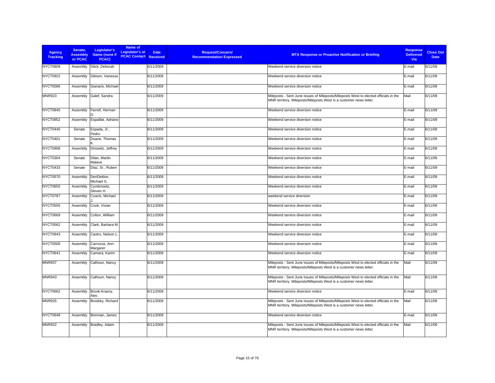| Agency<br><b>Tracking</b> | Senate,<br><b>Assembly</b><br>or PCAC | Legislator's<br>Name (none if<br>PCAC) | Name of<br>Legislator's or<br><b>PCAC Contact Received</b> | <b>Date</b> | <b>Request/Concern/</b><br><b>Recommendation Expressed</b> | <b>MTA Response or Proactive Notification or Briefing</b>                                                                                                  | <b>Response</b><br><b>Delivered</b><br><b>Via</b> | <b>Close Out</b><br><b>Date</b> |
|---------------------------|---------------------------------------|----------------------------------------|------------------------------------------------------------|-------------|------------------------------------------------------------|------------------------------------------------------------------------------------------------------------------------------------------------------------|---------------------------------------------------|---------------------------------|
| <b>NYCT0809</b>           | Assembly                              | Glick, Deborah                         |                                                            | 6/11/2009   |                                                            | Weekend service diversion notice                                                                                                                           | E-mail                                            | 6/11/09                         |
| NYCT0922                  | Assembly                              | Gibson, Vanessa                        |                                                            | 6/11/2009   |                                                            | Weekend service diversion notice                                                                                                                           | E-mail                                            | 6/11/09                         |
| <b>NYCT0586</b>           | Assembly                              | Gianaris, Michael                      |                                                            | 6/11/2009   |                                                            | Weekend service diversion notice                                                                                                                           | E-mail                                            | 6/11/09                         |
| <b>MNR923</b>             | Assembly                              | Galef, Sandra                          |                                                            | 6/11/2009   |                                                            | Mileposts - Sent June issues of Mileposts/Mileposts West to elected officials in the<br>MNR territory. Mileposts/Mileposts West is a customer news letter. | Mail                                              | 6/11/09                         |
| NYCT0845                  | Assembly                              | Farrell, Herman                        |                                                            | 6/11/2009   |                                                            | Weekend service diversion notice                                                                                                                           | E-mail                                            | 6/11/09                         |
| <b>NYCT0852</b>           | Assembly                              | Espaillat, Adriano                     |                                                            | 6/11/2009   |                                                            | Weekend service diversion notice                                                                                                                           | E-mail                                            | 6/11/09                         |
| NYCT0440                  | Senate                                | Espada, Jr.,<br>Pedro                  |                                                            | 6/11/2009   |                                                            | Weekend service diversion notice                                                                                                                           | E-mail                                            | 6/11/09                         |
| NYCT0401                  | Senate                                | Duane, Thomas                          |                                                            | 6/11/2009   |                                                            | Weekend service diversion notice                                                                                                                           | E-mail                                            | 6/11/09                         |
| NYCT0908                  | Assembly                              | Dinowitz, Jeffrey                      |                                                            | 6/11/2009   |                                                            | Weekend service diversion notice                                                                                                                           | E-mail                                            | 6/11/09                         |
| NYCT0304                  | Senate                                | Dilan, Martin<br>Malave                |                                                            | 6/11/2009   |                                                            | Weekend service diversion notice                                                                                                                           | E-mail                                            | 6/11/09                         |
| NYCT0433                  | Senate                                | Diaz, Sr., Ruben                       |                                                            | 6/11/2009   |                                                            | Weekend service diversion notice                                                                                                                           | E-mail                                            | 6/11/09                         |
| <b>NYCT0570</b>           | Assembly                              | DenDekker,<br>Michael G.               |                                                            | 6/11/2009   |                                                            | Weekend service diversion notice                                                                                                                           | E-mail                                            | 6/11/09                         |
| <b>NYCT0655</b>           | Assembly                              | Cymbrowitz,<br>Steven H.               |                                                            | 6/11/2009   |                                                            | Weekend service diversion notice                                                                                                                           | E-mail                                            | 6/11/09                         |
| NYCT0787                  | Assembly                              | Cusick, Michael                        |                                                            | 6/11/2009   |                                                            | weekend service diversion                                                                                                                                  | E-mail                                            | 6/11/09                         |
| <b>NYCT0555</b>           | Assembly                              | Cook, Vivian                           |                                                            | 6/11/2009   |                                                            | Weekend service diversion notice                                                                                                                           | E-mail                                            | 6/11/09                         |
| <b>NYCT0669</b>           | Assembly                              | Colton, William                        |                                                            | 6/11/2009   |                                                            | Weekend service diversion notice                                                                                                                           | E-mail                                            | 6/11/09                         |
| <b>NYCT0562</b>           | Assembly                              | Clark, Barbara M.                      |                                                            | 6/11/2009   |                                                            | Weekend service diversion notice                                                                                                                           | E-mail                                            | 6/11/09                         |
| NYCT0943                  | Assembly                              | Castro, Nelson L                       |                                                            | 6/11/2009   |                                                            | Weekend service diversion notice                                                                                                                           | E-mail                                            | 6/11/09                         |
| <b>NYCT0500</b>           | Assembly                              | Carrozza, Ann-<br>Margaret             |                                                            | 6/11/2009   |                                                            | Weekend service diversion notice                                                                                                                           | E-mail                                            | 6/11/09                         |
| NYCT0641                  | Assembly                              | Camara, Karim                          |                                                            | 6/11/2009   |                                                            | Weekend service diversion notice                                                                                                                           | E-mail                                            | 6/11/09                         |
| <b>MNR937</b>             | Assembly                              | Calhoun, Nancy                         |                                                            | 6/11/2009   |                                                            | Mileposts - Sent June issues of Mileposts/Mileposts West to elected officials in the<br>MNR territory. Mileposts/Mileposts West is a customer news letter. | Mail                                              | 6/11/09                         |
| <b>MNR943</b>             | Assembly                              | Calhoun, Nancy                         |                                                            | 6/11/2009   |                                                            | Mileposts - Sent June issues of Mileposts/Mileposts West to elected officials in the<br>MNR territory. Mileposts/Mileposts West is a customer news letter. | Mail                                              | 6/11/09                         |
| <b>NYCT0662</b>           | Assembly                              | Brook-Krasny,<br>Alec                  |                                                            | 6/11/2009   |                                                            | Weekend service diversion notice                                                                                                                           | E-mail                                            | 6/11/09                         |
| <b>MNR925</b>             | Assembly                              | Brodsky, Richard                       |                                                            | 6/11/2009   |                                                            | Mileposts - Sent June issues of Mileposts/Mileposts West to elected officials in the<br>MNR territory. Mileposts/Mileposts West is a customer news letter. | Mail                                              | 6/11/09                         |
| NYCT0648                  | Assembly                              | Brennan, James                         |                                                            | 6/11/2009   |                                                            | Weekend service diversion notice                                                                                                                           | E-mail                                            | 6/11/09                         |
| <b>MNR922</b>             | Assembly                              | Bradley, Adam                          |                                                            | 6/11/2009   |                                                            | Mileposts - Sent June issues of Mileposts/Mileposts West to elected officials in the<br>MNR territory. Mileposts/Mileposts West is a customer news letter. | Mail                                              | 6/11/09                         |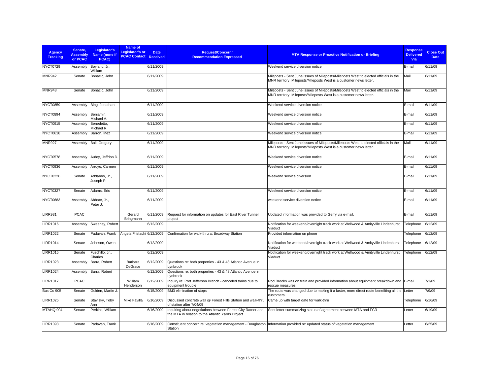| <b>Agency</b><br><b>Tracking</b> | Senate.<br><b>Assembly</b><br>or PCAC | Legislator's<br>Name (none if<br>PCAC) | Name of<br>Legislator's or<br><b>PCAC Contact Received</b> | <b>Date</b> | Request/Concern/<br><b>Recommendation Expressed</b>                                                              | <b>MTA Response or Proactive Notification or Briefing</b>                                                                                                  | <b>Response</b><br><b>Delivered</b><br>Via | <b>Close Out</b><br><b>Date</b> |
|----------------------------------|---------------------------------------|----------------------------------------|------------------------------------------------------------|-------------|------------------------------------------------------------------------------------------------------------------|------------------------------------------------------------------------------------------------------------------------------------------------------------|--------------------------------------------|---------------------------------|
| NYCT0729                         | Assembly                              | Boyland, Jr.,<br>William               |                                                            | 6/11/2009   |                                                                                                                  | Weekend service diversion notice                                                                                                                           | E-mail                                     | 6/11/09                         |
| <b>MNR942</b>                    | Senate                                | Bonacic, John                          |                                                            | 6/11/2009   |                                                                                                                  | Mileposts - Sent June issues of Mileposts/Mileposts West to elected officials in the<br>MNR territory. Mileposts/Mileposts West is a customer news letter. | Mail                                       | 6/11/09                         |
| MNR948                           | Senate                                | Bonacic, John                          |                                                            | 6/11/2009   |                                                                                                                  | Mileposts - Sent June issues of Mileposts/Mileposts West to elected officials in the<br>MNR territory. Mileposts/Mileposts West is a customer news letter. | Mail                                       | 6/11/09                         |
| NYCT0859                         | Assembly                              | Bing, Jonathan                         |                                                            | 6/11/2009   |                                                                                                                  | Weekend service diversion notice                                                                                                                           | E-mail                                     | 6/11/09                         |
| NYCT0894                         | Assembly                              | Beniamin.<br>Michael A.                |                                                            | 6/11/2009   |                                                                                                                  | Weekend service diversion notice                                                                                                                           | E-mail                                     | 6/11/09                         |
| NYCT0915                         | Assembly                              | Benedetto,<br>Michael R.               |                                                            | 6/11/2009   |                                                                                                                  | Weekend service diversion notice                                                                                                                           | E-mail                                     | 6/11/09                         |
| <b>NYCT0618</b>                  | Assembly                              | Barron, Inez                           |                                                            | 6/11/2009   |                                                                                                                  | Weekend service diversion notice                                                                                                                           | E-mail                                     | 6/11/09                         |
| <b>MNR927</b>                    | Assembly                              | Ball, Gregory                          |                                                            | 6/11/2009   |                                                                                                                  | Mileposts - Sent June issues of Mileposts/Mileposts West to elected officials in the<br>MNR territory. Mileposts/Mileposts West is a customer news letter. | Mail                                       | 6/11/09                         |
| NYCT0578                         | Assembly                              | Aubry, Jeffrion D.                     |                                                            | 6/11/2009   |                                                                                                                  | Weekend service diversion notice                                                                                                                           | E-mail                                     | 6/11/09                         |
| NYCT0936                         | Assembly                              | Arroyo, Carmen                         |                                                            | 6/11/2009   |                                                                                                                  | Weekend service diversion notice                                                                                                                           | E-mail                                     | 6/11/09                         |
| NYCT0226                         | Senate                                | Addabbo, Jr.,<br>Joseph P.             |                                                            | 6/11/2009   |                                                                                                                  | Weekend service diversion                                                                                                                                  | E-mail                                     | 6/11/09                         |
| NYCT0327                         | Senate                                | Adams, Eric                            |                                                            | 6/11/2009   |                                                                                                                  | Weekend service diversion notice                                                                                                                           | E-mail                                     | 6/11/09                         |
| NYCT0683                         | Assembly                              | Abbate, Jr.,<br>Peter J.               |                                                            | 6/11/2009   |                                                                                                                  | weekend service diversion notice                                                                                                                           | E-mail                                     | 6/11/09                         |
| <b>LIRR931</b>                   | <b>PCAC</b>                           |                                        | Gerard<br>Bringmann                                        | 6/11/2009   | Request for information on updates for East River Tunnel<br>project                                              | Updated information was provided to Gerry via e-mail.                                                                                                      | E-mail                                     | 6/11/09                         |
| <b>LIRR1016</b>                  | Assembly                              | Sweeney, Robert                        |                                                            | 6/12/2009   |                                                                                                                  | Notification for weekend/overnight track work at Wellwood & Amityville Lindenhurst<br>Viaduct                                                              | Telephone                                  | 6/12/09                         |
| <b>LIRR1022</b>                  | Senate                                | Padavan, Frank                         | Angela Fristachi 6/12/2009                                 |             | Confirmation for walk-thru at Broadway Station                                                                   | Provided information on phone                                                                                                                              | Telephone                                  | 6/12/09                         |
| <b>LIRR1014</b>                  | Senate                                | Johnson, Owen                          |                                                            | 6/12/2009   |                                                                                                                  | Notification for weekend/overnight track work at Wellwood & Amityville Lindenhurst<br>Viaduct                                                              | Telephone                                  | 6/12/09                         |
| <b>LIRR1015</b>                  | Senate                                | Fuschillo, Jr.,<br>Charles             |                                                            | 6/12/2009   |                                                                                                                  | Notification for weekend/overnight track work at Wellwood & Amityville Lindenhurst<br>Viaduct                                                              | Telephone                                  | 6/12/09                         |
| <b>LIRR1023</b>                  | Assembly                              | Barra, Robert                          | Barbara<br>DeGrace                                         | 6/12/2009   | Questions re: both properties - 43 & 48 Atlantic Avenue in<br>vnbrook                                            |                                                                                                                                                            |                                            |                                 |
| <b>LIRR1024</b>                  | Assembly                              | Barra, Robert                          |                                                            | 6/12/2009   | Questions re: both properties - 43 & 48 Atlantic Avenue in<br>Lynbrook                                           |                                                                                                                                                            |                                            |                                 |
| <b>LIRR1017</b>                  | <b>PCAC</b>                           |                                        | William<br>Henderson                                       | 6/12/2009   | Inquiry re: Port Jefferson Branch - canceled trains due to<br>equipment trouble                                  | Rod Brooks was on train and provided information about equipment breakdown and E-mail<br>rescue measures.                                                  |                                            | 7/1/09                          |
| <b>Bus Co 905</b>                | Senate                                | Golden, Martin J.                      |                                                            | 6/15/2009   | BM3 elimination of stops                                                                                         | The route was changed due to making it a faster, more direct route benefiting all the<br>customers.                                                        | Letter                                     | 7/9/09                          |
| <b>LIRR1025</b>                  | Senate                                | Stavisky, Toby<br>Ann                  | Mike Favilla                                               | 6/16/2009   | Discussed concrete wall @ Forest Hills Station and walk-thru<br>of station after 7/04/09                         | Came up with target date for walk-thru                                                                                                                     | Telephone                                  | 6/16/09                         |
| MTAHQ 904                        | Senate                                | Perkins, William                       |                                                            | 6/16/2009   | Inquiring about negotiations between Forest City Ratner and<br>the MTA in relation to the Atlantic Yards Project | Sent letter summarizing status of agreement between MTA and FCR                                                                                            | Letter                                     | 6/19/09                         |
| LIRR1093                         | Senate                                | Padavan, Frank                         |                                                            | 6/16/2009   | Station                                                                                                          | Constituent concern re: vegetation management - Douglaston Information provided re: updated status of vegetation management                                | Letter                                     | 6/25/09                         |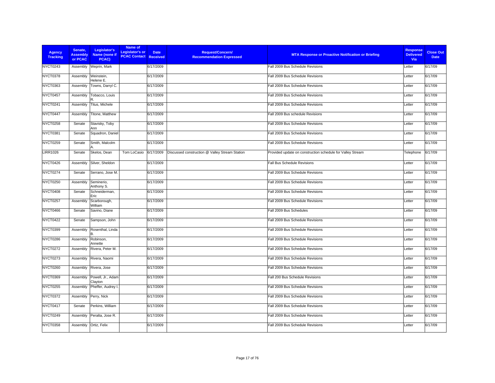| <b>Agency</b><br><b>Tracking</b> | Senate.<br><b>Assembly</b><br>or PCAC | Legislator's<br>Name (none if<br>PCAC) | Name of<br>Legislator's or<br><b>PCAC Contact Received</b> | <b>Date</b> | Request/Concern/<br><b>Recommendation Expressed</b> | <b>MTA Response or Proactive Notification or Briefing</b>  | <b>Response</b><br><b>Delivered</b><br>Via | <b>Close Out</b><br><b>Date</b> |
|----------------------------------|---------------------------------------|----------------------------------------|------------------------------------------------------------|-------------|-----------------------------------------------------|------------------------------------------------------------|--------------------------------------------|---------------------------------|
| <b>NYCT0243</b>                  | Assembly                              | Weprin, Mark                           |                                                            | 6/17/2009   |                                                     | Fall 2009 Bus Schedule Revisions                           | Letter                                     | 6/17/09                         |
| NYCT0378                         | Assembly                              | Weinstein,<br>Helene E.                |                                                            | 6/17/2009   |                                                     | Fall 2009 Bus Schedule Revisions                           | Letter                                     | 6/17/09                         |
| NYCT0363                         | Assembly                              | Towns, Darryl C.                       |                                                            | 6/17/2009   |                                                     | Fall 2009 Bus Schedule Revisions                           | Letter                                     | 6/17/09                         |
| NYCT0457                         | Assembly                              | Tobacco, Louis                         |                                                            | 6/17/2009   |                                                     | Fall 2009 Bus Schedule Revisions                           | Letter                                     | 6/17/09                         |
| NYCT0241                         | Assembly                              | Titus, Michele                         |                                                            | 6/17/2009   |                                                     | Fall 2009 Bus Schedule Revisions                           | Letter                                     | 6/17/09                         |
| NYCT0447                         | Assembly                              | Titone, Matthew                        |                                                            | 6/17/2009   |                                                     | Fall 2009 Bus schedule Revisions                           | Letter                                     | 6/17/09                         |
| NYCT0258                         | Senate                                | Stavisky, Toby<br>Ann                  |                                                            | 6/17/2009   |                                                     | Fall 2009 Bus Schedule Revisions                           | Letter                                     | 6/17/09                         |
| NYCT0381                         | Senate                                | Squadron, Daniel                       |                                                            | 6/17/2009   |                                                     | Fall 2009 Bus Schedule Revisions                           | Letter                                     | 6/17/09                         |
| <b>NYCT0259</b>                  | Senate                                | Smith, Malcolm                         |                                                            | 6/17/2009   |                                                     | Fall 2009 Bus Schedule Revisions                           | Letter                                     | 6/17/09                         |
| <b>LIRR1026</b>                  | Senate                                | Skelos, Dean                           | Tom LoCasio                                                | 6/17/2009   | Discussed construction @ Valley Stream Station      | Provided update on construction schedule for Valley Stream | Telephone                                  | 6/17/09                         |
| NYCT0426                         | Assembly                              | Silver, Sheldon                        |                                                            | 6/17/2009   |                                                     | <b>Fall Bus Schedule Revisions</b>                         | Letter                                     | 6/17/09                         |
| NYCT0274                         | Senate                                | Serrano, Jose M.                       |                                                            | 6/17/2009   |                                                     | Fall 2009 Bus Schedule Revisions                           | Letter                                     | 6/17/09                         |
| <b>NYCT0250</b>                  | Assembly                              | Seminerio,<br>Anthony S.               |                                                            | 6/17/2009   |                                                     | Fall 2009 Bus Schedule Revisions                           | Letter                                     | 6/17/09                         |
| <b>NYCT0408</b>                  | Senate                                | Schneiderman,<br>Eric                  |                                                            | 6/17/2009   |                                                     | Fall 2009 Bus Schedule Revisions                           | Letter                                     | 6/17/09                         |
| NYCT0257                         | Assembly                              | Scarborough,<br>William                |                                                            | 6/17/2009   |                                                     | Fall 2009 Bus Schedule Revisions                           | Letter                                     | 6/17/09                         |
| NYCT0466                         | Senate                                | Savino, Diane                          |                                                            | 6/17/2009   |                                                     | Fall 2009 Bus Schedules                                    | Letter                                     | 6/17/09                         |
| <b>NYCT0422</b>                  | Senate                                | Sampson, John                          |                                                            | 6/17/2009   |                                                     | Fall 2009 Bus Schedule Revisions                           | Letter                                     | 6/17/09                         |
| <b>NYCT0399</b>                  | Assembly                              | Rosenthal, Linda<br><b>R</b>           |                                                            | 6/17/2009   |                                                     | Fall 2009 Bus Schedule Revisions                           | Letter                                     | 6/17/09                         |
| NYCT0286                         | Assembly                              | Robinson,<br>Annette                   |                                                            | 6/17/2009   |                                                     | Fall 2009 Bus Schedule Revisions                           | Letter                                     | 6/17/09                         |
| <b>NYCT0272</b>                  | Assembly                              | Rivera, Peter M.                       |                                                            | 6/17/2009   |                                                     | Fall 2009 Bus Schedule Revisions                           | Letter                                     | 6/17/09                         |
| <b>NYCT0273</b>                  | Assembly                              | Rivera, Naomi                          |                                                            | 6/17/2009   |                                                     | Fall 2009 Bus Schedule Revisions                           | Letter                                     | 6/17/09                         |
| <b>NYCT0260</b>                  | Assembly                              | Rivera, Jose                           |                                                            | 6/17/2009   |                                                     | Fall 2009 Bus Schedule Revisions                           | Letter                                     | 6/17/09                         |
| <b>NYCT0369</b>                  | Assembly                              | Powell, Jr., Adam<br>Clayton           |                                                            | 6/17/2009   |                                                     | Fall 200 Bus Schedule Revisions                            | Letter                                     | 6/17/09                         |
| NYCT0255                         | Assembly                              | Pheffer, Audrey I.                     |                                                            | 6/17/2009   |                                                     | Fall 2009 Bus Schedule Revisions                           | Letter                                     | 6/17/09                         |
| <b>NYCT0372</b>                  | Assembly                              | Perry, Nick                            |                                                            | 6/17/2009   |                                                     | Fall 2009 Bus Schedule Revisions                           | Letter                                     | 6/17/09                         |
| NYCT0417                         | Senate                                | Perkins, William                       |                                                            | 6/17/2009   |                                                     | Fall 2009 Bus Schedule Revisions                           | Letter                                     | 6/17/09                         |
| NYCT0249                         | Assembly                              | Peralta, Jose R.                       |                                                            | 6/17/2009   |                                                     | Fall 2009 Bus Schedule Revisions                           | Letter                                     | 6/17/09                         |
| <b>NYCT0358</b>                  | Assembly                              | Ortiz, Felix                           |                                                            | 6/17/2009   |                                                     | Fall 2009 Bus Schedule Revisions                           | Letter                                     | 6/17/09                         |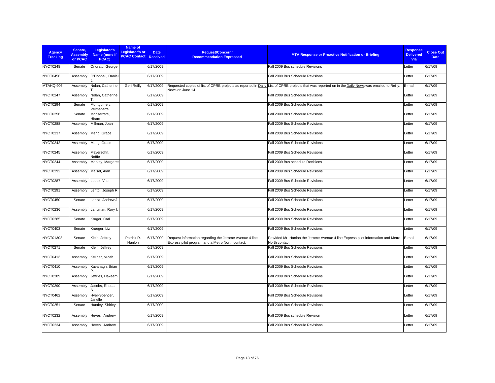| <b>Agency</b><br><b>Tracking</b> | Senate.<br><b>Assembly</b><br>or PCAC | Legislator's<br>Name (none if<br>PCAC) | Name of<br>Legislator's or<br><b>PCAC Contact Received</b> | <b>Date</b> | <b>Request/Concern/</b><br><b>Recommendation Expressed</b>                                                 | <b>MTA Response or Proactive Notification or Briefing</b>                                                                                          | <b>Response</b><br><b>Delivered</b><br><b>Via</b> | <b>Close Out</b><br><b>Date</b> |
|----------------------------------|---------------------------------------|----------------------------------------|------------------------------------------------------------|-------------|------------------------------------------------------------------------------------------------------------|----------------------------------------------------------------------------------------------------------------------------------------------------|---------------------------------------------------|---------------------------------|
| NYCT0248                         | Senate                                | Onorato, George                        |                                                            | 6/17/2009   |                                                                                                            | Fall 2009 Bus schedule Revisions                                                                                                                   | Letter                                            | 6/17/09                         |
| NYCT0456                         | Assembly                              | O'Donnell, Daniel                      |                                                            | 6/17/2009   |                                                                                                            | Fall 2009 Bus Schedule Revisions                                                                                                                   | Letter                                            | 6/17/09                         |
| MTAHQ 906                        | Assembly                              | Nolan, Catherine                       | Geri Reilly                                                | 6/17/2009   | News on June 14                                                                                            | Requested copies of list of CPRB projects as reported in Daily List of CPRB projects that was reported on in the Daily News was emailed to Reilly. | E-mail                                            | 6/17/09                         |
| NYCT0247                         | Assembly                              | Nolan, Catherine                       |                                                            | 6/17/2009   |                                                                                                            | Fall 2009 Bus Schedule Revisions                                                                                                                   | Letter                                            | 6/17/09                         |
| NYCT0294                         | Senate                                | Montgomery,<br>Velmanette              |                                                            | 6/17/2009   |                                                                                                            | Fall 2009 Bus Schedule Revisions                                                                                                                   | Letter                                            | 6/17/09                         |
| NYCT0256                         | Senate                                | Monserrate,<br>Hiram                   |                                                            | 6/17/2009   |                                                                                                            | Fall 2009 Bus Schedule Revisions                                                                                                                   | Letter                                            | 6/17/09                         |
| NYCT0288                         | Assembly                              | Millman, Joan                          |                                                            | 6/17/2009   |                                                                                                            | Fall 2009 Bus Schedule Revisions                                                                                                                   | Letter                                            | 6/17/09                         |
| NYCT0237                         | Assembly                              | Meng, Grace                            |                                                            | 6/17/2009   |                                                                                                            | Fall 2009 Bus Schedule Revisions                                                                                                                   | Letter                                            | 6/17/09                         |
| <b>NYCT0242</b>                  | Assembly                              | Meng, Grace                            |                                                            | 6/17/2009   |                                                                                                            | Fall 2009 Bus Schedule Revisions                                                                                                                   | Letter                                            | 6/17/09                         |
| NYCT0245                         | Assembly                              | Mayersohn,<br>Nettie                   |                                                            | 6/17/2009   |                                                                                                            | Fall 2009 Bus Schedule Revisions                                                                                                                   | Letter                                            | 6/17/09                         |
| NYCT0244                         | Assembly                              | Markey, Margaret                       |                                                            | 6/17/2009   |                                                                                                            | Fall 2009 Bus schedule Revisions                                                                                                                   | Letter                                            | 6/17/09                         |
| <b>NYCT0292</b>                  | Assembly                              | Maisel, Alan                           |                                                            | 6/17/2009   |                                                                                                            | Fall 2009 Bus Schedule Revisions                                                                                                                   | Letter                                            | 6/17/09                         |
| NYCT0287                         | Assembly                              | Lopez, Vito                            |                                                            | 6/17/2009   |                                                                                                            | Fall 2009 Bus Schedule Revisions                                                                                                                   | Letter                                            | 6/17/09                         |
| NYCT0291                         | Assembly                              | Lentol, Joseph R.                      |                                                            | 6/17/2009   |                                                                                                            | Fall 2009 Bus Schedule Revisions                                                                                                                   | Letter                                            | 6/17/09                         |
| NYCT0450                         | Senate                                | Lanza, Andrew J.                       |                                                            | 6/17/2009   |                                                                                                            | Fall 2009 Bus Schedule Revisions                                                                                                                   | Letter                                            | 6/17/09                         |
| NYCT0236                         | Assembly                              | Lancman, Rory I.                       |                                                            | 6/17/2009   |                                                                                                            | Fall 2009 Bus Schedule Revisions                                                                                                                   | Letter                                            | 6/17/09                         |
| NYCT0285                         | Senate                                | Kruger, Carl                           |                                                            | 6/17/2009   |                                                                                                            | Fall 2009 Bus Schedule Revisions                                                                                                                   | Letter                                            | 6/17/09                         |
| <b>NYCT0403</b>                  | Senate                                | Krueger, Liz                           |                                                            | 6/17/2009   |                                                                                                            | Fall 2009 Bus Schedule Revisions                                                                                                                   | Letter                                            | 6/17/09                         |
| NYCT01302                        | Senate                                | Klein, Jeffrey                         | Patrick R.<br>Hanlon                                       | 6/17/2009   | Request information regarding the Jerome Avenue 4 line<br>Express pilot program and a Metro North contact. | Provided Mr. Hanlon the Jerome Avenue 4 line Express pilot information and Metro<br>North contact.                                                 | E-mail                                            | 6/17/09                         |
| NYCT0271                         | Senate                                | Klein, Jeffrey                         |                                                            | 6/17/2009   |                                                                                                            | Fall 2009 Bus Schedule Revisions                                                                                                                   | Letter                                            | 6/17/09                         |
| NYCT0413                         | Assembly                              | Kellner, Micah                         |                                                            | 6/17/2009   |                                                                                                            | Fall 2009 Bus Schedule Revisions                                                                                                                   | Letter                                            | 6/17/09                         |
| NYCT0410                         | Assembly                              | Kavanagh, Brian                        |                                                            | 6/17/2009   |                                                                                                            | Fall 2009 Bus Schedule Revisions                                                                                                                   | Letter                                            | 6/17/09                         |
| NYCT0289                         | Assembly                              | Jeffries, Hakeem                       |                                                            | 6/17/2009   |                                                                                                            | Fall 2009 Bus Schedule Revisions                                                                                                                   | Letter                                            | 6/17/09                         |
| NYCT0290                         | Assembly                              | Jacobs, Rhoda                          |                                                            | 6/17/2009   |                                                                                                            | Fall 2009 Bus Schedule Revisions                                                                                                                   | Letter                                            | 6/17/09                         |
| NYCT0462                         | Assembly                              | Hyer-Spencer,<br>Janelle               |                                                            | 6/17/2009   |                                                                                                            | Fall 2009 Bus Schedule Revisions                                                                                                                   | Letter                                            | 6/17/09                         |
| NYCT0251                         | Senate                                | Huntley, Shirley                       |                                                            | 6/17/2009   |                                                                                                            | Fall 2009 Bus Schedule Revisions                                                                                                                   | Letter                                            | 6/17/09                         |
| <b>NYCT0232</b>                  | Assembly                              | Hevesi, Andrew                         |                                                            | 6/17/2009   |                                                                                                            | Fall 2009 Bus schedule Revision                                                                                                                    | Letter                                            | 6/17/09                         |
| NYCT0234                         | Assembly                              | Hevesi, Andrew                         |                                                            | 6/17/2009   |                                                                                                            | Fall 2009 Bus Schedule Revisions                                                                                                                   | Letter                                            | 6/17/09                         |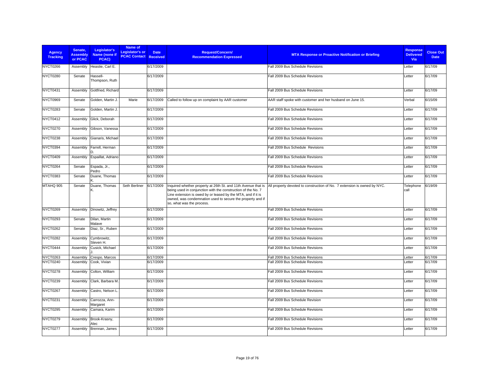| <b>Agency</b><br><b>Tracking</b> | Senate,<br><b>Assembly</b><br>or PCAC | Legislator's<br>Name (none if<br>PCAC) | Name of<br><b>Legislator's or</b><br><b>PCAC Contact Received</b> | <b>Date</b> | <b>Request/Concern/</b><br><b>Recommendation Expressed</b>                                                                                                                                                                                                                               | <b>MTA Response or Proactive Notification or Briefing</b>                | <b>Response</b><br><b>Delivered</b><br><b>Via</b> | <b>Close Out</b><br><b>Date</b> |
|----------------------------------|---------------------------------------|----------------------------------------|-------------------------------------------------------------------|-------------|------------------------------------------------------------------------------------------------------------------------------------------------------------------------------------------------------------------------------------------------------------------------------------------|--------------------------------------------------------------------------|---------------------------------------------------|---------------------------------|
| NYCT0266                         | Assembly                              | Heastie, Carl E.                       |                                                                   | 6/17/2009   |                                                                                                                                                                                                                                                                                          | Fall 2009 Bus Schedule Revisions                                         | Letter                                            | 6/17/09                         |
| <b>NYCT0280</b>                  | Senate                                | Hassell-<br>Thompson, Ruth             |                                                                   | 6/17/2009   |                                                                                                                                                                                                                                                                                          | Fall 2009 Bus Schedule Revisions                                         | Letter                                            | 6/17/09                         |
| NYCT0431                         | Assembly                              | Gottfried, Richard                     |                                                                   | 6/17/2009   |                                                                                                                                                                                                                                                                                          | Fall 2009 Bus Schedule Revisions                                         | Letter                                            | 6/17/09                         |
| NYCT0969                         | Senate                                | Golden, Martin J.                      | Marie                                                             | 6/17/2009   | Called to follow up on complaint by AAR customer                                                                                                                                                                                                                                         | AAR staff spoke with customer and her husband on June 15.                | Verbal                                            | 6/15/09                         |
| NYCT0283                         | Senate                                | Golden, Martin J                       |                                                                   | 6/17/2009   |                                                                                                                                                                                                                                                                                          | Fall 2009 Bus Schedule Revisions                                         | Letter                                            | 6/17/09                         |
| NYCT0412                         | Assembly                              | Glick, Deborah                         |                                                                   | 6/17/2009   |                                                                                                                                                                                                                                                                                          | Fall 2009 Bus Schedule Revisions                                         | Letter                                            | 6/17/09                         |
| <b>NYCT0270</b>                  | Assembly                              | Gibson, Vanessa                        |                                                                   | 6/17/2009   |                                                                                                                                                                                                                                                                                          | Fall 2009 Bus Schedule Revisions                                         | Letter                                            | 6/17/09                         |
| NYCT0238                         | Assembly                              | Gianaris, Michael                      |                                                                   | 6/17/2009   |                                                                                                                                                                                                                                                                                          | Fall 2009 Bus Schedule Revisions                                         | Letter                                            | 6/17/09                         |
| NYCT0394                         | Assembly                              | Farrell, Herman<br>D                   |                                                                   | 6/17/2009   |                                                                                                                                                                                                                                                                                          | Fall 2009 Bus Schedule Revisions                                         | Letter                                            | 6/17/09                         |
| NYCT0409                         | Assembly                              | Espaillat, Adriano                     |                                                                   | 6/17/2009   |                                                                                                                                                                                                                                                                                          | Fall 2009 Bus Schedule Revisions                                         | Letter                                            | 6/17/09                         |
| NYCT0264                         | Senate                                | Espada, Jr.,<br>Pedro                  |                                                                   | 6/17/2009   |                                                                                                                                                                                                                                                                                          | Fall 2009 Bus Schedule Revisions                                         | Letter                                            | 6/17/09                         |
| <b>NYCT0383</b>                  | Senate                                | Duane, Thomas                          |                                                                   | 6/17/2009   |                                                                                                                                                                                                                                                                                          | Fall 2009 Bus Schedule Revisions                                         | Letter                                            | 6/17/09                         |
| MTAHQ 905                        | Senate                                | Duane, Thomas<br>Κ.                    | Seth Berliner                                                     | 6/17/2009   | Inquired whether property at 26th St. and 11th Avenue that is<br>being used in conjunction with the construction of the No. 7<br>Line extension is owed by or leased by the MTA, and if it is<br>owned, was condemnation used to secure the property and if<br>so, what was the process. | All property devoted to construction of No. 7 extension is owned by NYC. | Telephone<br>call                                 | 6/19/09                         |
| NYCT0269                         | Assembly                              | Dinowitz, Jeffrey                      |                                                                   | 6/17/2009   |                                                                                                                                                                                                                                                                                          | Fall 2009 Bus Schedule Revisions                                         | Letter                                            | 6/17/09                         |
| NYCT0293                         | Senate                                | Dilan, Martin<br>Malave                |                                                                   | 6/17/2009   |                                                                                                                                                                                                                                                                                          | Fall 2009 Bus Schedule Revisions                                         | Letter                                            | 6/17/09                         |
| NYCT0262                         | Senate                                | Diaz, Sr., Ruben                       |                                                                   | 6/17/2009   |                                                                                                                                                                                                                                                                                          | Fall 2009 Bus Schedule Revisions                                         | Letter                                            | 6/17/09                         |
| <b>NYCT0282</b>                  | Assembly                              | Cymbrowitz,<br>Steven H.               |                                                                   | 6/17/2009   |                                                                                                                                                                                                                                                                                          | Fall 2009 Bus Schedule Revisions                                         | Letter                                            | 6/17/09                         |
| NYCT0444                         | Assembly                              | Cusick, Michael                        |                                                                   | 6/17/2009   |                                                                                                                                                                                                                                                                                          | Fall 2009 Bus Schedule Revisions                                         | Letter                                            | 6/17/09                         |
| NYCT0263                         | Assembly                              | Crespo, Marcos                         |                                                                   | 6/17/2009   |                                                                                                                                                                                                                                                                                          | Fall 2009 Bus Schedule Revisions                                         | Letter                                            | 6/17/09                         |
| NYCT0240                         | Assembly                              | Cook, Vivian                           |                                                                   | 6/17/2009   |                                                                                                                                                                                                                                                                                          | Fall 2009 Bus Schedule Revisions                                         | Letter                                            | 6/17/09                         |
| NYCT0278                         | Assembly                              | Colton, William                        |                                                                   | 6/17/2009   |                                                                                                                                                                                                                                                                                          | Fall 2009 Bus Schedule Revisions                                         | Letter                                            | 6/17/09                         |
| NYCT0239                         | Assembly                              | Clark, Barbara M.                      |                                                                   | 6/17/2009   |                                                                                                                                                                                                                                                                                          | Fall 2009 Bus Schedule Revisions                                         | Letter                                            | 6/17/09                         |
| NYCT0267                         | Assembly                              | Castro, Nelson L                       |                                                                   | 6/17/2009   |                                                                                                                                                                                                                                                                                          | Fall 2009 Bus Schedule Revisions                                         | Letter                                            | 6/17/09                         |
| NYCT0231                         | Assembly                              | Carrozza, Ann-<br>Margaret             |                                                                   | 6/17/2009   |                                                                                                                                                                                                                                                                                          | Fall 2009 Bus Schedule Revision                                          | Letter                                            | 6/17/09                         |
| NYCT0295                         | Assembly                              | Camara, Karim                          |                                                                   | 6/17/2009   |                                                                                                                                                                                                                                                                                          | Fall 2009 Bus Schedule Revisions                                         | Letter                                            | 6/17/09                         |
| NYCT0279                         | Assembly                              | Brook-Krasny,<br>Alec                  |                                                                   | 6/17/2009   |                                                                                                                                                                                                                                                                                          | Fall 2009 Bus Schedule Revisions                                         | Letter                                            | 6/17/09                         |
| NYCT0277                         | Assembly                              | Brennan, James                         |                                                                   | 6/17/2009   |                                                                                                                                                                                                                                                                                          | Fall 2009 Bus Schedule Revisions                                         | Letter                                            | 6/17/09                         |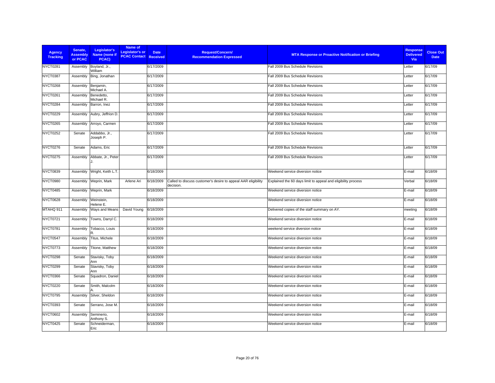| <b>Agency</b><br><b>Tracking</b> | Senate,<br><b>Assembly</b><br>or PCAC | Legislator's<br>Name (none if<br>PCAC) | Name of<br>Legislator's or<br><b>PCAC Contact Received</b> | <b>Date</b> | <b>Request/Concern/</b><br><b>Recommendation Expressed</b>                 | <b>MTA Response or Proactive Notification or Briefing</b>     | <b>Response</b><br><b>Delivered</b><br>Via | <b>Close Out</b><br><b>Date</b> |
|----------------------------------|---------------------------------------|----------------------------------------|------------------------------------------------------------|-------------|----------------------------------------------------------------------------|---------------------------------------------------------------|--------------------------------------------|---------------------------------|
| NYCT0281                         | Assembly                              | Boyland, Jr.,<br>William               |                                                            | 6/17/2009   |                                                                            | Fall 2009 Bus Schedule Revisions                              | Letter                                     | 6/17/09                         |
| <b>NYCT0387</b>                  | Assembly                              | Bing, Jonathan                         |                                                            | 6/17/2009   |                                                                            | Fall 2009 Bus Schedule Revisions                              | Letter                                     | 6/17/09                         |
| NYCT0268                         | Assembly                              | Benjamin,<br>Michael A.                |                                                            | 6/17/2009   |                                                                            | Fall 2009 Bus Schedule Revisions                              | Letter                                     | 6/17/09                         |
| <b>NYCT0261</b>                  | Assembly                              | Benedetto,<br>Michael R.               |                                                            | 6/17/2009   |                                                                            | Fall 2009 Bus Schedule Revisions                              | Letter                                     | 6/17/09                         |
| NYCT0284                         | Assembly                              | Barron, Inez                           |                                                            | 6/17/2009   |                                                                            | Fall 2009 Bus Schedule Revisions                              | Letter                                     | 6/17/09                         |
| <b>NYCT0229</b>                  | Assembly                              | Aubry, Jeffrion D.                     |                                                            | 6/17/2009   |                                                                            | Fall 2009 Bus Schedule Revisions                              | Letter                                     | 6/17/09                         |
| NYCT0265                         | Assembly                              | Arroyo, Carmen                         |                                                            | 6/17/2009   |                                                                            | Fall 2009 Bus Schedule Revisions                              | Letter                                     | 6/17/09                         |
| <b>NYCT0252</b>                  | Senate                                | Addabbo, Jr.,<br>Joseph P.             |                                                            | 6/17/2009   |                                                                            | Fall 2009 Bus Schedule Revisions                              | Letter                                     | 6/17/09                         |
| <b>NYCT0276</b>                  | Senate                                | Adams, Eric                            |                                                            | 6/17/2009   |                                                                            | Fall 2009 Bus Schedule Revisions                              | Letter                                     | 6/17/09                         |
| <b>NYCT0275</b>                  | Assembly                              | Abbate, Jr., Peter                     |                                                            | 6/17/2009   |                                                                            | Fall 2009 Bus Schedule Revisions                              | Letter                                     | 6/17/09                         |
| <b>NYCT0839</b>                  | Assembly                              | Wright, Keith L.T.                     |                                                            | 6/18/2009   |                                                                            | Weekend service diversion notice                              | E-mail                                     | 6/18/09                         |
| NYCT0980                         | Assembly                              | Weprin, Mark                           | Arlene Ari                                                 | 6/18/2009   | Called to discuss customer's desire to appeal AAR eligibility<br>decision. | Explained the 60 days limit to appeal and eligibility process | Verbal                                     | 6/18/09                         |
| <b>NYCT0485</b>                  | Assembly                              | Weprin, Mark                           |                                                            | 6/18/2009   |                                                                            | Weekend service diversion notice                              | E-mail                                     | 6/18/09                         |
| <b>NYCT0628</b>                  | Assembly                              | Weinstein,<br>Helene E.                |                                                            | 6/18/2009   |                                                                            | Weekend service diversion notice                              | E-mail                                     | 6/18/09                         |
| MTAHQ 911                        | Assembly                              | Ways and Means                         | David Young                                                | 6/18/2009   |                                                                            | Delivered copies of the staff summary on AY.                  | meeting                                    | 6/18/09                         |
| NYCT0721                         | Assembly                              | Towns, Darryl C.                       |                                                            | 6/18/2009   |                                                                            | Weekend service diversion notice                              | E-mail                                     | 6/18/09                         |
| NYCT0781                         | Assembly                              | Tobacco, Louis<br>R                    |                                                            | 6/18/2009   |                                                                            | weekend service diversion notice                              | E-mail                                     | 6/18/09                         |
| NYCT0547                         | Assembly                              | Titus, Michele                         |                                                            | 6/18/2009   |                                                                            | Weekend service diversion notice                              | E-mail                                     | 6/18/09                         |
| NYCT0773                         | Assembly                              | Titone, Matthew                        |                                                            | 6/18/2009   |                                                                            | Weekend service diversion notice                              | E-mail                                     | 6/18/09                         |
| <b>NYCT0298</b>                  | Senate                                | Stavisky, Toby<br>Ann                  |                                                            | 6/18/2009   |                                                                            | Weekend service diversion notice                              | E-mail                                     | 6/18/09                         |
| NYCT0299                         | Senate                                | Stavisky, Toby<br>Ann                  |                                                            | 6/18/2009   |                                                                            | Weekend service diversion notice                              | E-mail                                     | 6/18/09                         |
| NYCT0366                         | Senate                                | Squadron, Daniel                       |                                                            | 6/18/2009   |                                                                            | Weekend service diversion notice                              | E-mail                                     | 6/18/09                         |
| <b>NYCT0220</b>                  | Senate                                | Smith, Malcolm                         |                                                            | 6/18/2009   |                                                                            | Weekend service diversion notice                              | E-mail                                     | 6/18/09                         |
| NYCT0795                         | Assembly                              | Silver, Sheldon                        |                                                            | 6/18/2009   |                                                                            | Weekend service diversion notice                              | E-mail                                     | 6/18/09                         |
| <b>NYCT0393</b>                  | Senate                                | Serrano, Jose M.                       |                                                            | 6/18/2009   |                                                                            | Weekend service diversion notice                              | E-mail                                     | 6/18/09                         |
| <b>NYCT0602</b>                  | Assembly                              | Seminerio,<br>Anthony S.               |                                                            | 6/18/2009   |                                                                            | Weekend service diversion notice                              | E-mail                                     | 6/18/09                         |
| NYCT0425                         | Senate                                | Schneiderman,<br>Eric                  |                                                            | 6/18/2009   |                                                                            | Weekend service diversion notice                              | E-mail                                     | 6/18/09                         |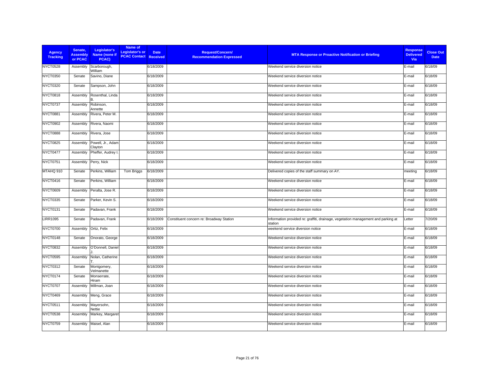| <b>Agency</b><br><b>Tracking</b> | Senate,<br><b>Assembly</b><br>or PCAC | Legislator's<br>Name (none if<br>PCAC) | Name of<br>Legislator's or<br><b>PCAC Contact Received</b> | <b>Request/Concern/</b><br><b>Date</b><br><b>Recommendation Expressed</b> | <b>MTA Response or Proactive Notification or Briefing</b>                                    | <b>Response</b><br><b>Delivered</b><br>Via | <b>Close Out</b><br><b>Date</b> |
|----------------------------------|---------------------------------------|----------------------------------------|------------------------------------------------------------|---------------------------------------------------------------------------|----------------------------------------------------------------------------------------------|--------------------------------------------|---------------------------------|
| NYCT0528                         | Assembly                              | Scarborough,<br>William                |                                                            | 6/18/2009                                                                 | Weekend service diversion notice                                                             | E-mail                                     | 6/18/09                         |
| <b>NYCT0350</b>                  | Senate                                | Savino, Diane                          |                                                            | 6/18/2009                                                                 | Weekend service diversion notice                                                             | E-mail                                     | 6/18/09                         |
| <b>NYCT0320</b>                  | Senate                                | Sampson, John                          |                                                            | 6/18/2009                                                                 | Weekend service diversion notice                                                             | E-mail                                     | 6/18/09                         |
| <b>NYCT0818</b>                  | Assembly                              | Rosenthal, Linda                       |                                                            | 6/18/2009                                                                 | Weekend service diversion notice                                                             | E-mail                                     | 6/18/09                         |
| NYCT0737                         | Assembly                              | Robinson,<br>Annette                   |                                                            | 6/18/2009                                                                 | Weekend service diversion notice                                                             | E-mail                                     | 6/18/09                         |
| <b>NYCT0881</b>                  | Assembly                              | Rivera, Peter M.                       |                                                            | 6/18/2009                                                                 | Weekend service diversion notice                                                             | E-mail                                     | 6/18/09                         |
| <b>NYCT0902</b>                  | Assembly                              | Rivera, Naomi                          |                                                            | 6/18/2009                                                                 | Weekend service diversion notice                                                             | E-mail                                     | 6/18/09                         |
| <b>NYCT0888</b>                  | Assembly                              | Rivera, Jose                           |                                                            | 6/18/2009                                                                 | Weekend service diversion notice                                                             | E-mail                                     | 6/18/09                         |
| <b>NYCT0825</b>                  | Assembly                              | Powell, Jr., Adam<br>Clayton           |                                                            | 6/18/2009                                                                 | Weekend service diversion notice                                                             | E-mail                                     | 6/18/09                         |
| NYCT0477                         | Assembly                              | Pheffer, Audrey I.                     |                                                            | 6/18/2009                                                                 | Weekend service diversion notice                                                             | E-mail                                     | 6/18/09                         |
| NYCT0751                         | Assembly                              | Perry, Nick                            |                                                            | 6/18/2009                                                                 | Weekend service diversion notice                                                             | E-mail                                     | 6/18/09                         |
| MTAHQ 910                        | Senate                                | Perkins, William                       | Tom Briggs                                                 | 6/18/2009                                                                 | Delivered copies of the staff summary on AY.                                                 | meeting                                    | 6/18/09                         |
| NYCT0416                         | Senate                                | Perkins, William                       |                                                            | 6/18/2009                                                                 | Weekend service diversion notice                                                             | E-mail                                     | 6/18/09                         |
| <b>NYCT0609</b>                  | Assembly                              | Peralta, Jose R.                       |                                                            | 6/18/2009                                                                 | Weekend service diversion notice                                                             | E-mail                                     | 6/18/09                         |
| <b>NYCT0335</b>                  | Senate                                | Parker, Kevin S.                       |                                                            | 6/18/2009                                                                 | Weekend service diversion notice                                                             | E-mail                                     | 6/18/09                         |
| NYCT0131                         | Senate                                | Padavan, Frank                         |                                                            | 6/18/2009                                                                 | Weekend service diversion notice                                                             | E-mail                                     | 6/18/09                         |
| <b>LIRR1095</b>                  | Senate                                | Padavan, Frank                         |                                                            | 6/18/2009<br>Constituent concern re: Broadway Station                     | Information provided re: graffiti, drainage, vegetation management and parking at<br>station | Letter                                     | 7/20/09                         |
| NYCT0700                         | Assembly                              | Ortiz, Felix                           |                                                            | 6/18/2009                                                                 | weekend service diversion notice                                                             | E-mail                                     | 6/18/09                         |
| NYCT0148                         | Senate                                | Onorato, George                        |                                                            | 6/18/2009                                                                 | Weekend service diversion notice                                                             | E-mail                                     | 6/18/09                         |
| <b>NYCT0832</b>                  | Assembly                              | O'Donnell, Daniel                      |                                                            | 6/18/2009                                                                 | Weekend service diversion notice                                                             | E-mail                                     | 6/18/09                         |
| <b>NYCT0595</b>                  | Assembly                              | Nolan, Catherine                       |                                                            | 6/18/2009                                                                 | Weekend service diversion notice                                                             | E-mail                                     | 6/18/09                         |
| <b>NYCT0312</b>                  | Senate                                | Montgomery,<br>Velmanette              |                                                            | 6/18/2009                                                                 | Weekend service diversion notice                                                             | E-mail                                     | 6/18/09                         |
| NYCT0174                         | Senate                                | Monserrate,<br>Hiram                   |                                                            | 6/18/2009                                                                 | Weekend service diversion notice                                                             | E-mail                                     | 6/18/09                         |
| NYCT0707                         | Assembly                              | Millman, Joan                          |                                                            | 6/18/2009                                                                 | Weekend service diversion notice                                                             | E-mail                                     | 6/18/09                         |
| NYCT0469                         | Assembly                              | Meng, Grace                            |                                                            | 6/18/2009                                                                 | Weekend service diversion notice                                                             | E-mail                                     | 6/18/09                         |
| NYCT0511                         | Assembly                              | Mayersohn,<br>Nettie                   |                                                            | 6/18/2009                                                                 | Weekend service diversion notice                                                             | E-mail                                     | 6/18/09                         |
| NYCT0538                         | Assembly                              | Markey, Margaret                       |                                                            | 6/18/2009                                                                 | Weekend service diversion notice                                                             | E-mail                                     | 6/18/09                         |
| NYCT0759                         | Assembly                              | Maisel, Alan                           |                                                            | 6/18/2009                                                                 | Weekend service diversion notice                                                             | E-mail                                     | 6/18/09                         |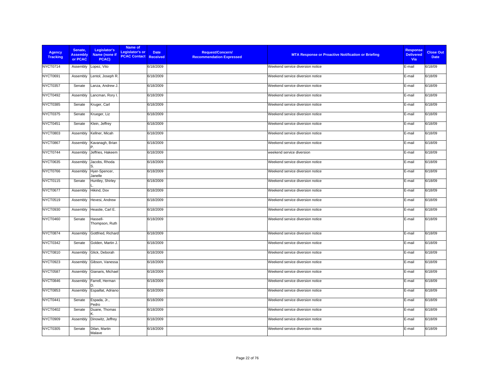| <b>Agency</b><br><b>Tracking</b> | Senate,<br><b>Assembly</b><br>or PCAC | Legislator's<br>Name (none if<br>PCAC) | Name of<br>Legislator's or<br><b>PCAC Contact Received</b> | <b>Date</b> | Request/Concern/<br><b>Recommendation Expressed</b> | <b>MTA Response or Proactive Notification or Briefing</b> | <b>Response</b><br><b>Delivered</b><br>Via | <b>Close Out</b><br><b>Date</b> |
|----------------------------------|---------------------------------------|----------------------------------------|------------------------------------------------------------|-------------|-----------------------------------------------------|-----------------------------------------------------------|--------------------------------------------|---------------------------------|
| NYCT0714                         | Assembly                              | Lopez, Vito                            |                                                            | 6/18/2009   |                                                     | Weekend service diversion notice                          | E-mail                                     | 6/18/09                         |
| NYCT0691                         | Assembly                              | Lentol, Joseph R.                      |                                                            | 6/18/2009   |                                                     | Weekend service diversion notice                          | E-mail                                     | 6/18/09                         |
| NYCT0357                         | Senate                                | Lanza, Andrew J.                       |                                                            | 6/18/2009   |                                                     | Weekend service diversion notice                          | E-mail                                     | 6/18/09                         |
| NYCT0492                         | Assembly                              | Lancman, Rory I.                       |                                                            | 6/18/2009   |                                                     | Weekend service diversion notice                          | E-mail                                     | 6/18/09                         |
| <b>NYCT0385</b>                  | Senate                                | Kruger, Carl                           |                                                            | 6/18/2009   |                                                     | Weekend service diversion notice                          | E-mail                                     | 6/18/09                         |
| <b>NYCT0375</b>                  | Senate                                | Krueger, Liz                           |                                                            | 6/18/2009   |                                                     | Weekend service diversion notice                          | E-mail                                     | 6/18/09                         |
| NYCT0451                         | Senate                                | Klein, Jeffrey                         |                                                            | 6/18/2009   |                                                     | Weekend service diversion notice                          | E-mail                                     | 6/18/09                         |
| <b>NYCT0803</b>                  | Assembly                              | Kellner, Micah                         |                                                            | 6/18/2009   |                                                     | Weekend service diversion notice                          | E-mail                                     | 6/18/09                         |
| NYCT0867                         | Assembly                              | Kavanagh, Brian                        |                                                            | 6/18/2009   |                                                     | Weekend service diversion notice                          | E-mail                                     | 6/18/09                         |
| NYCT0744                         | Assembly                              | Jeffries, Hakeem                       |                                                            | 6/18/2009   |                                                     | weekend service diversion                                 | E-mail                                     | 6/18/09                         |
| <b>NYCT0635</b>                  | Assembly                              | Jacobs, Rhoda                          |                                                            | 6/18/2009   |                                                     | Weekend service diversion notice                          | E-mail                                     | 6/18/09                         |
| NYCT0766                         | Assembly                              | Hyer-Spencer,<br>Janelle               |                                                            | 6/18/2009   |                                                     | Weekend service diversion notice                          | E-mail                                     | 6/18/09                         |
| <b>NYCT0115</b>                  | Senate                                | Huntley, Shirley                       |                                                            | 6/18/2009   |                                                     | Weekend service diversion notice                          | E-mail                                     | 6/18/09                         |
| NYCT0677                         | Assembly                              | Hikind, Dov                            |                                                            | 6/18/2009   |                                                     | Weekend service diversion notice                          | E-mail                                     | 6/18/09                         |
| <b>NYCT0519</b>                  | Assembly                              | Hevesi, Andrew                         |                                                            | 6/18/2009   |                                                     | Weekend service diversion notice                          | E-mail                                     | 6/18/09                         |
| <b>NYCT0930</b>                  | Assembly                              | Heastie, Carl E.                       |                                                            | 6/18/2009   |                                                     | Weekend service diversion notice                          | E-mail                                     | 6/18/09                         |
| NYCT0460                         | Senate                                | Hassell-<br>Thompson, Ruth             |                                                            | 6/18/2009   |                                                     | Weekend service diversion notice                          | E-mail                                     | 6/18/09                         |
| <b>NYCT0874</b>                  | Assembly                              | Gottfried, Richard                     |                                                            | 6/18/2009   |                                                     | Weekend service diversion notice                          | E-mail                                     | 6/18/09                         |
| NYCT0342                         | Senate                                | Golden, Martin J.                      |                                                            | 6/18/2009   |                                                     | Weekend service diversion notice                          | E-mail                                     | 6/18/09                         |
| <b>NYCT0810</b>                  | Assembly                              | Glick, Deborah                         |                                                            | 6/18/2009   |                                                     | Weekend service diversion notice                          | E-mail                                     | 6/18/09                         |
| <b>NYCT0923</b>                  | Assembly                              | Gibson, Vanessa                        |                                                            | 6/18/2009   |                                                     | Weekend service diversion notice                          | E-mail                                     | 6/18/09                         |
| <b>NYCT0587</b>                  | Assembly                              | Gianaris, Michael                      |                                                            | 6/18/2009   |                                                     | Weekend service diversion notice                          | E-mail                                     | 6/18/09                         |
| NYCT0846                         | Assembly                              | Farrell, Herman                        |                                                            | 6/18/2009   |                                                     | Weekend service diversion notice                          | E-mail                                     | 6/18/09                         |
| <b>NYCT0853</b>                  | Assembly                              | Espaillat, Adriano                     |                                                            | 6/18/2009   |                                                     | Weekend service diversion notice                          | E-mail                                     | 6/18/09                         |
| NYCT0441                         | Senate                                | Espada, Jr.,<br>Pedro                  |                                                            | 6/18/2009   |                                                     | Weekend service diversion notice                          | E-mail                                     | 6/18/09                         |
| <b>NYCT0402</b>                  | Senate                                | Duane, Thomas                          |                                                            | 6/18/2009   |                                                     | Weekend service diversion notice                          | E-mail                                     | 6/18/09                         |
| <b>NYCT0909</b>                  | Assembly                              | Dinowitz, Jeffrey                      |                                                            | 6/18/2009   |                                                     | Weekend service diversion notice                          | E-mail                                     | 6/18/09                         |
| NYCT0305                         | Senate                                | Dilan, Martin<br>Malave                |                                                            | 6/18/2009   |                                                     | Weekend service diversion notice                          | E-mail                                     | 6/18/09                         |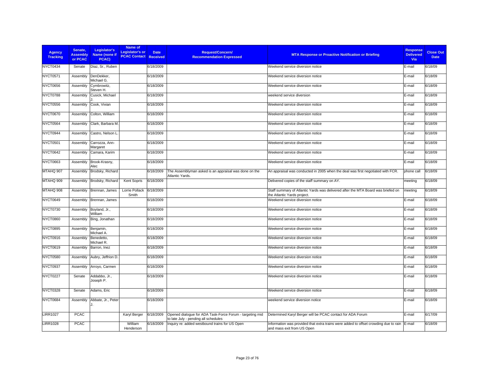| <b>Agency</b><br><b>Tracking</b> | Senate.<br><b>Assembly</b><br>or PCAC | Legislator's<br>Name (none if<br>PCAC) | Name of<br>Legislator's or<br><b>PCAC Contact Received</b> | <b>Date</b> | <b>Request/Concern/</b><br><b>Recommendation Expressed</b>                                       | <b>MTA Response or Proactive Notification or Briefing</b>                                                                 | <b>Response</b><br><b>Delivered</b><br><b>Via</b> | <b>Close Out</b><br><b>Date</b> |
|----------------------------------|---------------------------------------|----------------------------------------|------------------------------------------------------------|-------------|--------------------------------------------------------------------------------------------------|---------------------------------------------------------------------------------------------------------------------------|---------------------------------------------------|---------------------------------|
| NYCT0434                         | Senate                                | Diaz, Sr., Ruben                       |                                                            | 6/18/2009   |                                                                                                  | Weekend service diversion notice                                                                                          | E-mail                                            | 6/18/09                         |
| <b>NYCT0571</b>                  | Assembly                              | DenDekker,<br>Michael G.               |                                                            | 6/18/2009   |                                                                                                  | Weekend service diversion notice                                                                                          | E-mail                                            | 6/18/09                         |
| NYCT0656                         | Assembly                              | Cymbrowitz,<br>Steven H.               |                                                            | 6/18/2009   |                                                                                                  | Weekend service diversion notice                                                                                          | E-mail                                            | 6/18/09                         |
| NYCT0788                         | Assembly                              | Cusick, Michael                        |                                                            | 6/18/2009   |                                                                                                  | weekend service diversion                                                                                                 | E-mail                                            | 6/18/09                         |
| <b>NYCT0556</b>                  | Assembly                              | Cook, Vivian                           |                                                            | 6/18/2009   |                                                                                                  | Weekend service diversion notice                                                                                          | E-mail                                            | 6/18/09                         |
| <b>NYCT0670</b>                  | Assembly                              | Colton, William                        |                                                            | 6/18/2009   |                                                                                                  | Weekend service diversion notice                                                                                          | E-mail                                            | 6/18/09                         |
| <b>NYCT0564</b>                  | Assembly                              | Clark, Barbara M.                      |                                                            | 6/18/2009   |                                                                                                  | Weekend service diversion notice                                                                                          | E-mail                                            | 6/18/09                         |
| NYCT0944                         | Assembly                              | Castro, Nelson L                       |                                                            | 6/18/2009   |                                                                                                  | Weekend service diversion notice                                                                                          | E-mail                                            | 6/18/09                         |
| <b>NYCT0501</b>                  | Assembly                              | Carrozza, Ann-<br>Margaret             |                                                            | 6/18/2009   |                                                                                                  | Weekend service diversion notice                                                                                          | E-mail                                            | 6/18/09                         |
| NYCT0642                         | Assembly                              | Camara, Karim                          |                                                            | 6/18/2009   |                                                                                                  | Weekend service diversion notice                                                                                          | E-mail                                            | 6/18/09                         |
| <b>NYCT0663</b>                  | Assembly                              | Brook-Krasny,<br>Alec                  |                                                            | 6/18/2009   |                                                                                                  | Weekend service diversion notice                                                                                          | E-mail                                            | 6/18/09                         |
| MTAHQ 907                        | Assembly                              | Brodsky, Richard                       |                                                            | 6/18/2009   | The Assemblyman asked is an appraisal was done on the<br>Atlantic Yards.                         | An appraisal was conducted in 2005 when the deal was first negotiated with FCR.                                           | phone call                                        | 6/18/09                         |
| MTAHQ 909                        | Assembly                              | Brodsky, Richard                       | Kent Sopris                                                | 6/18/2009   |                                                                                                  | Delivered copies of the staff summary on AY.                                                                              | meeting                                           | 6/18/09                         |
| MTAHQ 908                        | Assembly                              | Brennan, James                         | Lorrie Pollack<br>Smith                                    | 6/18/2009   |                                                                                                  | Staff summary of Atlantic Yards was delivered after the MTA Board was briefed on<br>the Atlantic Yards project.           | meeting                                           | 6/18/09                         |
| NYCT0649                         | Assembly                              | Brennan, James                         |                                                            | 6/18/2009   |                                                                                                  | Weekend service diversion notice                                                                                          | E-mail                                            | 6/18/09                         |
| NYCT0730                         | Assembly                              | Boyland, Jr.,<br>William               |                                                            | 6/18/2009   |                                                                                                  | Weekend service diversion notice                                                                                          | E-mail                                            | 6/18/09                         |
| <b>NYCT0860</b>                  | Assembly                              | Bing, Jonathan                         |                                                            | 6/18/2009   |                                                                                                  | Weekend service diversion notice                                                                                          | E-mail                                            | 6/18/09                         |
| <b>NYCT0895</b>                  | Assembly                              | Benjamin,<br>Michael A.                |                                                            | 6/18/2009   |                                                                                                  | Weekend service diversion notice                                                                                          | E-mail                                            | 6/18/09                         |
| NYCT0916                         | Assembly                              | Benedetto,<br>Michael R.               |                                                            | 6/18/2009   |                                                                                                  | Weekend service diversion notice                                                                                          | E-mail                                            | 6/18/09                         |
| <b>NYCT0619</b>                  | Assembly                              | Barron, Inez                           |                                                            | 6/18/2009   |                                                                                                  | Weekend service diversion notice                                                                                          | E-mail                                            | 6/18/09                         |
| <b>NYCT0580</b>                  | Assembly                              | Aubry, Jeffrion D.                     |                                                            | 6/18/2009   |                                                                                                  | Weekend service diversion notice                                                                                          | E-mail                                            | 6/18/09                         |
| NYCT0937                         | Assembly                              | Arroyo, Carmen                         |                                                            | 6/18/2009   |                                                                                                  | Weekend service diversion notice                                                                                          | E-mail                                            | 6/18/09                         |
| NYCT0227                         | Senate                                | Addabbo, Jr.,<br>Joseph P.             |                                                            | 6/18/2009   |                                                                                                  | Weekend service diversion notice                                                                                          | E-mail                                            | 6/18/09                         |
| <b>NYCT0328</b>                  | Senate                                | Adams, Eric                            |                                                            | 6/18/2009   |                                                                                                  | Weekend service diversion notice                                                                                          | E-mail                                            | 6/18/09                         |
| <b>NYCT0684</b>                  | Assembly                              | Abbate, Jr., Peter                     |                                                            | 6/18/2009   |                                                                                                  | weekend service diversion notice                                                                                          | E-mail                                            | 6/18/09                         |
| <b>LIRR1027</b>                  | <b>PCAC</b>                           |                                        | Karyl Berger                                               | 6/18/2009   | Opened dialoque for ADA Task-Force Forum - targeting mid<br>to late July - pending all schedules | Determined Karyl Berger will be PCAC contact for ADA Forum                                                                | E-mail                                            | 6/17/09                         |
| <b>LIRR1028</b>                  | <b>PCAC</b>                           |                                        | William<br>Henderson                                       | 6/18/2009   | Inquiry re: added westbound trains for US Open                                                   | Information was provided that extra trains were added to offset crowding due to rain E-mail<br>and mass exit from US Open |                                                   | 6/18/09                         |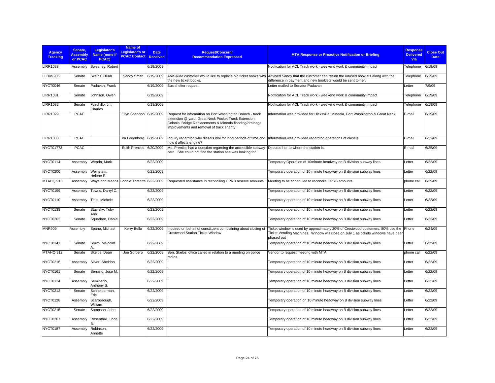| Agency<br><b>Tracking</b> | Senate,<br><b>Assembly</b><br>or PCAC | Legislator's<br>Name (none if<br>PCAC)   | Name of<br><b>Legislator's or</b><br><b>PCAC Contact</b> | <b>Date</b><br><b>Received</b> | <b>Request/Concern/</b><br><b>Recommendation Expressed</b>                                                                                                                                                                | <b>MTA Response or Proactive Notification or Briefing</b>                                                                                                                                                    | <b>Response</b><br><b>Delivered</b><br>Via | <b>Close Out</b><br><b>Date</b> |
|---------------------------|---------------------------------------|------------------------------------------|----------------------------------------------------------|--------------------------------|---------------------------------------------------------------------------------------------------------------------------------------------------------------------------------------------------------------------------|--------------------------------------------------------------------------------------------------------------------------------------------------------------------------------------------------------------|--------------------------------------------|---------------------------------|
| <b>LIRR1033</b>           | Assembly                              | Sweeney, Robert                          |                                                          | 6/19/2009                      |                                                                                                                                                                                                                           | Notification for ACL Track work - weekend work & community impact                                                                                                                                            | Telephone                                  | 6/19/09                         |
| <b>LI Bus 905</b>         | Senate                                | Skelos, Dean                             | Sandy Smith                                              | 6/19/2009                      | the new ticket books.                                                                                                                                                                                                     | Able-Ride customer would like to replace old ticket books with Advised Sandy that the customer can return the unused booklets along with the<br>difference in payment and new booklets would be sent to her. | Telephone                                  | 6/19/09                         |
| NYCT0046                  | Senate                                | Padavan, Frank                           |                                                          | 6/19/2009                      | Bus shelter request                                                                                                                                                                                                       | Letter mailed to Senator Padavan                                                                                                                                                                             | Letter                                     | 7/9/09                          |
| <b>LIRR1031</b>           | Senate                                | Johnson, Owen                            |                                                          | 6/19/2009                      |                                                                                                                                                                                                                           | Notification for ACL Track work - weekend work & community impact                                                                                                                                            | Telephone                                  | 6/19/09                         |
| <b>LIRR1032</b>           | Senate                                | Fuschillo, Jr.,<br>Charles               |                                                          | 6/19/2009                      |                                                                                                                                                                                                                           | Notification for ACL Track work - weekend work & community impact                                                                                                                                            | Telephone                                  | 6/19/09                         |
| <b>LIRR1029</b>           | <b>PCAC</b>                           |                                          | Ellyn Shannon 6/19/2009                                  |                                | Request for information on Port Washington Branch - track<br>extension @ yard, Great Neck Pocket Track Extension,<br>Colonial Bridge Replacements & Mineola flooding/drainage<br>improvements and removal of track shanty | Information was provided for Hicksville, Mineola, Port Washington & Great Neck.                                                                                                                              | E-mail                                     | 6/19/09                         |
| <b>LIRR1030</b>           | <b>PCAC</b>                           |                                          | Ira Greenberg 6/19/2009                                  |                                | Inquiry regarding why diesels idol for long periods of time and  Information was provided regarding operations of diesels<br>how it affects engine?                                                                       |                                                                                                                                                                                                              | E-mail                                     | 6/23/09                         |
| NYCT01773                 | <b>PCAC</b>                           |                                          | <b>Edith Prentiss</b>                                    | 6/20/2009                      | Ms. Prentiss had a question regarding the accessible subway<br>card. She could not find the station she was looking for.                                                                                                  | Directed her to where the station is.                                                                                                                                                                        | E-mail                                     | 6/25/09                         |
| NYCT0114                  | Assembly                              | Weprin, Mark                             |                                                          | 6/22/2009                      |                                                                                                                                                                                                                           | Temporary Operation of 10minute headway on B division subway lines                                                                                                                                           | Letter                                     | 6/22/09                         |
| NYCT0200                  | Assembly                              | Weinstein.<br>Helene E.                  |                                                          | 6/22/2009                      |                                                                                                                                                                                                                           | Temporary operation of 10 minute headway on B division subway lines                                                                                                                                          | Letter                                     | 6/22/09                         |
| MTAHQ 913                 | Assembly                              | Ways and Means Lonnie Threatte 6/22/2009 |                                                          |                                | Requested assistance in reconciling CPRB reserve amounts.                                                                                                                                                                 | Meeting to be scheduled to reconcile CPRB amounts.                                                                                                                                                           | phone call                                 | 6/29/09                         |
| NYCT0199                  | Assembly                              | Towns, Darryl C.                         |                                                          | 6/22/2009                      |                                                                                                                                                                                                                           | Temporary operation of 10 minute headway on B division subway lines                                                                                                                                          | Letter                                     | 6/22/09                         |
| NYCT0110                  | Assembly                              | Titus, Michele                           |                                                          | 6/22/2009                      |                                                                                                                                                                                                                           | Temporary operation of 10 minute headway on B division subway lines                                                                                                                                          | Letter                                     | 6/22/09                         |
| NYCT0138                  | Senate                                | Stavisky, Toby<br>Ann                    |                                                          | 6/22/2009                      |                                                                                                                                                                                                                           | Temporary operation of 10 minute headway on B division subway lines                                                                                                                                          | Letter                                     | 6/22/09                         |
| <b>NYCT0202</b>           | Senate                                | Squadron, Daniel                         |                                                          | 6/22/2009                      |                                                                                                                                                                                                                           | Temporary operation of 10 minute headway on B division subway lines                                                                                                                                          | Letter                                     | 6/22/09                         |
| <b>MNR909</b>             | Assembly                              | Spano, Michael                           | Kerry Bello                                              | 6/22/2009                      | Inquired on behalf of constituent complaining about closing of<br><b>Crestwood Station Ticket Window</b>                                                                                                                  | Ticket window is used by approximately 20% of Crestwood customers. 80% use the Phone<br>Ticket Vending Machines. Window will close on July 1 as tickets windows have been<br>phased out                      |                                            | 6/24/09                         |
| NYCT0141                  | Senate                                | Smith, Malcolm                           |                                                          | 6/22/2009                      |                                                                                                                                                                                                                           | Temporary operation of 10 minute headway on B division subway lines                                                                                                                                          | Letter                                     | 6/22/09                         |
| MTAHQ 912                 | Senate                                | Skelos, Dean                             | Joe Sorbero                                              | 6/22/2009                      | Sen. Skelos' office called in relation to a meeting on police<br>radios.                                                                                                                                                  | Vendor to request meeting with MTA                                                                                                                                                                           | phone call                                 | 6/22/09                         |
| NYCT0216                  | Assembly                              | Silver, Sheldon                          |                                                          | 6/22/2009                      |                                                                                                                                                                                                                           | Temporary operation of 10 minute headway on B division subway lines                                                                                                                                          | Letter                                     | 6/22/09                         |
| NYCT0161                  | Senate                                | Serrano, Jose M.                         |                                                          | 6/22/2009                      |                                                                                                                                                                                                                           | Temporary operation of 10 minute headway on B division subway lines                                                                                                                                          | Letter                                     | 6/22/09                         |
| NYCT0124                  | Assembly                              | Seminerio.<br>Anthony S.                 |                                                          | 6/22/2009                      |                                                                                                                                                                                                                           | Temporary operation of 10 minute headway on B division subway lines                                                                                                                                          | Letter                                     | 6/22/09                         |
| NYCT0212                  | Senate                                | Schneiderman,<br>Eric                    |                                                          | 6/22/2009                      |                                                                                                                                                                                                                           | Temporary operation of 10 minute headway on B division subway lines                                                                                                                                          | Letter                                     | 6/22/09                         |
| NYCT0128                  | Assembly                              | Scarborough,<br>William                  |                                                          | 6/22/2009                      |                                                                                                                                                                                                                           | Temporary operation on 10 minute headway on B division subway lines                                                                                                                                          | Letter                                     | 6/22/09                         |
| <b>NYCT0215</b>           | Senate                                | Sampson, John                            |                                                          | 6/22/2009                      |                                                                                                                                                                                                                           | Temporary operation of 10 minute headway on B division subway lines                                                                                                                                          | Letter                                     | 6/22/09                         |
| NYCT0207                  | Assembly                              | Rosenthal, Linda                         |                                                          | 6/22/2009                      |                                                                                                                                                                                                                           | Temporary operation of 10 minute headway on B division subway lines                                                                                                                                          | Letter                                     | 6/22/09                         |
| NYCT0187                  | Assembly                              | Robinson,<br>Annette                     |                                                          | 6/22/2009                      |                                                                                                                                                                                                                           | Temporary operation of 10 minute headway on B division subway lines                                                                                                                                          | Letter                                     | 6/22/09                         |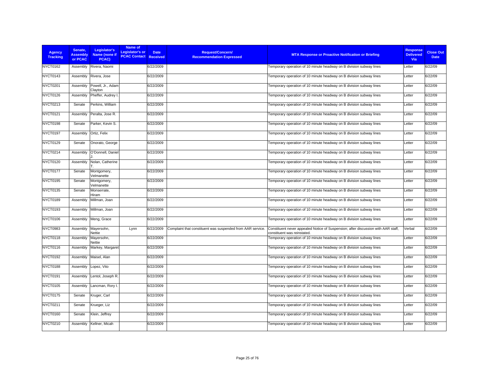| <b>Agency</b><br><b>Tracking</b> | Senate.<br><b>Assembly</b><br>or PCAC | Legislator's<br>Name (none if<br>PCAC) | Name of<br><b>Legislator's or</b><br><b>PCAC Contact Received</b> | <b>Date</b> | <b>Request/Concern/</b><br><b>Recommendation Expressed</b> | <b>MTA Response or Proactive Notification or Briefing</b>                                                        | <b>Response</b><br><b>Delivered</b><br>Via | <b>Close Out</b><br><b>Date</b> |
|----------------------------------|---------------------------------------|----------------------------------------|-------------------------------------------------------------------|-------------|------------------------------------------------------------|------------------------------------------------------------------------------------------------------------------|--------------------------------------------|---------------------------------|
| <b>NYCT0162</b>                  | Assembly                              | Rivera, Naomi                          |                                                                   | 6/22/2009   |                                                            | Temporary operation of 10 minute headway on B division subway lines                                              | Letter                                     | 6/22/09                         |
| NYCT0143                         | Assembly                              | Rivera, Jose                           |                                                                   | 6/22/2009   |                                                            | Temporary operation of 10 minute headway on B division subway lines                                              | Letter                                     | 6/22/09                         |
| <b>NYCT0201</b>                  | Assembly                              | Powell, Jr., Adam<br>Clayton           |                                                                   | 6/22/2009   |                                                            | Temporary operation of 10 minute headway on B division subway lines                                              | Letter                                     | 6/22/09                         |
| NYCT0126                         | Assembly                              | Pheffer, Audrey I                      |                                                                   | 6/22/2009   |                                                            | Temporary operation of 10 minute headway on B division subway lines                                              | Letter                                     | 6/22/09                         |
| <b>NYCT0213</b>                  | Senate                                | Perkins, William                       |                                                                   | 6/22/2009   |                                                            | Temporary operation of 10 minute headway on B division subway lines                                              | Letter                                     | 6/22/09                         |
| NYCT0121                         | Assembly                              | Peralta, Jose R.                       |                                                                   | 6/22/2009   |                                                            | Temporary operation of 10 minute headway on B division subway lines                                              | Letter                                     | 6/22/09                         |
| NYCT0198                         | Senate                                | Parker, Kevin S.                       |                                                                   | 6/22/2009   |                                                            | Temporary operation of 10 minute headway on B division subway lines                                              | Letter                                     | 6/22/09                         |
| NYCT0197                         | Assembly                              | Ortiz, Felix                           |                                                                   | 6/22/2009   |                                                            | Temporary operation of 10 minute headway on B division subway lines                                              | Letter                                     | 6/22/09                         |
| <b>NYCT0129</b>                  | Senate                                | Onorato, George                        |                                                                   | 6/22/2009   |                                                            | Temporary operation of 10 minute headway on B division subway lines                                              | Letter                                     | 6/22/09                         |
| <b>NYCT0214</b>                  | Assembly                              | O'Donnell, Daniel                      |                                                                   | 6/22/2009   |                                                            | Temporary operation of 10 minute headway on B division subway lines                                              | Letter                                     | 6/22/09                         |
| NYCT0120                         | Assembly                              | Nolan, Catherine                       |                                                                   | 6/22/2009   |                                                            | Temporary operation of 10 minute headway on B division subway lines                                              | Letter                                     | 6/22/09                         |
| NYCT0177                         | Senate                                | Montgomery,<br>Velmanette              |                                                                   | 6/22/2009   |                                                            | Temporary operation of 10 minute headway on B division subway lines                                              | Letter                                     | 6/22/09                         |
| <b>NYCT0195</b>                  | Senate                                | Montgomery,<br>Velmanette              |                                                                   | 6/22/2009   |                                                            | Temporary operation of 10 minute headway on B division subway lines                                              | Letter                                     | 6/22/09                         |
| <b>NYCT0135</b>                  | Senate                                | Monserrate,<br>Hiram                   |                                                                   | 6/22/2009   |                                                            | Temporary operation of 10 minute headway on B division subway lines                                              | Letter                                     | 6/22/09                         |
| NYCT0189                         | Assembly                              | Millman, Joan                          |                                                                   | 6/22/2009   |                                                            | Temporary operation of 10 minute headway on B division subway lines                                              | Letter                                     | 6/22/09                         |
| <b>NYCT0193</b>                  | Assembly                              | Millman, Joan                          |                                                                   | 6/22/2009   |                                                            | Temporary operation of 10 minute headway on B division subway lines                                              | Letter                                     | 6/22/09                         |
| <b>NYCT0106</b>                  | Assembly                              | Meng, Grace                            |                                                                   | 6/22/2009   |                                                            | Temporary operation of 10 minute headway on B division subway lines                                              | Letter                                     | 6/22/09                         |
| <b>NYCT0983</b>                  | Assembly                              | Mayersohn,<br>Nettie                   | Lynn                                                              | 6/22/2009   | Complaint that constituent was suspended from AAR service. | Constituent never appealed Notice of Suspension; after discussion with AAR staff,<br>constituent was reinstated. | Verbal                                     | 6/22/09                         |
| NYCT0118                         | Assembly                              | Mayersohn,<br>Nettie                   |                                                                   | 6/22/2009   |                                                            | Temporary operation of 10 minute headway on B division subway lines                                              | Letter                                     | 6/22/09                         |
| NYCT0116                         | Assembly                              | Markey, Margaret                       |                                                                   | 6/22/2009   |                                                            | Temporary operation of 10 minute headway on B division subway lines                                              | Letter                                     | 6/22/09                         |
| <b>NYCT0192</b>                  | Assembly                              | Maisel, Alan                           |                                                                   | 6/22/2009   |                                                            | Temporary operation of 10 minute headway on B division subway lines                                              | Letter                                     | 6/22/09                         |
| NYCT0188                         | Assembly                              | Lopez, Vito                            |                                                                   | 6/22/2009   |                                                            | Temporary operation of 10 minute headway on B division subway lines                                              | Letter                                     | 6/22/09                         |
| NYCT0191                         | Assembly                              | Lentol, Joseph R.                      |                                                                   | 6/22/2009   |                                                            | Temporary operation of 10 minute headway on B division subway lines                                              | Letter                                     | 6/22/09                         |
| <b>NYCT0105</b>                  | Assembly                              | Lancman, Rory I.                       |                                                                   | 6/22/2009   |                                                            | Temporary operation of 10 minute headway on B division subway lines                                              | Letter                                     | 6/22/09                         |
| <b>NYCT0175</b>                  | Senate                                | Kruger, Carl                           |                                                                   | 6/22/2009   |                                                            | Temporary operation of 10 minute headway on B division subway lines                                              | Letter                                     | 6/22/09                         |
| NYCT0211                         | Senate                                | Krueger, Liz                           |                                                                   | 6/22/2009   |                                                            | Temporary operation of 10 minute headway on B division subway lines                                              | Letter                                     | 6/22/09                         |
| <b>NYCT0160</b>                  | Senate                                | Klein, Jeffrey                         |                                                                   | 6/22/2009   |                                                            | Temporary operation of 10 minute headway on B division subway lines                                              | Letter                                     | 6/22/09                         |
| <b>NYCT0210</b>                  | Assembly                              | Kellner, Micah                         |                                                                   | 6/22/2009   |                                                            | Temporary operation of 10 minute headway on B division subway lines                                              | Letter                                     | 6/22/09                         |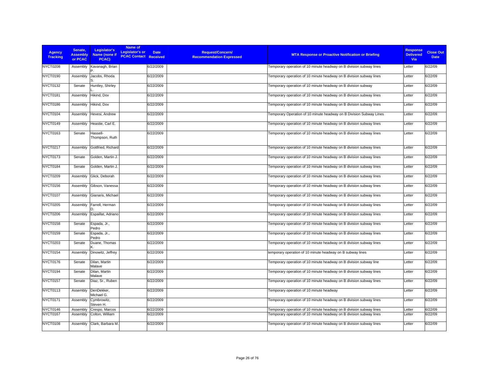| <b>Agency</b><br><b>Tracking</b> | Senate.<br><b>Assembly</b><br>or PCAC | Legislator's<br>Name (none if<br>PCAC) | Name of<br>Legislator's or<br><b>PCAC Contact Received</b> | <b>Date</b> | <b>Request/Concern/</b><br><b>Recommendation Expressed</b> | <b>MTA Response or Proactive Notification or Briefing</b>           | <b>Response</b><br><b>Delivered</b><br>Via | <b>Close Out</b><br><b>Date</b> |
|----------------------------------|---------------------------------------|----------------------------------------|------------------------------------------------------------|-------------|------------------------------------------------------------|---------------------------------------------------------------------|--------------------------------------------|---------------------------------|
| <b>NYCT0208</b>                  | Assembly                              | Kavanagh, Brian                        |                                                            | 6/22/2009   |                                                            | Temporary operation of 10 minute headway on B division subway lines | Letter                                     | 6/22/09                         |
| NYCT0190                         | Assembly                              | Jacobs, Rhoda                          |                                                            | 6/22/2009   |                                                            | Temporary operation of 10 minute headway on B division subway lines | Letter                                     | 6/22/09                         |
| <b>NYCT0132</b>                  | Senate                                | Huntley, Shirley                       |                                                            | 6/22/2009   |                                                            | Temporary operation of 10 minute headway on B division subway       | Letter                                     | 6/22/09                         |
| NYCT0181                         | Assembly                              | Hikind, Dov                            |                                                            | 6/22/2009   |                                                            | Temporary operation of 10 minute headway on B division subway lines | Letter                                     | 6/22/09                         |
| NYCT0186                         | Assembly                              | Hikind, Dov                            |                                                            | 6/22/2009   |                                                            | Temporary operation of 10 minute headway on B division subway lines | Letter                                     | 6/22/09                         |
| NYCT0104                         | Assembly                              | Hevesi, Andrew                         |                                                            | 6/22/2009   |                                                            | Temporary Operation of 10 minute headway on B Division Subway Lines | Letter                                     | 6/22/09                         |
| NYCT0149                         | Assembly                              | Heastie, Carl E.                       |                                                            | 6/22/2009   |                                                            | Temporary operation of 10 minute headway on B division subway lines | Letter                                     | 6/22/09                         |
| <b>NYCT0163</b>                  | Senate                                | Hassell-<br>Thompson, Ruth             |                                                            | 6/22/2009   |                                                            | Temporary operation of 10 minute headway on B division subway lines | Letter                                     | 6/22/09                         |
| <b>NYCT0217</b>                  | Assembly                              | Gottfried, Richard                     |                                                            | 6/22/2009   |                                                            | Temporary operation of 10 minute headway on B division subway lines | Letter                                     | 6/22/09                         |
| NYCT0173                         | Senate                                | Golden, Martin J.                      |                                                            | 6/22/2009   |                                                            | Temporary operation of 10 minute headway on B division subway lines | Letter                                     | 6/22/09                         |
| NYCT0184                         | Senate                                | Golden, Martin J.                      |                                                            | 6/22/2009   |                                                            | Temporary operation of 10 minute headway on B division subway lines | Letter                                     | 6/22/09                         |
| <b>NYCT0209</b>                  | Assembly                              | Glick, Deborah                         |                                                            | 6/22/2009   |                                                            | Temporary operation of 10 minute headway on B division subway lines | Letter                                     | 6/22/09                         |
| <b>NYCT0156</b>                  | Assembly                              | Gibson, Vanessa                        |                                                            | 6/22/2009   |                                                            | Temporary operation of 10 minute headway on B division subway lines | Letter                                     | 6/22/09                         |
| NYCT0107                         | Assembly                              | Gianaris, Michael                      |                                                            | 6/22/2009   |                                                            | Temporary operation of 10 minute headway on B division subway lines | Letter                                     | 6/22/09                         |
| <b>NYCT0205</b>                  | Assembly                              | Farrell, Herman                        |                                                            | 6/22/2009   |                                                            | Temporary operation of 10 minute headway on B division subway lines | Letter                                     | 6/22/09                         |
| NYCT0206                         | Assembly                              | Espaillat, Adriano                     |                                                            | 6/22/2009   |                                                            | Temporary operation of 10 minute headway on B division subway lines | Letter                                     | 6/22/09                         |
| <b>NYCT0158</b>                  | Senate                                | Espada, Jr.,<br>Pedro                  |                                                            | 6/22/2009   |                                                            | Temporary operation of 10 minute headway on B division subway lines | Letter                                     | 6/22/09                         |
| NYCT0159                         | Senate                                | Espada, Jr.,<br>Pedro                  |                                                            | 6/22/2009   |                                                            | Temporary operation of 10 minute headway on B division subway lines | Letter                                     | 6/22/09                         |
| <b>NYCT0203</b>                  | Senate                                | Duane, Thomas                          |                                                            | 6/22/2009   |                                                            | Temporary operation of 10 minute headway on B division subway lines | Letter                                     | 6/22/09                         |
| NYCT0154                         | Assembly                              | Dinowitz, Jeffrey                      |                                                            | 6/22/2009   |                                                            | temporary operation of 10 minute headway on B subway lines          | Letter                                     | 6/22/09                         |
| NYCT0176                         | Senate                                | Dilan, Martin<br>Malave                |                                                            | 6/22/2009   |                                                            | Temporary operation of 10 minute headway on B division subway line  | Letter                                     | 6/22/09                         |
| NYCT0194                         | Senate                                | Dilan, Martin<br>Malave                |                                                            | 6/22/2009   |                                                            | Temporary operation of 10 minute headway on B division subway lines | Letter                                     | 6/22/09                         |
| <b>NYCT0157</b>                  | Senate                                | Diaz, Sr., Ruben                       |                                                            | 6/22/2009   |                                                            | Temporary operation of 10 minute headway on B division subway lines | Letter                                     | 6/22/09                         |
| <b>NYCT0113</b>                  | Assembly                              | DenDekker,<br>Michael G.               |                                                            | 6/22/2009   |                                                            | Temporary operation of 10 minute headway                            | Letter                                     | 6/22/09                         |
| <b>NYCT0171</b>                  | Assembly                              | Cymbrowitz,<br>Steven H.               |                                                            | 6/22/2009   |                                                            | Temporary operation of 10 minute headway on B division subway lines | Letter                                     | 6/22/09                         |
| NYCT0146                         | Assembly                              | Crespo, Marcos                         |                                                            | 6/22/2009   |                                                            | Temporary operation of 10 minute headway on B division subway lines | Letter                                     | 6/22/09                         |
| NYCT0167                         | Assembly                              | Colton, William                        |                                                            | 6/22/2009   |                                                            | Temporary operation of 10 minute headway on B division subway lines | Letter                                     | 6/22/09                         |
| NYCT0108                         | Assembly                              | Clark, Barbara M.                      |                                                            | 6/22/2009   |                                                            | Temporary operation of 10 minute headway on B division subway lines | Letter                                     | 6/22/09                         |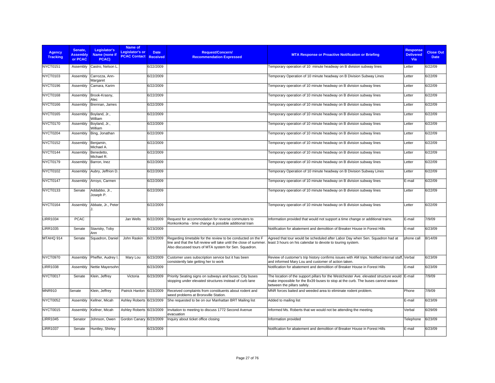| <b>Agency</b><br><b>Tracking</b> | Senate,<br><b>Assembly</b><br>or PCAC | Legislator's<br>Name (none if<br>PCAC) | Name of<br>Legislator's or<br><b>PCAC Contact Received</b> | <b>Date</b> | <b>Request/Concern/</b><br><b>Recommendation Expressed</b>                                                                                                                                 | <b>MTA Response or Proactive Notification or Briefing</b>                                                                                                                                                     | <b>Response</b><br><b>Delivered</b><br><b>Via</b> | <b>Close Out</b><br><b>Date</b> |
|----------------------------------|---------------------------------------|----------------------------------------|------------------------------------------------------------|-------------|--------------------------------------------------------------------------------------------------------------------------------------------------------------------------------------------|---------------------------------------------------------------------------------------------------------------------------------------------------------------------------------------------------------------|---------------------------------------------------|---------------------------------|
| <b>NYCT0151</b>                  | Assembly                              | Castro, Nelson L.                      |                                                            | 6/22/2009   |                                                                                                                                                                                            | Temporary operation of 10 minute headway on B division subway lines                                                                                                                                           | Letter                                            | 6/22/09                         |
| NYCT0103                         | Assembly                              | Carrozza, Ann-<br>Margaret             |                                                            | 6/22/2009   |                                                                                                                                                                                            | Temporary Operation of 10 minute headway on B Division Subway Lines                                                                                                                                           | Letter                                            | 6/22/09                         |
| NYCT0196                         | Assembly                              | Camara, Karim                          |                                                            | 6/22/2009   |                                                                                                                                                                                            | Temporary operation of 10 minute headway on B division subway lines                                                                                                                                           | Letter                                            | 6/22/09                         |
| NYCT0168                         | Assembly                              | Brook-Krasny,<br>Alec                  |                                                            | 6/22/2009   |                                                                                                                                                                                            | Temporary operation of 10 minute headway on B division subway lines                                                                                                                                           | Letter                                            | 6/22/09                         |
| NYCT0166                         | Assembly                              | Brennan, James                         |                                                            | 6/22/2009   |                                                                                                                                                                                            | Temporary operation of 10 minute headway on B division subway lines                                                                                                                                           | Letter                                            | 6/22/09                         |
| NYCT0165                         | Assembly                              | Boyland, Jr.,<br>William               |                                                            | 6/22/2009   |                                                                                                                                                                                            | Temporary operation of 10 minute headway on B division subway lines                                                                                                                                           | Letter                                            | 6/22/09                         |
| NYCT0170                         | Assembly                              | Boyland, Jr.,<br>William               |                                                            | 6/22/2009   |                                                                                                                                                                                            | Temporary operation of 10 minute headway on B division subway lines                                                                                                                                           | Letter                                            | 6/22/09                         |
| NYCT0204                         | Assembly                              | Bing, Jonathan                         |                                                            | 6/22/2009   |                                                                                                                                                                                            | Temporary operation of 10 minute headway on B division subway lines                                                                                                                                           | Letter                                            | 6/22/09                         |
| NYCT0152                         | Assembly                              | Benjamin,<br>Michael A.                |                                                            | 6/22/2009   |                                                                                                                                                                                            | Temporary operation of 10 minute headway on B division subway lines                                                                                                                                           | Letter                                            | 6/22/09                         |
| NYCT0144                         | Assembly                              | Benedetto,<br>Michael R.               |                                                            | 6/22/2009   |                                                                                                                                                                                            | Temporary operation of 10 minute headway on B division subway lines                                                                                                                                           | Letter                                            | 6/22/09                         |
| NYCT0179                         | Assembly                              | Barron, Inez                           |                                                            | 6/22/2009   |                                                                                                                                                                                            | Temporary operation of 10 minute headway on B division subway lines                                                                                                                                           | Letter                                            | 6/22/09                         |
| NYCT0102                         | Assembly                              | Aubry, Jeffrion D.                     |                                                            | 6/22/2009   |                                                                                                                                                                                            | Temporary Operation of 10 minute headway on B Division Subway Lines                                                                                                                                           | Letter                                            | 6/22/09                         |
| NYCT0147                         | Assembly                              | Arroyo, Carmen                         |                                                            | 6/22/2009   |                                                                                                                                                                                            | Temporary operation of 10 minute headway on B division subway lines                                                                                                                                           | E-mail                                            | 6/22/09                         |
| NYCT0133                         | Senate                                | Addabbo, Jr.,<br>Joseph P.             |                                                            | 6/22/2009   |                                                                                                                                                                                            | Temporary operation of 10 minute headway on B division subway lines                                                                                                                                           | Letter                                            | 6/22/09                         |
| NYCT0164                         | Assembly                              | Abbate, Jr., Peter                     |                                                            | 6/22/2009   |                                                                                                                                                                                            | Temporary operation of 10 minute headway on B division subway lines                                                                                                                                           | Letter                                            | 6/22/09                         |
| <b>LIRR1034</b>                  | <b>PCAC</b>                           |                                        | Jan Wells                                                  | 6/22/2009   | Request for accommodation for reverse commuters to<br>Ronkonkoma - time change & possible additional train                                                                                 | Information provided that would not support a time change or additional trains.                                                                                                                               | E-mail                                            | 7/9/09                          |
| <b>LIRR1035</b>                  | Senate                                | Stavisky, Toby<br>Ann                  |                                                            | 6/23/2009   |                                                                                                                                                                                            | Notification for abatement and demolition of Breaker House in Forest Hills                                                                                                                                    | E-mail                                            | 6/23/09                         |
| MTAHQ 914                        | Senate                                | Squadron, Daniel                       | John Raskin                                                | 6/23/2009   | Regarding timetable for the review to be conducted on the F<br>line and that the full review will take until the close of summer.<br>Also discussed tours of MTA system for Sen. Squadron. | Agreed that tour would be scheduled after Labor Day when Sen. Squadron had at<br>least 3 hours on his calendar to devote to touring system.                                                                   | phone call                                        | 8/14/09                         |
| NYCT0970                         | Assembly                              | Pheffer, Audrey I                      | Mary Lou                                                   | 6/23/2009   | Customer uses subscription service but it has been<br>consistently late getting her to work                                                                                                | Review of customer's trip history confirms issues with AM trips. Notified internal staff, Verbal<br>and informed Mary Lou and customer of action taken.                                                       |                                                   | 6/23/09                         |
| <b>LIRR1038</b>                  | Assembly                              | Nettie Mayersohn                       |                                                            | 6/23/2009   |                                                                                                                                                                                            | Notification for abatement and demolition of Breaker House in Forest Hills                                                                                                                                    | E-mail                                            | 6/23/09                         |
| NYCT0017                         | Senate                                | Klein, Jeffrey                         | Victoria                                                   | 6/23/2009   | Priority Seating signs on subways and buses; City buses<br>stopping under elevated structures instead of curb lane                                                                         | The location of the support pillars for the Westchester Ave. elevated structure would E-mail<br>make impossible for the Bx39 buses to stop at the curb. The buses cannot weave<br>between the pillars safely. |                                                   | 7/9/09                          |
| <b>MNR910</b>                    | Senate                                | Klein, Jeffrey                         | Patrick Hanlon 6/23/2009                                   |             | Received complaints from constituents about rodent and<br>weed problems at Bronxville Station.                                                                                             | MNR forces baited and weeded area to eliminate rodent problem.                                                                                                                                                | Phone                                             | 7/9/09                          |
| NYCT0052                         | Assembly                              | Kellner, Micah                         | Ashley Roberts 6/23/2009                                   |             | She requested to be on our Manhattan BRT Mailing list                                                                                                                                      | Added to mailing list                                                                                                                                                                                         | E-mail                                            | 6/23/09                         |
| NYCT0015                         | Assembly                              | Kellner, Micah                         | Ashley Roberts 6/23/2009                                   |             | Invitation to meeting to discuss 1772 Second Avenue<br>evacuation                                                                                                                          | Informed Ms. Roberts that we would not be attending the meeting.                                                                                                                                              | Verbal                                            | 6/29/09                         |
| <b>LIRR1045</b>                  | Senator                               | Johnson, Owen                          | Gordon Canary 6/23/2009                                    |             | Inquiry about ticket office closing                                                                                                                                                        | Information provided                                                                                                                                                                                          | Telephone                                         | 6/23/09                         |
| <b>LIRR1037</b>                  | Senate                                | Huntley, Shirley                       |                                                            | 6/23/2009   |                                                                                                                                                                                            | Notification for abatement and demolition of Breaker House in Forest Hills                                                                                                                                    | E-mail                                            | 6/23/09                         |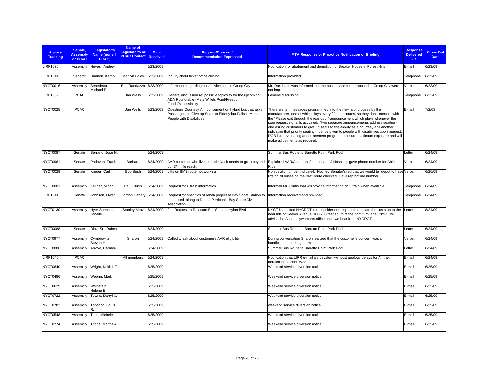| <b>Agency</b><br><b>Tracking</b> | Senate.<br><b>Assembly</b><br>or PCAC | Legislator's<br>Name (none if<br>PCAC) | Name of<br><b>Legislator's or</b><br><b>PCAC Contact Received</b> | <b>Date</b> | <b>Request/Concern/</b><br><b>Recommendation Expressed</b>                                                                                         | <b>MTA Response or Proactive Notification or Briefing</b>                                                                                                                                                                                                                                                                                                                                                                                                                                                                                                                                                                     | <b>Response</b><br><b>Delivered</b><br>Via | <b>Close Out</b><br><b>Date</b> |
|----------------------------------|---------------------------------------|----------------------------------------|-------------------------------------------------------------------|-------------|----------------------------------------------------------------------------------------------------------------------------------------------------|-------------------------------------------------------------------------------------------------------------------------------------------------------------------------------------------------------------------------------------------------------------------------------------------------------------------------------------------------------------------------------------------------------------------------------------------------------------------------------------------------------------------------------------------------------------------------------------------------------------------------------|--------------------------------------------|---------------------------------|
| <b>LIRR1036</b>                  | Assembly                              | Hevesi, Andrew                         |                                                                   | 6/23/2009   |                                                                                                                                                    | Notification for abatement and demolition of Breaker House in Forest Hills                                                                                                                                                                                                                                                                                                                                                                                                                                                                                                                                                    | E-mail                                     | 6/23/09                         |
| <b>LIRR1044</b>                  | Senator                               | Hannon, Kemp                           | Marilyn Foley                                                     | 6/23/2009   | Inquiry about ticket office closing                                                                                                                | Information provided                                                                                                                                                                                                                                                                                                                                                                                                                                                                                                                                                                                                          | Telephone                                  | 6/23/09                         |
| NYCT0016                         | Assembly                              | Benedetto,<br>Michael R.               | Ben Randazzo                                                      | 6/23/2009   | Information regarding bus service cuts in Co-op City                                                                                               | Mr. Randazzo was informed that the bus service cuts proposed in Co-op City were<br>not implemented.                                                                                                                                                                                                                                                                                                                                                                                                                                                                                                                           | Verbal                                     | 6/23/09                         |
| <b>LIRR1039</b>                  | <b>PCAC</b>                           |                                        | Jan Wells                                                         | 6/23/2009   | General discussion re: possible topics to for the upcoming<br>ADA Roundtable -Mets Willets Point/Freedom<br>Funds/Accessibility                    | General discussion                                                                                                                                                                                                                                                                                                                                                                                                                                                                                                                                                                                                            | Telephone                                  | 6/23/09                         |
| NYCT0025                         | <b>PCAC</b>                           |                                        | Jan Wells                                                         | 6/23/2009   | Questions Courtesy Announcement on hybrid bus that asks<br>Passengers to Give up Seats to Elderly but Fails to Mention<br>People with Disabilities | There are ten messages programmed into the new hybrid buses by the<br>manufacturer, one of which plays every fifteen minutes, so they don't interfere with<br>the "Please exit through the rear door" announcement which plays whenever the<br>stop request signal is activated. Two separate announcements address seating -<br>one asking customers to give up seats to the elderly as a courtesy and another<br>indicating that priority seating must be given to people with disabilities upon request.<br>DOB is re-evaluating announcement program to ensure maximum exposure and will<br>make adjustments as required. | E-mail                                     | 7/2/09                          |
| NYCT0087                         | Senate                                | Serrano, Jose M.                       |                                                                   | 6/24/2009   |                                                                                                                                                    | Summer Bus Route to Barretto Point Park Pool                                                                                                                                                                                                                                                                                                                                                                                                                                                                                                                                                                                  | Letter                                     | 6/24/09                         |
| NYCT0981                         | Senate                                | Padavan, Frank                         | Barbara                                                           | 6/24/2009   | AAR customer who lives in Little Neck needs to go to beyond<br>our 3/4 mile reach.                                                                 | Explained AAR/Able transfer point at LIJ Hospital; gave phone number for Able<br>Ride.                                                                                                                                                                                                                                                                                                                                                                                                                                                                                                                                        | Verbal                                     | 6/24/09                         |
| NYCT0029                         | Senate                                | Kruger, Carl                           | <b>Bob Bush</b>                                                   | 6/24/2009   | Lifts on BM3 route not working                                                                                                                     | No specific number indicated. Notified Senator's rep that we would tell depot to have Verbal<br>lifts on all buses on the BM3 route checked. Gave rep hotline number                                                                                                                                                                                                                                                                                                                                                                                                                                                          |                                            | 6/26/09                         |
| NYCT0001                         | Assembly                              | Kellner, Micah                         | Paul Curtis                                                       | 6/24/2009   | Request for F train information                                                                                                                    | Informed Mr. Curtis that will provide information on F train when available.                                                                                                                                                                                                                                                                                                                                                                                                                                                                                                                                                  | Telephone                                  | 6/24/09                         |
| <b>LIRR1041</b>                  | Senate                                | Johnson, Owen                          | Gordon Canary 6/24/2009                                           |             | Request for specifics of rehab project at Bay Shore Station to<br>be passed along to Donna Perriconi - Bay Shore Civic<br>Association              | Information received and provided                                                                                                                                                                                                                                                                                                                                                                                                                                                                                                                                                                                             | Telephone                                  | 6/24/09                         |
| NYCT01301                        | Assembly                              | Hyer-Spencer,<br>Janelle               | <b>Stanley Mroz</b>                                               | 6/24/2009   | 2nd Request to Relocate Bus Stop on Hylan Blvd                                                                                                     | NYCT has asked NYCDOT to reconsider our request to relocate the bus stop to the Letter<br>nearside of Seaver Avenue, 100-200 feet south of the right turn lane. NYCT will<br>advise the Assemblywoman's office once we hear from NYCDOT.                                                                                                                                                                                                                                                                                                                                                                                      |                                            | 8/21/09                         |
| NYCT0088                         | Senate                                | Diaz, Sr., Ruben                       |                                                                   | 6/24/2009   |                                                                                                                                                    | Summer Bus Route to Barretto Point Park Pool                                                                                                                                                                                                                                                                                                                                                                                                                                                                                                                                                                                  | Letter                                     | 6/24/09                         |
| NYCT0977                         | Assembly                              | Cymbrowitz,<br>Steven H.               | Sharon                                                            | 6/24/2009   | Called to ask about customer's AAR eligibility                                                                                                     | During conversation Sharon realized that the customer's concern was a<br>handicapped parking permit                                                                                                                                                                                                                                                                                                                                                                                                                                                                                                                           | Verbal                                     | 6/24/09                         |
| NYCT0086                         | Assembly                              | Arroyo, Carmen                         |                                                                   | 6/24/2009   |                                                                                                                                                    | Summer Bus Route to Barretto Point Park Pool                                                                                                                                                                                                                                                                                                                                                                                                                                                                                                                                                                                  | Letter                                     | 6/24/09                         |
| <b>LIRR1040</b>                  | <b>PCAC</b>                           |                                        | All members                                                       | 6/24/2009   |                                                                                                                                                    | Notification that LIRR e-mail alert system will post apology delays for Amtrak<br>derailment at Penn 6/23                                                                                                                                                                                                                                                                                                                                                                                                                                                                                                                     | E-mail                                     | 6/24/09                         |
| NYCT0840                         | Assembly                              | Wright, Keith L.T.                     |                                                                   | 6/25/2009   |                                                                                                                                                    | Weekend service diversion notice                                                                                                                                                                                                                                                                                                                                                                                                                                                                                                                                                                                              | E-mail                                     | 6/25/09                         |
| NYCT0486                         | Assembly                              | Weprin, Mark                           |                                                                   | 6/25/2009   |                                                                                                                                                    | Weekend service diversion notice                                                                                                                                                                                                                                                                                                                                                                                                                                                                                                                                                                                              | E-mail                                     | 6/25/09                         |
| NYCT0629                         | Assembly                              | Weinstein,<br>Helene E.                |                                                                   | 6/25/2009   |                                                                                                                                                    | Weekend service diversion notice                                                                                                                                                                                                                                                                                                                                                                                                                                                                                                                                                                                              | E-mail                                     | 6/25/09                         |
| NYCT0722                         | Assembly                              | Towns, Darryl C.                       |                                                                   | 6/25/2009   |                                                                                                                                                    | Weekend service diversion notice                                                                                                                                                                                                                                                                                                                                                                                                                                                                                                                                                                                              | E-mail                                     | 6/25/09                         |
| NYCT0782                         | Assembly                              | Tobacco, Louis                         |                                                                   | 6/25/2009   |                                                                                                                                                    | weekend service diversion notice                                                                                                                                                                                                                                                                                                                                                                                                                                                                                                                                                                                              | E-mail                                     | 6/25/09                         |
| NYCT0548                         | Assembly                              | Titus, Michele                         |                                                                   | 6/25/2009   |                                                                                                                                                    | Weekend service diversion notice                                                                                                                                                                                                                                                                                                                                                                                                                                                                                                                                                                                              | E-mail                                     | 6/25/09                         |
| NYCT0774                         |                                       | Assembly Titone, Matthew               |                                                                   | 6/25/2009   |                                                                                                                                                    | Weekend service diversion notice                                                                                                                                                                                                                                                                                                                                                                                                                                                                                                                                                                                              | E-mail                                     | 6/25/09                         |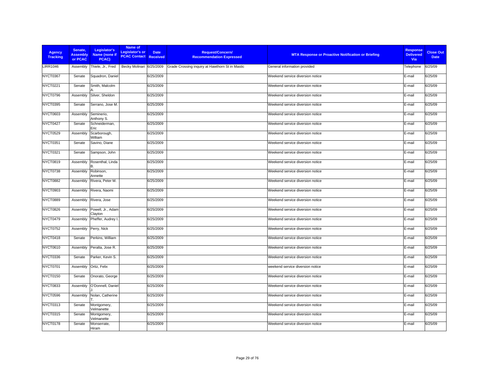| <b>Agency</b><br><b>Tracking</b> | Senate,<br><b>Assembly</b><br>or PCAC | Legislator's<br>Name (none if<br>PCAC) | Name of<br><b>Legislator's or</b><br><b>PCAC Contact Received</b> | <b>Date</b> | <b>Request/Concern/</b><br><b>Recommendation Expressed</b>               | <b>MTA Response or Proactive Notification or Briefing</b> | <b>Response</b><br><b>Delivered</b><br>Via | <b>Close Out</b><br><b>Date</b> |
|----------------------------------|---------------------------------------|----------------------------------------|-------------------------------------------------------------------|-------------|--------------------------------------------------------------------------|-----------------------------------------------------------|--------------------------------------------|---------------------------------|
| <b>LIRR1046</b>                  | Assembly                              | Thiele, Jr., Fred                      |                                                                   |             | Becky Molinari 6/25/2009 Grade Crossing inquiry at Hawthorn St in Mastic | General information provided                              | Telephone                                  | 6/25/09                         |
| NYCT0367                         | Senate                                | Squadron, Daniel                       |                                                                   | 6/25/2009   |                                                                          | Weekend service diversion notice                          | E-mail                                     | 6/25/09                         |
| NYCT0221                         | Senate                                | Smith, Malcolm                         |                                                                   | 6/25/2009   |                                                                          | Weekend service diversion notice                          | E-mail                                     | 6/25/09                         |
| NYCT0796                         | Assembly                              | Silver, Sheldon                        |                                                                   | 6/25/2009   |                                                                          | Weekend service diversion notice                          | E-mail                                     | 6/25/09                         |
| NYCT0395                         | Senate                                | Serrano, Jose M.                       |                                                                   | 6/25/2009   |                                                                          | Weekend service diversion notice                          | E-mail                                     | 6/25/09                         |
| <b>NYCT0603</b>                  | Assembly                              | Seminerio,<br>Anthony S.               |                                                                   | 6/25/2009   |                                                                          | Weekend service diversion notice                          | E-mail                                     | 6/25/09                         |
| NYCT0427                         | Senate                                | Schneiderman,<br>Eric                  |                                                                   | 6/25/2009   |                                                                          | Weekend service diversion notice                          | E-mail                                     | 6/25/09                         |
| NYCT0529                         | Assembly                              | Scarborough,<br>William                |                                                                   | 6/25/2009   |                                                                          | Weekend service diversion notice                          | E-mail                                     | 6/25/09                         |
| <b>NYCT0351</b>                  | Senate                                | Savino, Diane                          |                                                                   | 6/25/2009   |                                                                          | Weekend service diversion notice                          | E-mail                                     | 6/25/09                         |
| <b>NYCT0321</b>                  | Senate                                | Sampson, John                          |                                                                   | 6/25/2009   |                                                                          | Weekend service diversion notice                          | E-mail                                     | 6/25/09                         |
| <b>NYCT0819</b>                  | Assembly                              | Rosenthal, Linda                       |                                                                   | 6/25/2009   |                                                                          | Weekend service diversion notice                          | E-mail                                     | 6/25/09                         |
| NYCT0738                         | Assembly                              | Robinson,<br>Annette                   |                                                                   | 6/25/2009   |                                                                          | Weekend service diversion notice                          | E-mail                                     | 6/25/09                         |
| <b>NYCT0882</b>                  | Assembly                              | Rivera, Peter M.                       |                                                                   | 6/25/2009   |                                                                          | Weekend service diversion notice                          | E-mail                                     | 6/25/09                         |
| NYCT0903                         | Assembly                              | Rivera, Naomi                          |                                                                   | 6/25/2009   |                                                                          | Weekend service diversion notice                          | E-mail                                     | 6/25/09                         |
| <b>NYCT0889</b>                  | Assembly                              | Rivera, Jose                           |                                                                   | 6/25/2009   |                                                                          | Weekend service diversion notice                          | E-mail                                     | 6/25/09                         |
| <b>NYCT0826</b>                  | Assembly                              | Powell, Jr., Adam<br>Clayton           |                                                                   | 6/25/2009   |                                                                          | Weekend service diversion notice                          | E-mail                                     | 6/25/09                         |
| NYCT0479                         | Assembly                              | Pheffer, Audrey I.                     |                                                                   | 6/25/2009   |                                                                          | Weekend service diversion notice                          | E-mail                                     | 6/25/09                         |
| <b>NYCT0752</b>                  | Assembly                              | Perry, Nick                            |                                                                   | 6/25/2009   |                                                                          | Weekend service diversion notice                          | E-mail                                     | 6/25/09                         |
| NYCT0418                         | Senate                                | Perkins, William                       |                                                                   | 6/25/2009   |                                                                          | Weekend service diversion notice                          | E-mail                                     | 6/25/09                         |
| <b>NYCT0610</b>                  | Assembly                              | Peralta, Jose R.                       |                                                                   | 6/25/2009   |                                                                          | Weekend service diversion notice                          | E-mail                                     | 6/25/09                         |
| NYCT0336                         | Senate                                | Parker, Kevin S.                       |                                                                   | 6/25/2009   |                                                                          | Weekend service diversion notice                          | E-mail                                     | 6/25/09                         |
| NYCT0701                         | Assembly                              | Ortiz, Felix                           |                                                                   | 6/25/2009   |                                                                          | weekend service diversion notice                          | E-mail                                     | 6/25/09                         |
| <b>NYCT0150</b>                  | Senate                                | Onorato, George                        |                                                                   | 6/25/2009   |                                                                          | Weekend service diversion notice                          | E-mail                                     | 6/25/09                         |
| <b>NYCT0833</b>                  | Assembly                              | O'Donnell, Daniel                      |                                                                   | 6/25/2009   |                                                                          | Weekend service diversion notice                          | E-mail                                     | 6/25/09                         |
| NYCT0596                         | Assembly                              | Nolan, Catherine                       |                                                                   | 6/25/2009   |                                                                          | Weekend service diversion notice                          | E-mail                                     | 6/25/09                         |
| <b>NYCT0313</b>                  | Senate                                | Montgomery,<br>Velmanette              |                                                                   | 6/25/2009   |                                                                          | Weekend service diversion notice                          | E-mail                                     | 6/25/09                         |
| <b>NYCT0315</b>                  | Senate                                | Montgomery,<br>Velmanette              |                                                                   | 6/25/2009   |                                                                          | Weekend service diversion notice                          | E-mail                                     | 6/25/09                         |
| NYCT0178                         | Senate                                | Monserrate,<br>Hiram                   |                                                                   | 6/25/2009   |                                                                          | Weekend service diversion notice                          | E-mail                                     | 6/25/09                         |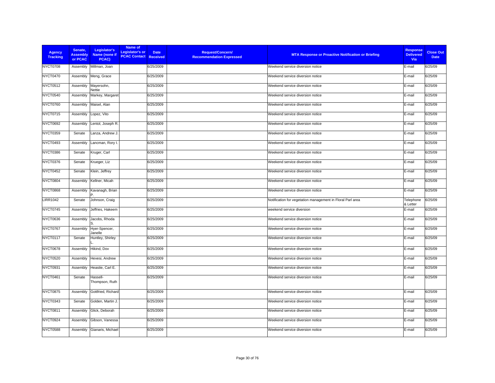| <b>Agency</b><br><b>Tracking</b> | Senate,<br><b>Assembly</b><br>or PCAC | Legislator's<br>Name (none if<br>PCAC) | Name of<br>Legislator's or<br><b>PCAC Contact Received</b> | <b>Date</b> | Request/Concern/<br><b>Recommendation Expressed</b> | <b>MTA Response or Proactive Notification or Briefing</b>  | <b>Response</b><br><b>Delivered</b><br><b>Via</b> | <b>Close Out</b><br><b>Date</b> |
|----------------------------------|---------------------------------------|----------------------------------------|------------------------------------------------------------|-------------|-----------------------------------------------------|------------------------------------------------------------|---------------------------------------------------|---------------------------------|
| NYCT0708                         | Assembly                              | Millman, Joan                          |                                                            | 6/25/2009   |                                                     | Weekend service diversion notice                           | E-mail                                            | 6/25/09                         |
| <b>NYCT0470</b>                  | Assembly                              | Meng, Grace                            |                                                            | 6/25/2009   |                                                     | Weekend service diversion notice                           | E-mail                                            | 6/25/09                         |
| <b>NYCT0512</b>                  | Assembly                              | Mayersohn,<br>Nettie                   |                                                            | 6/25/2009   |                                                     | Weekend service diversion notice                           | E-mail                                            | 6/25/09                         |
| NYCT0540                         | Assembly                              | Markey, Margaret                       |                                                            | 6/25/2009   |                                                     | Weekend service diversion notice                           | E-mail                                            | 6/25/09                         |
| <b>NYCT0760</b>                  | Assembly                              | Maisel, Alan                           |                                                            | 6/25/2009   |                                                     | Weekend service diversion notice                           | E-mail                                            | 6/25/09                         |
| NYCT0715                         | Assembly                              | Lopez, Vito                            |                                                            | 6/25/2009   |                                                     | Weekend service diversion notice                           | E-mail                                            | 6/25/09                         |
| <b>NYCT0692</b>                  | Assembly                              | Lentol, Joseph R.                      |                                                            | 6/25/2009   |                                                     | Weekend service diversion notice                           | E-mail                                            | 6/25/09                         |
| NYCT0359                         | Senate                                | Lanza, Andrew J.                       |                                                            | 6/25/2009   |                                                     | Weekend service diversion notice                           | E-mail                                            | 6/25/09                         |
| <b>NYCT0493</b>                  | Assembly                              | Lancman, Rory I.                       |                                                            | 6/25/2009   |                                                     | Weekend service diversion notice                           | E-mail                                            | 6/25/09                         |
| NYCT0386                         | Senate                                | Kruger, Carl                           |                                                            | 6/25/2009   |                                                     | Weekend service diversion notice                           | E-mail                                            | 6/25/09                         |
| NYCT0376                         | Senate                                | Krueger, Liz                           |                                                            | 6/25/2009   |                                                     | Weekend service diversion notice                           | E-mail                                            | 6/25/09                         |
| NYCT0452                         | Senate                                | Klein, Jeffrey                         |                                                            | 6/25/2009   |                                                     | Weekend service diversion notice                           | E-mail                                            | 6/25/09                         |
| <b>NYCT0804</b>                  | Assembly                              | Kellner, Micah                         |                                                            | 6/25/2009   |                                                     | Weekend service diversion notice                           | E-mail                                            | 6/25/09                         |
| <b>NYCT0868</b>                  | Assembly                              | Kavanagh, Brian                        |                                                            | 6/25/2009   |                                                     | Weekend service diversion notice                           | E-mail                                            | 6/25/09                         |
| <b>LIRR1042</b>                  | Senate                                | Johnson, Craig                         |                                                            | 6/25/2009   |                                                     | Notification for vegetation management in Floral Parl area | Telephone<br>& Letter                             | 6/25/09                         |
| NYCT0745                         | Assembly                              | Jeffries, Hakeem                       |                                                            | 6/25/2009   |                                                     | weekend service diversion                                  | E-mail                                            | 6/25/09                         |
| NYCT0636                         | Assembly                              | Jacobs, Rhoda                          |                                                            | 6/25/2009   |                                                     | Weekend service diversion notice                           | E-mail                                            | 6/25/09                         |
| NYCT0767                         | Assembly                              | Hyer-Spencer,<br>Janelle               |                                                            | 6/25/2009   |                                                     | Weekend service diversion notice                           | E-mail                                            | 6/25/09                         |
| NYCT0117                         | Senate                                | Huntley, Shirley                       |                                                            | 6/25/2009   |                                                     | Weekend service diversion notice                           | E-mail                                            | 6/25/09                         |
| NYCT0678                         | Assembly                              | Hikind, Dov                            |                                                            | 6/25/2009   |                                                     | Weekend service diversion notice                           | E-mail                                            | 6/25/09                         |
| <b>NYCT0520</b>                  | Assembly                              | Hevesi, Andrew                         |                                                            | 6/25/2009   |                                                     | Weekend service diversion notice                           | E-mail                                            | 6/25/09                         |
| NYCT0931                         | Assembly                              | Heastie, Carl E.                       |                                                            | 6/25/2009   |                                                     | Weekend service diversion notice                           | E-mail                                            | 6/25/09                         |
| NYCT0461                         | Senate                                | Hassell-<br>Thompson, Ruth             |                                                            | 6/25/2009   |                                                     | Weekend service diversion notice                           | E-mail                                            | 6/25/09                         |
| <b>NYCT0875</b>                  | Assembly                              | Gottfried, Richard                     |                                                            | 6/25/2009   |                                                     | Weekend service diversion notice                           | E-mail                                            | 6/25/09                         |
| NYCT0343                         | Senate                                | Golden, Martin J                       |                                                            | 6/25/2009   |                                                     | Weekend service diversion notice                           | E-mail                                            | 6/25/09                         |
| <b>NYCT0811</b>                  | Assembly                              | Glick, Deborah                         |                                                            | 6/25/2009   |                                                     | Weekend service diversion notice                           | E-mail                                            | 6/25/09                         |
| NYCT0924                         | Assembly                              | Gibson, Vanessa                        |                                                            | 6/25/2009   |                                                     | Weekend service diversion notice                           | E-mail                                            | 6/25/09                         |
| <b>NYCT0588</b>                  | Assembly                              | Gianaris, Michael                      |                                                            | 6/25/2009   |                                                     | Weekend service diversion notice                           | E-mail                                            | 6/25/09                         |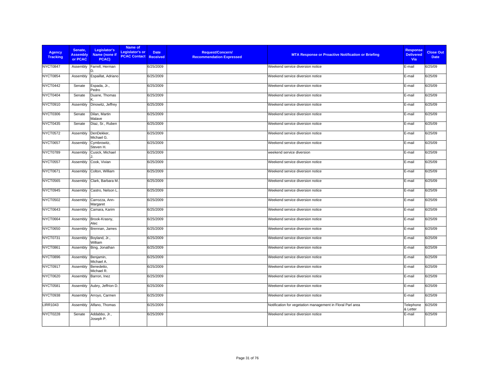| <b>Agency</b><br><b>Tracking</b> | Senate,<br><b>Assembly</b><br>or PCAC | Legislator's<br>Name (none if<br>PCAC) | Name of<br>Legislator's or<br><b>PCAC Contact Received</b> | <b>Request/Concern/</b><br><b>Date</b><br><b>Recommendation Expressed</b> | <b>MTA Response or Proactive Notification or Briefing</b>  | <b>Response</b><br><b>Delivered</b><br>Via | <b>Close Out</b><br><b>Date</b> |
|----------------------------------|---------------------------------------|----------------------------------------|------------------------------------------------------------|---------------------------------------------------------------------------|------------------------------------------------------------|--------------------------------------------|---------------------------------|
| NYCT0847                         | Assembly                              | Farrell, Herman<br>D.                  |                                                            | 6/25/2009                                                                 | Weekend service diversion notice                           | E-mail                                     | 6/25/09                         |
| NYCT0854                         | Assembly                              | Espaillat, Adriano                     |                                                            | 6/25/2009                                                                 | Weekend service diversion notice                           | E-mail                                     | 6/25/09                         |
| NYCT0442                         | Senate                                | Espada, Jr.,<br>Pedro                  |                                                            | 6/25/2009                                                                 | Weekend service diversion notice                           | E-mail                                     | 6/25/09                         |
| NYCT0404                         | Senate                                | Duane, Thomas                          |                                                            | 6/25/2009                                                                 | Weekend service diversion notice                           | E-mail                                     | 6/25/09                         |
| <b>NYCT0910</b>                  | Assembly                              | Dinowitz, Jeffrey                      |                                                            | 6/25/2009                                                                 | Weekend service diversion notice                           | E-mail                                     | 6/25/09                         |
| <b>NYCT0306</b>                  | Senate                                | Dilan, Martin<br>Malave                |                                                            | 6/25/2009                                                                 | Weekend service diversion notice                           | E-mail                                     | 6/25/09                         |
| <b>NYCT0435</b>                  | Senate                                | Diaz, Sr., Ruben                       |                                                            | 6/25/2009                                                                 | Weekend service diversion notice                           | E-mail                                     | 6/25/09                         |
| <b>NYCT0572</b>                  | Assembly                              | DenDekker,<br>Michael G.               |                                                            | 6/25/2009                                                                 | Weekend service diversion notice                           | E-mail                                     | 6/25/09                         |
| <b>NYCT0657</b>                  | Assembly                              | Cymbrowitz,<br>Steven H.               |                                                            | 6/25/2009                                                                 | Weekend service diversion notice                           | E-mail                                     | 6/25/09                         |
| NYCT0789                         | Assembly                              | Cusick, Michael                        |                                                            | 6/25/2009                                                                 | weekend service diversion                                  | E-mail                                     | 6/25/09                         |
| <b>NYCT0557</b>                  | Assembly                              | Cook, Vivian                           |                                                            | 6/25/2009                                                                 | Weekend service diversion notice                           | E-mail                                     | 6/25/09                         |
| NYCT0671                         | Assembly                              | Colton, William                        |                                                            | 6/25/2009                                                                 | Weekend service diversion notice                           | E-mail                                     | 6/25/09                         |
| <b>NYCT0565</b>                  | Assembly                              | Clark, Barbara M.                      |                                                            | 6/25/2009                                                                 | Weekend service diversion notice                           | E-mail                                     | 6/25/09                         |
| NYCT0945                         | Assembly                              | Castro, Nelson L.                      |                                                            | 6/25/2009                                                                 | Weekend service diversion notice                           | E-mail                                     | 6/25/09                         |
| <b>NYCT0502</b>                  | Assembly                              | Carrozza, Ann-<br>Margaret             |                                                            | 6/25/2009                                                                 | Weekend service diversion notice                           | E-mail                                     | 6/25/09                         |
| <b>NYCT0643</b>                  | Assembly                              | Camara, Karim                          |                                                            | 6/25/2009                                                                 | Weekend service diversion notice                           | E-mail                                     | 6/25/09                         |
| NYCT0664                         | Assembly                              | Brook-Krasny,<br>Alec                  |                                                            | 6/25/2009                                                                 | Weekend service diversion notice                           | E-mail                                     | 6/25/09                         |
| <b>NYCT0650</b>                  | Assembly                              | Brennan, James                         |                                                            | 6/25/2009                                                                 | Weekend service diversion notice                           | E-mail                                     | 6/25/09                         |
| NYCT0731                         | Assembly                              | Boyland, Jr.,<br>William               |                                                            | 6/25/2009                                                                 | Weekend service diversion notice                           | E-mail                                     | 6/25/09                         |
| <b>NYCT0861</b>                  | Assembly                              | Bing, Jonathan                         |                                                            | 6/25/2009                                                                 | Weekend service diversion notice                           | E-mail                                     | 6/25/09                         |
| <b>NYCT0896</b>                  | Assembly                              | Benjamin,<br>Michael A.                |                                                            | 6/25/2009                                                                 | Weekend service diversion notice                           | E-mail                                     | 6/25/09                         |
| NYCT0917                         | Assembly                              | Benedetto.<br>Michael R.               |                                                            | 6/25/2009                                                                 | Weekend service diversion notice                           | E-mail                                     | 6/25/09                         |
| <b>NYCT0620</b>                  | Assembly                              | Barron, Inez                           |                                                            | 6/25/2009                                                                 | Weekend service diversion notice                           | E-mail                                     | 6/25/09                         |
| <b>NYCT0581</b>                  | Assembly                              | Aubry, Jeffrion D.                     |                                                            | 6/25/2009                                                                 | Weekend service diversion notice                           | E-mail                                     | 6/25/09                         |
| NYCT0938                         | Assembly                              | Arroyo, Carmen                         |                                                            | 6/25/2009                                                                 | Weekend service diversion notice                           | E-mail                                     | 6/25/09                         |
| <b>LIRR1043</b>                  | Assembly                              | Alfano, Thomas                         |                                                            | 6/25/2009                                                                 | Notification for vegetation management in Floral Parl area | Telephone<br>& Letter                      | 6/25/09                         |
| <b>NYCT0228</b>                  | Senate                                | Addabbo, Jr.,<br>Joseph P.             |                                                            | 6/25/2009                                                                 | Weekend service diversion notice                           | E-mail                                     | 6/25/09                         |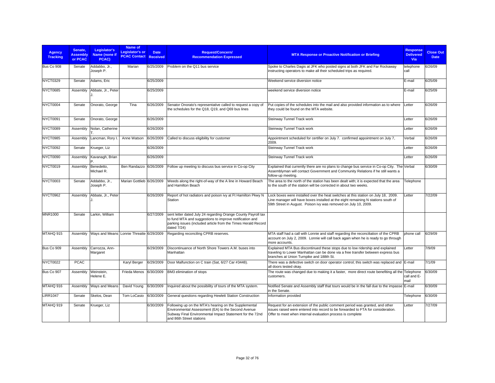| <b>Agency</b><br><b>Tracking</b> | Senate.<br><b>Assembly</b><br>or PCAC | Legislator's<br>Name (none if<br>PCAC)   | Name of<br><b>Legislator's or</b><br><b>PCAC Contact</b> | <b>Date</b><br><b>Received</b> | <b>Request/Concern/</b><br><b>Recommendation Expressed</b>                                                                                                                                               | <b>MTA Response or Proactive Notification or Briefing</b>                                                                                                                                                                                  | <b>Response</b><br><b>Delivered</b><br>Via | <b>Close Out</b><br><b>Date</b> |
|----------------------------------|---------------------------------------|------------------------------------------|----------------------------------------------------------|--------------------------------|----------------------------------------------------------------------------------------------------------------------------------------------------------------------------------------------------------|--------------------------------------------------------------------------------------------------------------------------------------------------------------------------------------------------------------------------------------------|--------------------------------------------|---------------------------------|
| Bus Co 908                       | Senate                                | Addabbo, Jr.,<br>Joseph P.               | Marian                                                   | 6/25/2009                      | Problem on the Q11 bus service                                                                                                                                                                           | Spoke to Charles Dagis at JFK who posted signs at both JFK and Far Rockaway<br>instructing operators to make all their scheduled trips as required.                                                                                        | telephone<br>call                          | 6/26/09                         |
| NYCT0329                         | Senate                                | Adams, Eric                              |                                                          | 6/25/2009                      |                                                                                                                                                                                                          | Weekend service diversion notice                                                                                                                                                                                                           | E-mail                                     | 6/25/09                         |
| NYCT0685                         | Assembly                              | Abbate, Jr., Peter                       |                                                          | 6/25/2009                      |                                                                                                                                                                                                          | weekend service diversion notice                                                                                                                                                                                                           | E-mail                                     | 6/25/09                         |
| NYCT0004                         | Senate                                | Onorato, George                          | Tina                                                     | 6/26/2009                      | Senator Onorato's representative called to request a copy of<br>the schedules for the Q18, Q19, and Q69 bus lines                                                                                        | Put copies of the schedules into the mail and also provided information as to where<br>they could be found on the MTA website.                                                                                                             | Letter                                     | 6/26/09                         |
| NYCT0091                         | Senate                                | Onorato, George                          |                                                          | 6/26/2009                      |                                                                                                                                                                                                          | Steinway Tunnel Track work                                                                                                                                                                                                                 | Letter                                     | 6/26/09                         |
| NYCT0089                         | Assembly                              | Nolan, Catherine                         |                                                          | 6/26/2009                      |                                                                                                                                                                                                          | Steinway Tunnel Track work                                                                                                                                                                                                                 | Letter                                     | 6/26/09                         |
| NYCT0985                         | Assembly                              | Lancman, Rory I.                         | Anne Watson                                              | 6/26/2009                      | Called to discuss eligibility for customer                                                                                                                                                               | Appointment scheduled for certifier on July 7. confirmed appointment on July 7,<br>2009.                                                                                                                                                   | Verbal                                     | 6/26/09                         |
| NYCT0092                         | Senate                                | Krueger, Liz                             |                                                          | 6/26/2009                      |                                                                                                                                                                                                          | Steinway Tunnel Track work                                                                                                                                                                                                                 | Letter                                     | 6/26/09                         |
| NYCT0090                         | Assembly                              | Kavanagh, Brian                          |                                                          | 6/26/2009                      |                                                                                                                                                                                                          | Steinway Tunnel Track work                                                                                                                                                                                                                 | Letter                                     | 6/26/09                         |
| NYCT0019                         | Assembly                              | Benedetto,<br>Michael R.                 | Ben Randazzo 6/26/2009                                   |                                | Follow up meeting to discuss bus service in Co-op City                                                                                                                                                   | Explained that currently there are no plans to change bus service in Co-op City. The Verbal<br>Assemblyman will contact Government and Community Relations if he still wants a<br>follow-up meeting.                                       |                                            | 6/30/09                         |
| NYCT0003                         | Senate                                | Addabbo, Jr.,<br>Joseph P.               | Marian Gottlieb 6/26/2009                                |                                | Weeds along the right-of-way of the A line in Howard Beach<br>and Hamilton Beach                                                                                                                         | The area to the north of the station has been dealt with; it is expected that the area<br>to the south of the station will be corrected in about two weeks.                                                                                | Telephone                                  |                                 |
| NYCT0962                         | Assembly                              | Abbate, Jr., Peter                       |                                                          | 6/26/2009                      | Report of hot radiators and poison ivy at Ft Hamilton Pkwy N<br>Station                                                                                                                                  | Lock boxes were installed over the heat switches at this station on July 18, 2009.<br>Line manager will have boxes installed at the eight remaining N stations south of<br>59th Street in August. Poison ivy was removed on July 10, 2009. | Letter                                     | 7/22/09                         |
| <b>MNR1000</b>                   | Senate                                | Larkin, William                          |                                                          | 6/27/2009                      | sent letter dated July 24 regarding Orange County Payroll tax<br>to fund MTA and suggestions to improve notification and<br>parking issues (included article from the Times Herald Record<br>dated 7/24) |                                                                                                                                                                                                                                            |                                            |                                 |
| MTAHQ 915                        | Assembly                              | Ways and Means Lonnie Threatte 6/29/2009 |                                                          |                                | Regarding reconciling CPRB reserves.                                                                                                                                                                     | MTA staff had a call with Lonnie and staff regarding the reconciliation of the CPRB<br>account on July 2, 2009. Lonnie will call back again when he is ready to go through<br>more accounts.                                               | phone call                                 | 6/29/09                         |
| Bus Co 909                       | Assembly                              | Carrozza, Ann-<br>Margaret               |                                                          | 6/29/2009                      | Discontinuance of North Shore Towers A.M. buses into<br>Manhattan                                                                                                                                        | Explained MTA Bus discontinued these stops due to low ridership and explained<br>traveling to Lower Manhattan can be done via a free transfer between express bus<br>branches at Union Turnpike and 188th St.                              | Letter                                     | 7/9/09                          |
| <b>NYCT0022</b>                  | <b>PCAC</b>                           |                                          | Karyl Berger                                             | 6/29/2009                      | Door Malfunction on C train (Sat, 6/27 Car #3448).                                                                                                                                                       | There was a defective switch on door operator control; this switch was replaced and E-mail<br>all doors tested okav.                                                                                                                       |                                            | 7/1/09                          |
| Bus Co 907                       | Assembly                              | Weinstein,<br>Helene E.                  | Frieda Menos                                             | 6/30/2009                      | BM3 elimination of stops                                                                                                                                                                                 | The route was changed due to making it a faster, more direct route benefiting all the Telephone<br>customers.                                                                                                                              | call and E-<br>mail                        | 6/30/09                         |
| MTAHQ 916                        | Assembly                              | Ways and Means                           | David Young                                              | 6/30/2009                      | Inquired about the possibility of tours of the MTA system.                                                                                                                                               | Notified Senate and Assembly staff that tours would be in the fall due to the impasse E-mail<br>in the Senate.                                                                                                                             |                                            | 6/30/09                         |
| <b>LIRR1047</b>                  | Senate                                | Skelos, Dean                             | Tom LoCasio                                              | 6/30/2009                      | General questions regarding Hewlett Station Construction                                                                                                                                                 | Information provided                                                                                                                                                                                                                       | Telephone                                  | 6/30/09                         |
| MTAHQ 919                        | Senate                                | Krueger, Liz                             |                                                          | 6/30/2009                      | Following up on the MTA's hearing on the Supplemental<br>Environmental Assessment (EA) to the Second Avenue<br>Subway Final Environmental Impact Statement for the 72nd<br>and 86th Street stations      | Request for an extension of the public comment period was granted, and other<br>issues raised were entered into record to be forwarded to FTA for consideration.<br>Offer to meet when internal evaluation process is complete             | Letter                                     | 7/27/09                         |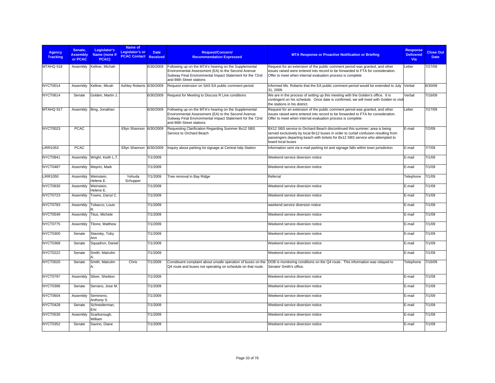| Agency<br><b>Tracking</b> | Senate.<br><b>Assembly</b><br>or PCAC | Legislator's<br>Name (none if<br>PCAC) | Name of<br>Legislator's or<br><b>PCAC Contact Received</b> | <b>Date</b> | Request/Concern/<br><b>Recommendation Expressed</b>                                                                                                                                                 | <b>MTA Response or Proactive Notification or Briefing</b>                                                                                                                                                                                                              | <b>Response</b><br><b>Delivered</b><br>Via | <b>Close Out</b><br><b>Date</b> |
|---------------------------|---------------------------------------|----------------------------------------|------------------------------------------------------------|-------------|-----------------------------------------------------------------------------------------------------------------------------------------------------------------------------------------------------|------------------------------------------------------------------------------------------------------------------------------------------------------------------------------------------------------------------------------------------------------------------------|--------------------------------------------|---------------------------------|
| MTAHQ 918                 | Assembly                              | Kellner, Michah                        |                                                            | 6/30/2009   | Following up on the MTA's hearing on the Supplemental<br>Environmental Assessment (EA) to the Second Avenue<br>Subway Final Environmental Impact Statement for the 72nd<br>and 86th Street stations | Request for an extension of the public comment period was granted, and other<br>issues raised were entered into record to be forwarded to FTA for consideration.<br>Offer to meet when internal evaluation process is complete                                         | Letter                                     | 7/27/09                         |
| NYCT0014                  | Assembly                              | Kellner, Micah                         | Ashley Roberts 6/30/2009                                   |             | Request extension on SAS EA public comment period.                                                                                                                                                  | Informed Ms. Roberts that the EA public comment period would be extended to July Verbal<br>31.2009.                                                                                                                                                                    |                                            | 6/30/09                         |
| NYCT0614                  | Senate                                | Golden, Martin J.                      |                                                            | 6/30/2009   | Request for Meeting to Discuss R Line conditions                                                                                                                                                    | We are in the process of setting up this meeting with the Golden's office. It is<br>contingent on his schedule. Once date is confirmed, we will meet with Golden to visit<br>the stations in his district.                                                             | Verbal                                     | 7/16/09                         |
| MTAHQ 917                 | Assembly                              | Bing, Jonathan                         |                                                            | 6/30/2009   | Following up on the MTA's hearing on the Supplemental<br>Environmental Assessment (EA) to the Second Avenue<br>Subway Final Environmental Impact Statement for the 72nd<br>and 86th Street stations | Request for an extension of the public comment period was granted, and other<br>issues raised were entered into record to be forwarded to FTA for consideration.<br>Offer to meet when internal evaluation process is complete                                         | Letter                                     | 7/27/09                         |
| NYCT0023                  | <b>PCAC</b>                           |                                        | Ellyn Shannon 6/30/2009                                    |             | Requesting Clarification Regarding Summer Bx12 SBS<br>Service to Orchard Beach                                                                                                                      | BX12 SBS service to Orchard Beach discontinued this summer; area is being<br>served exclusively by local Bx12 buses in order to curtail confusion resulting from<br>passengers departing beach with tickets for Bx12 SBS service who attempted to<br>board local buses | E-mail                                     | 7/2/09                          |
| <b>LIRR1053</b>           | <b>PCAC</b>                           |                                        | Ellyn Shannon 6/30/2009                                    |             | Inquiry about parking lot signage at Central Islip Station                                                                                                                                          | Information sent via e-mail parking lot and signage falls within town jurisdiction                                                                                                                                                                                     | E-mail                                     | 7/7/09                          |
| NYCT0841                  | Assembly                              | Wright, Keith L.T.                     |                                                            | 7/1/2009    |                                                                                                                                                                                                     | Weekend service diversion notice                                                                                                                                                                                                                                       | E-mail                                     | 7/1/09                          |
| NYCT0487                  | Assembly                              | Weprin, Mark                           |                                                            | 7/1/2009    |                                                                                                                                                                                                     | Weekend service diversion notice                                                                                                                                                                                                                                       | E-mail                                     | 7/1/09                          |
| <b>LIRR1050</b>           | Assembly                              | Weinstein,<br>Helene E.                | Yehuda<br>Schupper                                         | 7/1/2009    | Tree removal in Bay Ridge                                                                                                                                                                           | Referral                                                                                                                                                                                                                                                               | Telephone                                  | 7/1/09                          |
| <b>NYCT0630</b>           | Assembly                              | Weinstein.<br>Helene E.                |                                                            | 7/1/2009    |                                                                                                                                                                                                     | Weekend service diversion notice                                                                                                                                                                                                                                       | E-mail                                     | 7/1/09                          |
| NYCT0723                  | Assembly                              | Towns, Darryl C.                       |                                                            | 7/1/2009    |                                                                                                                                                                                                     | Weekend service diversion notice                                                                                                                                                                                                                                       | E-mail                                     | 7/1/09                          |
| NYCT0783                  | Assembly                              | Tobacco, Louis                         |                                                            | 7/1/2009    |                                                                                                                                                                                                     | weekend service diversion notice                                                                                                                                                                                                                                       | E-mail                                     | 7/1/09                          |
| NYCT0549                  | Assembly                              | Titus, Michele                         |                                                            | 7/1/2009    |                                                                                                                                                                                                     | Weekend service diversion notice                                                                                                                                                                                                                                       | E-mail                                     | 7/1/09                          |
| NYCT0775                  | Assembly                              | Titone, Matthew                        |                                                            | 7/1/2009    |                                                                                                                                                                                                     | Weekend service diversion notice                                                                                                                                                                                                                                       | E-mail                                     | 7/1/09                          |
| NYCT0300                  | Senate                                | Stavisky, Toby<br>Ann                  |                                                            | 7/1/2009    |                                                                                                                                                                                                     | Weekend service diversion notice                                                                                                                                                                                                                                       | E-mail                                     | 7/1/09                          |
| NYCT0368                  | Senate                                | Squadron, Daniel                       |                                                            | 7/1/2009    |                                                                                                                                                                                                     | Weekend service diversion notice                                                                                                                                                                                                                                       | E-mail                                     | 7/1/09                          |
| NYCT0222                  | Senate                                | Smith, Malcolm                         |                                                            | 7/1/2009    |                                                                                                                                                                                                     | Weekend service diversion notice                                                                                                                                                                                                                                       | E-mail                                     | 7/1/09                          |
| NYCT0020                  | Senate                                | Smith, Malcolm<br>А.                   | Chris                                                      | 7/1/2009    | Q4 route and buses not operating on schedule on that route.                                                                                                                                         | Constituent complaint about unsafe operation of buses on the DOB is monitoring conditions on the Q4 route. This information was relayed to<br>Senator Smith's office.                                                                                                  | Telephone                                  | 7/16/09                         |
| NYCT0797                  | Assembly                              | Silver, Sheldon                        |                                                            | 7/1/2009    |                                                                                                                                                                                                     | Weekend service diversion notice                                                                                                                                                                                                                                       | E-mail                                     | 7/1/09                          |
| NYCT0396                  | Senate                                | Serrano, Jose M.                       |                                                            | 7/1/2009    |                                                                                                                                                                                                     | Weekend service diversion notice                                                                                                                                                                                                                                       | E-mail                                     | 7/1/09                          |
| NYCT0604                  | Assembly                              | Seminerio,<br>Anthony S.               |                                                            | 7/1/2009    |                                                                                                                                                                                                     | Weekend service diversion notice                                                                                                                                                                                                                                       | E-mail                                     | 7/1/09                          |
| NYCT0428                  | Senate                                | Schneiderman,<br>Eric                  |                                                            | 7/1/2009    |                                                                                                                                                                                                     | Weekend service diversion notice                                                                                                                                                                                                                                       | E-mail                                     | 7/1/09                          |
| <b>NYCT0530</b>           | Assembly                              | Scarborough,<br>William                |                                                            | 7/1/2009    |                                                                                                                                                                                                     | Weekend service diversion notice                                                                                                                                                                                                                                       | E-mail                                     | 7/1/09                          |
| NYCT0352                  | Senate                                | Savino, Diane                          |                                                            | 7/1/2009    |                                                                                                                                                                                                     | Weekend service diversion notice                                                                                                                                                                                                                                       | E-mail                                     | 7/1/09                          |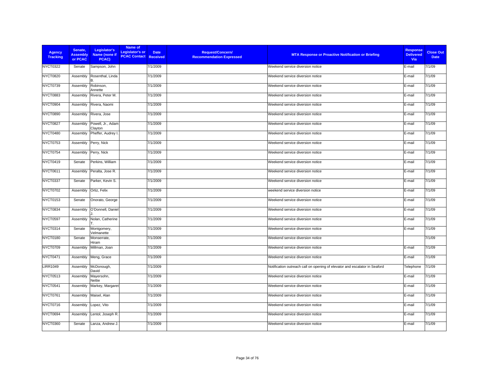| <b>Agency</b><br><b>Tracking</b> | Senate,<br><b>Assembly</b><br>or PCAC | Legislator's<br>Name (none if<br>PCAC) | Name of<br>Legislator's or<br><b>PCAC Contact Received</b> | <b>Date</b> | <b>Request/Concern/</b><br><b>Recommendation Expressed</b> | <b>MTA Response or Proactive Notification or Briefing</b>                  | <b>Response</b><br><b>Delivered</b><br>Via | <b>Close Out</b><br><b>Date</b> |
|----------------------------------|---------------------------------------|----------------------------------------|------------------------------------------------------------|-------------|------------------------------------------------------------|----------------------------------------------------------------------------|--------------------------------------------|---------------------------------|
| <b>NYCT0322</b>                  | Senate                                | Sampson, John                          |                                                            | 7/1/2009    |                                                            | Weekend service diversion notice                                           | E-mail                                     | 7/1/09                          |
| <b>NYCT0820</b>                  | Assembly                              | Rosenthal, Linda                       |                                                            | 7/1/2009    |                                                            | Weekend service diversion notice                                           | E-mail                                     | 7/1/09                          |
| NYCT0739                         | Assembly                              | Robinson,<br>Annette                   |                                                            | 7/1/2009    |                                                            | Weekend service diversion notice                                           | E-mail                                     | 7/1/09                          |
| <b>NYCT0883</b>                  | Assembly                              | Rivera, Peter M.                       |                                                            | 7/1/2009    |                                                            | Weekend service diversion notice                                           | E-mail                                     | 7/1/09                          |
| NYCT0904                         | Assembly                              | Rivera, Naomi                          |                                                            | 7/1/2009    |                                                            | Weekend service diversion notice                                           | E-mail                                     | 7/1/09                          |
| <b>NYCT0890</b>                  | Assembly                              | Rivera, Jose                           |                                                            | 7/1/2009    |                                                            | Weekend service diversion notice                                           | E-mail                                     | 7/1/09                          |
| NYCT0827                         | Assembly                              | Powell, Jr., Adam<br>Clayton           |                                                            | 7/1/2009    |                                                            | Weekend service diversion notice                                           | E-mail                                     | 7/1/09                          |
| NYCT0480                         | Assembly                              | Pheffer, Audrey I.                     |                                                            | 7/1/2009    |                                                            | Weekend service diversion notice                                           | E-mail                                     | 7/1/09                          |
| <b>NYCT0753</b>                  | Assembly                              | Perry, Nick                            |                                                            | 7/1/2009    |                                                            | Weekend service diversion notice                                           | E-mail                                     | 7/1/09                          |
| NYCT0754                         | Assembly                              | Perry, Nick                            |                                                            | 7/1/2009    |                                                            | Weekend service diversion notice                                           | E-mail                                     | 7/1/09                          |
| NYCT0419                         | Senate                                | Perkins. William                       |                                                            | 7/1/2009    |                                                            | Weekend service diversion notice                                           | E-mail                                     | 7/1/09                          |
| <b>NYCT0611</b>                  | Assembly                              | Peralta, Jose R.                       |                                                            | 7/1/2009    |                                                            | Weekend service diversion notice                                           | E-mail                                     | 7/1/09                          |
| NYCT0337                         | Senate                                | Parker, Kevin S.                       |                                                            | 7/1/2009    |                                                            | Weekend service diversion notice                                           | E-mail                                     | 7/1/09                          |
| NYCT0702                         | Assembly                              | Ortiz, Felix                           |                                                            | 7/1/2009    |                                                            | weekend service diversion notice                                           | E-mail                                     | 7/1/09                          |
| <b>NYCT0153</b>                  | Senate                                | Onorato, George                        |                                                            | 7/1/2009    |                                                            | Weekend service diversion notice                                           | E-mail                                     | 7/1/09                          |
| NYCT0834                         | Assembly                              | O'Donnell, Daniel                      |                                                            | 7/1/2009    |                                                            | Weekend service diversion notice                                           | E-mail                                     | 7/1/09                          |
| <b>NYCT0597</b>                  | Assembly                              | Nolan, Catherine                       |                                                            | 7/1/2009    |                                                            | Weekend service diversion notice                                           | E-mail                                     | 7/1/09                          |
| <b>NYCT0314</b>                  | Senate                                | Montgomery,<br>Velmanette              |                                                            | 7/1/2009    |                                                            | Weekend service diversion notice                                           | E-mail                                     | 7/1/09                          |
| <b>NYCT0180</b>                  | Senate                                | Monserrate,<br>Hiram                   |                                                            | 7/1/2009    |                                                            | Weekend service diversion notice                                           |                                            | 7/1/09                          |
| NYCT0709                         | Assembly                              | Millman, Joan                          |                                                            | 7/1/2009    |                                                            | Weekend service diversion notice                                           | E-mail                                     | 7/1/09                          |
| NYCT0471                         | Assembly                              | Meng, Grace                            |                                                            | 7/1/2009    |                                                            | Weekend service diversion notice                                           | E-mail                                     | 7/1/09                          |
| <b>LIRR1049</b>                  | Assembly                              | McDonough,<br>David                    |                                                            | 7/1/2009    |                                                            | Notification outreach call on opening of elevator and escalator in Seaford | Telephone                                  | 7/1/09                          |
| NYCT0513                         | Assembly                              | Mayersohn,<br>Nettie                   |                                                            | 7/1/2009    |                                                            | Weekend service diversion notice                                           | E-mail                                     | 7/1/09                          |
| NYCT0541                         | Assembly                              | Markey, Margaret                       |                                                            | 7/1/2009    |                                                            | Weekend service diversion notice                                           | E-mail                                     | 7/1/09                          |
| NYCT0761                         | Assembly                              | Maisel, Alan                           |                                                            | 7/1/2009    |                                                            | Weekend service diversion notice                                           | E-mail                                     | 7/1/09                          |
| NYCT0716                         | Assembly                              | Lopez, Vito                            |                                                            | 7/1/2009    |                                                            | Weekend service diversion notice                                           | E-mail                                     | 7/1/09                          |
| NYCT0694                         | Assembly                              | Lentol, Joseph R.                      |                                                            | 7/1/2009    |                                                            | Weekend service diversion notice                                           | E-mail                                     | 7/1/09                          |
| <b>NYCT0360</b>                  | Senate                                | Lanza, Andrew J.                       |                                                            | 7/1/2009    |                                                            | Weekend service diversion notice                                           | E-mail                                     | 7/1/09                          |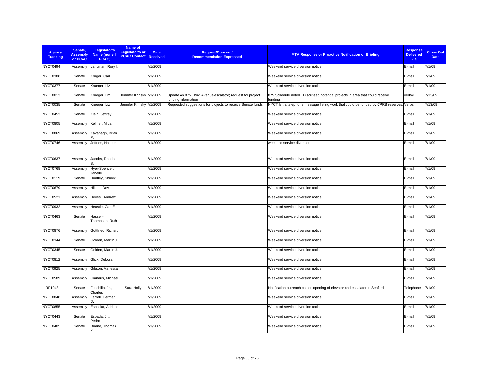| <b>Agency</b><br><b>Tracking</b> | Senate.<br><b>Assembly</b><br>or PCAC | Legislator's<br>Name (none if<br>PCAC) | Name of<br><b>Legislator's or</b><br><b>PCAC Contact Received</b> | <b>Date</b> | Request/Concern/<br><b>Recommendation Expressed</b>                              | <b>MTA Response or Proactive Notification or Briefing</b>                                | <b>Response</b><br><b>Delivered</b><br><b>Via</b> | <b>Close Out</b><br><b>Date</b> |
|----------------------------------|---------------------------------------|----------------------------------------|-------------------------------------------------------------------|-------------|----------------------------------------------------------------------------------|------------------------------------------------------------------------------------------|---------------------------------------------------|---------------------------------|
| NYCT0494                         | Assembly                              | Lancman, Rory I.                       |                                                                   | 7/1/2009    |                                                                                  | Weekend service diversion notice                                                         | E-mail                                            | 7/1/09                          |
| <b>NYCT0388</b>                  | Senate                                | Kruger, Carl                           |                                                                   | 7/1/2009    |                                                                                  | Weekend service diversion notice                                                         | E-mail                                            | 7/1/09                          |
| NYCT0377                         | Senate                                | Krueger, Liz                           |                                                                   | 7/1/2009    |                                                                                  | Weekend service diversion notice                                                         | E-mail                                            | 7/1/09                          |
| NYCT0013                         | Senate                                | Krueger, Liz                           | Jennifer Krinsky 7/1/2009                                         |             | Update on 875 Third Avenue escalator; request for project<br>funding information | 875 Schedule noted. Discussed potential projects in area that could receive<br>funding.  | verbal                                            | 7/13/09                         |
| <b>NYCT0035</b>                  | Senate                                | Krueger, Liz                           | Jennifer Krinsky 7/1/2009                                         |             | Requested suggestions for projects to receive Senate funds                       | NYCT left a telephone message listing work that could be funded by CPRB reserves. Verbal |                                                   | 7/13/09                         |
| NYCT0453                         | Senate                                | Klein, Jeffrey                         |                                                                   | 7/1/2009    |                                                                                  | Weekend service diversion notice                                                         | E-mail                                            | 7/1/09                          |
| <b>NYCT0805</b>                  | Assembly                              | Kellner, Micah                         |                                                                   | 7/1/2009    |                                                                                  | Weekend service diversion notice                                                         | E-mail                                            | 7/1/09                          |
| NYCT0869                         | Assembly                              | Kavanagh, Brian                        |                                                                   | 7/1/2009    |                                                                                  | Weekend service diversion notice                                                         | E-mail                                            | 7/1/09                          |
| NYCT0746                         | Assembly                              | Jeffries, Hakeem                       |                                                                   | 7/1/2009    |                                                                                  | weekend service diversion                                                                | E-mail                                            | 7/1/09                          |
| <b>NYCT0637</b>                  | Assembly                              | Jacobs, Rhoda                          |                                                                   | 7/1/2009    |                                                                                  | Weekend service diversion notice                                                         | E-mail                                            | 7/1/09                          |
| NYCT0768                         | Assembly                              | Hyer-Spencer,<br>Janelle               |                                                                   | 7/1/2009    |                                                                                  | Weekend service diversion notice                                                         | E-mail                                            | 7/1/09                          |
| NYCT0119                         | Senate                                | Huntley, Shirley                       |                                                                   | 7/1/2009    |                                                                                  | Weekend service diversion notice                                                         | E-mail                                            | 7/1/09                          |
| NYCT0679                         | Assembly                              | Hikind, Dov                            |                                                                   | 7/1/2009    |                                                                                  | Weekend service diversion notice                                                         | E-mail                                            | 7/1/09                          |
| <b>NYCT0521</b>                  | Assembly                              | Hevesi, Andrew                         |                                                                   | 7/1/2009    |                                                                                  | Weekend service diversion notice                                                         | E-mail                                            | 7/1/09                          |
| <b>NYCT0932</b>                  | Assembly                              | Heastie, Carl E.                       |                                                                   | 7/1/2009    |                                                                                  | Weekend service diversion notice                                                         | E-mail                                            | 7/1/09                          |
| NYCT0463                         | Senate                                | Hassell-<br>Thompson, Ruth             |                                                                   | 7/1/2009    |                                                                                  | Weekend service diversion notice                                                         | E-mail                                            | 7/1/09                          |
| <b>NYCT0876</b>                  | Assembly                              | Gottfried, Richard                     |                                                                   | 7/1/2009    |                                                                                  | Weekend service diversion notice                                                         | E-mail                                            | 7/1/09                          |
| NYCT0344                         | Senate                                | Golden, Martin J.                      |                                                                   | 7/1/2009    |                                                                                  | Weekend service diversion notice                                                         | E-mail                                            | 7/1/09                          |
| NYCT0345                         | Senate                                | Golden, Martin J.                      |                                                                   | 7/1/2009    |                                                                                  | Weekend service diversion notice                                                         | E-mail                                            | 7/1/09                          |
| <b>NYCT0812</b>                  | Assembly                              | Glick, Deborah                         |                                                                   | 7/1/2009    |                                                                                  | Weekend service diversion notice                                                         | E-mail                                            | 7/1/09                          |
| NYCT0925                         | Assembly                              | Gibson, Vanessa                        |                                                                   | 7/1/2009    |                                                                                  | Weekend service diversion notice                                                         | E-mail                                            | 7/1/09                          |
| <b>NYCT0589</b>                  | Assembly                              | Gianaris, Michael                      |                                                                   | 7/1/2009    |                                                                                  | Weekend service diversion notice                                                         | E-mail                                            | 7/1/09                          |
| <b>LIRR1048</b>                  | Senate                                | Fuschillo, Jr.,<br>Charles             | Sara Holly                                                        | 7/1/2009    |                                                                                  | Notification outreach call on opening of elevator and escalator in Seaford               | Telephone                                         | 7/1/09                          |
| NYCT0848                         | Assembly                              | Farrell, Herman<br>n.                  |                                                                   | 7/1/2009    |                                                                                  | Weekend service diversion notice                                                         | E-mail                                            | 7/1/09                          |
| <b>NYCT0855</b>                  | Assembly                              | Espaillat, Adriano                     |                                                                   | 7/1/2009    |                                                                                  | Weekend service diversion notice                                                         | E-mail                                            | 7/1/09                          |
| NYCT0443                         | Senate                                | Espada, Jr.,<br>Pedro                  |                                                                   | 7/1/2009    |                                                                                  | Weekend service diversion notice                                                         | E-mail                                            | 7/1/09                          |
| NYCT0405                         | Senate                                | Duane, Thomas<br>K                     |                                                                   | 7/1/2009    |                                                                                  | Weekend service diversion notice                                                         | E-mail                                            | 7/1/09                          |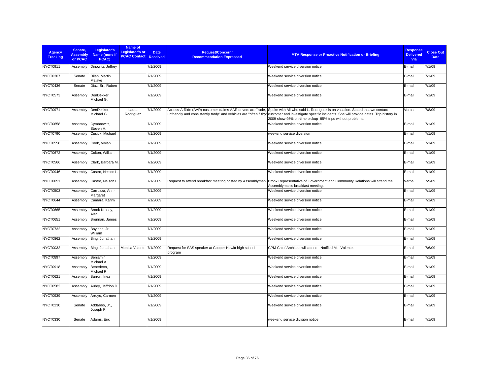| <b>Agency</b><br><b>Tracking</b> | Senate,<br><b>Assembly</b><br>or PCAC | Legislator's<br>Name (none if<br>PCAC) | Name of<br>Legislator's or<br><b>PCAC Contact Received</b> | <b>Date</b> | <b>Request/Concern/</b><br><b>Recommendation Expressed</b>      | <b>MTA Response or Proactive Notification or Briefing</b>                                                                                                                                                                                                                                                                                                     | <b>Response</b><br><b>Delivered</b><br>Via | <b>Close Out</b><br><b>Date</b> |
|----------------------------------|---------------------------------------|----------------------------------------|------------------------------------------------------------|-------------|-----------------------------------------------------------------|---------------------------------------------------------------------------------------------------------------------------------------------------------------------------------------------------------------------------------------------------------------------------------------------------------------------------------------------------------------|--------------------------------------------|---------------------------------|
| <b>NYCT0911</b>                  | Assembly                              | Dinowitz, Jeffrey                      |                                                            | 7/1/2009    |                                                                 | Weekend service diversion notice                                                                                                                                                                                                                                                                                                                              | E-mail                                     | 7/1/09                          |
| <b>NYCT0307</b>                  | Senate                                | Dilan, Martin<br>Malave                |                                                            | 7/1/2009    |                                                                 | Weekend service diversion notice                                                                                                                                                                                                                                                                                                                              | E-mail                                     | 7/1/09                          |
| NYCT0436                         | Senate                                | Diaz, Sr., Ruben                       |                                                            | 7/1/2009    |                                                                 | Weekend service diversion notice                                                                                                                                                                                                                                                                                                                              | E-mail                                     | 7/1/09                          |
| NYCT0573                         | Assembly                              | DenDekker,<br>Michael G.               |                                                            | 7/1/2009    |                                                                 | Weekend service diversion notice                                                                                                                                                                                                                                                                                                                              | E-mail                                     | 7/1/09                          |
| NYCT0971                         | Assembly                              | DenDekker,<br>Michael G.               | Laura<br>Rodriguez                                         | 7/1/2009    |                                                                 | Access-A-Ride (AAR) customer claims AAR drivers are "rude, Spoke with Ali who said L. Rodriguez is on vacation. Stated that we contact<br>unfriendly and consistently tardy" and vehicles are "often filthy" customer and investigate specific incidents. She will provide dates. Trip history in<br>2009 show 95% on-time pickup 85% trips without problems. | Verbal                                     | 7/8/09                          |
| NYCT0658                         | Assembly                              | Cymbrowitz,<br>Steven H.               |                                                            | 7/1/2009    |                                                                 | Weekend service diversion notice                                                                                                                                                                                                                                                                                                                              | E-mail                                     | 7/1/09                          |
| NYCT0790                         | Assembly                              | Cusick, Michael                        |                                                            | 7/1/2009    |                                                                 | weekend service diversion                                                                                                                                                                                                                                                                                                                                     | E-mail                                     | 7/1/09                          |
| <b>NYCT0558</b>                  | Assembly                              | Cook, Vivian                           |                                                            | 7/1/2009    |                                                                 | Weekend service diversion notice                                                                                                                                                                                                                                                                                                                              | E-mail                                     | 7/1/09                          |
| NYCT0672                         | Assembly                              | Colton, William                        |                                                            | 7/1/2009    |                                                                 | Weekend service diversion notice                                                                                                                                                                                                                                                                                                                              | E-mail                                     | 7/1/09                          |
| <b>NYCT0566</b>                  | Assembly                              | Clark, Barbara M.                      |                                                            | 7/1/2009    |                                                                 | Weekend service diversion notice                                                                                                                                                                                                                                                                                                                              | E-mail                                     | 7/1/09                          |
| NYCT0946                         | Assembly                              | Castro, Nelson L                       |                                                            | 7/1/2009    |                                                                 | Weekend service diversion notice                                                                                                                                                                                                                                                                                                                              | E-mail                                     | 7/1/09                          |
| NYCT0051                         | Assembly                              | Castro, Nelson L                       |                                                            | 7/1/2009    | Request to attend breakfast meeting hosted by Assemblyman.      | Bronx Representative of Government and Community Relations will attend the<br>Assemblyman's breakfast meeting.                                                                                                                                                                                                                                                | Verbal                                     | 7/9/09                          |
| <b>NYCT0503</b>                  | Assembly                              | Carrozza, Ann-<br>Margaret             |                                                            | 7/1/2009    |                                                                 | Weekend service diversion notice                                                                                                                                                                                                                                                                                                                              | E-mail                                     | 7/1/09                          |
| NYCT0644                         | Assembly                              | Camara, Karim                          |                                                            | 7/1/2009    |                                                                 | Weekend service diversion notice                                                                                                                                                                                                                                                                                                                              | E-mail                                     | 7/1/09                          |
| NYCT0665                         | Assembly                              | Brook-Krasny,<br>Alec                  |                                                            | 7/1/2009    |                                                                 | Weekend service diversion notice                                                                                                                                                                                                                                                                                                                              | E-mail                                     | 7/1/09                          |
| NYCT0651                         | Assembly                              | Brennan, James                         |                                                            | 7/1/2009    |                                                                 | Weekend service diversion notice                                                                                                                                                                                                                                                                                                                              | E-mail                                     | 7/1/09                          |
| NYCT0732                         | Assembly                              | Boyland, Jr.,<br>William               |                                                            | 7/1/2009    |                                                                 | Weekend service diversion notice                                                                                                                                                                                                                                                                                                                              | E-mail                                     | 7/1/09                          |
| <b>NYCT0862</b>                  | Assembly                              | Bing, Jonathan                         |                                                            | 7/1/2009    |                                                                 | Weekend service diversion notice                                                                                                                                                                                                                                                                                                                              | E-mail                                     | 7/1/09                          |
| <b>NYCT0032</b>                  | Assembly                              | Bing, Jonathan                         | Monica Valente 7/1/2009                                    |             | Request for SAS speaker at Cooper-Hewitt high school<br>program | CPM Chief Architect will attend. Notified Ms. Valente.                                                                                                                                                                                                                                                                                                        | E-mail                                     | 7/6/09                          |
| NYCT0897                         | Assembly                              | Benjamin,<br>Michael A.                |                                                            | 7/1/2009    |                                                                 | Weekend service diversion notice                                                                                                                                                                                                                                                                                                                              | E-mail                                     | 7/1/09                          |
| NYCT0918                         | Assembly                              | Benedetto,<br>Michael R.               |                                                            | 7/1/2009    |                                                                 | Weekend service diversion notice                                                                                                                                                                                                                                                                                                                              | E-mail                                     | 7/1/09                          |
| NYCT0621                         | Assembly                              | Barron, Inez                           |                                                            | 7/1/2009    |                                                                 | Weekend service diversion notice                                                                                                                                                                                                                                                                                                                              | E-mail                                     | 7/1/09                          |
| <b>NYCT0582</b>                  | Assembly                              | Aubry, Jeffrion D.                     |                                                            | 7/1/2009    |                                                                 | Weekend service diversion notice                                                                                                                                                                                                                                                                                                                              | E-mail                                     | 7/1/09                          |
| NYCT0939                         | Assembly                              | Arroyo, Carmen                         |                                                            | 7/1/2009    |                                                                 | Weekend service diversion notice                                                                                                                                                                                                                                                                                                                              | E-mail                                     | 7/1/09                          |
| NYCT0230                         | Senate                                | Addabbo, Jr.,<br>Joseph P.             |                                                            | 7/1/2009    |                                                                 | Weekend service diversion notice                                                                                                                                                                                                                                                                                                                              | E-mail                                     | 7/1/09                          |
| NYCT0330                         | Senate                                | Adams, Eric                            |                                                            | 7/1/2009    |                                                                 | weekend service division notice                                                                                                                                                                                                                                                                                                                               | E-mail                                     | 7/1/09                          |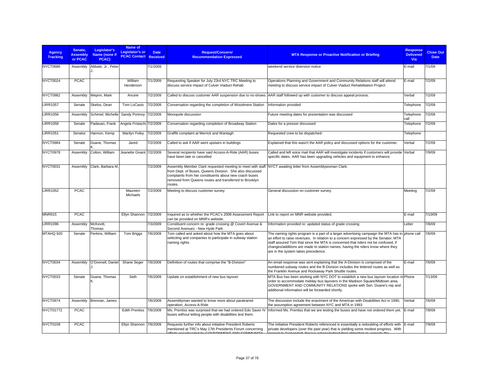| <b>Agency</b><br><b>Tracking</b> | Senate.<br><b>Assembly</b><br>or PCAC | Legislator's<br>Name (none if<br>PCAC) | Name of<br>Legislator's or<br><b>PCAC Contact Received</b> | <b>Date</b> | <b>Request/Concern/</b><br><b>Recommendation Expressed</b>                                                                                                                                                                                            | <b>MTA Response or Proactive Notification or Briefing</b>                                                                                                                                                                                                                                                                                                                                           | <b>Response</b><br><b>Delivered</b><br><b>Via</b> | <b>Close Out</b><br><b>Date</b> |
|----------------------------------|---------------------------------------|----------------------------------------|------------------------------------------------------------|-------------|-------------------------------------------------------------------------------------------------------------------------------------------------------------------------------------------------------------------------------------------------------|-----------------------------------------------------------------------------------------------------------------------------------------------------------------------------------------------------------------------------------------------------------------------------------------------------------------------------------------------------------------------------------------------------|---------------------------------------------------|---------------------------------|
| <b>NYCT0686</b>                  | Assembly                              | Abbate, Jr., Peter                     |                                                            | 7/1/2009    |                                                                                                                                                                                                                                                       | weekend service diversion notice                                                                                                                                                                                                                                                                                                                                                                    | E-mail                                            | 7/1/09                          |
| NYCT0024                         | <b>PCAC</b>                           |                                        | William<br>Henderson                                       | 7/1/2009    | Requesting Speaker for July 23rd NYC TRC Meeting to<br>discuss service impact of Culver Viaduct Rehab                                                                                                                                                 | Operations Planning and Government and Community Relations staff will attend<br>meeting to discuss service impact of Culver Viaduct Rehabilitation Project                                                                                                                                                                                                                                          | E-mail                                            | 7/2/09                          |
| <b>NYCT0982</b>                  | Assembly                              | Weprin, Mark                           | Anceie                                                     | 7/2/2009    |                                                                                                                                                                                                                                                       | Called to discuss customer AAR suspension due to no-shows. AAR staff followed up with customer to discuss appeal process.                                                                                                                                                                                                                                                                           | Verbal                                            | 7/2/09                          |
| <b>LIRR1057</b>                  | Senate                                | Skelos, Dean                           | Tom LoCasio                                                | 7/2/2009    | Conversation regarding the completion of Woodmere Station                                                                                                                                                                                             | Information provided                                                                                                                                                                                                                                                                                                                                                                                | Telephone                                         | 7/2/09                          |
| <b>LIRR1056</b>                  | Assembly                              | Schimel, Michelle                      | Sandy Portnoy 7/2/2009                                     |             | Monopole discussion                                                                                                                                                                                                                                   | Future meeting dates for presentation was discussed                                                                                                                                                                                                                                                                                                                                                 | Telephone<br>call                                 | 7/2/09                          |
| <b>LIRR1058</b>                  | Senate                                | Padavan, Frank                         | Angela Fristachi 7/2/2009                                  |             | Conversation regarding completion of Broadway Station                                                                                                                                                                                                 | Dates for a presser discussed                                                                                                                                                                                                                                                                                                                                                                       | Telephone                                         | 7/2/09                          |
| <b>LIRR1051</b>                  | Senator                               | Hannon, Kemp                           | Marilyn Foley                                              | 7/2/2009    | Graffiti complaint at Merrick and Wantagh                                                                                                                                                                                                             | Requested crew to be dispatched-                                                                                                                                                                                                                                                                                                                                                                    | Telephone                                         |                                 |
| NYCT0984                         | Senate                                | Duane, Thomas                          | Jared                                                      | 7/2/2009    | Called to ask if AAR went upstairs in buildings                                                                                                                                                                                                       | Explained that this wasn't the AAR policy and discussed options for the customer.                                                                                                                                                                                                                                                                                                                   | Verbal                                            | 7/2/09                          |
| NYCT0978                         | Assembly                              | Colton, William                        | Jeanette Givant 7/2/2009                                   |             | Several recipients have said Access-A-Ride (AAR) buses<br>have been late or cancelled                                                                                                                                                                 | Called and left voice mail that AAR will investigate incidents if customers will provide Verbal<br>specific dates. AAR has been upgrading vehicles and equipment to enhance.                                                                                                                                                                                                                        |                                                   | 7/9/09                          |
| NYCT0031                         | Assembly                              | Clark, Barbara M.                      |                                                            | 7/2/2009    | Assembly Member Clark requested meeting to meet with staff<br>from Dept. of Buses, Queens Division. She also discussed<br>complaints from her constituents about new coach buses<br>removed from Queens routes and transferred to Brooklyn<br>routes. | NYCT awaiting letter from Assemblywoman Clark.                                                                                                                                                                                                                                                                                                                                                      |                                                   |                                 |
| <b>LIRR1052</b>                  | <b>PCAC</b>                           |                                        | Maureen<br>Michaels                                        | 7/2/2009    | Meeting to discuss customer survey                                                                                                                                                                                                                    | General discussion on customer survey.                                                                                                                                                                                                                                                                                                                                                              | Meeting                                           | 7/2/09                          |
| <b>MNR915</b>                    | <b>PCAC</b>                           |                                        | Ellyn Shannon 7/2/2009                                     |             | Inquired as to whether the PCAC's 2008 Assessment Report<br>can be provided on MNR's website.                                                                                                                                                         | Link to report on MNR website provided.                                                                                                                                                                                                                                                                                                                                                             | E-mail                                            | 7/10/09                         |
| <b>LIRR1096</b>                  | Assembly                              | McKevitt,<br>Thomas                    |                                                            | 7/3/2009    | Constituent concern re: grade crossing @ Covert Avenue &<br>Second Avenues - New Hyde Park                                                                                                                                                            | Information provided re: updated status of grade crossing                                                                                                                                                                                                                                                                                                                                           | Letter                                            | 7/8/09                          |
| MTAHQ 920                        | Senate                                | Perkins, William                       | Tom Briggs                                                 | 7/6/2009    | Tom called and asked about how the MTA goes about<br>selecting and companies to participate in subway station<br>naming rights.                                                                                                                       | The naming rights program is a part of a larger advertising campaign the MTA has in phone call<br>an effort to raise revenues. In relation to a concern expressed by the Senator, MTA<br>staff assured Tom that since the MTA is concerned that riders not be confused, if<br>changes/additions are made to station names, having the riders know where they<br>are in the system takes precedence. |                                                   | 7/6/09                          |
| NYCT0034                         | Assembly                              | O'Donnell, Daniel                      | Shane Seger                                                | 7/6/2009    | Definition of routes that comprise the "B-Division"                                                                                                                                                                                                   | An email response was sent explaining that the A-Division is comprised of the<br>numbered subway routes and the B-Division includes the lettered routes as well as<br>the Franklin Avenue and Rockaway Park Shuttle routes.                                                                                                                                                                         | E-mail                                            | 7/6/09                          |
| NYCT0033                         | Senate                                | Duane, Thomas                          | Seth                                                       | 7/6/2009    | Update on establishment of new bus layover                                                                                                                                                                                                            | MTA Bus has been working with NYC DOT to establish a new bus layover location in Phone<br>order to accommodate midday bus layovers in the Madison Square/Midtown area.<br>GOVERNMENT AND COMMUNITY RELATIONS spoke with Sen. Duane's rep and<br>additional information will be forwarded shortly.                                                                                                   |                                                   | 7/13/09                         |
| NYCT0974                         | Assembly                              | Brennan, James                         |                                                            | 7/6/2009    | Assemblyman wanted to know more about paratransit<br>operation, Access-A-Ride                                                                                                                                                                         | The discussion include the enactment of the American with Disabilities Act in 1990,<br>the assumption agreement between NYC and MTA in 1993                                                                                                                                                                                                                                                         | Verbal                                            | 7/6/09                          |
| NYCT01772                        | <b>PCAC</b>                           |                                        | <b>Edith Prentiss</b>                                      | 7/6/2009    | Ms. Prentiss was surprised that we had ordered Edo Saver IV<br>buses without letting people with disabilities test them.                                                                                                                              | Informed Ms. Prentiss that we are testing the buses and have not ordered them yet.                                                                                                                                                                                                                                                                                                                  | E-mail                                            | 7/8/09                          |
| NYCT0109                         | <b>PCAC</b>                           |                                        | Ellyn Shannon 7/6/2009                                     |             | Requests further info about initiative President Roberts<br>mentioned at TRC's May 17th Presidents Forum concerning<br>COVERABLE AND COMMUNI                                                                                                          | The initiative President Roberts referenced is essentially a redoubling of efforts with E-mail<br>private developers (over the past year) that is yielding some modest progress. With                                                                                                                                                                                                               |                                                   | 7/9/09                          |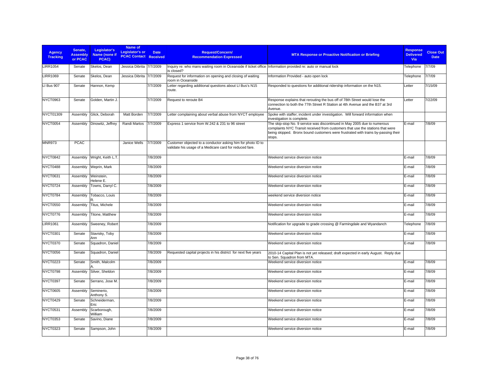| <b>Agency</b><br><b>Tracking</b> | Senate,<br><b>Assembly</b><br>or PCAC | Legislator's<br>Name (none if<br>PCAC) | Name of<br><b>Legislator's or</b><br><b>PCAC Contact Received</b> | <b>Date</b> | <b>Request/Concern/</b><br><b>Recommendation Expressed</b>                                                                  | <b>MTA Response or Proactive Notification or Briefing</b>                                                                                                                                                                                                 | <b>Response</b><br><b>Delivered</b><br>Via | <b>Close Out</b><br><b>Date</b> |
|----------------------------------|---------------------------------------|----------------------------------------|-------------------------------------------------------------------|-------------|-----------------------------------------------------------------------------------------------------------------------------|-----------------------------------------------------------------------------------------------------------------------------------------------------------------------------------------------------------------------------------------------------------|--------------------------------------------|---------------------------------|
| <b>LIRR1054</b>                  | Senate                                | Skelos, Dean                           | Jessica Dibrita 7/7/2009                                          |             | Inquiry re: who mans waiting room in Oceanside if ticket office  Information provided re: auto or manual lock<br>is closed? |                                                                                                                                                                                                                                                           | Telephone                                  | 7/7/09                          |
| <b>LIRR1069</b>                  | Senate                                | Skelos, Dean                           | Jessica Dibrita                                                   | 7/7/2009    | Request for information on opening and closing of waiting<br>room in Oceanside                                              | Information Provided - auto open lock                                                                                                                                                                                                                     | Telephone                                  | 7/7/09                          |
| LI Bus 907                       | Senate                                | Hannon, Kemp                           |                                                                   | 7/7/2009    | Letter regarding additional questions about LI Bus's N15<br>route.                                                          | Responded to questions for additional ridership information on the N15.                                                                                                                                                                                   | Letter                                     | 7/15/09                         |
| NYCT0963                         | Senate                                | Golden, Martin J.                      |                                                                   | 7/7/2009    | Request to reroute B4                                                                                                       | Response explains that rerouting the bus off of 78th Street would lose the<br>connection to both the 77th Street R Station at 4th Avenue and the B37 at 3rd<br>Avenue.                                                                                    | Letter                                     | 7/22/09                         |
| NYCT01309                        | Assembly                              | Glick, Deborah                         | Matt Borden                                                       | 7/7/2009    | Letter complaining about verbal abuse from NYCT employee                                                                    | Spoke with staffer; incident under investigation. Will forward information when<br>investigation is complete.                                                                                                                                             |                                            |                                 |
| NYCT0054                         | Assembly                              | Dinowitz, Jeffrey                      | Randi Martos                                                      | 7/7/2009    | Express 1 service from W.242 & 231 to 96 street                                                                             | The skip-stop No. 9 service was discontinued in May 2005 due to numerous<br>complaints NYC Transit received from customers that use the stations that were<br>being skipped. Bronx bound customers were frustrated with trains by-passing their<br>stops. | E-mail                                     | 7/8/09                          |
| <b>MNR973</b>                    | <b>PCAC</b>                           |                                        | Janice Wells                                                      | 7/7/2009    | Customer objected to a conductor asking him for photo ID to<br>validate his usage of a Medicare card for reduced fare.      |                                                                                                                                                                                                                                                           |                                            |                                 |
| NYCT0842                         | Assembly                              | Wright, Keith L.T.                     |                                                                   | 7/8/2009    |                                                                                                                             | Weekend service diversion notice                                                                                                                                                                                                                          | E-mail                                     | 7/8/09                          |
| NYCT0488                         | Assembly                              | Weprin, Mark                           |                                                                   | 7/8/2009    |                                                                                                                             | Weekend service diversion notice                                                                                                                                                                                                                          | E-mail                                     | 7/8/09                          |
| NYCT0631                         | Assembly                              | Weinstein,<br>Helene E.                |                                                                   | 7/8/2009    |                                                                                                                             | Weekend service diversion notice                                                                                                                                                                                                                          | E-mail                                     | 7/8/09                          |
| NYCT0724                         | Assembly                              | Towns, Darryl C.                       |                                                                   | 7/8/2009    |                                                                                                                             | Weekend service diversion notice                                                                                                                                                                                                                          | E-mail                                     | 7/8/09                          |
| NYCT0784                         | Assembly                              | Tobacco, Louis                         |                                                                   | 7/8/2009    |                                                                                                                             | weekend service diversion notice                                                                                                                                                                                                                          | E-mail                                     | 7/8/09                          |
| <b>NYCT0550</b>                  | Assembly                              | Titus, Michele                         |                                                                   | 7/8/2009    |                                                                                                                             | Weekend service diversion notice                                                                                                                                                                                                                          | E-mail                                     | 7/8/09                          |
| NYCT0776                         | Assembly                              | Titone, Matthew                        |                                                                   | 7/8/2009    |                                                                                                                             | Weekend service diversion notice                                                                                                                                                                                                                          | E-mail                                     | 7/8/09                          |
| <b>LIRR1061</b>                  | Assembly                              | Sweeney, Robert                        |                                                                   | 7/8/2009    |                                                                                                                             | Notification for upgrade to grade crossing @ Farmingdale and Wyandanch                                                                                                                                                                                    | Telephone                                  | 7/8/09                          |
| <b>NYCT0301</b>                  | Senate                                | Stavisky, Toby<br>Ann                  |                                                                   | 7/8/2009    |                                                                                                                             | Weekend service diversion notice                                                                                                                                                                                                                          | E-mail                                     | 7/8/09                          |
| <b>NYCT0370</b>                  | Senate                                | Squadron, Daniel                       |                                                                   | 7/8/2009    |                                                                                                                             | Weekend service diversion notice                                                                                                                                                                                                                          | E-mail                                     | 7/8/09                          |
| NYCT0056                         | Senate                                | Squadron, Daniel                       |                                                                   | 7/8/2009    | Requested capital projects in his district for next five years                                                              | 2010-14 Capital Plan is not yet released; draft expected in early August. Reply due<br>to Sen. Squadron from MTA.                                                                                                                                         |                                            |                                 |
| NYCT0223                         | Senate                                | Smith, Malcolm                         |                                                                   | 7/8/2009    |                                                                                                                             | Weekend service diversion notice                                                                                                                                                                                                                          | E-mail                                     | 7/8/09                          |
| NYCT0798                         | Assembly                              | Silver, Sheldon                        |                                                                   | 7/8/2009    |                                                                                                                             | Weekend service diversion notice                                                                                                                                                                                                                          | E-mail                                     | 7/8/09                          |
| NYCT0397                         | Senate                                | Serrano, Jose M.                       |                                                                   | 7/8/2009    |                                                                                                                             | Weekend service diversion notice                                                                                                                                                                                                                          | E-mail                                     | 7/8/09                          |
| <b>NYCT0605</b>                  | Assembly                              | Seminerio,<br>Anthony S.               |                                                                   | 7/8/2009    |                                                                                                                             | Weekend service diversion notice                                                                                                                                                                                                                          | E-mail                                     | 7/8/09                          |
| NYCT0429                         | Senate                                | Schneiderman,<br>Eric                  |                                                                   | 7/8/2009    |                                                                                                                             | Weekend service diversion notice                                                                                                                                                                                                                          | E-mail                                     | 7/8/09                          |
| <b>NYCT0531</b>                  | Assembly                              | Scarborough,<br>William                |                                                                   | 7/8/2009    |                                                                                                                             | Weekend service diversion notice                                                                                                                                                                                                                          | E-mail                                     | 7/8/09                          |
| <b>NYCT0353</b>                  | Senate                                | Savino, Diane                          |                                                                   | 7/8/2009    |                                                                                                                             | Weekend service diversion notice                                                                                                                                                                                                                          | E-mail                                     | 7/8/09                          |
| <b>NYCT0323</b>                  | Senate                                | Sampson, John                          |                                                                   | 7/8/2009    |                                                                                                                             | Weekend service diversion notice                                                                                                                                                                                                                          | E-mail                                     | 7/8/09                          |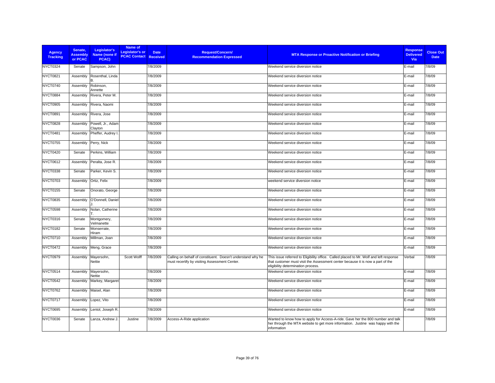| Agency<br><b>Tracking</b> | Senate.<br><b>Assembly</b><br>or PCAC | Legislator's<br>Name (none if<br>PCAC) | Name of<br>Legislator's or<br><b>PCAC Contact Received</b> | <b>Date</b> | <b>Request/Concern/</b><br><b>Recommendation Expressed</b>                                                   | <b>MTA Response or Proactive Notification or Briefing</b>                                                                                                                                                      | <b>Response</b><br><b>Delivered</b><br><b>Via</b> | <b>Close Out</b><br><b>Date</b> |
|---------------------------|---------------------------------------|----------------------------------------|------------------------------------------------------------|-------------|--------------------------------------------------------------------------------------------------------------|----------------------------------------------------------------------------------------------------------------------------------------------------------------------------------------------------------------|---------------------------------------------------|---------------------------------|
| NYCT0324                  | Senate                                | Sampson, John                          |                                                            | 7/8/2009    |                                                                                                              | Weekend service diversion notice                                                                                                                                                                               | E-mail                                            | 7/8/09                          |
| NYCT0821                  | Assembly                              | Rosenthal, Linda                       |                                                            | 7/8/2009    |                                                                                                              | Weekend service diversion notice                                                                                                                                                                               | E-mail                                            | 7/8/09                          |
| NYCT0740                  | Assembly                              | Robinson,<br>Annette                   |                                                            | 7/8/2009    |                                                                                                              | Weekend service diversion notice                                                                                                                                                                               | E-mail                                            | 7/8/09                          |
| NYCT0884                  | Assembly                              | Rivera, Peter M.                       |                                                            | 7/8/2009    |                                                                                                              | Weekend service diversion notice                                                                                                                                                                               | E-mail                                            | 7/8/09                          |
| NYCT0905                  | Assembly                              | Rivera, Naomi                          |                                                            | 7/8/2009    |                                                                                                              | Weekend service diversion notice                                                                                                                                                                               | E-mail                                            | 7/8/09                          |
| NYCT0891                  | Assembly                              | Rivera, Jose                           |                                                            | 7/8/2009    |                                                                                                              | Weekend service diversion notice                                                                                                                                                                               | E-mail                                            | 7/8/09                          |
| NYCT0828                  | Assembly                              | Powell, Jr., Adam<br>Clayton           |                                                            | 7/8/2009    |                                                                                                              | Weekend service diversion notice                                                                                                                                                                               | E-mail                                            | 7/8/09                          |
| NYCT0481                  | Assembly                              | Pheffer, Audrey I                      |                                                            | 7/8/2009    |                                                                                                              | Weekend service diversion notice                                                                                                                                                                               | E-mail                                            | 7/8/09                          |
| NYCT0755                  | Assembly                              | Perry, Nick                            |                                                            | 7/8/2009    |                                                                                                              | Weekend service diversion notice                                                                                                                                                                               | E-mail                                            | 7/8/09                          |
| NYCT0420                  | Senate                                | Perkins, William                       |                                                            | 7/8/2009    |                                                                                                              | Weekend service diversion notice                                                                                                                                                                               | E-mail                                            | 7/8/09                          |
| <b>NYCT0612</b>           | Assembly                              | Peralta, Jose R.                       |                                                            | 7/8/2009    |                                                                                                              | Weekend service diversion notice                                                                                                                                                                               | E-mail                                            | 7/8/09                          |
| NYCT0338                  | Senate                                | Parker, Kevin S.                       |                                                            | 7/8/2009    |                                                                                                              | Weekend service diversion notice                                                                                                                                                                               | E-mail                                            | 7/8/09                          |
| NYCT0703                  | Assembly                              | Ortiz, Felix                           |                                                            | 7/8/2009    |                                                                                                              | weekend service diversion notice                                                                                                                                                                               | E-mail                                            | 7/8/09                          |
| NYCT0155                  | Senate                                | Onorato, George                        |                                                            | 7/8/2009    |                                                                                                              | Weekend service diversion notice                                                                                                                                                                               | E-mail                                            | 7/8/09                          |
| <b>NYCT0835</b>           | Assembly                              | O'Donnell, Daniel                      |                                                            | 7/8/2009    |                                                                                                              | Weekend service diversion notice                                                                                                                                                                               | E-mail                                            | 7/8/09                          |
| <b>NYCT0598</b>           | Assembly                              | Nolan, Catherine                       |                                                            | 7/8/2009    |                                                                                                              | Weekend service diversion notice                                                                                                                                                                               | E-mail                                            | 7/8/09                          |
| <b>NYCT0316</b>           | Senate                                | Montgomery,<br>Velmanette              |                                                            | 7/8/2009    |                                                                                                              | Weekend service diversion notice                                                                                                                                                                               | E-mail                                            | 7/8/09                          |
| NYCT0182                  | Senate                                | Monserrate,<br>Hiram                   |                                                            | 7/8/2009    |                                                                                                              | Weekend service diversion notice                                                                                                                                                                               | E-mail                                            | 7/8/09                          |
| NYCT0710                  | Assembly                              | Millman, Joan                          |                                                            | 7/8/2009    |                                                                                                              | Weekend service diversion notice                                                                                                                                                                               | E-mail                                            | 7/8/09                          |
| <b>NYCT0472</b>           | Assembly                              | Meng, Grace                            |                                                            | 7/8/2009    |                                                                                                              | Weekend service diversion notice                                                                                                                                                                               | E-mail                                            | 7/8/09                          |
| NYCT0979                  | Assembly                              | Mayersohn,<br>Nettie                   | Scott Wolff                                                | 7/8/2009    | Calling on behalf of constituent. Doesn't understand why he<br>must recertify by visiting Assessment Center. | This issue referred to Eligibility office. Called placed to Mr. Wolf and left response<br>that customer must visit the Assessment center because it is now a part of the<br>eligibility determination process. | Verbal                                            | 7/8/09                          |
| NYCT0514                  | Assembly                              | Mayersohn,<br>Nettie                   |                                                            | 7/8/2009    |                                                                                                              | Weekend service diversion notice                                                                                                                                                                               | E-mail                                            | 7/8/09                          |
| <b>NYCT0542</b>           | Assembly                              | Markey, Margaret                       |                                                            | 7/8/2009    |                                                                                                              | Weekend service diversion notice                                                                                                                                                                               | E-mail                                            | 7/8/09                          |
| <b>NYCT0762</b>           | Assembly                              | Maisel, Alan                           |                                                            | 7/8/2009    |                                                                                                              | Weekend service diversion notice                                                                                                                                                                               | E-mail                                            | 7/8/09                          |
| NYCT0717                  | Assembly                              | Lopez, Vito                            |                                                            | 7/8/2009    |                                                                                                              | Weekend service diversion notice                                                                                                                                                                               | E-mail                                            | 7/8/09                          |
| NYCT0695                  | Assembly                              | Lentol, Joseph R.                      |                                                            | 7/8/2009    |                                                                                                              | Weekend service diversion notice                                                                                                                                                                               | E-mail                                            | 7/8/09                          |
| NYCT0036                  | Senate                                | Lanza, Andrew J.                       | Justine                                                    | 7/8/2009    | Access-A-Ride application                                                                                    | Wanted to know how to apply for Access-A-ride. Gave her the 800 number and talk<br>her through the MTA website to get more information. Justine was happy with the<br>information                              |                                                   | 7/8/09                          |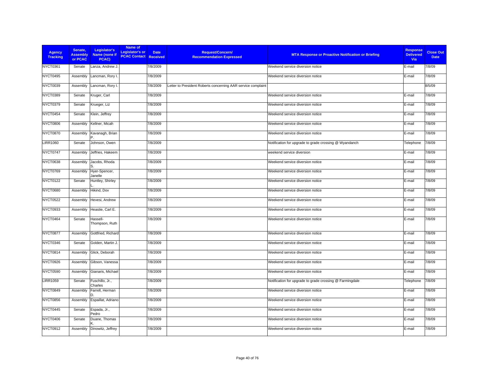| <b>Agency</b><br><b>Tracking</b> | Senate,<br><b>Assembly</b><br>or PCAC | Legislator's<br>Name (none if<br>PCAC) | Name of<br><b>Legislator's or</b><br><b>PCAC Contact</b> | <b>Date</b><br><b>Received</b> | Request/Concern/<br><b>Recommendation Expressed</b>          | <b>MTA Response or Proactive Notification or Briefing</b> | <b>Response</b><br><b>Delivered</b><br>Via | <b>Close Out</b><br><b>Date</b> |
|----------------------------------|---------------------------------------|----------------------------------------|----------------------------------------------------------|--------------------------------|--------------------------------------------------------------|-----------------------------------------------------------|--------------------------------------------|---------------------------------|
| NYCT0361                         | Senate                                | Lanza, Andrew J.                       |                                                          | 7/8/2009                       |                                                              | Weekend service diversion notice                          | E-mail                                     | 7/8/09                          |
| NYCT0495                         | Assembly                              | Lancman, Rory I.                       |                                                          | 7/8/2009                       |                                                              | Weekend service diversion notice                          | E-mail                                     | 7/8/09                          |
| NYCT0039                         | Assembly                              | Lancman, Rory I.                       |                                                          | 7/8/2009                       | Letter to President Roberts concerning AAR service complaint |                                                           |                                            | 8/5/09                          |
| NYCT0389                         | Senate                                | Kruger, Carl                           |                                                          | 7/8/2009                       |                                                              | Weekend service diversion notice                          | E-mail                                     | 7/8/09                          |
| NYCT0379                         | Senate                                | Krueger, Liz                           |                                                          | 7/8/2009                       |                                                              | Weekend service diversion notice                          | E-mail                                     | 7/8/09                          |
| NYCT0454                         | Senate                                | Klein, Jeffrey                         |                                                          | 7/8/2009                       |                                                              | Weekend service diversion notice                          | E-mail                                     | 7/8/09                          |
| <b>NYCT0806</b>                  | Assembly                              | Kellner, Micah                         |                                                          | 7/8/2009                       |                                                              | Weekend service diversion notice                          | E-mail                                     | 7/8/09                          |
| <b>NYCT0870</b>                  | Assembly                              | Kavanagh, Brian                        |                                                          | 7/8/2009                       |                                                              | Weekend service diversion notice                          | E-mail                                     | 7/8/09                          |
| <b>LIRR1060</b>                  | Senate                                | Johnson, Owen                          |                                                          | 7/8/2009                       |                                                              | Notification for upgrade to grade crossing @ Wyandanch    | Telephone                                  | 7/8/09                          |
| NYCT0747                         | Assembly                              | Jeffries, Hakeem                       |                                                          | 7/8/2009                       |                                                              | weekend service diversion                                 | E-mail                                     | 7/8/09                          |
| <b>NYCT0638</b>                  | Assembly                              | Jacobs, Rhoda                          |                                                          | 7/8/2009                       |                                                              | Weekend service diversion notice                          | E-mail                                     | 7/8/09                          |
| NYCT0769                         | Assembly                              | Hyer-Spencer,<br>Janelle               |                                                          | 7/8/2009                       |                                                              | Weekend service diversion notice                          | E-mail                                     | 7/8/09                          |
| <b>NYCT0122</b>                  | Senate                                | Huntley, Shirley                       |                                                          | 7/8/2009                       |                                                              | Weekend service diversion notice                          | E-mail                                     | 7/8/09                          |
| <b>NYCT0680</b>                  | Assembly                              | Hikind, Dov                            |                                                          | 7/8/2009                       |                                                              | Weekend service diversion notice                          | E-mail                                     | 7/8/09                          |
| <b>NYCT0522</b>                  | Assembly                              | Hevesi, Andrew                         |                                                          | 7/8/2009                       |                                                              | Weekend service diversion notice                          | E-mail                                     | 7/8/09                          |
| NYCT0933                         | Assembly                              | Heastie, Carl E.                       |                                                          | 7/8/2009                       |                                                              | Weekend service diversion notice                          | E-mail                                     | 7/8/09                          |
| NYCT0464                         | Senate                                | Hassell-<br>Thompson, Ruth             |                                                          | 7/8/2009                       |                                                              | Weekend service diversion notice                          | E-mail                                     | 7/8/09                          |
| NYCT0877                         | Assembly                              | Gottfried, Richard                     |                                                          | 7/8/2009                       |                                                              | Weekend service diversion notice                          | E-mail                                     | 7/8/09                          |
| NYCT0346                         | Senate                                | Golden, Martin J.                      |                                                          | 7/8/2009                       |                                                              | Weekend service diversion notice                          | E-mail                                     | 7/8/09                          |
| <b>NYCT0814</b>                  | Assembly                              | Glick, Deborah                         |                                                          | 7/8/2009                       |                                                              | Weekend service diversion notice                          | E-mail                                     | 7/8/09                          |
| NYCT0926                         | Assembly                              | Gibson, Vanessa                        |                                                          | 7/8/2009                       |                                                              | Weekend service diversion notice                          | E-mail                                     | 7/8/09                          |
| <b>NYCT0590</b>                  | Assembly                              | Gianaris, Michael                      |                                                          | 7/8/2009                       |                                                              | Weekend service diversion notice                          | E-mail                                     | 7/8/09                          |
| <b>LIRR1059</b>                  | Senate                                | Fuschillo, Jr.,<br>Charles             |                                                          | 7/8/2009                       |                                                              | Notification for upgrade to grade crossing @ Farmingdale  | Telephone                                  | 7/8/09                          |
| NYCT0849                         | Assembly                              | Farrell, Herman                        |                                                          | 7/8/2009                       |                                                              | Weekend service diversion notice                          | E-mail                                     | 7/8/09                          |
| NYCT0856                         | Assembly                              | Espaillat, Adriano                     |                                                          | 7/8/2009                       |                                                              | Weekend service diversion notice                          | E-mail                                     | 7/8/09                          |
| NYCT0445                         | Senate                                | Espada, Jr.,<br>Pedro                  |                                                          | 7/8/2009                       |                                                              | Weekend service diversion notice                          | E-mail                                     | 7/8/09                          |
| NYCT0406                         | Senate                                | Duane, Thomas                          |                                                          | 7/8/2009                       |                                                              | Weekend service diversion notice                          | E-mail                                     | 7/8/09                          |
| <b>NYCT0912</b>                  | Assembly                              | Dinowitz, Jeffrey                      |                                                          | 7/8/2009                       |                                                              | Weekend service diversion notice                          | E-mail                                     | 7/8/09                          |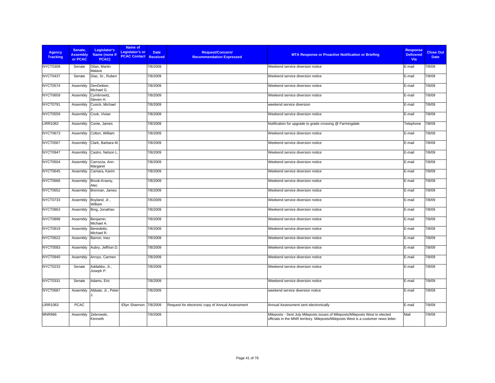| <b>Agency</b><br><b>Tracking</b> | Senate,<br><b>Assembly</b><br>or PCAC | Legislator's<br>Name (none if<br>PCAC) | Name of<br>Legislator's or<br><b>PCAC Contact Received</b> | <b>Date</b> | <b>Request/Concern/</b><br><b>MTA Response or Proactive Notification or Briefing</b><br><b>Recommendation Expressed</b>                                              | <b>Response</b><br><b>Delivered</b><br>Via | <b>Close Out</b><br><b>Date</b> |
|----------------------------------|---------------------------------------|----------------------------------------|------------------------------------------------------------|-------------|----------------------------------------------------------------------------------------------------------------------------------------------------------------------|--------------------------------------------|---------------------------------|
| <b>NYCT0308</b>                  | Senate                                | Dilan, Martin<br>Malave                |                                                            | 7/8/2009    | Weekend service diversion notice                                                                                                                                     | E-mail                                     | 7/8/09                          |
| NYCT0437                         | Senate                                | Diaz, Sr., Ruben                       |                                                            | 7/8/2009    | Weekend service diversion notice                                                                                                                                     | E-mail                                     | 7/8/09                          |
| NYCT0574                         | Assembly                              | DenDekker,<br>Michael G.               |                                                            | 7/8/2009    | Weekend service diversion notice                                                                                                                                     | E-mail                                     | 7/8/09                          |
| NYCT0659                         | Assembly                              | Cymbrowitz,<br>Steven H.               |                                                            | 7/8/2009    | Weekend service diversion notice                                                                                                                                     | E-mail                                     | 7/8/09                          |
| NYCT0791                         | Assembly                              | Cusick, Michael                        |                                                            | 7/8/2009    | weekend service diversion                                                                                                                                            | E-mail                                     | 7/8/09                          |
| NYCT0559                         | Assembly                              | Cook, Vivian                           |                                                            | 7/8/2009    | Weekend service diversion notice                                                                                                                                     | E-mail                                     | 7/8/09                          |
| <b>LIRR1062</b>                  | Assembly                              | Conte, James                           |                                                            | 7/8/2009    | Notification for upgrade to grade crossing @ Farmingdale                                                                                                             | Telephone                                  | 7/8/09                          |
| NYCT0673                         | Assembly                              | Colton, William                        |                                                            | 7/8/2009    | Weekend service diversion notice                                                                                                                                     | E-mail                                     | 7/8/09                          |
| <b>NYCT0567</b>                  | Assembly                              | Clark, Barbara M.                      |                                                            | 7/8/2009    | Weekend service diversion notice                                                                                                                                     | E-mail                                     | 7/8/09                          |
| NYCT0947                         | Assembly                              | Castro, Nelson L                       |                                                            | 7/8/2009    | Weekend service diversion notice                                                                                                                                     | E-mail                                     | 7/8/09                          |
| NYCT0504                         | Assembly                              | Carrozza, Ann-<br>Margaret             |                                                            | 7/8/2009    | Weekend service diversion notice                                                                                                                                     | E-mail                                     | 7/8/09                          |
| NYCT0645                         | Assembly                              | Camara, Karim                          |                                                            | 7/8/2009    | Weekend service diversion notice                                                                                                                                     | E-mail                                     | 7/8/09                          |
| NYCT0666                         | Assembly                              | Brook-Krasny,<br>Alec                  |                                                            | 7/8/2009    | Weekend service diversion notice                                                                                                                                     | E-mail                                     | 7/8/09                          |
| <b>NYCT0652</b>                  | Assembly                              | Brennan, James                         |                                                            | 7/8/2009    | Weekend service diversion notice                                                                                                                                     | E-mail                                     | 7/8/09                          |
| NYCT0733                         | Assembly                              | Boyland, Jr.,<br>William               |                                                            | 7/8/2009    | Weekend service diversion notice                                                                                                                                     | E-mail                                     | 7/8/09                          |
| NYCT0863                         | Assembly                              | Bing, Jonathan                         |                                                            | 7/8/2009    | Weekend service diversion notice                                                                                                                                     | E-mail                                     | 7/8/09                          |
| NYCT0898                         | Assembly                              | Benjamin,<br>Michael A.                |                                                            | 7/8/2009    | Weekend service diversion notice                                                                                                                                     | E-mail                                     | 7/8/09                          |
| NYCT0919                         | Assembly                              | Benedetto,<br>Michael R.               |                                                            | 7/8/2009    | Weekend service diversion notice                                                                                                                                     | E-mail                                     | 7/8/09                          |
| <b>NYCT0622</b>                  | Assembly                              | Barron, Inez                           |                                                            | 7/8/2009    | Weekend service diversion notice                                                                                                                                     | E-mail                                     | 7/8/09                          |
| <b>NYCT0583</b>                  | Assembly                              | Aubry, Jeffrion D.                     |                                                            | 7/8/2009    | Weekend service diversion notice                                                                                                                                     | E-mail                                     | 7/8/09                          |
| NYCT0940                         | Assembly                              | Arroyo, Carmen                         |                                                            | 7/8/2009    | Weekend service diversion notice                                                                                                                                     | E-mail                                     | 7/8/09                          |
| NYCT0233                         | Senate                                | Addabbo, Jr.,<br>Joseph P.             |                                                            | 7/8/2009    | Weekend service diversion notice                                                                                                                                     | E-mail                                     | 7/8/09                          |
| NYCT0331                         | Senate                                | Adams, Eric                            |                                                            | 7/8/2009    | Weekend service diversion notice                                                                                                                                     | E-mail                                     | 7/8/09                          |
| NYCT0687                         | Assembly                              | Abbate, Jr., Peter                     |                                                            | 7/8/2009    | weekend service diversion notice                                                                                                                                     | E-mail                                     | 7/8/09                          |
| <b>LIRR1063</b>                  | <b>PCAC</b>                           |                                        | Ellyn Shannon 7/8/2009                                     |             | Request for electronic copy of Annual Assessment<br>Annual Assessment sent electronically                                                                            | E-mail                                     | 7/8/09                          |
| <b>MNR966</b>                    | Assembly                              | Zebrowski,<br>Kenneth                  |                                                            | 7/9/2009    | Mileposts - Sent July Mileposts issues of Mileposts/Mileposts West to elected<br>officials in the MNR territory. Mileposts/Mileposts West is a customer news letter. | Mail                                       | 7/9/09                          |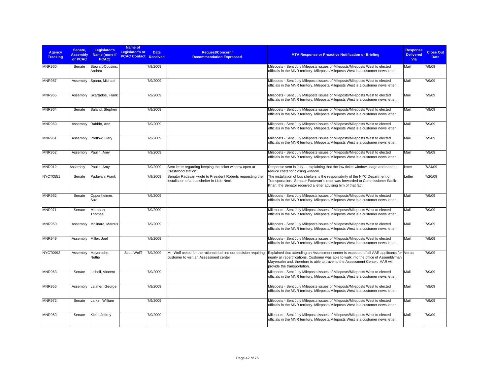| <b>Agency</b><br><b>Tracking</b> | Senate,<br><b>Assembly</b><br>or PCAC | Legislator's<br>Name (none if<br>PCAC) | Name of<br><b>Legislator's or</b><br><b>PCAC Contact Received</b> | <b>Date</b> | <b>Request/Concern/</b><br><b>Recommendation Expressed</b>                                                 | <b>MTA Response or Proactive Notification or Briefing</b>                                                                                                                                                                                                                                           | <b>Response</b><br><b>Delivered</b><br>Via | <b>Close Out</b><br><b>Date</b> |
|----------------------------------|---------------------------------------|----------------------------------------|-------------------------------------------------------------------|-------------|------------------------------------------------------------------------------------------------------------|-----------------------------------------------------------------------------------------------------------------------------------------------------------------------------------------------------------------------------------------------------------------------------------------------------|--------------------------------------------|---------------------------------|
| <b>MNR960</b>                    | Senate                                | Stewart-Cousins,<br>Andrea             |                                                                   | 7/9/2009    |                                                                                                            | Mileposts - Sent July Mileposts issues of Mileposts/Mileposts West to elected<br>officials in the MNR territory. Mileposts/Mileposts West is a customer news letter.                                                                                                                                | Mail                                       | 7/9/09                          |
| <b>MNR957</b>                    | Assembly                              | Spano, Michael                         |                                                                   | 7/9/2009    |                                                                                                            | Mileposts - Sent July Mileposts issues of Mileposts/Mileposts West to elected<br>officials in the MNR territory. Mileposts/Mileposts West is a customer news letter.                                                                                                                                | Mail                                       | 7/9/09                          |
| <b>MNR965</b>                    | Assembly                              | Skartados, Frank                       |                                                                   | 7/9/2009    |                                                                                                            | Mileposts - Sent July Mileposts issues of Mileposts/Mileposts West to elected<br>officials in the MNR territory. Mileposts/Mileposts West is a customer news letter.                                                                                                                                | Mail                                       | 7/9/09                          |
| <b>MNR964</b>                    | Senate                                | Saland, Stephen                        |                                                                   | 7/9/2009    |                                                                                                            | Mileposts - Sent July Mileposts issues of Mileposts/Mileposts West to elected<br>officials in the MNR territory. Mileposts/Mileposts West is a customer news letter.                                                                                                                                | Mail                                       | 7/9/09                          |
| <b>MNR969</b>                    | Assembly                              | Rabbitt, Ann                           |                                                                   | 7/9/2009    |                                                                                                            | Mileposts - Sent July Mileposts issues of Mileposts/Mileposts West to elected<br>officials in the MNR territory. Mileposts/Mileposts West is a customer news letter.                                                                                                                                | Mail                                       | 7/9/09                          |
| <b>MNR951</b>                    | Assembly                              | Pretlow, Gary                          |                                                                   | 7/9/2009    |                                                                                                            | Mileposts - Sent July Mileposts issues of Mileposts/Mileposts West to elected<br>officials in the MNR territory. Mileposts/Mileposts West is a customer news letter.                                                                                                                                | Mail                                       | 7/9/09                          |
| <b>MNR952</b>                    | Assembly                              | Paulin, Amy                            |                                                                   | 7/9/2009    |                                                                                                            | Mileposts - Sent July Mileposts issues of Mileposts/Mileposts West to elected<br>officials in the MNR territory. Mileposts/Mileposts West is a customer news letter.                                                                                                                                | Mail                                       | 7/9/09                          |
| <b>MNR912</b>                    | Assemblv                              | Paulin, Amy                            |                                                                   | 7/9/2009    | Sent letter regarding keeping the ticket window open at<br>Crestwood station                               | Response sent in July -- explaining that the low ticket window usage and need to<br>reduce costs for closing window.                                                                                                                                                                                | letter                                     | 7/24/09                         |
| <b>NYCT0551</b>                  | Senate                                | Padavan, Frank                         |                                                                   | 7/9/2009    | Senator Padavan wrote to President Roberts requesting the<br>installation of a bus shelter in Little Neck. | The installation of bus shelters is the responsibility of the NYC Department of<br>Transportation. Senator Padavan's letter was forwarded to Commissioner Sadik-<br>Khan; the Senator received a letter advising him of that fact.                                                                  | Letter                                     | 7/20/09                         |
| <b>MNR962</b>                    | Senate                                | Oppenheimer,<br>Suzi                   |                                                                   | 7/9/2009    |                                                                                                            | Mileposts - Sent July Mileposts issues of Mileposts/Mileposts West to elected<br>officials in the MNR territory. Mileposts/Mileposts West is a customer news letter.                                                                                                                                | Mail                                       | 7/9/09                          |
| <b>MNR971</b>                    | Senate                                | Morahan,<br>Thomas                     |                                                                   | 7/9/2009    |                                                                                                            | Mileposts - Sent July Mileposts issues of Mileposts/Mileposts West to elected<br>officials in the MNR territory. Mileposts/Mileposts West is a customer news letter.                                                                                                                                | Mail                                       | 7/9/09                          |
| <b>MNR950</b>                    | Assembly                              | Molinaro, Marcus                       |                                                                   | 7/9/2009    |                                                                                                            | Mileposts - Sent July Mileposts issues of Mileposts/Mileposts West to elected<br>officials in the MNR territory. Mileposts/Mileposts West is a customer news letter.                                                                                                                                | Mail                                       | 7/9/09                          |
| <b>MNR949</b>                    | Assembly                              | Miller, Joel                           |                                                                   | 7/9/2009    |                                                                                                            | Mileposts - Sent July Mileposts issues of Mileposts/Mileposts West to elected<br>officials in the MNR territory. Mileposts/Mileposts West is a customer news letter.                                                                                                                                | Mail                                       | 7/9/09                          |
| <b>NYCT0992</b>                  | Assembly                              | Mayersohn,<br>Nettie                   | Scott Wolff                                                       | 7/9/2009    | Mr. Wolf asked for the rationale behind our decision requiring<br>customer to visit an Assessment center   | Explained that attending an Assessment center is expected of all AAR applicants for Verbal<br>nearly all recertifications. Customer was able to walk into the office of Assemblyman<br>Mayersohn and, therefore is able to travel to the Assessment Center. AAR will<br>provide the transportation. |                                            | 7/9/09                          |
| <b>MNR963</b>                    | Senate                                | Leibell, Vincent                       |                                                                   | 7/9/2009    |                                                                                                            | Mileposts - Sent July Mileposts issues of Mileposts/Mileposts West to elected<br>officials in the MNR territory. Mileposts/Mileposts West is a customer news letter.                                                                                                                                | Mail                                       | 7/9/09                          |
| <b>MNR955</b>                    | Assembly                              | Latimer, George                        |                                                                   | 7/9/2009    |                                                                                                            | Mileposts - Sent July Mileposts issues of Mileposts/Mileposts West to elected<br>officials in the MNR territory. Mileposts/Mileposts West is a customer news letter.                                                                                                                                | Mail                                       | 7/9/09                          |
| <b>MNR972</b>                    | Senate                                | Larkin, William                        |                                                                   | 7/9/2009    |                                                                                                            | Mileposts - Sent July Mileposts issues of Mileposts/Mileposts West to elected<br>officials in the MNR territory. Mileposts/Mileposts West is a customer news letter.                                                                                                                                | Mail                                       | 7/9/09                          |
| <b>MNR959</b>                    | Senate                                | Klein, Jeffrey                         |                                                                   | 7/9/2009    |                                                                                                            | Mileposts - Sent July Mileposts issues of Mileposts/Mileposts West to elected<br>officials in the MNR territory. Mileposts/Mileposts West is a customer news letter.                                                                                                                                | Mail                                       | 7/9/09                          |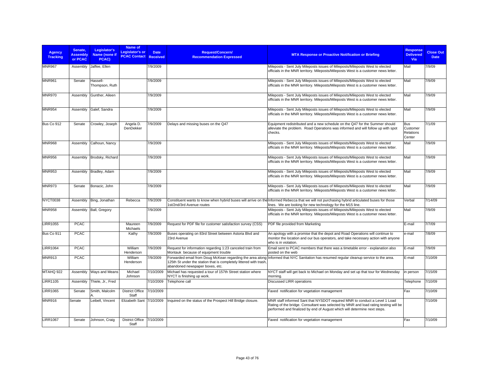| <b>Agency</b><br><b>Tracking</b> | Senate.<br><b>Assembly</b><br>or PCAC | Legislator's<br>Name (none if<br>PCAC) | Name of<br>Legislator's or<br><b>PCAC Contact Received</b> | <b>Date</b> | <b>Request/Concern/</b><br><b>Recommendation Expressed</b>                                            | <b>MTA Response or Proactive Notification or Briefing</b>                                                                                                                                                                                       | <b>Response</b><br><b>Delivered</b><br>Via    | <b>Close Out</b><br><b>Date</b> |
|----------------------------------|---------------------------------------|----------------------------------------|------------------------------------------------------------|-------------|-------------------------------------------------------------------------------------------------------|-------------------------------------------------------------------------------------------------------------------------------------------------------------------------------------------------------------------------------------------------|-----------------------------------------------|---------------------------------|
| <b>MNR967</b>                    | Assembly                              | Jaffee, Ellen                          |                                                            | 7/9/2009    |                                                                                                       | Mileposts - Sent July Mileposts issues of Mileposts/Mileposts West to elected<br>officials in the MNR territory. Mileposts/Mileposts West is a customer news letter.                                                                            | Mail                                          | 7/9/09                          |
| <b>MNR961</b>                    | Senate                                | Hassell-<br>Thompson, Ruth             |                                                            | 7/9/2009    |                                                                                                       | Mileposts - Sent July Mileposts issues of Mileposts/Mileposts West to elected<br>officials in the MNR territory. Mileposts/Mileposts West is a customer news letter.                                                                            | Mail                                          | 7/9/09                          |
| <b>MNR970</b>                    | Assembly                              | Gunther, Aileen                        |                                                            | 7/9/2009    |                                                                                                       | Mileposts - Sent July Mileposts issues of Mileposts/Mileposts West to elected<br>officials in the MNR territory. Mileposts/Mileposts West is a customer news letter.                                                                            | Mail                                          | 7/9/09                          |
| <b>MNR954</b>                    | Assembly                              | Galef, Sandra                          |                                                            | 7/9/2009    |                                                                                                       | Mileposts - Sent July Mileposts issues of Mileposts/Mileposts West to elected<br>officials in the MNR territory. Mileposts/Mileposts West is a customer news letter.                                                                            | Mail                                          | 7/9/09                          |
| Bus Co 912                       | Senate                                | Crowley, Joseph                        | Angela D.<br>DenDekker                                     | 7/9/2009    | Delays and missing buses on the Q47                                                                   | Equipment redistributed and a new schedule on the Q47 for the Summer should<br>alleviate the problem. Road Operations was informed and will follow up with spot<br>checks.                                                                      | <b>Bus</b><br>Customer<br>Relations<br>Center | 7/1/09                          |
| <b>MNR968</b>                    | Assembly                              | Calhoun, Nancy                         |                                                            | 7/9/2009    |                                                                                                       | Mileposts - Sent July Mileposts issues of Mileposts/Mileposts West to elected<br>officials in the MNR territory. Mileposts/Mileposts West is a customer news letter.                                                                            | Mail                                          | 7/9/09                          |
| <b>MNR956</b>                    | Assembly                              | Brodsky, Richard                       |                                                            | 7/9/2009    |                                                                                                       | Mileposts - Sent July Mileposts issues of Mileposts/Mileposts West to elected<br>officials in the MNR territory. Mileposts/Mileposts West is a customer news letter.                                                                            | Mail                                          | 7/9/09                          |
| <b>MNR953</b>                    | Assembly                              | Bradley, Adam                          |                                                            | 7/9/2009    |                                                                                                       | Mileposts - Sent July Mileposts issues of Mileposts/Mileposts West to elected<br>officials in the MNR territory. Mileposts/Mileposts West is a customer news letter.                                                                            | Mail                                          | 7/9/09                          |
| <b>MNR973</b>                    | Senate                                | Bonacic, John                          |                                                            | 7/9/2009    |                                                                                                       | Mileposts - Sent July Mileposts issues of Mileposts/Mileposts West to elected<br>officials in the MNR territory. Mileposts/Mileposts West is a customer news letter.                                                                            | Mail                                          | 7/9/09                          |
| NYCT0038                         | Assembly                              | Bing, Jonathan                         | Rebecca                                                    | 7/9/2009    | 1st/2nd/3rd Avenue routes                                                                             | Constituent wants to know when hybrid buses will arrive on the Informed Rebecca that we will not purchasing hybrid articulated buses for those<br>lines. We are looking for new technology for the M15 line.                                    | Verbal                                        | 7/14/09                         |
| <b>MNR958</b>                    | Assembly                              | Ball, Gregory                          |                                                            | 7/9/2009    |                                                                                                       | Mileposts - Sent July Mileposts issues of Mileposts/Mileposts West to elected<br>officials in the MNR territory. Mileposts/Mileposts West is a customer news letter.                                                                            | Mail                                          | 7/9/09                          |
| <b>LIRR1055</b>                  | <b>PCAC</b>                           |                                        | Maureen<br><b>Michaels</b>                                 | 7/9/2009    | Request for PDF file for customer satisfaction survey (CSS)                                           | PDF file provided from Marketing                                                                                                                                                                                                                | E-mail                                        | 7/7/09                          |
| Bus Co 911                       | <b>PCAC</b>                           |                                        | Kathy                                                      | 7/9/2009    | Buses operating on 83rd Street between Astoria Blvd and<br>23rd Avenue                                | An apology with a promise that the depot and Road Operations will continue to<br>monitor the location and our bus operators, and take necessary action with anyone<br>who is in violation.                                                      | e-mail                                        | 7/8/09                          |
| <b>LIRR1064</b>                  | <b>PCAC</b>                           |                                        | William<br>Henderson                                       | 7/9/2009    | Request for information regarding 1:23 canceled train from<br>Montauk because of equipment trouble    | Email sent to PCAC members that there was a timetable error - explanation also<br>posted on the web                                                                                                                                             | E-mail                                        | 7/9/09                          |
| <b>MNR913</b>                    | <b>PCAC</b>                           |                                        | William<br>Henderson                                       | 7/9/2009    | 125th St under the station that is completely littered with trash.<br>abandoned newspaper boxes, etc. | Forwarded email from Doug McKean regarding the area along Informed that NYC Sanitation has resumed regular cleanup service to the area.                                                                                                         | E-mail                                        | 7/10/09                         |
| MTAHQ 922                        | Assembly                              | Ways and Means                         | Michael<br>Johnson                                         | 7/10/2009   | Michael has requested a tour of 157th Street station where<br>NYCT is finishing up work.              | NYCT staff will get back to Michael on Monday and set up that tour for Wednesday<br>morning.                                                                                                                                                    | in person                                     | 7/15/09                         |
| <b>LIRR1105</b>                  | Assembly                              | Thiele, Jr., Fred                      |                                                            | 7/10/2009   | Telephone call                                                                                        | <b>Discussed LIRR operations</b>                                                                                                                                                                                                                | Telephone                                     | 7/10/09                         |
| <b>LIRR1065</b>                  | Senate                                | Smith, Malcolm                         | <b>District Office</b><br>Staff                            | 7/10/2009   |                                                                                                       | Faxed notification for vegetation management                                                                                                                                                                                                    | Fax                                           | 7/10/09                         |
| <b>MNR916</b>                    | Senate                                | Leibell, Vincent                       | Elizabeth Sant 7/10/2009                                   |             | Inquired on the status of the Prospect Hill Bridge closure.                                           | MNR staff informed Sant that NYSDOT required MNR to conduct a Level 1 Load<br>Rating of the bridge. Consultant was selected by MNR and load rating testing will be<br>performed and finalized by end of August which will determine next steps. |                                               | 7/10/09                         |
| <b>LIRR1067</b>                  | Senate                                | Johnson, Craig                         | <b>District Office</b><br>Staff                            | 7/10/2009   |                                                                                                       | Faxed notification for vegetation management                                                                                                                                                                                                    | Fax                                           | 7/10/09                         |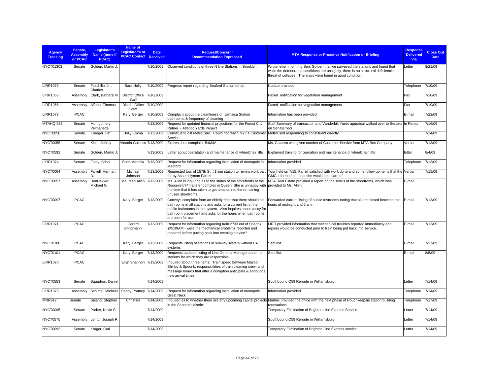| <b>Agency</b><br><b>Tracking</b> | Senate,<br><b>Assembly</b><br>or PCAC | Legislator's<br>Name (none if<br>PCAC) | <b>Name of</b><br>Legislator's or<br><b>PCAC Contact</b> | <b>Date</b><br><b>Received</b> | <b>Request/Concern/</b><br><b>Recommendation Expressed</b>                                                                                                                                                                                                                      | <b>MTA Response or Proactive Notification or Briefing</b>                                                                                                                                                                                  | <b>Response</b><br><b>Delivered</b><br>Via | <b>Close Out</b><br><b>Date</b> |
|----------------------------------|---------------------------------------|----------------------------------------|----------------------------------------------------------|--------------------------------|---------------------------------------------------------------------------------------------------------------------------------------------------------------------------------------------------------------------------------------------------------------------------------|--------------------------------------------------------------------------------------------------------------------------------------------------------------------------------------------------------------------------------------------|--------------------------------------------|---------------------------------|
| NYCT01303                        | Senate                                | Golden, Martin J.                      |                                                          | 7/10/2009                      | Observed conditions of three N line Stations in Brooklyn                                                                                                                                                                                                                        | Wrote letter informing Sen. Golden that we surveyed the stations and found that<br>while the deteriorated conditions are unsightly, there is no structural deficiencies or<br>threat of collapse. The stairs were found in good condition. | Letter                                     | 8/21/09                         |
| <b>LIRR1073</b>                  | Senate                                | Fuschillo, Jr.,<br>Charles             | Sara Holly                                               | 7/10/2009                      | Progress report regarding Seaford Station rehab                                                                                                                                                                                                                                 | Update provided                                                                                                                                                                                                                            | Telephone                                  | 7/10/09                         |
| <b>LIRR1068</b>                  | Assembly                              | Clark, Barbara M.                      | <b>District Office</b><br>Staff                          | 7/10/2009                      |                                                                                                                                                                                                                                                                                 | Faxed notification for vegetation management                                                                                                                                                                                               | Fax                                        | 7/10/09                         |
| <b>LIRR1066</b>                  | Assembly                              | Alfano, Thomas                         | District Office 7/10/2009<br>Staff                       |                                |                                                                                                                                                                                                                                                                                 | Faxed notification for vegetation management                                                                                                                                                                                               | Fax                                        | 7/10/09                         |
| <b>LIRR1072</b>                  | <b>PCAC</b>                           |                                        | Karyl Berger                                             | 7/10/2009                      | Complaint about the cleanliness of Jamaica Station<br>bathrooms & frequency of cleaning                                                                                                                                                                                         | Information has been provided                                                                                                                                                                                                              | E-mail                                     | 7/22/09                         |
| MTAHQ 923                        | Senate                                | Montgomery,<br>Velmanette              |                                                          | 7/13/2009                      | Request for updated financial projections for the Forest City<br>Ratner - Atlantic Yards Project                                                                                                                                                                                | Staff Summary of transaction and Vanderbilt Yards appraisal walked over to Senator In Person<br>on Senate floor.                                                                                                                           |                                            | 7/16/09                         |
| NYCT0058                         | Senate                                | Krueger, Liz                           | Holly Emma                                               | 7/13/2009                      | Constituent lost MetroCard. Could not reach NYCT Customer<br>Service.                                                                                                                                                                                                           | MetroCard responding to constituent directly.                                                                                                                                                                                              |                                            | 7/14/09                         |
| NYCT0055                         | Senate                                | Klein, Jeffrey                         | Victoria Galasso 7/13/2009                               |                                | Express bus complaint-BxM4A                                                                                                                                                                                                                                                     | Ms. Galasso was given number of Customer Service from MTA Bus Company.                                                                                                                                                                     | Verbal                                     | 7/13/09                         |
| <b>NYCT0592</b>                  | Senate                                | Golden, Martin J.                      |                                                          | 7/13/2009                      | Letter about operatation and maintenance of wheelchair lifts                                                                                                                                                                                                                    | Explained training for operation and maintenance of wheelchair lifts                                                                                                                                                                       | letter                                     | 8/4/09                          |
| <b>LIRR1074</b>                  | Senate                                | Foley, Brian                           | Scott Martella                                           | 7/13/2009                      | Request for information regarding installation of monopole in<br>Medford                                                                                                                                                                                                        | Information provided                                                                                                                                                                                                                       | Telephone                                  | 7/13/09                         |
| NYCT0064                         | Assembly                              | Farrell, Herman<br>n                   | Michael<br>Johnson                                       | 7/13/2009                      | Requested tour of 157th St. #1 line station to review work paid<br>for by Assemblyman Farrell                                                                                                                                                                                   | Tour held on 7/15: Farrell satisfied with work done and some follow up items that the Verbal<br>GMG informed him that she would take care of.                                                                                              |                                            | 7/15/09                         |
| NYCT0057                         | Assembly                              | DenDekker,<br>Michael G.               | Maureen Allen 7/13/2009                                  |                                | Ms. Allen is inquiring as to the status of the storefronts at the<br>Roosevelt/74 transfer complex in Queen She is unhappy with<br>the time that it has taken to get tenants into the remaining<br>unused storefronts.                                                          | MTA Real Estate provided a report on the status of the storefronts, which was<br>provided to Ms. Allen.                                                                                                                                    | E-mail                                     |                                 |
| NYCT0097                         | <b>PCAC</b>                           |                                        | Karyl Berger                                             | 7/13/2009                      | Conveys complaint from an elderly rider that there should be<br>bathrooms in all stations and asks for a current list of the<br>public bathrooms in the system. Also inquires about policy for<br>bathroom placement and asks for the hours when bathrooms<br>are open for use. | Forwarded current listing of public restrooms noting that all are closed between the<br>hours of midnight and 5 am.                                                                                                                        | E-mail                                     | 7/13/09                         |
| <b>LIRR1071</b>                  | <b>PCAC</b>                           |                                        | Gerard<br>Bringmann                                      | 7/13/2009                      | Request for information regarding train 2733 out of Speonk<br>@5:39AM - were the mechanical problems reported and<br>repaired before putting back into evening service?                                                                                                         | LIRR provided information that mechanical troubles reported immediately and<br>repairs would be conducted prior to train being put back into service.                                                                                      | E-mail                                     | 7/13/09                         |
| NYCT0100                         | <b>PCAC</b>                           |                                        | Karyl Berger                                             | 7/13/2009                      | Requests listing of stations in subway system without PA<br>systems                                                                                                                                                                                                             | Sent list.                                                                                                                                                                                                                                 | E-mail                                     | 7/17/09                         |
| NYCT0101                         | <b>PCAC</b>                           |                                        | Karyl Berger                                             | 7/13/2009                      | Requests updated listing of Line General Managers and the<br>stations for which they are responsible.                                                                                                                                                                           | Sent list.                                                                                                                                                                                                                                 | E-mail                                     | 8/5/09                          |
| <b>LIRR1070</b>                  | <b>PCAC</b>                           |                                        | Ellyn Shannon 7/13/2009                                  |                                | Inquired about three items: Train speed between Mastic-<br>Shirley & Speonk, responsibilities of train cleaning crew, and<br>message boards that after a disruption anticipate & announce<br>new arrival times                                                                  |                                                                                                                                                                                                                                            |                                            |                                 |
| <b>NYCT0553</b>                  | Senate                                | Squadron, Daniel                       |                                                          | 7/14/2009                      |                                                                                                                                                                                                                                                                                 | Southbound Q59 Reroute in Williamsburg                                                                                                                                                                                                     | Letter                                     | 7/14/09                         |
| <b>LIRR1075</b>                  | Assembly                              | Schimel, Michelle                      | Sandy Portnoy 7/14/2009                                  |                                | Request for information regarding installation of monopole<br><b>Great Neck</b>                                                                                                                                                                                                 | Information provided                                                                                                                                                                                                                       | Telephone                                  | 7/14/09                         |
| <b>MNR917</b>                    | Senate                                | Saland, Stephen                        | Christina                                                | 7/14/2009                      | Inquired as to whether there are any upcoming capital projects<br>in the Senator's district                                                                                                                                                                                     | Mannix provided the office with the next phase of Poughkeepsie station building<br>renovations.                                                                                                                                            | Telephone                                  | 7/17/09                         |
| NYCT0095                         | Senate                                | Parker, Kevin S.                       |                                                          | 7/14/2009                      |                                                                                                                                                                                                                                                                                 | Temporary Elimination of Brighton Line Express Service                                                                                                                                                                                     | Letter                                     | 7/14/09                         |
| NYCT0575                         | Assembly                              | Lentol, Joseph R.                      |                                                          | 7/14/2009                      |                                                                                                                                                                                                                                                                                 | Southbound Q59 Reroute in Williamsburg                                                                                                                                                                                                     | Letter                                     | 7/14/09                         |
| NYCT0093                         | Senate                                | Kruger, Carl                           |                                                          | 7/14/2009                      |                                                                                                                                                                                                                                                                                 | Temporary Elimination of Brighton Line Express service                                                                                                                                                                                     | Letter                                     | 7/14/09                         |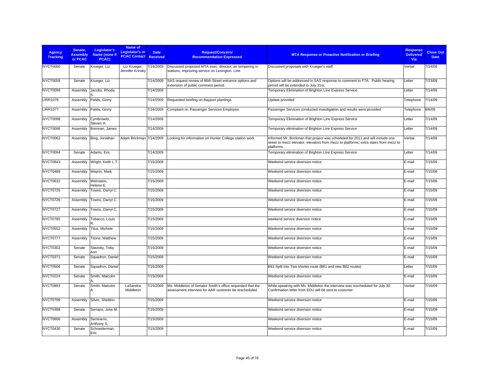| Agency<br><b>Tracking</b> | Senate,<br><b>Assembly</b><br>or PCAC | Legislator's<br>Name (none if<br>PCAC) | Name of<br>Legislator's or<br><b>PCAC Contact</b> | <b>Date</b><br>Received | <b>Request/Concern/</b><br><b>Recommendation Expressed</b>                                                          | <b>MTA Response or Proactive Notification or Briefing</b>                                                                                                                            | Response<br><b>Delivered</b><br>Via | <b>Close Out</b><br><b>Date</b> |
|---------------------------|---------------------------------------|----------------------------------------|---------------------------------------------------|-------------------------|---------------------------------------------------------------------------------------------------------------------|--------------------------------------------------------------------------------------------------------------------------------------------------------------------------------------|-------------------------------------|---------------------------------|
| NYCT0060                  | Senate                                | Krueger, Liz                           | Liz Krueger,<br>Jennifer Krinsky                  | 7/14/2009               | Discussed proposed MTA exec. director; air tempering in<br>stations; improving service on Lexington. Line           | Discussed proposals with Krueger's staff.                                                                                                                                            | Verbal                              | 7/14/09                         |
| <b>NYCT0059</b>           | Senate                                | Krueger, Liz                           |                                                   | 7/14/2009               | SAS request review of 86th Street entrance options and<br>extension of public comment period.                       | Options will be addressed in SAS response to comment to FTA. Public hearing<br>period will be extended to July 31st.                                                                 | Letter                              | 7/23/09                         |
| NYCT0099                  | Assembly                              | Jacobs, Rhoda                          |                                                   | 7/14/2009               |                                                                                                                     | Temporary Elimination of Brighton Line Express Service                                                                                                                               | Letter                              | 7/14/09                         |
| <b>LIRR1076</b>           | Assembly                              | Fields, Ginny                          |                                                   | 7/14/2009               | Requested briefing on Bayport plantings                                                                             | Update provided                                                                                                                                                                      | Telephone                           | 7/14/09                         |
| <b>LIRR1077</b>           | Assembly                              | Fields, Ginny                          |                                                   | 7/14/2009               | Complaint re: Passenger Services Employee                                                                           | Passenger Services conducted investigation and results were provided                                                                                                                 | Telephone                           | 8/6/09                          |
| NYCT0098                  | Assembly                              | Cymbrowitz,<br>Steven H.               |                                                   | 7/14/2009               |                                                                                                                     | Temporary Elimination of Brighton Line Express Service                                                                                                                               | Letter                              | 7/14/09                         |
| NYCT0096                  | Assembly                              | Brennan, James                         |                                                   | 7/14/2009               |                                                                                                                     | Temporary elimination of Brighton Line Express Service                                                                                                                               | Letter                              | 7/14/09                         |
| NYCT0062                  | Assembly                              | Bing, Jonathan                         | Adam Brickman 7/14/2009                           |                         | Looking for information on Hunter College station work.                                                             | Informed Mr. Brickman that project was scheduled for 2011 and will include one<br>street to mezz elevator, elevators from mezz to platforms; extra stairs from mezz to<br>platforms. | Verbal                              | 7/14/09                         |
| NYCT0094                  | Senate                                | Adams, Eric                            |                                                   | 7/14/2009               |                                                                                                                     | Temporary elimination of Brighton Line Express Service                                                                                                                               | Letter                              | 7/14/09                         |
| NYCT0843                  | Assembly                              | Wright, Keith L.T.                     |                                                   | 7/15/2009               |                                                                                                                     | Weekend service diversion notice                                                                                                                                                     | E-mail                              | 7/15/09                         |
| NYCT0489                  | Assembly                              | Weprin, Mark                           |                                                   | 7/15/2009               |                                                                                                                     | Weekend service diversion notice                                                                                                                                                     | E-mail                              | 7/15/09                         |
| <b>NYCT0632</b>           | Assembly                              | Weinstein,<br>Helene E.                |                                                   | 7/15/2009               |                                                                                                                     | Weekend service diversion notice                                                                                                                                                     | E-mail                              | 7/15/09                         |
| NYCT0725                  | Assembly                              | Towns, Darryl C.                       |                                                   | 7/15/2009               |                                                                                                                     | Weekend service diversion notice                                                                                                                                                     | E-mail                              | 7/15/09                         |
| NYCT0726                  | Assembly                              | Towns, Darryl C.                       |                                                   | 7/15/2009               |                                                                                                                     | Weekend service diversion notice                                                                                                                                                     | E-mail                              | 7/15/09                         |
| NYCT0727                  | Assembly                              | Towns, Darryl C.                       |                                                   | 7/15/2009               |                                                                                                                     | Weekend service diversion notice                                                                                                                                                     | E-mail                              | 7/15/09                         |
| NYCT0785                  | Assembly                              | Tobacco, Louis                         |                                                   | 7/15/2009               |                                                                                                                     | weekend service diversion notice                                                                                                                                                     | E-mail                              | 7/15/09                         |
| <b>NYCT0552</b>           | Assembly                              | Titus, Michele                         |                                                   | 7/15/2009               |                                                                                                                     | Weekend service diversion notice                                                                                                                                                     | E-mail                              | 7/15/09                         |
| NYCT0777                  | Assembly                              | Titone, Matthew                        |                                                   | 7/15/2009               |                                                                                                                     | Weekend service diversion notice                                                                                                                                                     | E-mail                              | 7/15/09                         |
| NYCT0302                  | Senate                                | Stavisky, Toby<br>Ann                  |                                                   | 7/15/2009               |                                                                                                                     | Weekend service diversion notice                                                                                                                                                     | E-mail                              | 7/15/09                         |
| <b>NYCT0371</b>           | Senate                                | Squadron, Daniel                       |                                                   | 7/15/2009               |                                                                                                                     | Weekend service diversion notice                                                                                                                                                     | E-mail                              | 7/15/09                         |
| <b>NYCT0506</b>           | Senate                                | Squadron, Daniel                       |                                                   | 7/15/2009               |                                                                                                                     | B61 Split into Two shorter route (B61 and new B62 routes)                                                                                                                            | Letter                              | 7/15/09                         |
| NYCT0224                  | Senate                                | Smith, Malcolm                         |                                                   | 7/15/2009               |                                                                                                                     | Weekend service diversion notice                                                                                                                                                     | E-mail                              | 7/15/09                         |
| NYCT0993                  | Senate                                | Smith, Malcolm                         | LaSandra<br>Middleton                             | 7/15/2009               | Ms. Middleton of Senator Smith's office requested that the<br>assessment interview for AAR customer be rescheduled. | While speaking with Ms. Middleton the interview was rescheduled for July 30.<br>Confirmation letter from EDU will be sent to customer.                                               | Verbal                              | 7/16/09                         |
| NYCT0799                  | Assembly                              | Silver, Sheldon                        |                                                   | 7/15/2009               |                                                                                                                     | Weekend service diversion notice                                                                                                                                                     | E-mail                              | 7/15/09                         |
| NYCT0398                  | Senate                                | Serrano, Jose M.                       |                                                   | 7/15/2009               |                                                                                                                     | Weekend service diversion notice                                                                                                                                                     | E-mail                              | 7/15/09                         |
| <b>NYCT0606</b>           | Assembly                              | Seminerio,<br>Anthony S.               |                                                   | 7/15/2009               |                                                                                                                     | Weekend service diversion notice                                                                                                                                                     | E-mail                              | 7/15/09                         |
| <b>NYCT0430</b>           | Senate                                | Schneiderman,<br>Eric                  |                                                   | 7/15/2009               |                                                                                                                     | Weekend service diversion notice                                                                                                                                                     | E-mail                              | 7/15/09                         |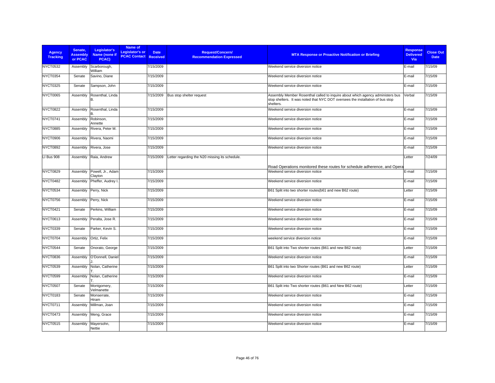| <b>Agency</b><br><b>Tracking</b> | Senate.<br><b>Assembly</b><br>or PCAC | Legislator's<br>Name (none if<br>PCAC) | Name of<br>Legislator's or<br><b>PCAC Contact Received</b> | <b>Date</b> | <b>Request/Concern/</b><br><b>Recommendation Expressed</b> | <b>MTA Response or Proactive Notification or Briefing</b>                                                                                                                     | <b>Response</b><br><b>Delivered</b><br><b>Via</b> | <b>Close Out</b><br><b>Date</b> |
|----------------------------------|---------------------------------------|----------------------------------------|------------------------------------------------------------|-------------|------------------------------------------------------------|-------------------------------------------------------------------------------------------------------------------------------------------------------------------------------|---------------------------------------------------|---------------------------------|
| <b>NYCT0532</b>                  | Assembly                              | Scarborough,<br>William                |                                                            | 7/15/2009   |                                                            | Weekend service diversion notice                                                                                                                                              | E-mail                                            | 7/15/09                         |
| <b>NYCT0354</b>                  | Senate                                | Savino, Diane                          |                                                            | 7/15/2009   |                                                            | Weekend service diversion notice                                                                                                                                              | E-mail                                            | 7/15/09                         |
| <b>NYCT0325</b>                  | Senate                                | Sampson, John                          |                                                            | 7/15/2009   |                                                            | Weekend service diversion notice                                                                                                                                              | E-mail                                            | 7/15/09                         |
| <b>NYCT0065</b>                  | Assembly                              | Rosenthal, Linda<br>B.                 |                                                            | 7/15/2009   | Bus stop shelter request                                   | Assembly Member Rosenthal called to inquire about which agency administers bus<br>stop shelters. It was noted that NYC DOT oversees the installation of bus stop<br>shelters. | Verbal                                            | 7/15/09                         |
| <b>NYCT0822</b>                  | Assembly                              | Rosenthal, Linda<br>B.                 |                                                            | 7/15/2009   |                                                            | Weekend service diversion notice                                                                                                                                              | E-mail                                            | 7/15/09                         |
| NYCT0741                         | Assembly                              | Robinson,<br>Annette                   |                                                            | 7/15/2009   |                                                            | Weekend service diversion notice                                                                                                                                              | E-mail                                            | 7/15/09                         |
| <b>NYCT0885</b>                  | Assembly                              | Rivera, Peter M.                       |                                                            | 7/15/2009   |                                                            | Weekend service diversion notice                                                                                                                                              | E-mail                                            | 7/15/09                         |
| NYCT0906                         | Assembly                              | Rivera, Naomi                          |                                                            | 7/15/2009   |                                                            | Weekend service diversion notice                                                                                                                                              | E-mail                                            | 7/15/09                         |
| <b>NYCT0892</b>                  | Assembly                              | Rivera, Jose                           |                                                            | 7/15/2009   |                                                            | Weekend service diversion notice                                                                                                                                              | E-mail                                            | 7/15/09                         |
| LI Bus 908                       | Assembly                              | Raia, Andrew                           |                                                            | 7/15/2009   | Letter regarding the N20 missing its schedule.             |                                                                                                                                                                               | Letter                                            | 7/24/09                         |
|                                  |                                       |                                        |                                                            |             |                                                            | Road Operations monitored these routes for schedule adherence, and Opera                                                                                                      |                                                   |                                 |
| <b>NYCT0829</b>                  | Assembly                              | Powell, Jr., Adam<br>Clayton           |                                                            | 7/15/2009   |                                                            | Weekend service diversion notice                                                                                                                                              | E-mail                                            | 7/15/09                         |
| NYCT0482                         | Assembly                              | Pheffer, Audrey I.                     |                                                            | 7/15/2009   |                                                            | Weekend service diversion notice                                                                                                                                              | E-mail                                            | 7/15/09                         |
| NYCT0534                         | Assembly                              | Perry, Nick                            |                                                            | 7/15/2009   |                                                            | B61 Split into two shorter routes(b61 and new B62 route)                                                                                                                      | Letter                                            | 7/15/09                         |
| NYCT0756                         | Assembly                              | Perry, Nick                            |                                                            | 7/15/2009   |                                                            | Weekend service diversion notice                                                                                                                                              | E-mail                                            | 7/15/09                         |
| NYCT0421                         | Senate                                | Perkins, William                       |                                                            | 7/15/2009   |                                                            | Weekend service diversion notice                                                                                                                                              | E-mail                                            | 7/15/09                         |
| <b>NYCT0613</b>                  | Assembly                              | Peralta, Jose R.                       |                                                            | 7/15/2009   |                                                            | Weekend service diversion notice                                                                                                                                              | E-mail                                            | 7/15/09                         |
| <b>NYCT0339</b>                  | Senate                                | Parker, Kevin S.                       |                                                            | 7/15/2009   |                                                            | Weekend service diversion notice                                                                                                                                              | E-mail                                            | 7/15/09                         |
| NYCT0704                         | Assembly                              | Ortiz, Felix                           |                                                            | 7/15/2009   |                                                            | weekend service diversion notice                                                                                                                                              | E-mail                                            | 7/15/09                         |
| NYCT0544                         | Senate                                | Onorato, George                        |                                                            | 7/15/2009   |                                                            | B61 Split into Two shorter routes (B61 and new B62 route)                                                                                                                     | Letter                                            | 7/15/09                         |
| NYCT0836                         | Assembly                              | O'Donnell, Daniel                      |                                                            | 7/15/2009   |                                                            | Weekend service diversion notice                                                                                                                                              | E-mail                                            | 7/15/09                         |
| <b>NYCT0539</b>                  | Assembly                              | Nolan, Catherine                       |                                                            | 7/15/2009   |                                                            | B61 Split into two Shorter routes (B61 and new B62 route)                                                                                                                     | Letter                                            | 7/15/09                         |
| <b>NYCT0599</b>                  | Assembly                              | Nolan, Catherine                       |                                                            | 7/15/2009   |                                                            | Weekend service diversion notice                                                                                                                                              | E-mail                                            | 7/15/09                         |
| <b>NYCT0507</b>                  | Senate                                | Montgomery,<br>Velmanette              |                                                            | 7/15/2009   |                                                            | B61 Split into Two shorter routes (B61 and New B62 route)                                                                                                                     | Letter                                            | 7/15/09                         |
| <b>NYCT0183</b>                  | Senate                                | Monserrate,<br>Hiram                   |                                                            | 7/15/2009   |                                                            | Weekend service diversion notice                                                                                                                                              | E-mail                                            | 7/15/09                         |
| NYCT0711                         | Assembly                              | Millman, Joan                          |                                                            | 7/15/2009   |                                                            | Weekend service diversion notice                                                                                                                                              | E-mail                                            | 7/15/09                         |
| NYCT0473                         | Assembly                              | Meng, Grace                            |                                                            | 7/15/2009   |                                                            | Weekend service diversion notice                                                                                                                                              | E-mail                                            | 7/15/09                         |
| <b>NYCT0515</b>                  | Assembly                              | Mayersohn,<br>Nettie                   |                                                            | 7/15/2009   |                                                            | Weekend service diversion notice                                                                                                                                              | E-mail                                            | 7/15/09                         |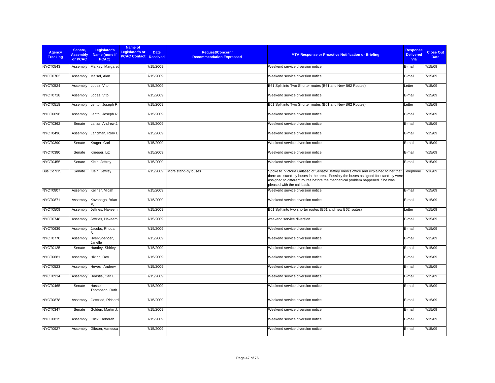| <b>Agency</b><br><b>Tracking</b> | Senate,<br><b>Assembly</b><br>or PCAC | Legislator's<br>Name (none if<br>PCAC) | Name of<br>Legislator's or<br><b>PCAC Contact Received</b> | <b>Date</b> | <b>Request/Concern/</b><br><b>Recommendation Expressed</b> | <b>MTA Response or Proactive Notification or Briefing</b>                                                                                                                                                                                                                                             | <b>Response</b><br><b>Delivered</b><br>Via | <b>Close Out</b><br><b>Date</b> |
|----------------------------------|---------------------------------------|----------------------------------------|------------------------------------------------------------|-------------|------------------------------------------------------------|-------------------------------------------------------------------------------------------------------------------------------------------------------------------------------------------------------------------------------------------------------------------------------------------------------|--------------------------------------------|---------------------------------|
| <b>NYCT0543</b>                  | Assembly                              | Markey, Margaret                       |                                                            | 7/15/2009   |                                                            | Weekend service diversion notice                                                                                                                                                                                                                                                                      | E-mail                                     | 7/15/09                         |
| <b>NYCT0763</b>                  | Assembly                              | Maisel, Alan                           |                                                            | 7/15/2009   |                                                            | Weekend service diversion notice                                                                                                                                                                                                                                                                      | E-mail                                     | 7/15/09                         |
| <b>NYCT0524</b>                  | Assembly                              | Lopez, Vito                            |                                                            | 7/15/2009   |                                                            | B61 Split into Two Shorter routes (B61 and New B62 Routes)                                                                                                                                                                                                                                            | Letter                                     | 7/15/09                         |
| NYCT0718                         | Assembly                              | Lopez, Vito                            |                                                            | 7/15/2009   |                                                            | Weekend service diversion notice                                                                                                                                                                                                                                                                      | E-mail                                     | 7/15/09                         |
| <b>NYCT0518</b>                  | Assembly                              | Lentol, Joseph R.                      |                                                            | 7/15/2009   |                                                            | B61 Split into Two Shorter routes (B61 and New B62 Routes)                                                                                                                                                                                                                                            | Letter                                     | 7/15/09                         |
| <b>NYCT0696</b>                  | Assembly                              | Lentol, Joseph R.                      |                                                            | 7/15/2009   |                                                            | Weekend service diversion notice                                                                                                                                                                                                                                                                      | E-mail                                     | 7/15/09                         |
| <b>NYCT0362</b>                  | Senate                                | Lanza, Andrew J.                       |                                                            | 7/15/2009   |                                                            | Weekend service diversion notice                                                                                                                                                                                                                                                                      | E-mail                                     | 7/15/09                         |
| NYCT0496                         | Assembly                              | Lancman, Rory I.                       |                                                            | 7/15/2009   |                                                            | Weekend service diversion notice                                                                                                                                                                                                                                                                      | E-mail                                     | 7/15/09                         |
| NYCT0390                         | Senate                                | Kruger, Carl                           |                                                            | 7/15/2009   |                                                            | Weekend service diversion notice                                                                                                                                                                                                                                                                      | E-mail                                     | 7/15/09                         |
| NYCT0380                         | Senate                                | Krueger, Liz                           |                                                            | 7/15/2009   |                                                            | Weekend service diversion notice                                                                                                                                                                                                                                                                      | E-mail                                     | 7/15/09                         |
| <b>NYCT0455</b>                  | Senate                                | Klein, Jeffrey                         |                                                            | 7/15/2009   |                                                            | Weekend service diversion notice                                                                                                                                                                                                                                                                      | E-mail                                     | 7/15/09                         |
| Bus Co 915                       | Senate                                | Klein, Jeffrey                         |                                                            | 7/15/2009   | More stand-by buses                                        | Spoke to Victoria Galasso of Senator Jeffrey Klein's office and explained to her that Telephone<br>there are stand-by buses in the area. Possibly the buses assigned for stand-by were<br>assigned to different routes before the mechanical problem happened. She was<br>pleased with the call back. |                                            | 7/16/09                         |
| <b>NYCT0807</b>                  | Assembly                              | Kellner, Micah                         |                                                            | 7/15/2009   |                                                            | Weekend service diversion notice                                                                                                                                                                                                                                                                      | E-mail                                     | 7/15/09                         |
| <b>NYCT0871</b>                  | Assembly                              | Kavanagh, Brian                        |                                                            | 7/15/2009   |                                                            | Weekend service diversion notice                                                                                                                                                                                                                                                                      | E-mail                                     | 7/15/09                         |
| <b>NYCT0509</b>                  | Assembly                              | Jeffries, Hakeem                       |                                                            | 7/15/2009   |                                                            | B61 Split into two shorter routes (B61 and new B62 routes)                                                                                                                                                                                                                                            | Letter                                     | 7/15/09                         |
| NYCT0748                         | Assembly                              | Jeffries, Hakeem                       |                                                            | 7/15/2009   |                                                            | weekend service diversion                                                                                                                                                                                                                                                                             | E-mail                                     | 7/15/09                         |
| <b>NYCT0639</b>                  | Assembly                              | Jacobs, Rhoda                          |                                                            | 7/15/2009   |                                                            | Weekend service diversion notice                                                                                                                                                                                                                                                                      | E-mail                                     | 7/15/09                         |
| NYCT0770                         | Assembly                              | Hyer-Spencer,<br>Janelle               |                                                            | 7/15/2009   |                                                            | Weekend service diversion notice                                                                                                                                                                                                                                                                      | E-mail                                     | 7/15/09                         |
| NYCT0125                         | Senate                                | Huntley, Shirley                       |                                                            | 7/15/2009   |                                                            | Weekend service diversion notice                                                                                                                                                                                                                                                                      | E-mail                                     | 7/15/09                         |
| NYCT0681                         | Assembly                              | Hikind, Dov                            |                                                            | 7/15/2009   |                                                            | Weekend service diversion notice                                                                                                                                                                                                                                                                      | E-mail                                     | 7/15/09                         |
| <b>NYCT0523</b>                  | Assembly                              | Hevesi, Andrew                         |                                                            | 7/15/2009   |                                                            | Weekend service diversion notice                                                                                                                                                                                                                                                                      | E-mail                                     | 7/15/09                         |
| NYCT0934                         | Assembly                              | Heastie, Carl E.                       |                                                            | 7/15/2009   |                                                            | Weekend service diversion notice                                                                                                                                                                                                                                                                      | E-mail                                     | 7/15/09                         |
| <b>NYCT0465</b>                  | Senate                                | Hassell-<br>Thompson, Ruth             |                                                            | 7/15/2009   |                                                            | Weekend service diversion notice                                                                                                                                                                                                                                                                      | E-mail                                     | 7/15/09                         |
| <b>NYCT0878</b>                  | Assembly                              | Gottfried, Richard                     |                                                            | 7/15/2009   |                                                            | Weekend service diversion notice                                                                                                                                                                                                                                                                      | E-mail                                     | 7/15/09                         |
| NYCT0347                         | Senate                                | Golden, Martin J.                      |                                                            | 7/15/2009   |                                                            | Weekend service diversion notice                                                                                                                                                                                                                                                                      | E-mail                                     | 7/15/09                         |
| <b>NYCT0815</b>                  | Assembly                              | Glick, Deborah                         |                                                            | 7/15/2009   |                                                            | Weekend service diversion notice                                                                                                                                                                                                                                                                      | E-mail                                     | 7/15/09                         |
| NYCT0927                         | Assembly                              | Gibson, Vanessa                        |                                                            | 7/15/2009   |                                                            | Weekend service diversion notice                                                                                                                                                                                                                                                                      | E-mail                                     | 7/15/09                         |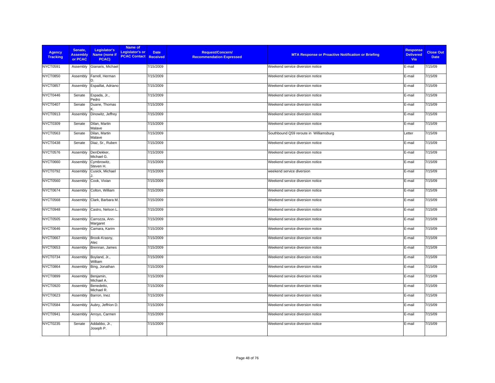| <b>Agency</b><br><b>Tracking</b> | Senate,<br><b>Assembly</b><br>or PCAC | Legislator's<br>Name (none if<br>PCAC) | Name of<br>Legislator's or<br><b>PCAC Contact Received</b> | <b>Date</b> | Request/Concern/<br><b>Recommendation Expressed</b> | <b>MTA Response or Proactive Notification or Briefing</b> | <b>Response</b><br><b>Delivered</b><br>Via | <b>Close Out</b><br><b>Date</b> |
|----------------------------------|---------------------------------------|----------------------------------------|------------------------------------------------------------|-------------|-----------------------------------------------------|-----------------------------------------------------------|--------------------------------------------|---------------------------------|
| <b>NYCT0591</b>                  | Assembly                              | Gianaris, Michael                      |                                                            | 7/15/2009   |                                                     | Weekend service diversion notice                          | E-mail                                     | 7/15/09                         |
| <b>NYCT0850</b>                  | Assembly                              | Farrell, Herman                        |                                                            | 7/15/2009   |                                                     | Weekend service diversion notice                          | E-mail                                     | 7/15/09                         |
| NYCT0857                         | Assembly                              | Espaillat, Adriano                     |                                                            | 7/15/2009   |                                                     | Weekend service diversion notice                          | E-mail                                     | 7/15/09                         |
| NYCT0446                         | Senate                                | Espada, Jr.,<br>Pedro                  |                                                            | 7/15/2009   |                                                     | Weekend service diversion notice                          | E-mail                                     | 7/15/09                         |
| NYCT0407                         | Senate                                | Duane, Thomas                          |                                                            | 7/15/2009   |                                                     | Weekend service diversion notice                          | E-mail                                     | 7/15/09                         |
| NYCT0913                         | Assembly                              | Dinowitz, Jeffrey                      |                                                            | 7/15/2009   |                                                     | Weekend service diversion notice                          | E-mail                                     | 7/15/09                         |
| <b>NYCT0309</b>                  | Senate                                | Dilan, Martin<br>Malave                |                                                            | 7/15/2009   |                                                     | Weekend service diversion notice                          | E-mail                                     | 7/15/09                         |
| <b>NYCT0563</b>                  | Senate                                | Dilan, Martin<br>Malave                |                                                            | 7/15/2009   |                                                     | Southbound Q59 reroute in Williamsburg                    | Letter                                     | 7/15/09                         |
| NYCT0438                         | Senate                                | Diaz, Sr., Ruben                       |                                                            | 7/15/2009   |                                                     | Weekend service diversion notice                          | E-mail                                     | 7/15/09                         |
| <b>NYCT0576</b>                  | Assembly                              | DenDekker,<br>Michael G.               |                                                            | 7/15/2009   |                                                     | Weekend service diversion notice                          | E-mail                                     | 7/15/09                         |
| <b>NYCT0660</b>                  | Assembly                              | Cymbrowitz,<br>Steven H.               |                                                            | 7/15/2009   |                                                     | Weekend service diversion notice                          | E-mail                                     | 7/15/09                         |
| <b>NYCT0792</b>                  | Assembly                              | Cusick, Michael                        |                                                            | 7/15/2009   |                                                     | weekend service diversion                                 | E-mail                                     | 7/15/09                         |
| <b>NYCT0560</b>                  | Assembly                              | Cook, Vivian                           |                                                            | 7/15/2009   |                                                     | Weekend service diversion notice                          | E-mail                                     | 7/15/09                         |
| <b>NYCT0674</b>                  | Assembly                              | Colton, William                        |                                                            | 7/15/2009   |                                                     | Weekend service diversion notice                          | E-mail                                     | 7/15/09                         |
| <b>NYCT0568</b>                  | Assembly                              | Clark, Barbara M.                      |                                                            | 7/15/2009   |                                                     | Weekend service diversion notice                          | E-mail                                     | 7/15/09                         |
| NYCT0948                         | Assembly                              | Castro, Nelson L                       |                                                            | 7/15/2009   |                                                     | Weekend service diversion notice                          | E-mail                                     | 7/15/09                         |
| <b>NYCT0505</b>                  | Assembly                              | Carrozza, Ann-<br>Margaret             |                                                            | 7/15/2009   |                                                     | Weekend service diversion notice                          | E-mail                                     | 7/15/09                         |
| NYCT0646                         | Assembly                              | Camara, Karim                          |                                                            | 7/15/2009   |                                                     | Weekend service diversion notice                          | E-mail                                     | 7/15/09                         |
| NYCT0667                         | Assembly                              | Brook-Krasny,<br>Alec                  |                                                            | 7/15/2009   |                                                     | Weekend service diversion notice                          | E-mail                                     | 7/15/09                         |
| <b>NYCT0653</b>                  | Assembly                              | Brennan, James                         |                                                            | 7/15/2009   |                                                     | Weekend service diversion notice                          | E-mail                                     | 7/15/09                         |
| NYCT0734                         | Assembly                              | Boyland, Jr.,<br>William               |                                                            | 7/15/2009   |                                                     | Weekend service diversion notice                          | E-mail                                     | 7/15/09                         |
| <b>NYCT0864</b>                  | Assembly                              | Bing, Jonathan                         |                                                            | 7/15/2009   |                                                     | Weekend service diversion notice                          | E-mail                                     | 7/15/09                         |
| <b>NYCT0899</b>                  | Assembly                              | Benjamin,<br>Michael A.                |                                                            | 7/15/2009   |                                                     | Weekend service diversion notice                          | E-mail                                     | 7/15/09                         |
| <b>NYCT0920</b>                  | Assembly                              | Benedetto,<br>Michael R.               |                                                            | 7/15/2009   |                                                     | Weekend service diversion notice                          | E-mail                                     | 7/15/09                         |
| <b>NYCT0623</b>                  | Assembly                              | Barron, Inez                           |                                                            | 7/15/2009   |                                                     | Weekend service diversion notice                          | E-mail                                     | 7/15/09                         |
| NYCT0584                         | Assembly                              | Aubry, Jeffrion D.                     |                                                            | 7/15/2009   |                                                     | Weekend service diversion notice                          | E-mail                                     | 7/15/09                         |
| NYCT0941                         | Assembly                              | Arroyo, Carmen                         |                                                            | 7/15/2009   |                                                     | Weekend service diversion notice                          | E-mail                                     | 7/15/09                         |
| NYCT0235                         | Senate                                | Addabbo, Jr.,<br>Joseph P.             |                                                            | 7/15/2009   |                                                     | Weekend service diversion notice                          | E-mail                                     | 7/15/09                         |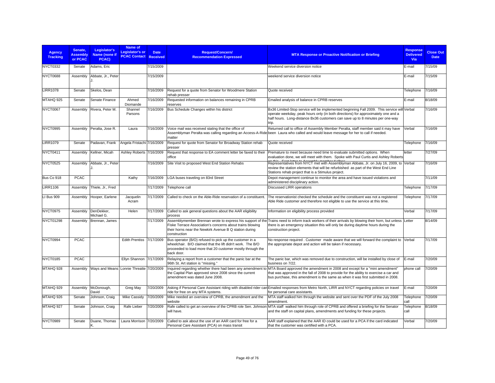| <b>Agency</b><br><b>Tracking</b> | Senate,<br><b>Assembly</b><br>or PCAC | Legislator's<br>Name (none if<br>PCAC)   | Name of<br>Legislator's or<br><b>PCAC Contact Received</b> | <b>Date</b> | <b>Request/Concern/</b><br><b>Recommendation Expressed</b>                                                                                                                                        | <b>MTA Response or Proactive Notification or Briefing</b>                                                                                                                                                                                                                                                           | <b>Response</b><br><b>Delivered</b><br><b>Via</b> | <b>Close Out</b><br><b>Date</b> |
|----------------------------------|---------------------------------------|------------------------------------------|------------------------------------------------------------|-------------|---------------------------------------------------------------------------------------------------------------------------------------------------------------------------------------------------|---------------------------------------------------------------------------------------------------------------------------------------------------------------------------------------------------------------------------------------------------------------------------------------------------------------------|---------------------------------------------------|---------------------------------|
| <b>NYCT0332</b>                  | Senate                                | Adams, Eric                              |                                                            | 7/15/2009   |                                                                                                                                                                                                   | Weekend service diversion notice                                                                                                                                                                                                                                                                                    | E-mail                                            | 7/15/09                         |
| NYCT0688                         | Assembly                              | Abbate, Jr., Peter                       |                                                            | 7/15/2009   |                                                                                                                                                                                                   | weekend service diversion notice                                                                                                                                                                                                                                                                                    | E-mail                                            | 7/15/09                         |
| <b>LIRR1078</b>                  | Senate                                | Skelos, Dean                             |                                                            | 7/16/2009   | Request for a quote from Senator for Woodmere Station<br>rehab presser                                                                                                                            | Quote received                                                                                                                                                                                                                                                                                                      | Telephone                                         | 7/16/09                         |
| MTAHQ 925                        | Senate                                | Senate Finance                           | Ahmed<br>Diomande                                          | 7/16/2009   | Requested information on balances remaining in CPRB<br>reserves                                                                                                                                   | Emailed analysis of balance in CPRB reserves                                                                                                                                                                                                                                                                        | E-mail                                            | 8/18/09                         |
| NYCT0067                         | Assembly                              | Rivera, Peter M.                         | Shannel<br>Parsons                                         | 7/16/2009   | Bus Schedule Changes within his district                                                                                                                                                          | Bx36 Limited-Stop service will be implemented beginning Fall 2009. This service will Verbal<br>operate weekday, peak hours only (in both directions) for approximately one and a<br>half hours. Long-distance Bx36 customers can save up to 8 minutes per one-way<br>trip.                                          |                                                   | 7/16/09                         |
| NYCT0995                         | Assembly                              | Peralta, Jose R.                         | Laura                                                      | 7/16/2009   | Voice mail was received stating that the office of<br>matter                                                                                                                                      | Returned call to office of Assembly Member Peralta, staff member said it may have<br>Assemblyman Peralta was calling regarding an Access-A-Ride been Laura who called and would leave message for her to call if needed.                                                                                            | Verbal                                            | 7/16/09                         |
| <b>LIRR1079</b>                  | Senate                                | Padavan, Frank                           | Angela Fristachi 7/16/2009                                 |             | Request for quote from Senator for Broadway Station rehab<br>presser                                                                                                                              | Quote received                                                                                                                                                                                                                                                                                                      | Telephone                                         | 7/16/09                         |
| NYCT0411                         | Assembly                              | Kellner, Micah                           | Ashley Roberts 7/16/2009                                   |             | Request that response to EA comment letter be faxed to their<br>office                                                                                                                            | Premature to meet because need time to evaluate submitted options. When<br>evaluation done, we will meet with them. Spoke with Paul Curtis and Ashley Roberts                                                                                                                                                       | letter                                            | 7/27/09                         |
| <b>NYCT0525</b>                  | Assembly                              | Abbate, Jr., Peter                       |                                                            | 7/16/2009   | Site Visit to proposed West End Station Rehabs                                                                                                                                                    | Representatives from NYCT met with Assemblyman Abbate, Jr. on July 16, 2009, to Verbal<br>review the station elements that will be refurbished as part of the West End Line<br>Stations rehab project that is a Stimulus project.                                                                                   |                                                   | 7/16/09                         |
| Bus Co 918                       | <b>PCAC</b>                           |                                          | Kathy                                                      | 7/16/2009   | LGA buses traveling on 83rd Street                                                                                                                                                                | Depot management continue to monitor the area and have issued violations and<br>administered disciplinary action.                                                                                                                                                                                                   |                                                   | 7/11/09                         |
| <b>LIRR1106</b>                  | Assembly                              | Thiele, Jr., Fred                        |                                                            | 7/17/2009   | Telephone call                                                                                                                                                                                    | <b>Discussed LIRR operations</b>                                                                                                                                                                                                                                                                                    | Telephone                                         | 7/17/09                         |
| LI Bus 909                       | Assembly                              | Hooper, Earlene                          | Jacquelin<br>Acram                                         | 7/17/2009   | Called to check on the Able-Ride reservation of a constituent                                                                                                                                     | The reservationist checked the schedule and the constituent was not a registered<br>Able Ride customer and therefore not eligible to use the service at this time.                                                                                                                                                  | Telephone                                         | 7/17/09                         |
| NYCT0975                         | Assembly                              | DenDekker.<br>Michael G.                 | Helen                                                      | 7/17/2009   | Called to ask general questions about the AAR eligibility<br>process                                                                                                                              | Information on eligibility process provided                                                                                                                                                                                                                                                                         | Verbal                                            | 7/17/09                         |
| <b>NYCT01298</b>                 | Assembly                              | Brennan, James                           |                                                            | 7/17/2009   | Fiske Terrace Association's concerns about trains blowing<br>their horns near the Newkirk Avenue B Q station during<br>construction                                                               | Assemblymember Brennan wrote to express his support of the Trains need to inform track workers of their arrivals by blowing their horn, but unless Letter<br>there is an emergency situation this will only be during daytime hours during the<br>construction project.                                             |                                                   | 8/14/09                         |
| NYCT0994                         | <b>PCAC</b>                           |                                          | <b>Edith Prentiss</b>                                      | 7/17/2009   | Bus operator (B/O) refused to pick up the customer in a<br>wheelchair. B/O claimed that the lift didn't work. The B/O<br>proceeded to load more that 20 customer mostly through the<br>back door. | No response required . Customer made aware that we will forward the complaint to Verbal<br>the appropriate depot and action will be taken if necessary.                                                                                                                                                             |                                                   | 7/17/09                         |
| <b>NYCT0185</b>                  | <b>PCAC</b>                           |                                          | Ellyn Shannon 7/17/2009                                    |             | Relaying a report from a customer that the panic bar at the<br>96th St. Art station is "missing."                                                                                                 | The panic bar, which was removed due to construction, will be installed by close of<br>business on 7/22.                                                                                                                                                                                                            | E-mail                                            | 7/20/09                         |
| MTAHQ 928                        | Assembly                              | Ways and Means Lonnie Threatte 7/20/2009 |                                                            |             | the Capital Plan approved since 2008 since the current<br>amendment was dated June 2008.                                                                                                          | Inquired regarding whether there had been any amendment to MTA Board approved the amendment in 2008 and except for a "mini amendment"<br>that was approved in the fall of 2008 to provide for the ability to exercise a car and<br>bus purchase, this amendment is the same as when it was first submitted in 2008. | phone call                                        | 7/20/09                         |
| MTAHQ 929                        | Assembly                              | McDonough,<br>David                      | Greg May                                                   | 7/20/2009   | ride for free on any MTA systems.                                                                                                                                                                 | Asking if Personal Care Assistant riding with disabled rider can Emailed responses from Metro North, LIRR and NYCT regarding policies on travel<br>for personal care assistants.                                                                                                                                    | E-mail                                            | 7/20/09                         |
| MTAHQ 926                        | Senate                                | Johnson, Craig                           | <b>Mike Cassidy</b>                                        | 7/20/2009   | Mike needed an overview of CPRB, the amendment and the<br>website                                                                                                                                 | MTA staff walked him through the website and sent over the PDF of the July 2008<br>amendment.                                                                                                                                                                                                                       | Telephone<br>call                                 | 7/20/09                         |
| MTAHQ 927                        | Senate                                | Johnson, Craig                           | Rafe Lieber                                                | 7/20/2009   | will have.                                                                                                                                                                                        | Rafe called to get an overview of the CPRB role Sen. Johnson MTA staff walked him through role of CPRB and offered a briefing for the Senator<br>and the staff on capital plans, amendments and funding for these projects.                                                                                         | Telephone<br>call                                 | 8/18/09                         |
| NYCT0989                         | Senate                                | Duane, Thomas                            | Laura Morrison 7/20/2009                                   |             | Called to ask about the use of an AAR card for free for a<br>Personal Care Assistant (PCA) on mass transit                                                                                        | AAR staff explained that the AAR ID could be used for a PCA if the card indicated<br>that the customer was certified with a PCA.                                                                                                                                                                                    | Verbal                                            | 7/20/09                         |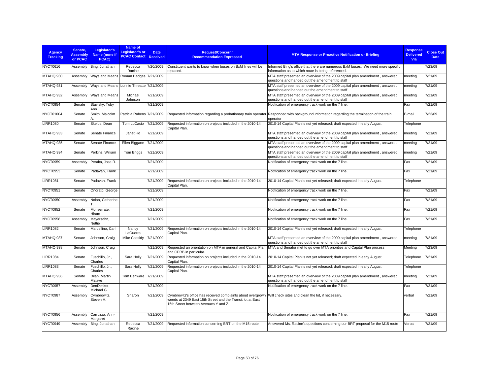| <b>Agency</b><br><b>Tracking</b> | Senate.<br><b>Assembly</b><br>or PCAC | Legislator's<br>Name (none if<br>PCAC) | Name of<br>Legislator's or<br><b>PCAC Contact</b> | <b>Date</b><br><b>Received</b> | <b>Request/Concern/</b><br><b>Recommendation Expressed</b>                                                                                                                                                          | <b>MTA Response or Proactive Notification or Briefing</b>                                                                                              | <b>Response</b><br><b>Delivered</b><br>Via | <b>Close Out</b><br><b>Date</b> |
|----------------------------------|---------------------------------------|----------------------------------------|---------------------------------------------------|--------------------------------|---------------------------------------------------------------------------------------------------------------------------------------------------------------------------------------------------------------------|--------------------------------------------------------------------------------------------------------------------------------------------------------|--------------------------------------------|---------------------------------|
| <b>NYCT0616</b>                  | Assembly                              | Bing, Jonathan                         | Rebecca<br>Racine                                 | 7/20/2009                      | Constituent wants to know when buses on BxM lines will be<br>replaced.                                                                                                                                              | Informed Bing's office that there are numerous BxM buses. We need more specific<br>information as to which route is being referenced.                  |                                            | 7/23/09                         |
| MTAHQ 930                        | Assembly                              | Ways and Means Roman Hedges 7/21/2009  |                                                   |                                |                                                                                                                                                                                                                     | MTA staff presented an overview of the 2009 capital plan amendment, answered<br>questions and handed out the amendment to staff                        | meeting                                    | 7/21/09                         |
| MTAHQ 931                        | Assembly                              | Wavs and Means                         | Lonnie Threatte 7/21/2009                         |                                |                                                                                                                                                                                                                     | MTA staff presented an overview of the 2009 capital plan amendment, answered<br>questions and handed out the amendment to staff                        | meeting                                    | 7/21/09                         |
| MTAHQ 932                        | Assembly                              | Ways and Means                         | Michael<br>Johnson                                | 7/21/2009                      |                                                                                                                                                                                                                     | MTA staff presented an overview of the 2009 capital plan amendment, answered<br>questions and handed out the amendment to staff                        | meeting                                    | 7/21/09                         |
| NYCT0954                         | Senate                                | Stavisky, Toby<br>Ann                  |                                                   | 7/21/2009                      |                                                                                                                                                                                                                     | Notification of emergency track work on the 7 line.                                                                                                    | Fax                                        | 7/21/09                         |
| NYCT01004                        | Senate                                | Smith, Malcolm                         | Patricia Rubens 7/21/2009                         |                                |                                                                                                                                                                                                                     | Requested information regarding a probationary train operator Responded with background information regarding the termination of the train<br>operator | E-mail                                     | 7/23/09                         |
| <b>LIRR1080</b>                  | Senate                                | Skelos, Dean                           | Tom LoCasio                                       | 7/21/2009                      | Requested information on projects included in the 2010-14<br>Capital Plan.                                                                                                                                          | 2010-14 Capital Plan is not yet released; draft expected in early August.                                                                              | Telephone                                  |                                 |
| MTAHQ 933                        | Senate                                | Senate Finance                         | Janet Ho                                          | 7/21/2009                      |                                                                                                                                                                                                                     | MTA staff presented an overview of the 2009 capital plan amendment, answered<br>questions and handed out the amendment to staff                        | meeting                                    | 7/21/09                         |
| MTAHQ 935                        | Senate                                | Senate Finance                         | Ellen Biggane                                     | 7/21/2009                      |                                                                                                                                                                                                                     | MTA staff presented an overview of the 2009 capital plan amendment, answered<br>questions and handed out the amendment to staff                        | meeting                                    | 7/21/09                         |
| MTAHQ 934                        | Senate                                | Perkins, William                       | Tom Briggs                                        | 7/21/2009                      |                                                                                                                                                                                                                     | MTA staff presented an overview of the 2009 capital plan amendment, answered<br>questions and handed out the amendment to staff                        | meeting                                    | 7/21/09                         |
| NYCT0959                         | Assembly                              | Peralta, Jose R.                       |                                                   | 7/21/2009                      |                                                                                                                                                                                                                     | Notification of emergency track work on the 7 line.                                                                                                    | Fax                                        | 7/21/09                         |
| NYCT0953                         | Senate                                | Padavan, Frank                         |                                                   | 7/21/2009                      |                                                                                                                                                                                                                     | Notification of emergency track work on the 7 line.                                                                                                    | Fax                                        | 7/21/09                         |
| <b>LIRR1081</b>                  | Senate                                | Padavan, Frank                         |                                                   | 7/21/2009                      | Requested information on projects included in the 2010-14<br>Capital Plan.                                                                                                                                          | 2010-14 Capital Plan is not yet released; draft expected in early August.                                                                              | Telephone                                  |                                 |
| NYCT0951                         | Senate                                | Onorato, George                        |                                                   | 7/21/2009                      |                                                                                                                                                                                                                     | Notification of emergency track work on the 7 line.                                                                                                    | Fax                                        | 7/21/09                         |
| NYCT0950                         | Assembly                              | Nolan, Catherine                       |                                                   | 7/21/2009                      |                                                                                                                                                                                                                     | Notification of emergency track work on the 7 line.                                                                                                    | Fax                                        | 7/21/09                         |
| NYCT0952                         | Senate                                | Monserrate,<br><b>Hiram</b>            |                                                   | 7/21/2009                      |                                                                                                                                                                                                                     | Notification of emergency track work on the 7 line.                                                                                                    | Fax                                        | 7/21/09                         |
| NYCT0958                         | Assembly                              | Mayersohn,<br>Nettie                   |                                                   | 7/21/2009                      |                                                                                                                                                                                                                     | Notification of emergency track work on the 7 line.                                                                                                    | Fax                                        | 7/21/09                         |
| <b>LIRR1082</b>                  | Senate                                | Marcellino, Carl                       | Nancy<br>LaGuerra                                 | 7/21/2009                      | Requested information on projects included in the 2010-14<br>Capital Plan.                                                                                                                                          | 2010-14 Capital Plan is not yet released; draft expected in early August.                                                                              | Telephone                                  |                                 |
| MTAHQ 937                        | Senate                                | Johnson, Craig                         | <b>Mike Cassidv</b>                               | 7/21/2009                      |                                                                                                                                                                                                                     | MTA staff presented an overview of the 2009 capital plan amendment, answered<br>questions and handed out the amendment to staff                        | meeting                                    | 7/21/09                         |
| MTAHQ 938                        | Senate                                | Johnson, Craig                         |                                                   | 7/21/2009                      | Requested an orientation on MTA in general and Capital Plan<br>and CPRB in particular.                                                                                                                              | MTA and Senator met to go over MTA priorities and Capital Plan process                                                                                 | Meeting                                    | 7/23/09                         |
| <b>LIRR1084</b>                  | Senate                                | Fuschillo, Jr.,<br>Charles             | Sara Holly                                        | 7/21/2009                      | Requested information on projects included in the 2010-14<br>Capital Plan.                                                                                                                                          | 2010-14 Capital Plan is not yet released; draft expected in early August.                                                                              | Telephone                                  | 7/21/09                         |
| <b>LIRR1083</b>                  | Senate                                | Fuschillo, Jr.,<br>Charles             | Sara Holly                                        | 7/21/2009                      | Requested information on projects included in the 2010-14<br>Capital Plan.                                                                                                                                          | 2010-14 Capital Plan is not yet released; draft expected in early August.                                                                              | Telephone                                  |                                 |
| MTAHQ 936                        | Senate                                | Dilan, Martin<br>Malave                | Tom Benware                                       | 7/21/2009                      |                                                                                                                                                                                                                     | MTA staff presented an overview of the 2009 capital plan amendment, answered<br>questions and handed out the amendment to staff                        | meeting                                    | 7/21/09                         |
| NYCT0957                         | Assembly                              | DenDekker.<br>Michael G.               |                                                   | 7/21/2009                      |                                                                                                                                                                                                                     | Notification of emergency track work on the 7 line.                                                                                                    | Fax                                        | 7/21/09                         |
| NYCT0987                         | Assembly                              | Cymbrowitz,<br>Steven H.               | Sharon                                            | 7/21/2009                      | Cymbrowitz's office has received complaints about overgrown Will check sites and clean the lot, if necessary.<br>weeds at 2349 East 15th Street and the Transit lot at East<br>15th Street between Avenues Y and Z. |                                                                                                                                                        | verbal                                     | 7/21/09                         |
| NYCT0956                         | Assembly                              | Carrozza, Ann-<br>Margaret             |                                                   | 7/21/2009                      |                                                                                                                                                                                                                     | Notification of emergency track work on the 7 line.                                                                                                    | Fax                                        | 7/21/09                         |
| NYCT0949                         | Assembly                              | Bing, Jonathan                         | Rebecca<br>Racine                                 | 7/21/2009                      | Requested information concerning BRT on the M15 route                                                                                                                                                               | Answered Ms. Racine's questions concerning our BRT proposal for the M15 route                                                                          | Verbal                                     | 7/21/09                         |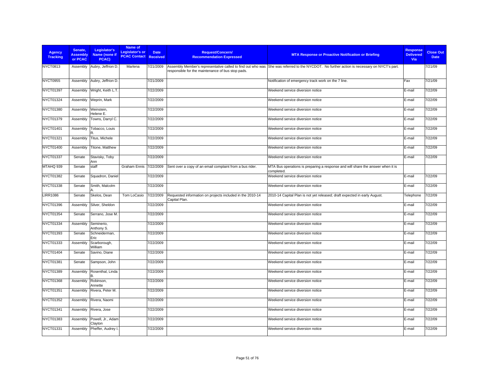| Agency<br><b>Tracking</b> | Senate,<br><b>Assembly</b><br>or PCAC | Legislator's<br>Name (none if<br>PCAC) | Name of<br>Legislator's or<br><b>PCAC Contact</b> | <b>Date</b><br><b>Received</b> | <b>Request/Concern/</b><br><b>Recommendation Expressed</b>                 | <b>MTA Response or Proactive Notification or Briefing</b>                                                                                  | <b>Response</b><br><b>Delivered</b><br><b>Via</b> | <b>Close Out</b><br><b>Date</b> |
|---------------------------|---------------------------------------|----------------------------------------|---------------------------------------------------|--------------------------------|----------------------------------------------------------------------------|--------------------------------------------------------------------------------------------------------------------------------------------|---------------------------------------------------|---------------------------------|
| <b>NYCT0813</b>           | Assembly                              | Aubry, Jeffrion D.                     | Marlena                                           | 7/21/2009                      | responsible for the maintenance of bus stop pads.                          | Assembly Member's representative called to find out who was She was referred to the NYCDOT. No further action is necessary on NYCT's part. |                                                   | 7/21/09                         |
| <b>NYCT0955</b>           | Assembly                              | Aubry, Jeffrion D.                     |                                                   | 7/21/2009                      |                                                                            | Notification of emergency track work on the 7 line.                                                                                        | Fax                                               | 7/21/09                         |
| NYCT01397                 | Assembly                              | Wright, Keith L.T.                     |                                                   | 7/22/2009                      |                                                                            | Weekend service diversion notice                                                                                                           | E-mail                                            | 7/22/09                         |
| NYCT01324                 | Assembly                              | Weprin, Mark                           |                                                   | 7/22/2009                      |                                                                            | Weekend service diversion notice                                                                                                           | E-mail                                            | 7/22/09                         |
| NYCT01380                 | Assembly                              | Weinstein.<br>Helene E.                |                                                   | 7/22/2009                      |                                                                            | Weekend service diversion notice                                                                                                           | E-mail                                            | 7/22/09                         |
| NYCT01379                 | Assembly                              | Towns, Darryl C.                       |                                                   | 7/22/2009                      |                                                                            | Weekend service diversion notice                                                                                                           | E-mail                                            | 7/22/09                         |
| NYCT01401                 | Assembly                              | Tobacco, Louis                         |                                                   | 7/22/2009                      |                                                                            | Weekend service diversion notice                                                                                                           | E-mail                                            | 7/22/09                         |
| NYCT01321                 | Assembly                              | Titus, Michele                         |                                                   | 7/22/2009                      |                                                                            | Weekend service diversion notice                                                                                                           | E-mail                                            | 7/22/09                         |
| NYCT01400                 | Assembly                              | Titone, Matthew                        |                                                   | 7/22/2009                      |                                                                            | Weekend service diversion notice                                                                                                           | E-mail                                            | 7/22/09                         |
| NYCT01337                 | Senate                                | Stavisky, Toby<br>Ann                  |                                                   | 7/22/2009                      |                                                                            | Weekend service diversion notice                                                                                                           | E-mail                                            | 7/22/09                         |
| MTAHQ 939                 | Senate                                | staff                                  | <b>Graham Ennis</b>                               | 7/22/2009                      | Sent over a copy of an email complaint from a bus rider.                   | MTA Bus operations is preparing a response and will share the answer when it is<br>completed.                                              |                                                   |                                 |
| NYCT01382                 | Senate                                | Squadron, Daniel                       |                                                   | 7/22/2009                      |                                                                            | Weekend service diversion notice                                                                                                           | E-mail                                            | 7/22/09                         |
| NYCT01338                 | Senate                                | Smith, Malcolm                         |                                                   | 7/22/2009                      |                                                                            | Weekend service diversion notice                                                                                                           | E-mail                                            | 7/22/09                         |
| <b>LIRR1086</b>           | Senate                                | Skelos, Dean                           | Tom LoCasio                                       | 7/22/2009                      | Requested information on projects included in the 2010-14<br>Capital Plan. | 2010-14 Capital Plan is not yet released; draft expected in early August.                                                                  | Telephone                                         | 7/22/09                         |
| NYCT01396                 | Assembly                              | Silver, Sheldon                        |                                                   | 7/22/2009                      |                                                                            | Weekend service diversion notice                                                                                                           | E-mail                                            | 7/22/09                         |
| NYCT01354                 | Senate                                | Serrano, Jose M.                       |                                                   | 7/22/2009                      |                                                                            | Weekend service diversion notice                                                                                                           | E-mail                                            | 7/22/09                         |
| NYCT01334                 | Assembly                              | Seminerio,<br>Anthony S.               |                                                   | 7/22/2009                      |                                                                            | Weekend service diversion notice                                                                                                           | E-mail                                            | 7/22/09                         |
| NYCT01393                 | Senate                                | Schneiderman,<br>Eric                  |                                                   | 7/22/2009                      |                                                                            | Weekend service diversion notice                                                                                                           | E-mail                                            | 7/22/09                         |
| NYCT01333                 | Assembly                              | Scarborough,<br>William                |                                                   | 7/22/2009                      |                                                                            | Weekend service diversion notice                                                                                                           | E-mail                                            | 7/22/09                         |
| NYCT01404                 | Senate                                | Savino, Diane                          |                                                   | 7/22/2009                      |                                                                            | Weekend service diversion notice                                                                                                           | E-mail                                            | 7/22/09                         |
| NYCT01381                 | Senate                                | Sampson, John                          |                                                   | 7/22/2009                      |                                                                            | Weekend service diversion notice                                                                                                           | E-mail                                            | 7/22/09                         |
| NYCT01389                 | Assembly                              | Rosenthal, Linda<br>в                  |                                                   | 7/22/2009                      |                                                                            | Weekend service diversion notice                                                                                                           | E-mail                                            | 7/22/09                         |
| NYCT01368                 | Assembly                              | Robinson,<br>Annette                   |                                                   | 7/22/2009                      |                                                                            | Weekend service diversion notice                                                                                                           | E-mail                                            | 7/22/09                         |
| NYCT01351                 | Assembly                              | Rivera, Peter M.                       |                                                   | 7/22/2009                      |                                                                            | Weekend service diversion notice                                                                                                           | E-mail                                            | 7/22/09                         |
| NYCT01352                 | Assembly                              | Rivera, Naomi                          |                                                   | 7/22/2009                      |                                                                            | Weekend service diversion notice                                                                                                           | E-mail                                            | 7/22/09                         |
| NYCT01341                 | Assembly                              | Rivera, Jose                           |                                                   | 7/22/2009                      |                                                                            | Weekend service diversion notice                                                                                                           | E-mail                                            | 7/22/09                         |
| NYCT01383                 | Assembly                              | Powell, Jr., Adam<br>Clayton           |                                                   | 7/22/2009                      |                                                                            | Weekend service diversion notice                                                                                                           | E-mail                                            | 7/22/09                         |
| NYCT01331                 | Assembly                              | Pheffer, Audrey I.                     |                                                   | 7/22/2009                      |                                                                            | Weekend service diversion notice                                                                                                           | E-mail                                            | 7/22/09                         |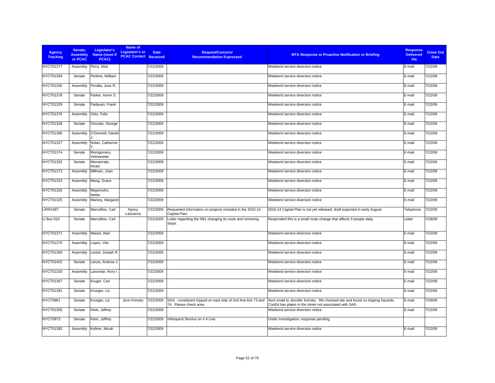| <b>Agency</b><br><b>Tracking</b> | Senate,<br><b>Assembly</b><br>or PCAC | Legislator's<br>Name (none if<br>PCAC) | Name of<br>Legislator's or<br><b>PCAC Contact Received</b> | <b>Date</b> | <b>Request/Concern/</b><br><b>Recommendation Expressed</b>                             | <b>MTA Response or Proactive Notification or Briefing</b>                                                                                 | <b>Response</b><br><b>Delivered</b><br>Via | <b>Close Out</b><br><b>Date</b> |
|----------------------------------|---------------------------------------|----------------------------------------|------------------------------------------------------------|-------------|----------------------------------------------------------------------------------------|-------------------------------------------------------------------------------------------------------------------------------------------|--------------------------------------------|---------------------------------|
| <b>NYCT01377</b>                 | Assembly                              | Perry, Nick                            |                                                            | 7/22/2009   |                                                                                        | Weekend service diversion notice                                                                                                          | E-mail                                     | 7/22/09                         |
| <b>NYCT01394</b>                 | Senate                                | Perkins, William                       |                                                            | 7/22/2009   |                                                                                        | Weekend service diversion notice                                                                                                          | E-mail                                     | 7/22/09                         |
| NYCT01330                        | Assembly                              | Peralta, Jose R.                       |                                                            | 7/22/2009   |                                                                                        | Weekend service diversion notice                                                                                                          | E-mail                                     | 7/22/09                         |
| <b>NYCT01378</b>                 | Senate                                | Parker, Kevin S.                       |                                                            | 7/22/2009   |                                                                                        | Weekend service diversion notice                                                                                                          | E-mail                                     | 7/22/09                         |
| NYCT01329                        | Senate                                | Padavan, Frank                         |                                                            | 7/22/2009   |                                                                                        | Weekend service diversion notice                                                                                                          | E-mail                                     | 7/22/09                         |
| NYCT01376                        | Assembly                              | Ortiz, Felix                           |                                                            | 7/22/2009   |                                                                                        | Weekend service diversion notice                                                                                                          | E-mail                                     | 7/22/09                         |
| NYCT01328                        | Senate                                | Onorato, George                        |                                                            | 7/22/2009   |                                                                                        | Weekend service diversion notice                                                                                                          | E-mail                                     | 7/22/09                         |
| NYCT01395                        | Assembly                              | O'Donnell, Daniel                      |                                                            | 7/22/2009   |                                                                                        | Weekend service diversion notice                                                                                                          | E-mail                                     | 7/22/09                         |
| <b>NYCT01327</b>                 | Assembly                              | Nolan, Catherine                       |                                                            | 7/22/2009   |                                                                                        | Weekend service diversion notice                                                                                                          | E-mail                                     | 7/22/09                         |
| NYCT01374                        | Senate                                | Montgomery,<br>Velmanette              |                                                            | 7/22/2009   |                                                                                        | Weekend service diversion notice                                                                                                          | E-mail                                     | 7/22/09                         |
| NYCT01332                        | Senate                                | Monserrate,<br>Hiram                   |                                                            | 7/22/2009   |                                                                                        | Weekend service diversion notice                                                                                                          | E-mail                                     | 7/22/09                         |
| NYCT01373                        | Assembly                              | Millman, Joan                          |                                                            | 7/22/2009   |                                                                                        | Weekend service diversion notice                                                                                                          | E-mail                                     | 7/22/09                         |
| NYCT01323                        | Assembly                              | Meng, Grace                            |                                                            | 7/22/2009   |                                                                                        | Weekend service diversion notice                                                                                                          | E-mail                                     | 7/22/09                         |
| NYCT01326                        | Assembly                              | Mayersohn,<br>Nettie                   |                                                            | 7/22/2009   |                                                                                        | Weekend service diversion notice                                                                                                          | E-mail                                     | 7/22/09                         |
| NYCT01325                        | Assembly                              | Markey, Margaret                       |                                                            | 7/22/2009   |                                                                                        | Weekend service diversion notice                                                                                                          | E-mail                                     | 7/22/09                         |
| <b>LIRR1087</b>                  | Senate                                | Marcellino, Carl                       | Nancy<br>LaGuerra                                          | 7/22/2009   | Requested information on projects included in the 2010-14<br>Capital Plan.             | 2010-14 Capital Plan is not yet released; draft expected in early August.                                                                 | Telephone                                  | 7/22/09                         |
| LI Bus 910                       | Senate                                | Marcellino, Carl                       |                                                            | 7/22/2009   | Letter regarding the N81 changing its route and removing<br>stops.                     | Responded this is a small route change that affects 9 people daily.                                                                       | Letter                                     | 7/28/09                         |
| NYCT01371                        | Assembly                              | Maisel, Alan                           |                                                            | 7/22/2009   |                                                                                        | Weekend service diversion notice                                                                                                          | E-mail                                     | 7/22/09                         |
| NYCT01370                        | Assembly                              | Lopez, Vito                            |                                                            | 7/22/2009   |                                                                                        | Weekend service diversion notice                                                                                                          | E-mail                                     | 7/22/09                         |
| NYCT01369                        | Assembly                              | Lentol, Joseph R.                      |                                                            | 7/22/2009   |                                                                                        | Weekend service diversion notice                                                                                                          | E-mail                                     | 7/22/09                         |
| NYCT01402                        | Senate                                | Lanza, Andrew J.                       |                                                            | 7/22/2009   |                                                                                        | Weekend service diversion notice                                                                                                          | E-mail                                     | 7/22/09                         |
| NYCT01320                        | Assembly                              | Lancman, Rory I.                       |                                                            | 7/22/2009   |                                                                                        | Weekend service diversion notice                                                                                                          | E-mail                                     | 7/22/09                         |
| NYCT01367                        | Senate                                | Kruger, Carl                           |                                                            | 7/22/2009   |                                                                                        | Weekend service diversion notice                                                                                                          | E-mail                                     | 7/22/09                         |
| NYCT01391                        | Senate                                | Krueger, Liz                           |                                                            | 7/22/2009   |                                                                                        | Weekend service diversion notice                                                                                                          | E-mail                                     | 7/22/09                         |
| NYCT0961                         | Senate                                | Krueger, Liz                           | Jenn Krinsky                                               | 7/22/2009   | SAS - constituent tripped on east side of 2nd Ave b/w 73 and<br>74. Please check area. | Sent email to Jennifer Krinsky. We checked site and found no tripping hazards.<br>ConEd has plates in the street not associated with SAS. | E-mail                                     | 7/29/09                         |
| <b>NYCT01350</b>                 | Senate                                | Klein, Jeffrey                         |                                                            | 7/22/2009   |                                                                                        | Weekend service diversion notice                                                                                                          | E-mail                                     | 7/22/09                         |
| NYCT0973                         | Senate                                | Klein, Jeffrey                         |                                                            | 7/22/2009   | Infrequent Service on #4 Line                                                          | Under investigation; response pending.                                                                                                    |                                            |                                 |
| NYCT01392                        | Assembly                              | Kellner, Micah                         |                                                            | 7/22/2009   |                                                                                        | Weekend service diversion notice                                                                                                          | E-mail                                     | 7/22/09                         |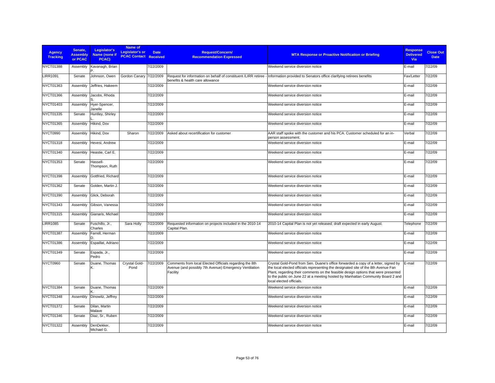| <b>Agency</b><br><b>Tracking</b> | Senate.<br><b>Assembly</b><br>or PCAC | Legislator's<br>Name (none if<br>PCAC) | Name of<br>Legislator's or<br><b>PCAC Contact Received</b> | <b>Date</b> | <b>Request/Concern/</b><br><b>Recommendation Expressed</b>                                                                    | <b>MTA Response or Proactive Notification or Briefing</b>                                                                                                                                                                                                                                                                                                                     | <b>Response</b><br><b>Delivered</b><br><b>Via</b> | <b>Close Out</b><br><b>Date</b> |
|----------------------------------|---------------------------------------|----------------------------------------|------------------------------------------------------------|-------------|-------------------------------------------------------------------------------------------------------------------------------|-------------------------------------------------------------------------------------------------------------------------------------------------------------------------------------------------------------------------------------------------------------------------------------------------------------------------------------------------------------------------------|---------------------------------------------------|---------------------------------|
| <b>NYCT01388</b>                 | Assembly                              | Kavanagh, Brian                        |                                                            | 7/22/2009   |                                                                                                                               | Weekend service diversion notice                                                                                                                                                                                                                                                                                                                                              | E-mail                                            | 7/22/09                         |
| <b>LIRR1091</b>                  | Senate                                | Johnson, Owen                          | Gordon Canary                                              | 7/22/2009   | Request for information on behalf of constituent /LIRR retiree<br>benefits & health care allowance                            | Information provided to Senators office clarifying retirees benefits                                                                                                                                                                                                                                                                                                          | Fax/Letter                                        | 7/22/09                         |
| NYCT01363                        | Assembly                              | Jeffries, Hakeem                       |                                                            | 7/22/2009   |                                                                                                                               | Weekend service diversion notice                                                                                                                                                                                                                                                                                                                                              | E-mail                                            | 7/22/09                         |
| NYCT01366                        | Assembly                              | Jacobs, Rhoda                          |                                                            | 7/22/2009   |                                                                                                                               | Weekend service diversion notice                                                                                                                                                                                                                                                                                                                                              | E-mail                                            | 7/22/09                         |
| NYCT01403                        | Assembly                              | Hyer-Spencer,<br>Janelle               |                                                            | 7/22/2009   |                                                                                                                               | Weekend service diversion notice                                                                                                                                                                                                                                                                                                                                              | E-mail                                            | 7/22/09                         |
| NYCT01335                        | Senate                                | Huntley, Shirley                       |                                                            | 7/22/2009   |                                                                                                                               | Weekend service diversion notice                                                                                                                                                                                                                                                                                                                                              | E-mail                                            | 7/22/09                         |
| NYCT01365                        | Assembly                              | Hikind, Dov                            |                                                            | 7/22/2009   |                                                                                                                               | Weekend service diversion notice                                                                                                                                                                                                                                                                                                                                              | E-mail                                            | 7/22/09                         |
| <b>NYCT0990</b>                  | Assembly                              | Hikind, Dov                            | Sharon                                                     | 7/22/2009   | Asked about recertification for customer                                                                                      | AAR staff spoke with the customer and his PCA. Customer scheduled for an in-<br>person assessment.                                                                                                                                                                                                                                                                            | Verbal                                            | 7/22/09                         |
| NYCT01318                        | Assembly                              | Hevesi, Andrew                         |                                                            | 7/22/2009   |                                                                                                                               | Weekend service diversion notice                                                                                                                                                                                                                                                                                                                                              | E-mail                                            | 7/22/09                         |
| NYCT01340                        | Assembly                              | Heastie, Carl E.                       |                                                            | 7/22/2009   |                                                                                                                               | Weekend service diversion notice                                                                                                                                                                                                                                                                                                                                              | E-mail                                            | 7/22/09                         |
| NYCT01353                        | Senate                                | Hassell-<br>Thompson, Ruth             |                                                            | 7/22/2009   |                                                                                                                               | Weekend service diversion notice                                                                                                                                                                                                                                                                                                                                              | E-mail                                            | 7/22/09                         |
| NYCT01398                        | Assembly                              | Gottfried, Richard                     |                                                            | 7/22/2009   |                                                                                                                               | Weekend service diversion notice                                                                                                                                                                                                                                                                                                                                              | E-mail                                            | 7/22/09                         |
| NYCT01362                        | Senate                                | Golden, Martin J.                      |                                                            | 7/22/2009   |                                                                                                                               | Weekend service diversion notice                                                                                                                                                                                                                                                                                                                                              | E-mail                                            | 7/22/09                         |
| NYCT01390                        | Assembly                              | Glick, Deborah                         |                                                            | 7/22/2009   |                                                                                                                               | Weekend service diversion notice                                                                                                                                                                                                                                                                                                                                              | E-mail                                            | 7/22/09                         |
| NYCT01343                        | Assembly                              | Gibson, Vanessa                        |                                                            | 7/22/2009   |                                                                                                                               | Weekend service diversion notice                                                                                                                                                                                                                                                                                                                                              | E-mail                                            | 7/22/09                         |
| NYCT01315                        | Assembly                              | Gianaris, Michael                      |                                                            | 7/22/2009   |                                                                                                                               | Weekend service diversion notice                                                                                                                                                                                                                                                                                                                                              | E-mail                                            | 7/22/09                         |
| <b>LIRR1085</b>                  | Senate                                | Fuschillo, Jr.,<br>Charles             | Sara Holly                                                 | 7/22/2009   | Requested information on projects included in the 2010-14<br>Capital Plan.                                                    | 2010-14 Capital Plan is not yet released; draft expected in early August.                                                                                                                                                                                                                                                                                                     | Telephone                                         | 7/22/09                         |
| NYCT01387                        | Assembly                              | Farrell, Herman                        |                                                            | 7/22/2009   |                                                                                                                               | Weekend service diversion notice                                                                                                                                                                                                                                                                                                                                              | E-mail                                            | 7/22/09                         |
| NYCT01386                        | Assembly                              | Espaillat, Adriano                     |                                                            | 7/22/2009   |                                                                                                                               | Weekend service diversion notice                                                                                                                                                                                                                                                                                                                                              | E-mail                                            | 7/22/09                         |
| NYCT01349                        | Senate                                | Espada, Jr.,<br>Pedro                  |                                                            | 7/22/2009   |                                                                                                                               | Weekend service diversion notice                                                                                                                                                                                                                                                                                                                                              | E-mail                                            | 7/22/09                         |
| NYCT0960                         | Senate                                | Duane, Thomas                          | Crystal Gold-<br>Pond                                      | 7/22/2009   | Comments from local Elected Officials regarding the 8th<br>Avenue (and possibly 7th Avenue) Emergency Ventilation<br>Facility | Crystal Gold-Pond from Sen. Duane's office forwarded a copy of a letter, signed by<br>the local elected officials representing the designated site of the 8th Avenue Fan<br>Plant, regarding their comments on the feasible design options that were presented<br>to the public on June 22 at a meeting hosted by Manhattan Community Board 2 and<br>local elected officials. | E-mail                                            | 7/22/09                         |
| <b>NYCT01384</b>                 | Senate                                | Duane, Thomas                          |                                                            | 7/22/2009   |                                                                                                                               | Weekend service diversion notice                                                                                                                                                                                                                                                                                                                                              | E-mail                                            | 7/22/09                         |
| NYCT01348                        | Assembly                              | Dinowitz, Jeffrey                      |                                                            | 7/22/2009   |                                                                                                                               | Weekend service diversion notice                                                                                                                                                                                                                                                                                                                                              | E-mail                                            | 7/22/09                         |
| <b>NYCT01372</b>                 | Senate                                | Dilan, Martin<br>Malave                |                                                            | 7/22/2009   |                                                                                                                               | Weekend service diversion notice                                                                                                                                                                                                                                                                                                                                              | E-mail                                            | 7/22/09                         |
| NYCT01346                        | Senate                                | Diaz, Sr., Ruben                       |                                                            | 7/22/2009   |                                                                                                                               | Weekend service diversion notice                                                                                                                                                                                                                                                                                                                                              | E-mail                                            | 7/22/09                         |
| NYCT01322                        | Assembly                              | DenDekker,<br>Michael G.               |                                                            | 7/22/2009   |                                                                                                                               | Weekend service diversion notice                                                                                                                                                                                                                                                                                                                                              | E-mail                                            | 7/22/09                         |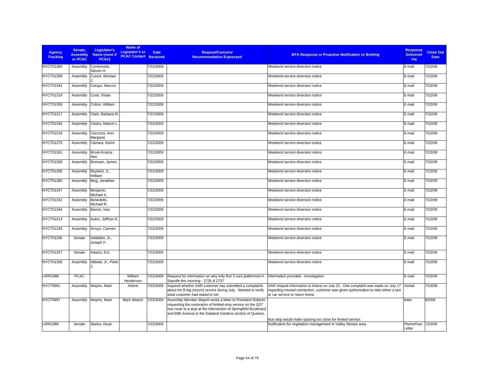| <b>Agency</b><br><b>Tracking</b> | Senate.<br><b>Assembly</b><br>or PCAC | Legislator's<br>Name (none if<br>PCAC) | Name of<br>Legislator's or<br><b>PCAC Contact Received</b> | <b>Date</b> | <b>Request/Concern/</b><br><b>Recommendation Expressed</b>                                                                                                                                                                                                   | <b>MTA Response or Proactive Notification or Briefing</b>                                                                                                                                                | <b>Response</b><br><b>Delivered</b><br><b>Via</b> | <b>Close Out</b><br><b>Date</b> |
|----------------------------------|---------------------------------------|----------------------------------------|------------------------------------------------------------|-------------|--------------------------------------------------------------------------------------------------------------------------------------------------------------------------------------------------------------------------------------------------------------|----------------------------------------------------------------------------------------------------------------------------------------------------------------------------------------------------------|---------------------------------------------------|---------------------------------|
| NYCT01360                        | Assembly                              | Cymbrowitz,<br>Steven H.               |                                                            | 7/22/2009   |                                                                                                                                                                                                                                                              | Weekend service diversion notice                                                                                                                                                                         | E-mail                                            | 7/22/09                         |
| NYCT01399                        | Assembly                              | Cusick, Michael                        |                                                            | 7/22/2009   |                                                                                                                                                                                                                                                              | Weekend service diversion notice                                                                                                                                                                         | E-mail                                            | 7/22/09                         |
| NYCT01344                        | Assembly                              | Crespo, Marcos                         |                                                            | 7/22/2009   |                                                                                                                                                                                                                                                              | Weekend service diversion notice                                                                                                                                                                         | E-mail                                            | 7/22/09                         |
| NYCT01319                        | Assembly                              | Cook. Vivian                           |                                                            | 7/22/2009   |                                                                                                                                                                                                                                                              | Weekend service diversion notice                                                                                                                                                                         | E-mail                                            | 7/22/09                         |
| NYCT01359                        | Assembly                              | Colton, William                        |                                                            | 7/22/2009   |                                                                                                                                                                                                                                                              | Weekend service diversion notice                                                                                                                                                                         | E-mail                                            | 7/22/09                         |
| NYCT01317                        | Assembly                              | Clark, Barbara M.                      |                                                            | 7/22/2009   |                                                                                                                                                                                                                                                              | Weekend service diversion notice                                                                                                                                                                         | E-mail                                            | 7/22/09                         |
| NYCT01345                        | Assembly                              | Castro, Nelson L                       |                                                            | 7/22/2009   |                                                                                                                                                                                                                                                              | Weekend service diversion notice                                                                                                                                                                         | E-mail                                            | 7/22/09                         |
| NYCT01316                        | Assembly                              | Carrozza, Ann-<br>Margaret             |                                                            | 7/22/2009   |                                                                                                                                                                                                                                                              | Weekend service diversion notice                                                                                                                                                                         | E-mail                                            | 7/22/09                         |
| <b>NYCT01375</b>                 | Assembly                              | Camara, Karim                          |                                                            | 7/22/2009   |                                                                                                                                                                                                                                                              | Weekend service diversion notice                                                                                                                                                                         | E-mail                                            | 7/22/09                         |
| NYCT01361                        | Assembly                              | Brook-Krasny,<br>Alec                  |                                                            | 7/22/2009   |                                                                                                                                                                                                                                                              | Weekend service diversion notice                                                                                                                                                                         | E-mail                                            | 7/22/09                         |
| NYCT01358                        | Assembly                              | Brennan, James                         |                                                            | 7/22/2009   |                                                                                                                                                                                                                                                              | Weekend service diversion notice                                                                                                                                                                         | E-mail                                            | 7/22/09                         |
| NYCT01356                        | Assembly                              | Boyland, Jr.,<br>William               |                                                            | 7/22/2009   |                                                                                                                                                                                                                                                              | Weekend service diversion notice                                                                                                                                                                         | E-mail                                            | 7/22/09                         |
| NYCT01385                        | Assembly                              | Bing, Jonathan                         |                                                            | 7/22/2009   |                                                                                                                                                                                                                                                              | Weekend service diversion notice                                                                                                                                                                         | E-mail                                            | 7/22/09                         |
| <b>NYCT01347</b>                 | Assembly                              | Benjamin,<br>Michael A.                |                                                            | 7/22/2009   |                                                                                                                                                                                                                                                              | Weekend service diversion notice                                                                                                                                                                         | E-mail                                            | 7/22/09                         |
| NYCT01342                        | Assembly                              | Benedetto,<br>Michael R.               |                                                            | 7/22/2009   |                                                                                                                                                                                                                                                              | Weekend service diversion notice                                                                                                                                                                         | E-mail                                            | 7/22/09                         |
| NYCT01364                        | Assembly                              | Barron, Inez                           |                                                            | 7/22/2009   |                                                                                                                                                                                                                                                              | Weekend service diversion notice                                                                                                                                                                         | E-mail                                            | 7/22/09                         |
| NYCT01314                        | Assembly                              | Aubry, Jeffrion D.                     |                                                            | 7/22/2009   |                                                                                                                                                                                                                                                              | Weekend service diversion notice                                                                                                                                                                         | E-mail                                            | 7/22/09                         |
| NYCT01339                        | Assembly                              | Arroyo, Carmen                         |                                                            | 7/22/2009   |                                                                                                                                                                                                                                                              | Weekend service diversion notice                                                                                                                                                                         | E-mail                                            | 7/22/09                         |
| NYCT01336                        | Senate                                | Addabbo, Jr.,<br>Joseph P.             |                                                            | 7/22/2009   |                                                                                                                                                                                                                                                              | Weekend service diversion notice                                                                                                                                                                         | E-mail                                            | 7/22/09                         |
| NYCT01357                        | Senate                                | Adams, Eric                            |                                                            | 7/22/2009   |                                                                                                                                                                                                                                                              | Weekend service diversion notice                                                                                                                                                                         | E-mail                                            | 7/22/09                         |
| NYCT01355                        | Assembly                              | Abbate, Jr., Peter                     |                                                            | 7/22/2009   |                                                                                                                                                                                                                                                              | Weekend service diversion notice                                                                                                                                                                         | E-mail                                            | 7/22/09                         |
| <b>LIRR1088</b>                  | <b>PCAC</b>                           |                                        | William<br>Henderson                                       | 7/22/2009   | Request for information on why only first 3 cars platformed in<br>Sayville this morning - 2735 & 2737                                                                                                                                                        | Information provided - investigation                                                                                                                                                                     | E-mail                                            | 7/22/09                         |
| NYCT0991                         | Assembly                              | Weprin, Mark                           | Arlene                                                     | 7/23/2009   | Inquired whether AAR customer has submitted a complaints<br>about his B leg (return) service during July. Wanted to verify<br>what customer had stated to her                                                                                                | AAR relayed information to Arlene on July 23. One complaint was made on July 17<br>regarding missed connection, customer was given authorization to take either a taxi<br>or car service to return home. | Verbal                                            | 7/23/09                         |
| NYCT0997                         | Assembly                              | Weprin, Mark                           | Mark Weprin                                                | 7/23/2009   | Assembly Member Weprin wrote a letter to President Roberts<br>requesting the restoration of limited-stop service on the Q27<br>bus route to a stop at the intersection of Springfield Boulevard<br>and 69th Avenue in the Oakland Gardens section of Queens. |                                                                                                                                                                                                          | letter                                            | 8/5/09                          |
| <b>LIRR1089</b>                  | Senate                                | Skelos, Dean                           |                                                            | 7/23/2009   |                                                                                                                                                                                                                                                              | Bus stop would make spacing too close for limited service.<br>Notification for vegetation management in Valley Stream area                                                                               | Phone/Fax/ 7/23/09<br>Letter                      |                                 |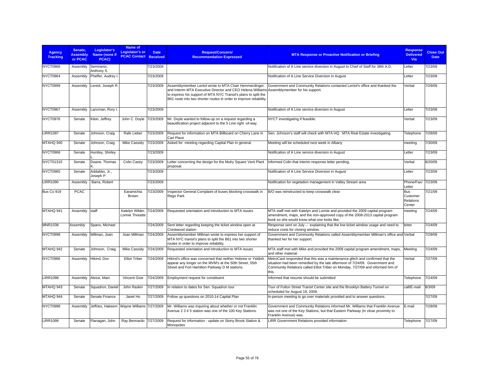| <b>Agency</b><br><b>Tracking</b> | Senate.<br><b>Assembly</b><br>or PCAC | Legislator's<br>Name (none if<br>PCAC) | Name of<br>Legislator's or<br><b>PCAC Contact Received</b> | <b>Date</b> | <b>Request/Concern/</b><br><b>Recommendation Expressed</b>                                                                                                                                                                                                                                  | <b>MTA Response or Proactive Notification or Briefing</b>                                                                                                                                                                                                 | <b>Response</b><br><b>Delivered</b><br><b>Via</b> | <b>Close Out</b><br><b>Date</b> |
|----------------------------------|---------------------------------------|----------------------------------------|------------------------------------------------------------|-------------|---------------------------------------------------------------------------------------------------------------------------------------------------------------------------------------------------------------------------------------------------------------------------------------------|-----------------------------------------------------------------------------------------------------------------------------------------------------------------------------------------------------------------------------------------------------------|---------------------------------------------------|---------------------------------|
| NYCT0966                         | Assembly                              | Seminerio,<br>Anthony S.               |                                                            | 7/23/2009   |                                                                                                                                                                                                                                                                                             | Notification of A Line service diversion in August to Chief of Staff for 38th A.D.                                                                                                                                                                        | Letter                                            | 7/23/09                         |
| NYCT0964                         | Assembly                              | Pheffer, Audrey I                      |                                                            | 7/23/2009   |                                                                                                                                                                                                                                                                                             | Notification of A Line Service Diversion in August                                                                                                                                                                                                        | Letter                                            | 7/23/09                         |
| NYCT0999                         | Assembly                              | Lentol, Joseph R.                      |                                                            | 7/23/2009   | Assemblymember Lentol wrote to MTA Chair Hemmerdinger<br>and Interim MTA Executive Director and CEO Helena Williams Assemblymember for his support.<br>to express his support of MTA NYC Transit's plans to split the<br>B61 route into two shorter routes in order to improve reliability. | Government and Community Relations contacted Lentol's office and thanked the                                                                                                                                                                              | Verbal                                            | 7/29/09                         |
| NYCT0967                         | Assembly                              | Lancman, Rory I.                       |                                                            | 7/23/2009   |                                                                                                                                                                                                                                                                                             | Notification of A Line service diversion in August                                                                                                                                                                                                        | Letter                                            | 7/23/09                         |
| NYCT0976                         | Senate                                | Klein, Jeffrey                         | John C. Doyle                                              | 7/23/2009   | Mr. Doyle wanted to follow-up on a request regarding a<br>beautification project adjacent to the 5 Line right -of-way.                                                                                                                                                                      | NYCT investigating if feasible.                                                                                                                                                                                                                           | Verbal                                            | 7/23/09                         |
| <b>LIRR1097</b>                  | Senate                                | Johnson, Craig                         | Rafe Lieber                                                | 7/23/2009   | Request for information on MTA Billboard on Cherry Lane in<br>Carl Place                                                                                                                                                                                                                    | Sen. Johnson's staff will check with MTA HQ. MTA Real Estate investigating.                                                                                                                                                                               | Telephone                                         | 7/28/09                         |
| MTAHQ 940                        | Senate                                | Johnson, Craig                         | <b>Mike Cassidy</b>                                        | 7/23/2009   | Asked for meeting regarding Capital Plan in general.                                                                                                                                                                                                                                        | Meeting will be scheduled next week in Albany                                                                                                                                                                                                             | meeting                                           | 7/30/09                         |
| NYCT0968                         | Senate                                | Huntley, Shirley                       |                                                            | 7/23/2009   |                                                                                                                                                                                                                                                                                             | Notification of A Line service diversion in August                                                                                                                                                                                                        | Letter                                            | 7/23/09                         |
| NYCT01310                        | Senate                                | Duane, Thomas                          | Colin Casey                                                | 7/23/2009   | Letter concerning the design for the Mulry Square Vent Plant<br>proposal.                                                                                                                                                                                                                   | Informed Colin that interim response letter pending.                                                                                                                                                                                                      | Verbal                                            | 8/20/09                         |
| NYCT0965                         | Senate                                | Addabbo, Jr.,<br>Joseph P.             |                                                            | 7/23/2009   |                                                                                                                                                                                                                                                                                             | Notification of A Line Service Diversion in August                                                                                                                                                                                                        | Letter                                            | 7/23/09                         |
| <b>LIRR1090</b>                  | Assembly                              | Barra, Robert                          |                                                            | 7/23/2009   |                                                                                                                                                                                                                                                                                             | Notification for vegetation management in Valley Stream area                                                                                                                                                                                              | Phone/Fax/ 7/23/09<br>Letter                      |                                 |
| Bus Co 919                       | <b>PCAC</b>                           |                                        | Earamichia<br>Brown                                        | 7/23/2009   | Inspector General Complaint of buses blocking crosswalk in<br>Rego Park                                                                                                                                                                                                                     | B/O was reinstructed to keep crosswalk clear.                                                                                                                                                                                                             | <b>Bus</b><br>Customer<br>Relations<br>Center     | 7/21/09                         |
| MTAHQ 941                        | Assembly                              | staff                                  | Katelyn Wilder, 7/24/2009<br>Lonnie Threatte               |             | Requested orientation and introduction to MTA issues                                                                                                                                                                                                                                        | MTA staff met with Katelyn and Lonnie and provided the 2009 capital program<br>amendment, maps, and the non-approved copy of the 2008-2013 capital program<br>book so she would know what one looks like.                                                 | meeting                                           | 7/24/09                         |
| <b>MNR1038</b>                   | Assembly                              | Spano, Michael                         |                                                            | 7/24/2009   | Sent letter regarding keeping the ticket window open at<br>Crestwood station                                                                                                                                                                                                                | Response sent on July -- explaining that the low ticket window usage and need to<br>reduce costs for closing window.                                                                                                                                      | letter                                            | 7/24/09                         |
| NYCT0998                         | Assembly                              | Millman, Joan                          | Joan Millman                                               | 7/24/2009   | Assemblymember Millman wrote to express her support of<br>MTA NYC transit's plans to split the B61 into two shorter<br>routes in order to improve reliability.                                                                                                                              | Government and Community Relations called Assemblymember Millman's office and Verbal<br>thanked her for her support.                                                                                                                                      |                                                   | 7/29/09                         |
| MTAHQ 942                        | Senate                                | Johnson, Craig                         | Mike Cassidy                                               | 7/24/2009   | Requested orientation and introduction to MTA issues                                                                                                                                                                                                                                        | MTA staff met with Mike and provided the 2009 capital program amendment, maps,<br>and other material.                                                                                                                                                     | Meeting                                           | 7/24/09                         |
| NYCT0986                         | Assembly                              | Hikind, Dov                            | <b>Elliot Triber</b>                                       | 7/24/2009   | Hikind's office was concerned that neither Hebrew or Yiddish<br>appear any longer on the MVM's at the 50th Street, 55th<br>Street and Fort Hamilton Parkway D M stations.                                                                                                                   | MetroCard responded that this was a maintenance glitch and confirmed that the<br>situation had been remedied by the late afternoon of 7/24/09. Government and<br>Community Relations called Elliot Triber on Monday, 7/27/09 and informed him of<br>this. | Verbal                                            | 7/27/09                         |
| <b>LIRR1098</b>                  | Assembly                              | Alessi, Marc                           | Vincent Gioe                                               | 7/24/2009   | Employment request for constituent                                                                                                                                                                                                                                                          | Informed that resume should be submitted                                                                                                                                                                                                                  | Telephone                                         | 7/24/09                         |
| MTAHQ 943                        | Senate                                | Squadron, Daniel                       | John Raskin                                                | 7/27/2009   | In relation to dates for Sen. Squadron tour                                                                                                                                                                                                                                                 | Tour of Fulton Street Transit Center site and the Brooklyn Battery Tunnel on<br>scheduled for August 19, 2009.                                                                                                                                            | call/E-mail                                       | 8/3/09                          |
| MTAHQ 944                        | Senate                                | Senate Finance                         | Janet Ho                                                   | 7/27/2009   | Follow up questions on 2010-14 Capital Plan                                                                                                                                                                                                                                                 | In-person meeting to go over materials provided and to answer questions.                                                                                                                                                                                  |                                                   | 7/27/09                         |
| NYCT0988                         | Assembly                              | Jeffries, Hakeem                       | Wayne Williams 7/27/2009                                   |             | Mr. Williams was inquiring about whether or not Franklin<br>Avenue 2 3 4 5 station was one of the 100 Key Stations.                                                                                                                                                                         | Government and Community Relations informed Mr. Williams that Franklin Avenue<br>was not one of the Key Stations, but that Eastern Parkway (in close proximity to<br>Franklin Avenue) was.                                                                | E-mail                                            | 7/28/09                         |
| <b>LIRR1099</b>                  | Senate                                | Flanagan, John                         | Ray Bennardo 7/27/2009                                     |             | Request for information - update on Stony Brook Station &<br>Monopoles                                                                                                                                                                                                                      | LIRR Government Relations provided information                                                                                                                                                                                                            | Telephone                                         | 7/27/09                         |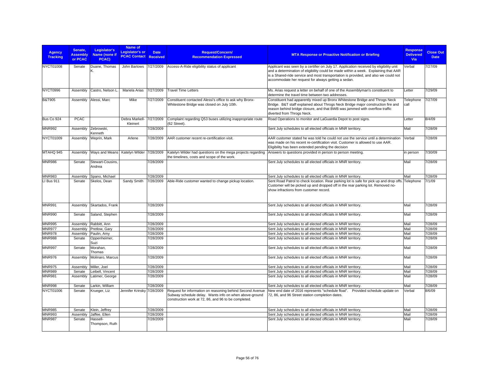| <b>Agency</b><br><b>Tracking</b> | Senate.<br><b>Assembly</b><br>or PCAC | Legislator's<br>Name (none if<br>PCAC) | Name of<br>Legislator's or<br><b>PCAC Contact</b> | <b>Date</b><br><b>Received</b> | <b>Request/Concern/</b><br><b>Recommendation Expressed</b>                                                                                                                  | <b>MTA Response or Proactive Notification or Briefing</b>                                                                                                                                                                                                                                                                   | <b>Response</b><br><b>Delivered</b><br>Via | <b>Close Out</b><br><b>Date</b> |
|----------------------------------|---------------------------------------|----------------------------------------|---------------------------------------------------|--------------------------------|-----------------------------------------------------------------------------------------------------------------------------------------------------------------------------|-----------------------------------------------------------------------------------------------------------------------------------------------------------------------------------------------------------------------------------------------------------------------------------------------------------------------------|--------------------------------------------|---------------------------------|
| NYCT01008                        | Senate                                | Duane, Thomas                          | John Bartows                                      | 7/27/2009                      | Access-A-Ride eligibility status of applicant                                                                                                                               | Applicant was seen by a certifier on July 17. Application received by eligibility unit<br>and a determination of eligibility could be made within a week. Explaining that AAR<br>is a Shared-ride service and most transportation is provided, and also we could not<br>accommodate her request for always getting a sedan. | Verbal                                     | 7/27/09                         |
| NYCT0996                         | Assembly                              | Castro, Nelson L.                      | Mariela Arias                                     | 7/27/2009                      | Travel Time Letters                                                                                                                                                         | Ms. Arias request a letter on behalf of one of the Assemblyman's constituent to<br>determine the travel time between two addresses.                                                                                                                                                                                         | Letter                                     | 7/29/09                         |
| <b>B&amp;T905</b>                | Assembly                              | Alessi, Marc                           | Mike                                              | 7/27/2009                      | Constituent contacted Alessi's office to ask why Bronx-<br>Whitestone Bridge was closed on July 10th.                                                                       | Constituent had apparently mixed up Bronx Whitestone Bridge and Throgs Neck<br>Bridge. B&T staff explained about Throgs Neck Bridge major construction fire and<br>reason behind bridge closure, and that BWB was jammed with overflow traffic<br>diverted from Throgs Neck.                                                | Telephone<br>call                          | 7/27/09                         |
| Bus Co 924                       | <b>PCAC</b>                           |                                        | Debra Markell-<br>Kleinert                        | 7/27/2009                      | Complaint regarding Q53 buses utilizing inappropriate route<br>(62 Street).                                                                                                 | Road Operations to monitor and LaGuardia Depot to post signs.                                                                                                                                                                                                                                                               | Letter                                     | 8/4/09                          |
| <b>MNR992</b>                    | Assembly                              | Zebrowski,<br>Kenneth                  |                                                   | 7/28/2009                      |                                                                                                                                                                             | Sent July schedules to all elected officials in MNR territory.                                                                                                                                                                                                                                                              | Mail                                       | 7/28/09                         |
| NYCT01009                        | Assembly                              | Weprin, Mark                           | Arlene                                            | 7/28/2009                      | AAR customer recent re-certification visit.                                                                                                                                 | AAR customer stated he was told he could not use the service until a determination<br>was made on his recent re-certification visit. Customer is allowed to use AAR.<br>Eligibility has been extended pending the decision                                                                                                  | Verbal                                     | 7/28/09                         |
| MTAHQ 945                        | Assembly                              | Ways and Means                         | Katelyn Wilder 7/28/2009                          |                                | Katelyn Wilder had questions on the mega projects regarding<br>the timelines, costs and scope of the work.                                                                  | Answers to questions provided in person to person meeting.                                                                                                                                                                                                                                                                  | in person                                  | 7/30/09                         |
| <b>MNR986</b>                    | Senate                                | <b>Stewart-Cousins</b><br>Andrea       |                                                   | 7/28/2009                      |                                                                                                                                                                             | Sent July schedules to all elected officials in MNR territory.                                                                                                                                                                                                                                                              | Mail                                       | 7/28/09                         |
| <b>MNR983</b>                    | Assembly                              | Spano, Michael                         |                                                   | 7/28/2009                      |                                                                                                                                                                             | Sent July schedules to all elected officials in MNR territory.                                                                                                                                                                                                                                                              | Mail                                       | 7/28/09                         |
| <b>LI Bus 911</b>                | Senate                                | Skelos, Dean                           | Sandy Smith                                       | 7/28/2009                      | Able-Ride customer wanted to change pickup location.                                                                                                                        | Sent Road Patrol to check location. Rear parking lot is safe for pick up and drop offs.<br>Customer will be picked up and dropped off in the rear parking lot. Removed no-<br>show infractions from customer record.                                                                                                        | Telephone                                  | 7/1/09                          |
| <b>MNR991</b>                    | Assembly                              | Skartados, Frank                       |                                                   | 7/28/2009                      |                                                                                                                                                                             | Sent July schedules to all elected officials in MNR territory.                                                                                                                                                                                                                                                              | Mail                                       | 7/28/09                         |
| <b>MNR990</b>                    | Senate                                | Saland, Stephen                        |                                                   | 7/28/2009                      |                                                                                                                                                                             | Sent July schedules to all elected officials in MNR territory.                                                                                                                                                                                                                                                              | Mail                                       | 7/28/09                         |
| <b>MNR995</b>                    | Assembly                              | Rabbitt, Ann                           |                                                   | 7/28/2009                      |                                                                                                                                                                             | Sent July schedules to all elected officials in MNR territory.                                                                                                                                                                                                                                                              | Mail                                       | 7/28/09                         |
| <b>MNR977</b>                    | Assembly                              | Pretlow, Gary                          |                                                   | 7/28/2009                      |                                                                                                                                                                             | Sent July schedules to all elected officials in MNR territory.                                                                                                                                                                                                                                                              | Mail                                       | 7/28/09                         |
| <b>MNR978</b>                    | Assembly                              | Paulin, Amy                            |                                                   | 7/28/2009                      |                                                                                                                                                                             | Sent July schedules to all elected officials in MNR territory.                                                                                                                                                                                                                                                              | Mail                                       | 7/28/09                         |
| <b>MNR988</b>                    | Senate                                | Oppenheimer,<br>Suzi                   |                                                   | 7/28/2009                      |                                                                                                                                                                             | Sent July schedules to all elected officials in MNR territory.                                                                                                                                                                                                                                                              | Mail                                       | 7/28/09                         |
| <b>MNR997</b>                    | Senate                                | Morahan,<br>Thomas                     |                                                   | 7/28/2009                      |                                                                                                                                                                             | Sent July schedules to all elected officials in MNR territory.                                                                                                                                                                                                                                                              | Mail                                       | 7/28/09                         |
| MNR976                           | Assembly                              | Molinaro, Marcus                       |                                                   | 7/28/2009                      |                                                                                                                                                                             | Sent July schedules to all elected officials in MNR territory.                                                                                                                                                                                                                                                              | Mail                                       | 7/28/09                         |
| <b>MNR975</b>                    | Assembly                              | Miller, Joel                           |                                                   | 7/28/2009                      |                                                                                                                                                                             | Sent July schedules to all elected officials in MNR territory.                                                                                                                                                                                                                                                              | Mail                                       | 7/28/09                         |
| <b>MNR989</b>                    | Senate                                | eibell, Vincent                        |                                                   | 7/28/2009                      |                                                                                                                                                                             | Sent July schedules to all elected officials in MNR territory.                                                                                                                                                                                                                                                              | Mail                                       | 7/28/09                         |
| <b>MNR981</b>                    | Assembly                              | Latimer, George                        |                                                   | 7/28/2009                      |                                                                                                                                                                             | Sent July schedules to all elected officials in MNR territory.                                                                                                                                                                                                                                                              | Mail                                       | 7/28/09                         |
| <b>MNR998</b>                    | Senate                                | arkin, William                         |                                                   | 7/28/2009                      |                                                                                                                                                                             | Sent July schedules to all elected officials in MNR territory.                                                                                                                                                                                                                                                              | Mail                                       | 7/28/09                         |
| <b>NYCT01006</b>                 | Senate                                | Krueger, Liz                           | Jennifer Krinsky 7/28/2009                        |                                | Request for information on reasoning behind Second Avenue<br>Subway schedule delay. Wants info on when above-ground<br>construction work at 72, 86, and 96 to be completed. | New end date of 2016 represents "schedule float". Provided schedule update on<br>72, 86, and 96 Street station completion dates.                                                                                                                                                                                            | Verbal                                     | 8/6/09                          |
| <b>MNR985</b>                    | Senate                                | Klein, Jeffrey                         |                                                   | 7/28/2009                      |                                                                                                                                                                             | Sent July schedules to all elected officials in MNR territory.                                                                                                                                                                                                                                                              | Mail                                       | 7/28/09                         |
| <b>MNR993</b>                    | Assembly                              | Jaffee, Ellen                          |                                                   | 7/28/2009                      |                                                                                                                                                                             | Sent July schedules to all elected officials in MNR territory.                                                                                                                                                                                                                                                              | Mail                                       | 7/28/09                         |
| <b>MNR987</b>                    | Senate                                | Hassell-<br>Thompson, Ruth             |                                                   | 7/28/2009                      |                                                                                                                                                                             | Sent July schedules to all elected officials in MNR territory.                                                                                                                                                                                                                                                              | Mail                                       | 7/28/09                         |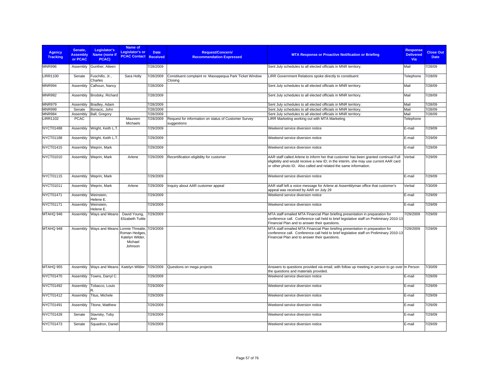| <b>Agency</b><br><b>Tracking</b> | Senate.<br><b>Assembly</b><br>or PCAC | Legislator's<br>Name (none if<br>PCAC)    | Name of<br>Legislator's or<br><b>PCAC Contact Received</b>                          | <b>Date</b> | <b>Request/Concern/</b><br><b>Recommendation Expressed</b>          | <b>MTA Response or Proactive Notification or Briefing</b>                                                                                                                                                                                       | <b>Response</b><br><b>Delivered</b><br>Via | <b>Close Out</b><br><b>Date</b> |
|----------------------------------|---------------------------------------|-------------------------------------------|-------------------------------------------------------------------------------------|-------------|---------------------------------------------------------------------|-------------------------------------------------------------------------------------------------------------------------------------------------------------------------------------------------------------------------------------------------|--------------------------------------------|---------------------------------|
| <b>MNR996</b>                    | Assembly                              | Gunther, Aileen                           |                                                                                     | 7/28/2009   |                                                                     | Sent July schedules to all elected officials in MNR territory.                                                                                                                                                                                  | Mail                                       | 7/28/09                         |
| <b>LIRR1100</b>                  | Senate                                | Fuschillo, Jr.,<br>Charles                | Sara Holly                                                                          | 7/28/2009   | Constituent complaint re: Massapequa Park Ticket Window<br>Closing  | LIRR Government Relations spoke directly to constituent                                                                                                                                                                                         | Telephone                                  | 7/28/09                         |
| <b>MNR994</b>                    | Assembly                              | Calhoun, Nancy                            |                                                                                     | 7/28/2009   |                                                                     | Sent July schedules to all elected officials in MNR territory.                                                                                                                                                                                  | Mail                                       | 7/28/09                         |
| <b>MNR982</b>                    | Assembly                              | Brodsky, Richard                          |                                                                                     | 7/28/2009   |                                                                     | Sent July schedules to all elected officials in MNR territory.                                                                                                                                                                                  | Mail                                       | 7/28/09                         |
| <b>MNR979</b>                    | Assembly                              | Bradley, Adam                             |                                                                                     | 7/28/2009   |                                                                     | Sent July schedules to all elected officials in MNR territory.                                                                                                                                                                                  | Mail                                       | 7/28/09                         |
| <b>MNR999</b>                    | Senate                                | Bonacic, John                             |                                                                                     | 7/28/2009   |                                                                     | Sent July schedules to all elected officials in MNR territory.                                                                                                                                                                                  | Mail                                       | 7/28/09                         |
| <b>MNR984</b>                    | Assembly                              | Ball, Gregory                             |                                                                                     | 7/28/2009   |                                                                     | Sent July schedules to all elected officials in MNR territory.                                                                                                                                                                                  | Mail                                       | 7/28/09                         |
| <b>LIRR1102</b>                  | <b>PCAC</b>                           |                                           | Maureen<br>Michaels                                                                 | 7/28/2009   | Request for information on status of Customer Survey<br>suggestions | LIRR Marketing working out with MTA Marketing                                                                                                                                                                                                   | Telephone                                  |                                 |
| <b>NYCT01488</b>                 | Assembly                              | Wright, Keith L.T.                        |                                                                                     | 7/29/2009   |                                                                     | Weekend service diversion notice                                                                                                                                                                                                                | E-mail                                     | 7/29/09                         |
| <b>NYCT01188</b>                 | Assembly                              | Wright, Keith L.T.                        |                                                                                     | 7/29/2009   |                                                                     | Weekend service diversion notice                                                                                                                                                                                                                | E-mail                                     | 7/29/09                         |
| <b>NYCT01415</b>                 | Assembly                              | Weprin, Mark                              |                                                                                     | 7/29/2009   |                                                                     | Weekend service diversion notice                                                                                                                                                                                                                | E-mail                                     | 7/29/09                         |
| NYCT01010                        | Assembly                              | Weprin, Mark                              | Arlene                                                                              | 7/29/2009   | Recertification eligibility for customer                            | AAR staff called Arlene to inform her that customer has been granted continual Full<br>eligibility and would receive a new ID; in the interim, she may use current AAR card<br>or other photo ID. Also called and related the same information. | Verbal                                     | 7/29/09                         |
| <b>NYCT01115</b>                 | Assembly                              | Weprin, Mark                              |                                                                                     | 7/29/2009   |                                                                     | Weekend service diversion notice                                                                                                                                                                                                                | E-mail                                     | 7/29/09                         |
| NYCT01011                        | Assembly                              | Weprin, Mark                              | Arlene                                                                              | 7/29/2009   | Inquiry about AAR customer appeal                                   | AAR staff left a voice message for Arlene at Assemblyman office that customer's<br>appeal was received by AAR on July 29                                                                                                                        | Verbal                                     | 7/30/09                         |
| NYCT01471                        | Assembly                              | Weinstein,<br>Helene E.                   |                                                                                     | 7/29/2009   |                                                                     | Weekend service diversion notice                                                                                                                                                                                                                | E-mail                                     | 7/29/09                         |
| NYCT01171                        | Assembly                              | Weinstein,<br>Helene E.                   |                                                                                     | 7/29/2009   |                                                                     | Weekend service diversion notice                                                                                                                                                                                                                | E-mail                                     | 7/29/09                         |
| MTAHQ 946                        | Assembly                              | Ways and Means                            | David Young,<br><b>Elizabeth Tuttle</b>                                             | 7/29/2009   |                                                                     | MTA staff emailed MTA Financial Plan briefing presentation in preparation for<br>conference call. Conference call held to brief legislative staff on Preliminary 2010-13<br>Financial Plan and to answer their questions.                       | 7/29/2009                                  | 7/29/09                         |
| MTAHQ 948                        | Assembly                              | Ways and Means                            | Lonnie Threatte, 7/29/2009<br>Roman Hedges<br>Katelyn Wilder,<br>Michael<br>Johnson |             |                                                                     | MTA staff emailed MTA Financial Plan briefing presentation in preparation for<br>conference call. Conference call held to brief legislative staff on Preliminary 2010-13<br>Financial Plan and to answer their questions.                       | 7/29/2009                                  | 7/29/09                         |
| MTAHQ 955                        | Assembly                              | Ways and Means   Katelyn Wilder 7/29/2009 |                                                                                     |             | Questions on mega projects                                          | Answers to questions provided via email, with follow up meeting in person to go over In Person<br>the questions and materials provided.                                                                                                         |                                            | 7/30/09                         |
| NYCT01470                        | Assembly                              | Towns, Darryl C.                          |                                                                                     | 7/29/2009   |                                                                     | Weekend service diversion notice                                                                                                                                                                                                                | E-mail                                     | 7/29/09                         |
| NYCT01492                        | Assembly                              | Tobacco, Louis                            |                                                                                     | 7/29/2009   |                                                                     | Weekend service diversion notice                                                                                                                                                                                                                | E-mail                                     | 7/29/09                         |
| NYCT01412                        | Assembly                              | Titus, Michele                            |                                                                                     | 7/29/2009   |                                                                     | Weekend service diversion notice                                                                                                                                                                                                                | E-mail                                     | 7/29/09                         |
| NYCT01491                        | Assembly                              | Titone, Matthew                           |                                                                                     | 7/29/2009   |                                                                     | Weekend service diversion notice                                                                                                                                                                                                                | E-mail                                     | 7/29/09                         |
| <b>NYCT01428</b>                 | Senate                                | Stavisky, Toby<br>Ann                     |                                                                                     | 7/29/2009   |                                                                     | Weekend service diversion notice                                                                                                                                                                                                                | E-mail                                     | 7/29/09                         |
| <b>NYCT01473</b>                 | Senate                                | Squadron, Daniel                          |                                                                                     | 7/29/2009   |                                                                     | Weekend service diversion notice                                                                                                                                                                                                                | E-mail                                     | 7/29/09                         |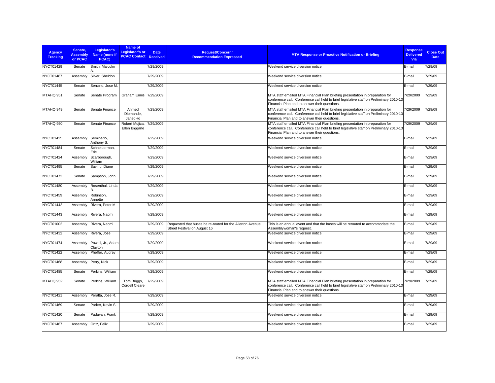| <b>Agency</b><br><b>Tracking</b> | Senate.<br><b>Assembly</b><br>or PCAC | Legislator's<br>Name (none if<br>PCAC) | Name of<br><b>Legislator's or</b><br><b>PCAC Contact</b> | <b>Date</b><br>Received | Request/Concern/<br><b>Recommendation Expressed</b>                                       | <b>MTA Response or Proactive Notification or Briefing</b>                                                                                                                                                                 | <b>Response</b><br><b>Delivered</b><br>Via | <b>Close Out</b><br><b>Date</b> |
|----------------------------------|---------------------------------------|----------------------------------------|----------------------------------------------------------|-------------------------|-------------------------------------------------------------------------------------------|---------------------------------------------------------------------------------------------------------------------------------------------------------------------------------------------------------------------------|--------------------------------------------|---------------------------------|
| NYCT01429                        | Senate                                | Smith, Malcolm                         |                                                          | 7/29/2009               |                                                                                           | Weekend service diversion notice                                                                                                                                                                                          | E-mail                                     | 7/29/09                         |
| NYCT01487                        | Assembly                              | Silver, Sheldon                        |                                                          | 7/29/2009               |                                                                                           | Weekend service diversion notice                                                                                                                                                                                          | E-mail                                     | 7/29/09                         |
| <b>NYCT01445</b>                 | Senate                                | Serrano, Jose M.                       |                                                          | 7/29/2009               |                                                                                           | Weekend service diversion notice                                                                                                                                                                                          | E-mail                                     | 7/29/09                         |
| MTAHQ 951                        | Senate                                | Senate Program                         | Graham Ennis 7/29/2009                                   |                         |                                                                                           | MTA staff emailed MTA Financial Plan briefing presentation in preparation for<br>conference call. Conference call held to brief legislative staff on Preliminary 2010-13<br>Financial Plan and to answer their questions. | 7/29/2009                                  | 7/29/09                         |
| MTAHQ 949                        | Senate                                | Senate Finance                         | Ahmed<br>Diomande,<br>Janet Ho                           | 7/29/2009               |                                                                                           | MTA staff emailed MTA Financial Plan briefing presentation in preparation for<br>conference call. Conference call held to brief legislative staff on Preliminary 2010-13<br>Financial Plan and to answer their questions. | 7/29/2009                                  | 7/29/09                         |
| MTAHQ 950                        | Senate                                | Senate Finance                         | Robert Mujica,<br>Ellen Biggane                          | 7/29/2009               |                                                                                           | MTA staff emailed MTA Financial Plan briefing presentation in preparation for<br>conference call. Conference call held to brief legislative staff on Preliminary 2010-13<br>Financial Plan and to answer their questions. | 7/29/2009                                  | 7/29/09                         |
| NYCT01425                        | Assembly                              | Seminerio,<br>Anthony S.               |                                                          | 7/29/2009               |                                                                                           | Weekend service diversion notice                                                                                                                                                                                          | E-mail                                     | 7/29/09                         |
| <b>NYCT01484</b>                 | Senate                                | Schneiderman,<br>Eric                  |                                                          | 7/29/2009               |                                                                                           | Weekend service diversion notice                                                                                                                                                                                          | E-mail                                     | 7/29/09                         |
| <b>NYCT01424</b>                 | Assembly                              | Scarborough,<br>William                |                                                          | 7/29/2009               |                                                                                           | Weekend service diversion notice                                                                                                                                                                                          | E-mail                                     | 7/29/09                         |
| <b>NYCT01495</b>                 | Senate                                | Savino, Diane                          |                                                          | 7/29/2009               |                                                                                           | Weekend service diversion notice                                                                                                                                                                                          | E-mail                                     | 7/29/09                         |
| NYCT01472                        | Senate                                | Sampson, John                          |                                                          | 7/29/2009               |                                                                                           | Weekend service diversion notice                                                                                                                                                                                          | E-mail                                     | 7/29/09                         |
| <b>NYCT01480</b>                 | Assembly                              | Rosenthal, Linda                       |                                                          | 7/29/2009               |                                                                                           | Weekend service diversion notice                                                                                                                                                                                          | E-mail                                     | 7/29/09                         |
| <b>NYCT01459</b>                 | Assembly                              | Robinson,<br>Annette                   |                                                          | 7/29/2009               |                                                                                           | Weekend service diversion notice                                                                                                                                                                                          | E-mail                                     | 7/29/09                         |
| <b>NYCT01442</b>                 | Assembly                              | Rivera, Peter M.                       |                                                          | 7/29/2009               |                                                                                           | Weekend service diversion notice                                                                                                                                                                                          | E-mail                                     | 7/29/09                         |
| NYCT01443                        | Assembly                              | Rivera, Naomi                          |                                                          | 7/29/2009               |                                                                                           | Weekend service diversion notice                                                                                                                                                                                          | E-mail                                     | 7/29/09                         |
| NYCT01002                        | Assembly                              | Rivera, Naomi                          |                                                          | 7/29/2009               | Requested that buses be re-routed for the Allerton Avenue<br>Street Festival on August 16 | This is an annual event and that the buses will be rerouted to accommodate the<br>Assemblywoman's request.                                                                                                                | E-mail                                     | 7/29/09                         |
| NYCT01432                        | Assembly                              | Rivera, Jose                           |                                                          | 7/29/2009               |                                                                                           | Weekend service diversion notice                                                                                                                                                                                          | E-mail                                     | 7/29/09                         |
| <b>NYCT01474</b>                 | Assembly                              | Powell, Jr., Adam<br>Clayton           |                                                          | 7/29/2009               |                                                                                           | Weekend service diversion notice                                                                                                                                                                                          | E-mail                                     | 7/29/09                         |
| NYCT01422                        | Assembly                              | Pheffer, Audrey I                      |                                                          | 7/29/2009               |                                                                                           | Weekend service diversion notice                                                                                                                                                                                          | E-mail                                     | 7/29/09                         |
| <b>NYCT01468</b>                 | Assembly                              | Perry, Nick                            |                                                          | 7/29/2009               |                                                                                           | Weekend service diversion notice                                                                                                                                                                                          | E-mail                                     | 7/29/09                         |
| <b>NYCT01485</b>                 | Senate                                | Perkins, William                       |                                                          | 7/29/2009               |                                                                                           | Weekend service diversion notice                                                                                                                                                                                          | E-mail                                     | 7/29/09                         |
| MTAHQ 952                        | Senate                                | Perkins, William                       | Tom Briggs,<br>Cordell Cleare                            | 7/29/2009               |                                                                                           | MTA staff emailed MTA Financial Plan briefing presentation in preparation for<br>conference call. Conference call held to brief legislative staff on Preliminary 2010-13<br>Financial Plan and to answer their questions. | 7/29/2009                                  | 7/29/09                         |
| NYCT01421                        | Assembly                              | Peralta, Jose R.                       |                                                          | 7/29/2009               |                                                                                           | Weekend service diversion notice                                                                                                                                                                                          | E-mail                                     | 7/29/09                         |
| NYCT01469                        | Senate                                | Parker, Kevin S.                       |                                                          | 7/29/2009               |                                                                                           | Weekend service diversion notice                                                                                                                                                                                          | E-mail                                     | 7/29/09                         |
| NYCT01420                        | Senate                                | Padavan, Frank                         |                                                          | 7/29/2009               |                                                                                           | Weekend service diversion notice                                                                                                                                                                                          | E-mail                                     | 7/29/09                         |
| <b>NYCT01467</b>                 | Assembly                              | Ortiz, Felix                           |                                                          | 7/29/2009               |                                                                                           | Weekend service diversion notice                                                                                                                                                                                          | E-mail                                     | 7/29/09                         |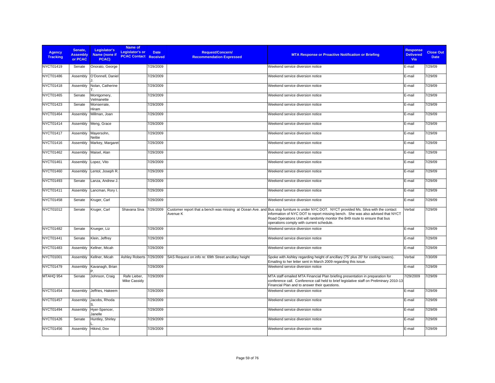| <b>Agency</b><br><b>Tracking</b> | Senate.<br><b>Assembly</b><br>or PCAC | Legislator's<br><b>Name (none if</b><br>PCAC) | Name of<br>Legislator's or<br><b>PCAC Contact Received</b> | <b>Date</b> | <b>Request/Concern/</b><br><b>Recommendation Expressed</b> | <b>MTA Response or Proactive Notification or Briefing</b>                                                                                                                                                                                                                                                                                             | <b>Response</b><br><b>Delivered</b><br>Via | <b>Close Out</b><br><b>Date</b> |
|----------------------------------|---------------------------------------|-----------------------------------------------|------------------------------------------------------------|-------------|------------------------------------------------------------|-------------------------------------------------------------------------------------------------------------------------------------------------------------------------------------------------------------------------------------------------------------------------------------------------------------------------------------------------------|--------------------------------------------|---------------------------------|
| NYCT01419                        | Senate                                | Onorato, George                               |                                                            | 7/29/2009   |                                                            | Weekend service diversion notice                                                                                                                                                                                                                                                                                                                      | E-mail                                     | 7/29/09                         |
| <b>NYCT01486</b>                 | Assembly                              | O'Donnell, Daniel                             |                                                            | 7/29/2009   |                                                            | Weekend service diversion notice                                                                                                                                                                                                                                                                                                                      | E-mail                                     | 7/29/09                         |
| NYCT01418                        | Assembly                              | Nolan, Catherine                              |                                                            | 7/29/2009   |                                                            | Weekend service diversion notice                                                                                                                                                                                                                                                                                                                      | E-mail                                     | 7/29/09                         |
| <b>NYCT01465</b>                 | Senate                                | Montgomery,<br>Velmanette                     |                                                            | 7/29/2009   |                                                            | Weekend service diversion notice                                                                                                                                                                                                                                                                                                                      | E-mail                                     | 7/29/09                         |
| NYCT01423                        | Senate                                | Monserrate,<br>Hiram                          |                                                            | 7/29/2009   |                                                            | Weekend service diversion notice                                                                                                                                                                                                                                                                                                                      | E-mail                                     | 7/29/09                         |
| <b>NYCT01464</b>                 | Assembly                              | Millman, Joan                                 |                                                            | 7/29/2009   |                                                            | Weekend service diversion notice                                                                                                                                                                                                                                                                                                                      | E-mail                                     | 7/29/09                         |
| NYCT01414                        | Assembly                              | Meng, Grace                                   |                                                            | 7/29/2009   |                                                            | Weekend service diversion notice                                                                                                                                                                                                                                                                                                                      | E-mail                                     | 7/29/09                         |
| NYCT01417                        | Assembly                              | Mayersohn,<br>Nettie                          |                                                            | 7/29/2009   |                                                            | Weekend service diversion notice                                                                                                                                                                                                                                                                                                                      | E-mail                                     | 7/29/09                         |
| NYCT01416                        | Assembly                              | Markey, Margaret                              |                                                            | 7/29/2009   |                                                            | Weekend service diversion notice                                                                                                                                                                                                                                                                                                                      | E-mail                                     | 7/29/09                         |
| NYCT01462                        | Assembly                              | Maisel, Alan                                  |                                                            | 7/29/2009   |                                                            | Weekend service diversion notice                                                                                                                                                                                                                                                                                                                      | E-mail                                     | 7/29/09                         |
| NYCT01461                        | Assembly                              | Lopez, Vito                                   |                                                            | 7/29/2009   |                                                            | Weekend service diversion notice                                                                                                                                                                                                                                                                                                                      | E-mail                                     | 7/29/09                         |
| NYCT01460                        | Assembly                              | Lentol, Joseph R.                             |                                                            | 7/29/2009   |                                                            | Weekend service diversion notice                                                                                                                                                                                                                                                                                                                      | E-mail                                     | 7/29/09                         |
| NYCT01493                        | Senate                                | Lanza, Andrew J.                              |                                                            | 7/29/2009   |                                                            | Weekend service diversion notice                                                                                                                                                                                                                                                                                                                      | E-mail                                     | 7/29/09                         |
| NYCT01411                        | Assembly                              | ancman, Rory I                                |                                                            | 7/29/2009   |                                                            | Weekend service diversion notice                                                                                                                                                                                                                                                                                                                      | E-mail                                     | 7/29/09                         |
| NYCT01458                        | Senate                                | Kruger, Carl                                  |                                                            | 7/29/2009   |                                                            | Weekend service diversion notice                                                                                                                                                                                                                                                                                                                      | E-mail                                     | 7/29/09                         |
| NYCT01012                        | Senate                                | Kruger, Carl                                  | Shavana Siva                                               | 7/29/2009   | Avenue K                                                   | Customer report that a bench was missing at Ocean Ave. and Bus stop furniture is under NYC DOT. NYCT provided Ms. Silva with the contact<br>information of NYC DOT to report missing bench. She was also advised that NYCT<br>Road Operations Unit will randomly monitor the B49 route to ensure that bus<br>operations comply with current schedule. | Verbal                                     | 7/29/09                         |
| <b>NYCT01482</b>                 | Senate                                | Krueger, Liz                                  |                                                            | 7/29/2009   |                                                            | Weekend service diversion notice                                                                                                                                                                                                                                                                                                                      | E-mail                                     | 7/29/09                         |
| NYCT01441                        | Senate                                | Klein, Jeffrey                                |                                                            | 7/29/2009   |                                                            | Weekend service diversion notice                                                                                                                                                                                                                                                                                                                      | E-mail                                     | 7/29/09                         |
| NYCT01483                        | Assembly                              | Kellner, Micah                                |                                                            | 7/29/2009   |                                                            | Weekend service diversion notice                                                                                                                                                                                                                                                                                                                      | E-mail                                     | 7/29/09                         |
| NYCT01001                        | Assembly                              | Kellner, Micah                                | Ashley Roberts 7/29/2009                                   |             | SAS Request on info re: 69th Street ancillary height       | Spoke with Ashley regarding height of ancillary (75' plus 20' for cooling towers).<br>Emailing to her letter sent in March 2009 regarding this issue.                                                                                                                                                                                                 | Verbal                                     | 7/30/09                         |
| <b>NYCT01479</b>                 | Assembly                              | Kavanagh, Brian                               |                                                            | 7/29/2009   |                                                            | Weekend service diversion notice                                                                                                                                                                                                                                                                                                                      | E-mail                                     | 7/29/09                         |
| MTAHQ 954                        | Senate                                | Johnson, Craig                                | Rafe Lieber,<br><b>Mike Cassidy</b>                        | 7/29/2009   |                                                            | MTA staff emailed MTA Financial Plan briefing presentation in preparation for<br>conference call. Conference call held to brief legislative staff on Preliminary 2010-13<br>Financial Plan and to answer their questions.                                                                                                                             | 7/29/2009                                  | 7/29/09                         |
| <b>NYCT01454</b>                 | Assembly                              | Jeffries, Hakeem                              |                                                            | 7/29/2009   |                                                            | Weekend service diversion notice                                                                                                                                                                                                                                                                                                                      | E-mail                                     | 7/29/09                         |
| <b>NYCT01457</b>                 | Assembly                              | Jacobs, Rhoda                                 |                                                            | 7/29/2009   |                                                            | Weekend service diversion notice                                                                                                                                                                                                                                                                                                                      | E-mail                                     | 7/29/09                         |
| NYCT01494                        | Assembly                              | Hyer-Spencer,<br>Janelle                      |                                                            | 7/29/2009   |                                                            | Weekend service diversion notice                                                                                                                                                                                                                                                                                                                      | E-mail                                     | 7/29/09                         |
| <b>NYCT01426</b>                 | Senate                                | Huntley, Shirley                              |                                                            | 7/29/2009   |                                                            | Weekend service diversion notice                                                                                                                                                                                                                                                                                                                      | E-mail                                     | 7/29/09                         |
| <b>NYCT01456</b>                 | Assembly                              | Hikind, Dov                                   |                                                            | 7/29/2009   |                                                            | Weekend service diversion notice                                                                                                                                                                                                                                                                                                                      | E-mail                                     | 7/29/09                         |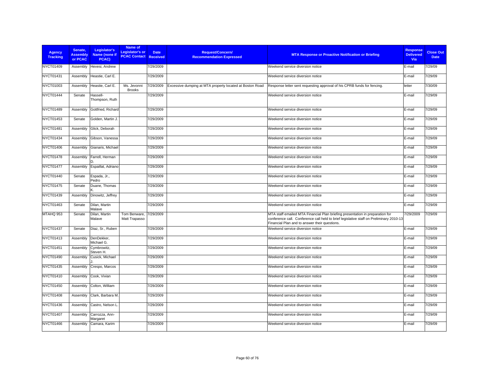| <b>Agency</b><br><b>Tracking</b> | Senate.<br><b>Assembly</b><br>or PCAC | Legislator's<br>Name (none if<br>PCAC) | Name of<br>Legislator's or<br><b>PCAC Contact Received</b> | <b>Date</b> | <b>Request/Concern/</b><br><b>Recommendation Expressed</b> | <b>MTA Response or Proactive Notification or Briefing</b>                                                                                                                                                                 | <b>Response</b><br><b>Delivered</b><br><b>Via</b> | <b>Close Out</b><br><b>Date</b> |
|----------------------------------|---------------------------------------|----------------------------------------|------------------------------------------------------------|-------------|------------------------------------------------------------|---------------------------------------------------------------------------------------------------------------------------------------------------------------------------------------------------------------------------|---------------------------------------------------|---------------------------------|
| NYCT01409                        | Assembly                              | Hevesi, Andrew                         |                                                            | 7/29/2009   |                                                            | Weekend service diversion notice                                                                                                                                                                                          | E-mail                                            | 7/29/09                         |
| NYCT01431                        | Assembly                              | Heastie, Carl E.                       |                                                            | 7/29/2009   |                                                            | Weekend service diversion notice                                                                                                                                                                                          | E-mail                                            | 7/29/09                         |
| NYCT01003                        | Assembly                              | Heastie, Carl E.                       | Ms. Jevonni<br><b>Brooks</b>                               | 7/29/2009   | Excessive dumping at MTA property located at Boston Road   | Response letter sent requesting approval of his CPRB funds for fencing.                                                                                                                                                   | letter                                            | 7/30/09                         |
| <b>NYCT01444</b>                 | Senate                                | Hassell-<br>Thompson, Ruth             |                                                            | 7/29/2009   |                                                            | Weekend service diversion notice                                                                                                                                                                                          | E-mail                                            | 7/29/09                         |
| NYCT01489                        | Assembly                              | Gottfried, Richard                     |                                                            | 7/29/2009   |                                                            | Weekend service diversion notice                                                                                                                                                                                          | E-mail                                            | 7/29/09                         |
| NYCT01453                        | Senate                                | Golden, Martin J.                      |                                                            | 7/29/2009   |                                                            | Weekend service diversion notice                                                                                                                                                                                          | E-mail                                            | 7/29/09                         |
| <b>NYCT01481</b>                 | Assembly                              | Glick, Deborah                         |                                                            | 7/29/2009   |                                                            | Weekend service diversion notice                                                                                                                                                                                          | E-mail                                            | 7/29/09                         |
| NYCT01434                        | Assembly                              | Gibson, Vanessa                        |                                                            | 7/29/2009   |                                                            | Weekend service diversion notice                                                                                                                                                                                          | E-mail                                            | 7/29/09                         |
| NYCT01406                        | Assembly                              | Gianaris, Michael                      |                                                            | 7/29/2009   |                                                            | Weekend service diversion notice                                                                                                                                                                                          | E-mail                                            | 7/29/09                         |
| <b>NYCT01478</b>                 | Assembly                              | Farrell, Herman<br>D                   |                                                            | 7/29/2009   |                                                            | Weekend service diversion notice                                                                                                                                                                                          | E-mail                                            | 7/29/09                         |
| <b>NYCT01477</b>                 | Assembly                              | Espaillat, Adriano                     |                                                            | 7/29/2009   |                                                            | Weekend service diversion notice                                                                                                                                                                                          | E-mail                                            | 7/29/09                         |
| NYCT01440                        | Senate                                | Espada, Jr.,<br>Pedro                  |                                                            | 7/29/2009   |                                                            | Weekend service diversion notice                                                                                                                                                                                          | E-mail                                            | 7/29/09                         |
| <b>NYCT01475</b>                 | Senate                                | Duane, Thomas                          |                                                            | 7/29/2009   |                                                            | Weekend service diversion notice                                                                                                                                                                                          | E-mail                                            | 7/29/09                         |
| NYCT01439                        | Assembly                              | Dinowitz, Jeffrey                      |                                                            | 7/29/2009   |                                                            | Weekend service diversion notice                                                                                                                                                                                          | E-mail                                            | 7/29/09                         |
| NYCT01463                        | Senate                                | Dilan, Martin<br>Malave                |                                                            | 7/29/2009   |                                                            | Weekend service diversion notice                                                                                                                                                                                          | E-mail                                            | 7/29/09                         |
| MTAHQ 953                        | Senate                                | Dilan, Martin<br>Malave                | Tom Benware,<br>Matt Trapasso                              | 7/29/2009   |                                                            | MTA staff emailed MTA Financial Plan briefing presentation in preparation for<br>conference call. Conference call held to brief legislative staff on Preliminary 2010-13<br>Financial Plan and to answer their questions. | 7/29/2009                                         | 7/29/09                         |
| NYCT01437                        | Senate                                | Diaz, Sr., Ruben                       |                                                            | 7/29/2009   |                                                            | Weekend service diversion notice                                                                                                                                                                                          | E-mail                                            | 7/29/09                         |
| NYCT01413                        | Assembly                              | DenDekker,<br>Michael G.               |                                                            | 7/29/2009   |                                                            | Weekend service diversion notice                                                                                                                                                                                          | E-mail                                            | 7/29/09                         |
| NYCT01451                        | Assembly                              | Cymbrowitz,<br>Steven H.               |                                                            | 7/29/2009   |                                                            | Weekend service diversion notice                                                                                                                                                                                          | E-mail                                            | 7/29/09                         |
| NYCT01490                        | Assembly                              | Cusick, Michael                        |                                                            | 7/29/2009   |                                                            | Weekend service diversion notice                                                                                                                                                                                          | E-mail                                            | 7/29/09                         |
| NYCT01435                        | Assembly                              | Crespo, Marcos                         |                                                            | 7/29/2009   |                                                            | Weekend service diversion notice                                                                                                                                                                                          | E-mail                                            | 7/29/09                         |
| NYCT01410                        | Assembly                              | Cook, Vivian                           |                                                            | 7/29/2009   |                                                            | Weekend service diversion notice                                                                                                                                                                                          | E-mail                                            | 7/29/09                         |
| NYCT01450                        | Assembly                              | Colton, William                        |                                                            | 7/29/2009   |                                                            | Weekend service diversion notice                                                                                                                                                                                          | E-mail                                            | 7/29/09                         |
| <b>NYCT01408</b>                 | Assembly                              | Clark, Barbara M.                      |                                                            | 7/29/2009   |                                                            | Weekend service diversion notice                                                                                                                                                                                          | E-mail                                            | 7/29/09                         |
| NYCT01436                        | Assembly                              | Castro, Nelson L                       |                                                            | 7/29/2009   |                                                            | Weekend service diversion notice                                                                                                                                                                                          | E-mail                                            | 7/29/09                         |
| NYCT01407                        | Assembly                              | Carrozza, Ann-<br>Margaret             |                                                            | 7/29/2009   |                                                            | Weekend service diversion notice                                                                                                                                                                                          | E-mail                                            | 7/29/09                         |
| NYCT01466                        | Assembly                              | Camara, Karim                          |                                                            | 7/29/2009   |                                                            | Weekend service diversion notice                                                                                                                                                                                          | E-mail                                            | 7/29/09                         |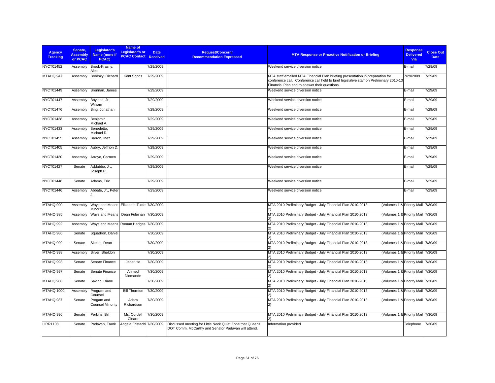| <b>Agency</b><br><b>Tracking</b> | Senate,<br><b>Assembly</b><br>or PCAC | Legislator's<br>Name (none if<br><b>PCAC)</b>           | Name of<br>Legislator's or<br><b>PCAC Contact</b> | <b>Date</b><br><b>Received</b> | <b>Request/Concern/</b><br><b>Recommendation Expressed</b>                                                      | <b>MTA Response or Proactive Notification or Briefing</b>                                                                                                                                                                 | <b>Response</b><br><b>Delivered</b><br>Via | <b>Close Out</b><br><b>Date</b> |
|----------------------------------|---------------------------------------|---------------------------------------------------------|---------------------------------------------------|--------------------------------|-----------------------------------------------------------------------------------------------------------------|---------------------------------------------------------------------------------------------------------------------------------------------------------------------------------------------------------------------------|--------------------------------------------|---------------------------------|
| NYCT01452                        | Assembly                              | Brook-Krasny,<br>Alec                                   |                                                   | 7/29/2009                      |                                                                                                                 | Weekend service diversion notice                                                                                                                                                                                          | E-mail                                     | 7/29/09                         |
| MTAHQ 947                        | Assembly                              | Brodsky, Richard                                        | Kent Sopris                                       | 7/29/2009                      |                                                                                                                 | MTA staff emailed MTA Financial Plan briefing presentation in preparation for<br>conference call. Conference call held to brief legislative staff on Preliminary 2010-13<br>Financial Plan and to answer their questions. | 7/29/2009                                  | 7/29/09                         |
| <b>NYCT01449</b>                 | Assembly                              | Brennan, James                                          |                                                   | 7/29/2009                      |                                                                                                                 | Weekend service diversion notice                                                                                                                                                                                          | E-mail                                     | 7/29/09                         |
| NYCT01447                        | Assembly                              | Boyland, Jr.,<br>William                                |                                                   | 7/29/2009                      |                                                                                                                 | Weekend service diversion notice                                                                                                                                                                                          | E-mail                                     | 7/29/09                         |
| NYCT01476                        | Assembly                              | Bing, Jonathan                                          |                                                   | 7/29/2009                      |                                                                                                                 | Weekend service diversion notice                                                                                                                                                                                          | E-mail                                     | 7/29/09                         |
| <b>NYCT01438</b>                 | Assembly                              | Benjamin,<br>Michael A.                                 |                                                   | 7/29/2009                      |                                                                                                                 | Weekend service diversion notice                                                                                                                                                                                          | E-mail                                     | 7/29/09                         |
| NYCT01433                        | Assembly                              | Benedetto,<br>Michael R.                                |                                                   | 7/29/2009                      |                                                                                                                 | Weekend service diversion notice                                                                                                                                                                                          | E-mail                                     | 7/29/09                         |
| NYCT01455                        | Assembly                              | Barron, Inez                                            |                                                   | 7/29/2009                      |                                                                                                                 | Weekend service diversion notice                                                                                                                                                                                          | E-mail                                     | 7/29/09                         |
| NYCT01405                        | Assembly                              | Aubry, Jeffrion D.                                      |                                                   | 7/29/2009                      |                                                                                                                 | Weekend service diversion notice                                                                                                                                                                                          | E-mail                                     | 7/29/09                         |
| NYCT01430                        | Assembly                              | Arroyo, Carmen                                          |                                                   | 7/29/2009                      |                                                                                                                 | Weekend service diversion notice                                                                                                                                                                                          | E-mail                                     | 7/29/09                         |
| <b>NYCT01427</b>                 | Senate                                | Addabbo, Jr.,<br>Joseph P.                              |                                                   | 7/29/2009                      |                                                                                                                 | Weekend service diversion notice                                                                                                                                                                                          | E-mail                                     | 7/29/09                         |
| <b>NYCT01448</b>                 | Senate                                | Adams, Eric                                             |                                                   | 7/29/2009                      |                                                                                                                 | Weekend service diversion notice                                                                                                                                                                                          | E-mail                                     | 7/29/09                         |
| NYCT01446                        | Assembly                              | Abbate, Jr., Peter                                      |                                                   | 7/29/2009                      |                                                                                                                 | Weekend service diversion notice                                                                                                                                                                                          | E-mail                                     | 7/29/09                         |
| MTAHQ 990                        | Assembly                              | Ways and Means   Elizabeth Tuttle 7/30/2009<br>Minority |                                                   |                                |                                                                                                                 | MTA 2010 Preliminary Budget - July Financial Plan 2010-2013<br>(Volumes 1 & Priority Mail 7/30/09                                                                                                                         |                                            |                                 |
| MTAHQ 985                        | Assembly                              | Ways and Means   Dean Fuleihan 7/30/2009                |                                                   |                                |                                                                                                                 | MTA 2010 Preliminary Budget - July Financial Plan 2010-2013<br>(Volumes 1 & Priority Mail 7/30/09                                                                                                                         |                                            |                                 |
| MTAHQ 992                        | Assembly                              | Ways and Means Roman Hedges 7/30/2009                   |                                                   |                                |                                                                                                                 | MTA 2010 Preliminary Budget - July Financial Plan 2010-2013<br>(Volumes 1 & Priority Mail 7/30/09                                                                                                                         |                                            |                                 |
| MTAHQ 986                        | Senate                                | Squadron, Daniel                                        |                                                   | 7/30/2009                      |                                                                                                                 | MTA 2010 Preliminary Budget - July Financial Plan 2010-2013<br>(Volumes 1 & Priority Mail 7/30/09                                                                                                                         |                                            |                                 |
| MTAHQ 999                        | Senate                                | Skelos, Dean                                            |                                                   | 7/30/2009                      |                                                                                                                 | MTA 2010 Preliminary Budget - July Financial Plan 2010-2013<br>(Volumes 1 & Priority Mail 7/30/09                                                                                                                         |                                            |                                 |
| MTAHQ 998                        | Assembly                              | Silver, Sheldon                                         |                                                   | 7/30/2009                      |                                                                                                                 | MTA 2010 Preliminary Budget - July Financial Plan 2010-2013<br>(Volumes 1 & Priority Mail 7/30/09                                                                                                                         |                                            |                                 |
| MTAHQ 993                        | Senate                                | Senate Finance                                          | Janet Ho                                          | 7/30/2009                      |                                                                                                                 | MTA 2010 Preliminary Budget - July Financial Plan 2010-2013<br>(Volumes 1 & Priority Mail 7/30/09                                                                                                                         |                                            |                                 |
| MTAHQ 997                        | Senate                                | Senate Finance                                          | Ahmed<br>Diomande                                 | 7/30/2009                      |                                                                                                                 | MTA 2010 Preliminary Budget - July Financial Plan 2010-2013<br>(Volumes 1 & Priority Mail 7/30/09                                                                                                                         |                                            |                                 |
| MTAHQ 988                        | Senate                                | Savino, Diane                                           |                                                   | 7/30/2009                      |                                                                                                                 | MTA 2010 Preliminary Budget - July Financial Plan 2010-2013<br>(Volumes 1 & Priority Mail 7/30/09                                                                                                                         |                                            |                                 |
| MTAHQ 1000                       | Assembly                              | Program and<br>Counsel                                  | <b>Bill Thornton</b>                              | 7/30/2009                      |                                                                                                                 | MTA 2010 Preliminary Budget - July Financial Plan 2010-2013<br>(Volumes 1 & Priority Mail 7/30/09                                                                                                                         |                                            |                                 |
| MTAHQ 987                        | Senate                                | Progam and<br><b>Counsel Minority</b>                   | Adam<br>Richardson                                | 7/30/2009                      |                                                                                                                 | MTA 2010 Preliminary Budget - July Financial Plan 2010-2013<br>(Volumes 1 & Priority Mail 7/30/09<br>2)                                                                                                                   |                                            |                                 |
| MTAHQ 996                        | Senate                                | Perkins, Bill                                           | Ms. Cordell<br>Cleare                             | 7/30/2009                      |                                                                                                                 | MTA 2010 Preliminary Budget - July Financial Plan 2010-2013<br>(Volumes 1 & Priority Mail 7/30/09                                                                                                                         |                                            |                                 |
| <b>LIRR1108</b>                  | Senate                                | Padavan, Frank                                          | Angela Fristachi 7/30/2009                        |                                | Discussed meeting for Little Neck Quiet Zone that Queens<br>DOT Comm. McCarthy and Senator Padavan will attend. | Information provided                                                                                                                                                                                                      | Telephone                                  | 7/30/09                         |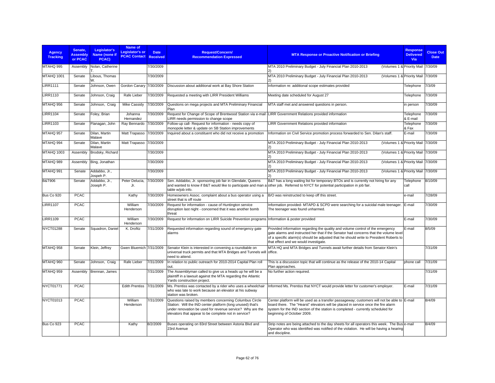| <b>Agency</b><br><b>Tracking</b> | Senate,<br><b>Assembly</b><br>or PCAC | Legislator's<br>Name (none if<br>PCAC) | Name of<br>Legislator's or<br><b>PCAC Contact Received</b> | <b>Date</b> | Request/Concern/<br><b>Recommendation Expressed</b>                                                                                                                                                                                       | <b>MTA Response or Proactive Notification or Briefing</b>                                                                                                                                                                                                                                                  | <b>Response</b><br><b>Delivered</b><br><b>Via</b> | <b>Close Out</b><br><b>Date</b> |
|----------------------------------|---------------------------------------|----------------------------------------|------------------------------------------------------------|-------------|-------------------------------------------------------------------------------------------------------------------------------------------------------------------------------------------------------------------------------------------|------------------------------------------------------------------------------------------------------------------------------------------------------------------------------------------------------------------------------------------------------------------------------------------------------------|---------------------------------------------------|---------------------------------|
| MTAHQ 995                        | Assembly                              | Nolan, Catherine                       |                                                            | 7/30/2009   |                                                                                                                                                                                                                                           | MTA 2010 Preliminary Budget - July Financial Plan 2010-2013<br>(Volumes 1 & Priority Mail 7/30/09                                                                                                                                                                                                          |                                                   |                                 |
| MTAHQ 1001                       | Senate                                | Libous, Thomas<br>W.                   |                                                            | 7/30/2009   |                                                                                                                                                                                                                                           | MTA 2010 Preliminary Budget - July Financial Plan 2010-2013<br>(Volumes 1 & Priority Mail 7/30/09<br>$\mathbf{2}$                                                                                                                                                                                          |                                                   |                                 |
| <b>LIRR1111</b>                  | Senate                                | Johnson, Owen                          | Gordon Canary 7/30/2009                                    |             | Discussion about additional work at Bay Shore Station                                                                                                                                                                                     | Information re: additional scope estimates provided                                                                                                                                                                                                                                                        | Telephone                                         | 7/3/09                          |
| <b>LIRR1110</b>                  | Senate                                | Johnson, Craig                         | Rafe Lieber                                                | 7/30/2009   | Requested a meeting with LIRR President Williams                                                                                                                                                                                          | Meeting date scheduled for August 27                                                                                                                                                                                                                                                                       | Telephone                                         | 7/30/09                         |
| MTAHQ 956                        | Senate                                | Johnson, Craig                         | Mike Cassidy                                               | 7/30/2009   | Questions on mega projects and MTA Preliminary Financial<br>Plan                                                                                                                                                                          | MTA staff met and answered questions in person.                                                                                                                                                                                                                                                            | in person                                         | 7/30/09                         |
| <b>LIRR1104</b>                  | Senate                                | Foley, Brian                           | Johanna<br>Hernandez                                       | 7/30/2009   | Request for Change of Scope of Brentwood Station via e-mail<br>LIRR needs permission to change scope                                                                                                                                      | -LIRR Government Relations provided information                                                                                                                                                                                                                                                            | Telephone<br>& E-mail                             | 7/30/09                         |
| <b>LIRR1103</b>                  | Senate                                | Flanagan, John                         | Ray Bennardo 7/30/2009                                     |             | Follow-up call- Request for information - needs copy of<br>monopole letter & update on SB Station improvements                                                                                                                            | LIRR Government Relations provided information                                                                                                                                                                                                                                                             | Telephone<br>& Fax                                | 7/30/09                         |
| MTAHQ 957                        | Senate                                | Dilan, Martin<br>Malave                | Matt Trapasso 7/30/2009                                    |             | Inquired about a constituent who did not receive a promotion                                                                                                                                                                              | Information on Civil Service promotion process forwarded to Sen. Dilan's staff.                                                                                                                                                                                                                            | E-mail                                            | 7/30/09                         |
| MTAHQ 994                        | Senate                                | Dilan, Martin<br>Malave                | Matt Trapasso 7/30/2009                                    |             |                                                                                                                                                                                                                                           | MTA 2010 Preliminary Budget - July Financial Plan 2010-2013<br>(Volumes 1 & Priority Mail 7/30/09<br>(2)                                                                                                                                                                                                   |                                                   |                                 |
| <b>MTAHQ 1003</b>                | Assembly                              | Brodsky, Richard                       |                                                            | 7/30/2009   |                                                                                                                                                                                                                                           | MTA 2010 Preliminary Budget - July Financial Plan 2010-2013<br>(Volumes 1 & Priority Mail 7/30/09                                                                                                                                                                                                          |                                                   |                                 |
| MTAHQ 989                        | Assembly                              | Bing, Jonathan                         |                                                            | 7/30/2009   |                                                                                                                                                                                                                                           | MTA 2010 Preliminary Budget - July Financial Plan 2010-2013<br>(Volumes 1 & Priority Mail 7/30/09<br>2)                                                                                                                                                                                                    |                                                   |                                 |
| MTAHQ 991                        | Senate                                | Addabbo, Jr.,<br>Jospeh P.             |                                                            | 7/30/2009   |                                                                                                                                                                                                                                           | MTA 2010 Preliminary Budget - July Financial Plan 2010-2013<br>(Volumes 1 & Priority Mail                                                                                                                                                                                                                  |                                                   | 7/30/09                         |
| <b>B&amp;T906</b>                | Senate                                | Addabbo, Jr.,<br>Joseph P.             | Peter Delucia,<br>Jr.                                      | 7/30/2009   | Sen. Addabbo, Jr. sponsoring job fair in Glendale, Queens<br>table w/job info.                                                                                                                                                            | B&T has a long waiting list for temporary BTOs and is currently not hiring for any<br>and wanted to know if B&T would like to participate and man a other job. Referred to NYCT for potential participation in job fair.                                                                                   | Telephone<br>call                                 | 8/10/09                         |
| Bus Co 920                       | <b>PCAC</b>                           |                                        | Kathy                                                      | 7/30/2009   | Homeowners Assoc. complaint about a bus operator using a<br>street that is off route                                                                                                                                                      | B/O was reinstructed to keep off this street.                                                                                                                                                                                                                                                              | e-mail                                            | 7/28/09                         |
| <b>LIRR1107</b>                  | <b>PCAC</b>                           |                                        | William<br>Henderson                                       | 7/30/2009   | Request for information - cause of Huntington service<br>disruption last night - concerned that it was another bomb<br>threat                                                                                                             | Information provided- MTAPD & SCPD were searching for a suicidal male teenager. E-mail<br>The teenager was found unharmed.                                                                                                                                                                                 |                                                   | 7/30/09                         |
| <b>LIRR1109</b>                  | <b>PCAC</b>                           |                                        | William<br>Henderson                                       | 7/30/2009   | Request for information on LIRR Suicide Prevention programs Information & poster provided                                                                                                                                                 |                                                                                                                                                                                                                                                                                                            | E-mail                                            | 7/30/09                         |
| NYCT01288                        | Senate                                | Squadron, Daniel                       | K. Drofitz                                                 | 7/31/2009   | Requested information regarding sound of emergency gate<br>alarms                                                                                                                                                                         | Provided information regarding the quality and volume control of the emergency<br>gate alarms and instructed her that if the Senator had concerns that the volume level<br>of a specific alarm(s) should be adjusted that he should write to President Roberts to<br>that effect and we would investigate. | E-mail                                            | 8/5/09                          |
| MTAHQ 958                        | Senate                                | Klein, Jeffrey                         | Gwen Bluemich 7/31/2009                                    |             | Senator Klein is interested in convening a roundtable on<br>universal truck permits and that MTA Bridges and Tunnels will loffice.<br>need to attend.                                                                                     | MTA HQ and MTA Bridges and Tunnels await further details from Senator Klein's                                                                                                                                                                                                                              |                                                   | 7/31/09                         |
| MTAHQ 960                        | Senate                                | Johnson, Craig                         | Rafe Lieber                                                | 7/31/2009   | In relation to public outreach for 2010-2014 Capital Plan roll<br>out.                                                                                                                                                                    | This is a discussion topic that will continue as the release of the 2010-14 Capital<br>Plan approaches.                                                                                                                                                                                                    | phone call                                        | 7/31/09                         |
| MTAHQ 959                        | Assembly                              | Brennan, James                         |                                                            | 7/31/2009   | The Assemblyman called to give us a heads up he will be a<br>plaintiff in a lawsuit against the MTA regarding the Atlantic<br>Yards construction project.                                                                                 | No further action required.                                                                                                                                                                                                                                                                                |                                                   | 7/31/09                         |
| NYCT01771                        | <b>PCAC</b>                           |                                        | Edith Prentiss 7/31/2009                                   |             | Ms. Prentiss was contacted by a rider who uses a wheelchair<br>who was late to work because an elevator at his subway<br>station was broken.                                                                                              | Informed Ms. Prentiss that NYCT would provide letter for customer's employer.                                                                                                                                                                                                                              | E-mail                                            | 7/31/09                         |
| NYCT01013                        | <b>PCAC</b>                           |                                        | William<br>Henderson                                       | 7/31/2009   | Questions raised by members concerning Columbus Circle<br>Station: Will the IND center platform (long unused) that's<br>under renovation be used for revenue service? Why are the<br>elevators that appear to be complete not in service? | Center platform will be used as a transfer passageway; customers will not be able to E-mail<br>board there. The "Hearst" elevators will be placed in service once the fire alarm<br>system for the IND section of the station is completed - currently scheduled for<br>beginning of October 2009.         |                                                   | 8/4/09                          |
| Bus Co 923                       | <b>PCAC</b>                           |                                        | Kathy                                                      | 8/2/2009    | Buses operating on 83rd Street between Astoria Blvd and<br>23rd Avenue                                                                                                                                                                    | Strip notes are being attached to the day sheets for all operators this week. The Bus e-mail<br>Operator who was identified was notified of the violation. He will be having a hearing<br>and discipline.                                                                                                  |                                                   | 8/4/09                          |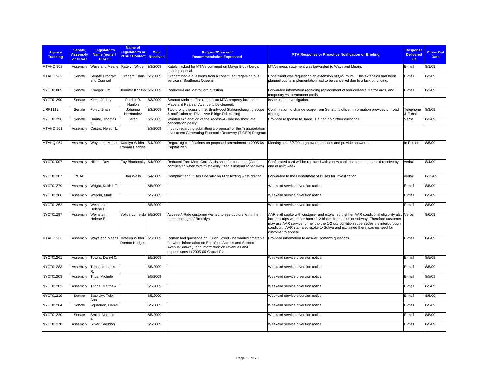| <b>Agency</b><br><b>Tracking</b> | Senate.<br><b>Assembly</b><br>or PCAC | Legislator's<br>Name (none if<br>PCAC) | Name of<br>Legislator's or<br><b>PCAC Contact Received</b> | <b>Date</b> | <b>Request/Concern/</b><br><b>Recommendation Expressed</b>                                                                                                                                                    | <b>MTA Response or Proactive Notification or Briefing</b>                                                                                                                                                                                                                                                                                                                       | <b>Response</b><br><b>Delivered</b><br>Via | <b>Close Out</b><br><b>Date</b> |
|----------------------------------|---------------------------------------|----------------------------------------|------------------------------------------------------------|-------------|---------------------------------------------------------------------------------------------------------------------------------------------------------------------------------------------------------------|---------------------------------------------------------------------------------------------------------------------------------------------------------------------------------------------------------------------------------------------------------------------------------------------------------------------------------------------------------------------------------|--------------------------------------------|---------------------------------|
| MTAHQ 963                        | Assembly                              | Ways and Means                         | Katelyn Wilder 8/3/2009                                    |             | Katelyn asked for MTA's comment on Mayor Bloomberg's<br>transit proposal.                                                                                                                                     | MTA's press statement was forwarded to Ways and Means                                                                                                                                                                                                                                                                                                                           | E-mail                                     | 8/3/09                          |
| MTAHQ 962                        | Senate                                | Senate Program<br>and Counsel          | Graham Ennis 8/3/2009                                      |             | Graham had a questions from a constituent regarding bus<br>service in Southeast Queens.                                                                                                                       | Constituent was requesting an extension of Q27 route. This extension had been<br>planned but its implementation had to be cancelled due to a lack of funding.                                                                                                                                                                                                                   | E-mail                                     | 8/3/09                          |
| <b>NYCT01005</b>                 | Senate                                | Krueger, Liz                           | Jennifer Krinsky 8/3/2009                                  |             | Reduced-Fare MetroCard question                                                                                                                                                                               | Forwarded information regarding replacement of reduced-fare MetroCards, and<br>temporary vs. permanent cards.                                                                                                                                                                                                                                                                   | E-mail                                     | 8/3/09                          |
| NYCT01290                        | Senate                                | Klein, Jeffrey                         | Patrick R.<br>Hanlon                                       | 8/3/2009    | Senator Klein's office request an MTA property located at<br>Mace and Pearsall Avenue to be cleaned.                                                                                                          | Issue under investigation.                                                                                                                                                                                                                                                                                                                                                      |                                            |                                 |
| <b>LIRR1112</b>                  | Senate                                | Foley, Brian                           | Johanna<br>Hernandez                                       | 8/3/2009    | Two-prong discussion re: Brentwood Station/changing scope<br>& notification re: River Ave Bridge Rd. closing                                                                                                  | Confirmation to change scope from Senator's office. Information provided on road<br>closing                                                                                                                                                                                                                                                                                     | Telephone<br>& E-mail                      | 8/3/09                          |
| NYCT01296                        | Senate                                | Duane, Thomas                          | Jared                                                      | 8/3/2009    | Wanted explanation of the Access-A-Ride no-show late<br>cancellation policy                                                                                                                                   | Provided response to Jared. He had no further questions                                                                                                                                                                                                                                                                                                                         | Verbal                                     | 8/3/09                          |
| MTAHQ 961                        | Assembly                              | Castro, Nelson L                       |                                                            | 8/3/2009    | Inquiry regarding submitting a proposal for the Transportation<br>Investment Generating Economic Recovery (TIGER) Program                                                                                     |                                                                                                                                                                                                                                                                                                                                                                                 |                                            |                                 |
| MTAHQ 964                        | Assembly                              | Ways and Means                         | Katelyn Wilder, 8/4/2009<br>Roman Hedges                   |             | Regarding clarifications on proposed amendment to 2005-09<br>Capital Plan.                                                                                                                                    | Meeting held 8/5/09 to go over questions and provide answers.                                                                                                                                                                                                                                                                                                                   | In Person                                  | 8/5/09                          |
| <b>NYCT01007</b>                 | Assembly                              | Hikind, Dov                            | Fay Blachorsky 8/4/2009                                    |             | Reduced Fare MetroCard Assistance for customer (Card<br>confiscated when wife mistakenly used it instead of her own)                                                                                          | Confiscated card will be replaced with a new card that customer should receive by<br>end of next week                                                                                                                                                                                                                                                                           | verbal                                     | 8/4/09                          |
| <b>NYCT01287</b>                 | <b>PCAC</b>                           |                                        | Jan Wells                                                  | 8/4/2009    | Complaint about Bus Operator on M72 texting while driving.                                                                                                                                                    | Forwarded to the Department of Buses for Investigation                                                                                                                                                                                                                                                                                                                          | verbal                                     | 8/12/09                         |
| <b>NYCT01279</b>                 | Assembly                              | Wright, Keith L.T.                     |                                                            | 8/5/2009    |                                                                                                                                                                                                               | Weekend service diversion notice                                                                                                                                                                                                                                                                                                                                                | E-mail                                     | 8/5/09                          |
| <b>NYCT01206</b>                 | Assembly                              | Weprin, Mark                           |                                                            | 8/5/2009    |                                                                                                                                                                                                               | Weekend service diversion notice                                                                                                                                                                                                                                                                                                                                                | E-mail                                     | 8/5/09                          |
| NYCT01262                        | Assembly                              | Weinstein,<br>Helene E.                |                                                            | 8/5/2009    |                                                                                                                                                                                                               | Weekend service diversion notice                                                                                                                                                                                                                                                                                                                                                | E-mail                                     | 8/5/09                          |
| <b>NYCT01297</b>                 | Assembly                              | Weinstein,<br>Helene E.                | Sofiya Lumelski 8/5/2009                                   |             | Access-A-Ride customer wanted to see doctors within her<br>home borough of Brooklyn                                                                                                                           | AAR staff spoke with customer and explained that her AAR conditional eligibility also Verbal<br>includes trips when her home 1-2 blocks from a bus or subway. Therefore customer<br>may use AAR service for her trip the 1-2 city condition supersedes the interborough<br>condition. AAR staff also spoke to Sofiya and explained there was no need for<br>customer to appeal. |                                            | 8/6/09                          |
| MTAHQ 966                        |                                       | Assembly Ways and Means                | Katelyn Wilder, 8/5/2009<br>Roman Hedges                   |             | Roman had questions on Fulton Street - he wanted timetable<br>for work, information on East Side Access and Second<br>Avenue Subway, and information on revenues and<br>expenditures in 2005-09 Capital Plan. | Provided information to answer Roman's questions.                                                                                                                                                                                                                                                                                                                               | E-mail                                     | 8/6/09                          |
| NYCT01261                        | Assembly                              | Towns, Darryl C.                       |                                                            | 8/5/2009    |                                                                                                                                                                                                               | Weekend service diversion notice                                                                                                                                                                                                                                                                                                                                                | E-mail                                     | 8/5/09                          |
| NYCT01283                        | Assembly                              | Tobacco, Louis                         |                                                            | 8/5/2009    |                                                                                                                                                                                                               | Weekend service diversion notice                                                                                                                                                                                                                                                                                                                                                | E-mail                                     | 8/5/09                          |
| NYCT01203                        | Assembly                              | Titus, Michele                         |                                                            | 8/5/2009    |                                                                                                                                                                                                               | Weekend service diversion notice                                                                                                                                                                                                                                                                                                                                                | E-mail                                     | 8/5/09                          |
| <b>NYCT01282</b>                 | Assembly                              | Titone, Matthew                        |                                                            | 8/5/2009    |                                                                                                                                                                                                               | Weekend service diversion notice                                                                                                                                                                                                                                                                                                                                                | E-mail                                     | 8/5/09                          |
| NYCT01219                        | Senate                                | Stavisky, Toby<br>Ann                  |                                                            | 8/5/2009    |                                                                                                                                                                                                               | Weekend service diversion notice                                                                                                                                                                                                                                                                                                                                                | E-mail                                     | 8/5/09                          |
| NYCT01264                        | Senate                                | Squadron, Daniel                       |                                                            | 8/5/2009    |                                                                                                                                                                                                               | Weekend service diversion notice                                                                                                                                                                                                                                                                                                                                                | E-mail                                     | 8/5/09                          |
| NYCT01220                        | Senate                                | Smith, Malcolm                         |                                                            | 8/5/2009    |                                                                                                                                                                                                               | Weekend service diversion notice                                                                                                                                                                                                                                                                                                                                                | E-mail                                     | 8/5/09                          |
| <b>NYCT01278</b>                 | Assembly                              | Silver, Sheldon                        |                                                            | 8/5/2009    |                                                                                                                                                                                                               | Weekend service diversion notice                                                                                                                                                                                                                                                                                                                                                | E-mail                                     | 8/5/09                          |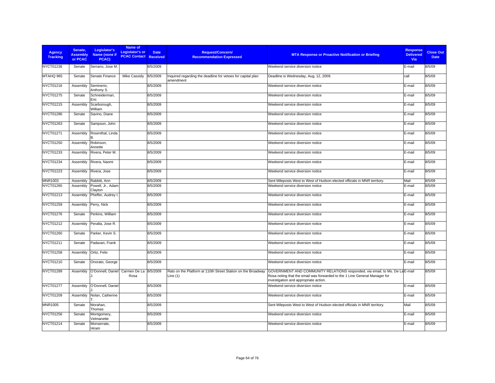| <b>Agency</b><br><b>Tracking</b> | Senate.<br><b>Assembly</b><br>or PCAC | Legislator's<br>Name (none if<br>PCAC) | Name of<br><b>Legislator's or</b><br><b>PCAC Contact Received</b> | <b>Date</b> | <b>Request/Concern/</b><br><b>Recommendation Expressed</b>                 | <b>MTA Response or Proactive Notification or Briefing</b>                                                                                                                                          | <b>Response</b><br><b>Delivered</b><br>Via | <b>Close Out</b><br><b>Date</b> |
|----------------------------------|---------------------------------------|----------------------------------------|-------------------------------------------------------------------|-------------|----------------------------------------------------------------------------|----------------------------------------------------------------------------------------------------------------------------------------------------------------------------------------------------|--------------------------------------------|---------------------------------|
| <b>NYCT01236</b>                 | Senate                                | Serrano, Jose M.                       |                                                                   | 8/5/2009    |                                                                            | Weekend service diversion notice                                                                                                                                                                   | E-mail                                     | 8/5/09                          |
| MTAHQ 965                        | Senate                                | Senate Finance                         | Mike Cassidy                                                      | 8/5/2009    | Inquired regarding the deadline for vetoes for capital plan<br>amendment   | Deadline is Wednesday, Aug, 12, 2009.                                                                                                                                                              | call                                       | 8/5/09                          |
| NYCT01216                        | Assembly                              | Seminerio,<br>Anthony S.               |                                                                   | 8/5/2009    |                                                                            | Weekend service diversion notice                                                                                                                                                                   | E-mail                                     | 8/5/09                          |
| <b>NYCT01275</b>                 | Senate                                | Schneiderman,<br>Eric                  |                                                                   | 8/5/2009    |                                                                            | Weekend service diversion notice                                                                                                                                                                   | E-mail                                     | 8/5/09                          |
| NYCT01215                        | Assembly                              | Scarborough,<br>William                |                                                                   | 8/5/2009    |                                                                            | Weekend service diversion notice                                                                                                                                                                   | E-mail                                     | 8/5/09                          |
| <b>NYCT01286</b>                 | Senate                                | Savino, Diane                          |                                                                   | 8/5/2009    |                                                                            | Weekend service diversion notice                                                                                                                                                                   | E-mail                                     | 8/5/09                          |
| NYCT01263                        | Senate                                | Sampson, John                          |                                                                   | 8/5/2009    |                                                                            | Weekend service diversion notice                                                                                                                                                                   | E-mail                                     | 8/5/09                          |
| NYCT01271                        | Assembly                              | Rosenthal, Linda                       |                                                                   | 8/5/2009    |                                                                            | Weekend service diversion notice                                                                                                                                                                   | E-mail                                     | 8/5/09                          |
| NYCT01250                        | Assembly                              | Robinson,<br>Annette                   |                                                                   | 8/5/2009    |                                                                            | Weekend service diversion notice                                                                                                                                                                   | E-mail                                     | 8/5/09                          |
| NYCT01233                        | Assembly                              | Rivera, Peter M.                       |                                                                   | 8/5/2009    |                                                                            | Weekend service diversion notice                                                                                                                                                                   | E-mail                                     | 8/5/09                          |
| NYCT01234                        | Assembly                              | Rivera, Naomi                          |                                                                   | 8/5/2009    |                                                                            | Weekend service diversion notice                                                                                                                                                                   | E-mail                                     | 8/5/09                          |
| NYCT01223                        | Assembly                              | Rivera, Jose                           |                                                                   | 8/5/2009    |                                                                            | Weekend service diversion notice                                                                                                                                                                   | E-mail                                     | 8/5/09                          |
| <b>MNR1003</b>                   | Assembly                              | Rabbitt, Ann                           |                                                                   | 8/5/2009    |                                                                            | Sent Mileposts West to West of Hudson elected officials in MNR territory.                                                                                                                          | Mail                                       | 8/5/09                          |
| NYCT01265                        | Assembly                              | Powell, Jr., Adam<br>Clayton           |                                                                   | 8/5/2009    |                                                                            | Weekend service diversion notice                                                                                                                                                                   | E-mail                                     | 8/5/09                          |
| NYCT01213                        | Assembly                              | Pheffer, Audrey I.                     |                                                                   | 8/5/2009    |                                                                            | Weekend service diversion notice                                                                                                                                                                   | E-mail                                     | 8/5/09                          |
| NYCT01259                        | Assembly                              | Perry, Nick                            |                                                                   | 8/5/2009    |                                                                            | Weekend service diversion notice                                                                                                                                                                   | E-mail                                     | 8/5/09                          |
| <b>NYCT01276</b>                 | Senate                                | Perkins, William                       |                                                                   | 8/5/2009    |                                                                            | Weekend service diversion notice                                                                                                                                                                   | E-mail                                     | 8/5/09                          |
| NYCT01212                        | Assembly                              | Peralta, Jose R.                       |                                                                   | 8/5/2009    |                                                                            | Weekend service diversion notice                                                                                                                                                                   | E-mail                                     | 8/5/09                          |
| NYCT01260                        | Senate                                | Parker, Kevin S.                       |                                                                   | 8/5/2009    |                                                                            | Weekend service diversion notice                                                                                                                                                                   | E-mail                                     | 8/5/09                          |
| NYCT01211                        | Senate                                | Padavan, Frank                         |                                                                   | 8/5/2009    |                                                                            | Weekend service diversion notice                                                                                                                                                                   | E-mail                                     | 8/5/09                          |
| NYCT01258                        | Assembly                              | Ortiz, Felix                           |                                                                   | 8/5/2009    |                                                                            | Weekend service diversion notice                                                                                                                                                                   | E-mail                                     | 8/5/09                          |
| NYCT01210                        | Senate                                | Onorato, George                        |                                                                   | 8/5/2009    |                                                                            | Weekend service diversion notice                                                                                                                                                                   | E-mail                                     | 8/5/09                          |
| NYCT01289                        | Assembly                              | O'Donnell, Daniel                      | Carmen De La 8/5/2009<br>Rosa                                     |             | Rats on the Platform at 110th Street Station on the Broadway<br>Line $(1)$ | GOVERNMENT AND COMMUNITY RELATIONS responded, via email, to Ms. De LaE-mail<br>Rosa noting that the email was forwarded to the 1 Line General Manager for<br>investigation and appropriate action. |                                            | 8/5/09                          |
| <b>NYCT01277</b>                 | Assembly                              | O'Donnell, Daniel                      |                                                                   | 8/5/2009    |                                                                            | Weekend service diversion notice                                                                                                                                                                   | E-mail                                     | 8/5/09                          |
| NYCT01209                        | Assembly                              | Nolan, Catherine                       |                                                                   | 8/5/2009    |                                                                            | Weekend service diversion notice                                                                                                                                                                   | E-mail                                     | 8/5/09                          |
| MNR1005                          | Senate                                | Morahan,<br>Thomas                     |                                                                   | 8/5/2009    |                                                                            | Sent Mileposts West to West of Hudson elected officials in MNR territory.                                                                                                                          | Mail                                       | 8/5/09                          |
| NYCT01256                        | Senate                                | Montgomery,<br>Velmanette              |                                                                   | 8/5/2009    |                                                                            | Weekend service diversion notice                                                                                                                                                                   | E-mail                                     | 8/5/09                          |
| NYCT01214                        | Senate                                | Monserrate.<br>Hiram                   |                                                                   | 8/5/2009    |                                                                            | Weekend service diversion notice                                                                                                                                                                   | E-mail                                     | 8/5/09                          |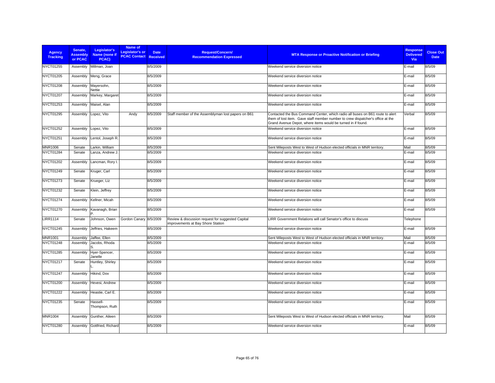| <b>Agency</b><br><b>Tracking</b> | Senate.<br><b>Assembly</b><br>or PCAC | Legislator's<br>Name (none if<br>PCAC) | Name of<br><b>Legislator's or</b><br><b>PCAC Contact Received</b> | <b>Date</b> | Request/Concern/<br><b>Recommendation Expressed</b>                                    | <b>MTA Response or Proactive Notification or Briefing</b>                                                                                                                                                                       | <b>Response</b><br><b>Delivered</b><br>Via | <b>Close Out</b><br><b>Date</b> |
|----------------------------------|---------------------------------------|----------------------------------------|-------------------------------------------------------------------|-------------|----------------------------------------------------------------------------------------|---------------------------------------------------------------------------------------------------------------------------------------------------------------------------------------------------------------------------------|--------------------------------------------|---------------------------------|
| NYCT01255                        | Assembly                              | Millman, Joan                          |                                                                   | 8/5/2009    |                                                                                        | Weekend service diversion notice                                                                                                                                                                                                | E-mail                                     | 8/5/09                          |
| NYCT01205                        | Assembly                              | Meng, Grace                            |                                                                   | 8/5/2009    |                                                                                        | Weekend service diversion notice                                                                                                                                                                                                | E-mail                                     | 8/5/09                          |
| <b>NYCT01208</b>                 | Assembly                              | Mayersohn,<br>Nettie                   |                                                                   | 8/5/2009    |                                                                                        | Weekend service diversion notice                                                                                                                                                                                                | E-mail                                     | 8/5/09                          |
| NYCT01207                        | Assembly                              | Markey, Margaret                       |                                                                   | 8/5/2009    |                                                                                        | Weekend service diversion notice                                                                                                                                                                                                | E-mail                                     | 8/5/09                          |
| NYCT01253                        | Assembly                              | Maisel, Alan                           |                                                                   | 8/5/2009    |                                                                                        | Weekend service diversion notice                                                                                                                                                                                                | E-mail                                     | 8/5/09                          |
| <b>NYCT01295</b>                 | Assembly                              | Lopez, Vito                            | Andy                                                              | 8/5/2009    | Staff member of the Assemblyman lost papers on B61                                     | Contacted the Bus Command Center, which radio all buses on B61 route to alert<br>them of lost item. Gave staff member number to crew dispatcher's office at the<br>Grand Avenue Depot, where items would be turned in if found. | Verbal                                     | 8/5/09                          |
| <b>NYCT01252</b>                 | Assembly                              | Lopez, Vito                            |                                                                   | 8/5/2009    |                                                                                        | Weekend service diversion notice                                                                                                                                                                                                | E-mail                                     | 8/5/09                          |
| NYCT01251                        | Assembly                              | Lentol, Joseph R.                      |                                                                   | 8/5/2009    |                                                                                        | Weekend service diversion notice                                                                                                                                                                                                | E-mail                                     | 8/5/09                          |
| <b>MNR1006</b>                   | Senate                                | Larkin, William                        |                                                                   | 8/5/2009    |                                                                                        | Sent Mileposts West to West of Hudson elected officials in MNR territory.                                                                                                                                                       | Mail                                       | 8/5/09                          |
| NYCT01284                        | Senate                                | Lanza, Andrew J.                       |                                                                   | 8/5/2009    |                                                                                        | Weekend service diversion notice                                                                                                                                                                                                | E-mail                                     | 8/5/09                          |
| NYCT01202                        | Assembly                              | Lancman, Rory I.                       |                                                                   | 8/5/2009    |                                                                                        | Weekend service diversion notice                                                                                                                                                                                                | E-mail                                     | 8/5/09                          |
| NYCT01249                        | Senate                                | Kruger, Carl                           |                                                                   | 8/5/2009    |                                                                                        | Weekend service diversion notice                                                                                                                                                                                                | E-mail                                     | 8/5/09                          |
| NYCT01273                        | Senate                                | Krueger, Liz                           |                                                                   | 8/5/2009    |                                                                                        | Weekend service diversion notice                                                                                                                                                                                                | E-mail                                     | 8/5/09                          |
| NYCT01232                        | Senate                                | Klein, Jeffrey                         |                                                                   | 8/5/2009    |                                                                                        | Weekend service diversion notice                                                                                                                                                                                                | E-mail                                     | 8/5/09                          |
| NYCT01274                        | Assembly                              | Kellner, Micah                         |                                                                   | 8/5/2009    |                                                                                        | Weekend service diversion notice                                                                                                                                                                                                | E-mail                                     | 8/5/09                          |
| <b>NYCT01270</b>                 | Assembly                              | Kavanagh, Brian                        |                                                                   | 8/5/2009    |                                                                                        | Weekend service diversion notice                                                                                                                                                                                                | E-mail                                     | 8/5/09                          |
| <b>LIRR1114</b>                  | Senate                                | Johnson, Owen                          | Gordon Canary 8/5/2009                                            |             | Review & discussion request for suggested Capital<br>improvements at Bay Shore Station | LIRR Government Relations will call Senator's office to discuss                                                                                                                                                                 | Telephone                                  |                                 |
| <b>NYCT01245</b>                 | Assembly                              | Jeffries, Hakeem                       |                                                                   | 8/5/2009    |                                                                                        | Weekend service diversion notice                                                                                                                                                                                                | E-mail                                     | 8/5/09                          |
| <b>MNR1001</b>                   | Assembly                              | Jaffee, Ellen                          |                                                                   | 8/5/2009    |                                                                                        | Sent Mileposts West to West of Hudson elected officials in MNR territory.                                                                                                                                                       | Mail                                       | 8/5/09                          |
| NYCT01248                        | Assembly                              | Jacobs, Rhoda                          |                                                                   | 8/5/2009    |                                                                                        | Weekend service diversion notice                                                                                                                                                                                                | E-mail                                     | 8/5/09                          |
| NYCT01285                        | Assembly                              | Hyer-Spencer,<br>Janelle               |                                                                   | 8/5/2009    |                                                                                        | Weekend service diversion notice                                                                                                                                                                                                | E-mail                                     | 8/5/09                          |
| NYCT01217                        | Senate                                | Huntley, Shirley                       |                                                                   | 8/5/2009    |                                                                                        | Weekend service diversion notice                                                                                                                                                                                                | E-mail                                     | 8/5/09                          |
| NYCT01247                        | Assembly                              | Hikind, Dov                            |                                                                   | 8/5/2009    |                                                                                        | Weekend service diversion notice                                                                                                                                                                                                | E-mail                                     | 8/5/09                          |
| NYCT01200                        | Assembly                              | Hevesi, Andrew                         |                                                                   | 8/5/2009    |                                                                                        | Weekend service diversion notice                                                                                                                                                                                                | E-mail                                     | 8/5/09                          |
| NYCT01222                        | Assembly                              | Heastie, Carl E.                       |                                                                   | 8/5/2009    |                                                                                        | Weekend service diversion notice                                                                                                                                                                                                | E-mail                                     | 8/5/09                          |
| NYCT01235                        | Senate                                | Hassell-<br>Thompson, Ruth             |                                                                   | 8/5/2009    |                                                                                        | Weekend service diversion notice                                                                                                                                                                                                | E-mail                                     | 8/5/09                          |
| <b>MNR1004</b>                   | Assembly                              | Gunther, Aileen                        |                                                                   | 8/5/2009    |                                                                                        | Sent Mileposts West to West of Hudson elected officials in MNR territory.                                                                                                                                                       | Mail                                       | 8/5/09                          |
| NYCT01280                        | Assembly                              | Gottfried, Richard                     |                                                                   | 8/5/2009    |                                                                                        | Weekend service diversion notice                                                                                                                                                                                                | E-mail                                     | 8/5/09                          |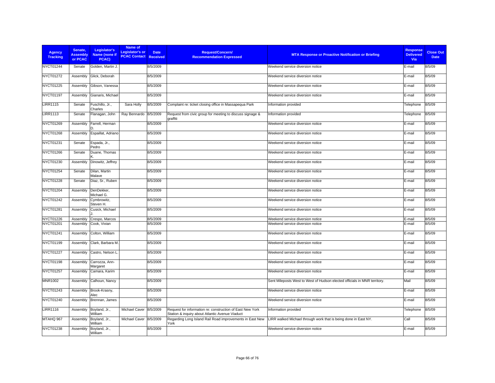| <b>Agency</b><br><b>Tracking</b> | Senate,<br><b>Assembly</b><br>or PCAC | Legislator's<br>Name (none if<br>PCAC) | Name of<br><b>Legislator's or</b><br><b>PCAC Contact Received</b> | <b>Date</b> | <b>Request/Concern/</b><br><b>Recommendation Expressed</b>                                                   | <b>MTA Response or Proactive Notification or Briefing</b>                 | <b>Response</b><br><b>Delivered</b><br><b>Via</b> | <b>Close Out</b><br><b>Date</b> |
|----------------------------------|---------------------------------------|----------------------------------------|-------------------------------------------------------------------|-------------|--------------------------------------------------------------------------------------------------------------|---------------------------------------------------------------------------|---------------------------------------------------|---------------------------------|
| NYCT01244                        | Senate                                | Golden, Martin J.                      |                                                                   | 8/5/2009    |                                                                                                              | Weekend service diversion notice                                          | E-mail                                            | 8/5/09                          |
| NYCT01272                        | Assembly                              | Glick, Deborah                         |                                                                   | 8/5/2009    |                                                                                                              | Weekend service diversion notice                                          | E-mail                                            | 8/5/09                          |
| NYCT01225                        | Assembly                              | Gibson, Vanessa                        |                                                                   | 8/5/2009    |                                                                                                              | Weekend service diversion notice                                          | E-mail                                            | 8/5/09                          |
| <b>NYCT01197</b>                 | Assembly                              | Gianaris, Michael                      |                                                                   | 8/5/2009    |                                                                                                              | Weekend service diversion notice                                          | E-mail                                            | 8/5/09                          |
| <b>LIRR1115</b>                  | Senate                                | Fuschillo, Jr.,<br>Charles             | Sara Holly                                                        | 8/5/2009    | Complaint re: ticket closing office in Massapequa Park                                                       | Information provided                                                      | Telephone                                         | 8/5/09                          |
| <b>LIRR1113</b>                  | Senate                                | Flanagan, John                         | Ray Bennardo                                                      | 8/5/2009    | Request from civic group for meeting to discuss signage &<br>graffiti                                        | Information provided                                                      | Telephone                                         | 8/5/09                          |
| NYCT01269                        | Assembly                              | Farrell, Herman                        |                                                                   | 8/5/2009    |                                                                                                              | Weekend service diversion notice                                          | E-mail                                            | 8/5/09                          |
| NYCT01268                        | Assembly                              | Espaillat, Adriano                     |                                                                   | 8/5/2009    |                                                                                                              | Weekend service diversion notice                                          | E-mail                                            | 8/5/09                          |
| <b>NYCT01231</b>                 | Senate                                | Espada, Jr.,<br>Pedro                  |                                                                   | 8/5/2009    |                                                                                                              | Weekend service diversion notice                                          | E-mail                                            | 8/5/09                          |
| NYCT01266                        | Senate                                | Duane, Thomas                          |                                                                   | 8/5/2009    |                                                                                                              | Weekend service diversion notice                                          | E-mail                                            | 8/5/09                          |
| NYCT01230                        | Assembly                              | Dinowitz, Jeffrey                      |                                                                   | 8/5/2009    |                                                                                                              | Weekend service diversion notice                                          | E-mail                                            | 8/5/09                          |
| NYCT01254                        | Senate                                | Dilan, Martin<br>Malave                |                                                                   | 8/5/2009    |                                                                                                              | Weekend service diversion notice                                          | E-mail                                            | 8/5/09                          |
| <b>NYCT01228</b>                 | Senate                                | Diaz, Sr., Ruben                       |                                                                   | 8/5/2009    |                                                                                                              | Weekend service diversion notice                                          | E-mail                                            | 8/5/09                          |
| NYCT01204                        | Assembly                              | DenDekker,<br>Michael G.               |                                                                   | 8/5/2009    |                                                                                                              | Weekend service diversion notice                                          | E-mail                                            | 8/5/09                          |
| <b>NYCT01242</b>                 | Assembly                              | Cymbrowitz,<br>Steven H.               |                                                                   | 8/5/2009    |                                                                                                              | Weekend service diversion notice                                          | E-mail                                            | 8/5/09                          |
| NYCT01281                        | Assembly                              | Cusick, Michael                        |                                                                   | 8/5/2009    |                                                                                                              | Weekend service diversion notice                                          | E-mail                                            | 8/5/09                          |
| NYCT01226                        | Assembly                              | Crespo, Marcos                         |                                                                   | 8/5/2009    |                                                                                                              | Weekend service diversion notice                                          | E-mail                                            | 8/5/09                          |
| NYCT01201                        | Assembly                              | Cook, Vivian                           |                                                                   | 8/5/2009    |                                                                                                              | Weekend service diversion notice                                          | E-mail                                            | 8/5/09                          |
| NYCT01241                        | Assembly                              | Colton, William                        |                                                                   | 8/5/2009    |                                                                                                              | Weekend service diversion notice                                          | E-mail                                            | 8/5/09                          |
| NYCT01199                        | Assembly                              | Clark, Barbara M.                      |                                                                   | 8/5/2009    |                                                                                                              | Weekend service diversion notice                                          | E-mail                                            | 8/5/09                          |
| <b>NYCT01227</b>                 | Assembly                              | Castro, Nelson L                       |                                                                   | 8/5/2009    |                                                                                                              | Weekend service diversion notice                                          | E-mail                                            | 8/5/09                          |
| NYCT01198                        | Assembly                              | Carrozza, Ann-<br>Margaret             |                                                                   | 8/5/2009    |                                                                                                              | Weekend service diversion notice                                          | E-mail                                            | 8/5/09                          |
| <b>NYCT01257</b>                 | Assembly                              | Camara, Karim                          |                                                                   | 8/5/2009    |                                                                                                              | Weekend service diversion notice                                          | E-mail                                            | 8/5/09                          |
| <b>MNR1002</b>                   | Assembly                              | Calhoun, Nancy                         |                                                                   | 8/5/2009    |                                                                                                              | Sent Mileposts West to West of Hudson elected officials in MNR territory. | Mail                                              | 8/5/09                          |
| NYCT01243                        | Assembly                              | Brook-Krasny,<br>Alec                  |                                                                   | 8/5/2009    |                                                                                                              | Weekend service diversion notice                                          | E-mail                                            | 8/5/09                          |
| NYCT01240                        | Assembly                              | Brennan, James                         |                                                                   | 8/5/2009    |                                                                                                              | Weekend service diversion notice                                          | E-mail                                            | 8/5/09                          |
| <b>LIRR1116</b>                  | Assembly                              | Boyland, Jr.,<br>William               | Michael Caver                                                     | 8/5/2009    | Request for information re: construction of East New York<br>Station & inquiry about Atlantic Avenue Viaduct | Information provided                                                      | Telephone                                         | 8/5/09                          |
| MTAHQ 967                        | Assembly                              | Boyland, Jr.,<br>William               | Michael Caver                                                     | 8/5/2009    | Regarding Long Island Rail Road improvements in East New<br>York                                             | LIRR walked Michael through work that is being done in East NY.           | Call                                              | 8/5/09                          |
| NYCT01238                        | Assembly                              | Boyland, Jr.,<br>William               |                                                                   | 8/5/2009    |                                                                                                              | Weekend service diversion notice                                          | E-mail                                            | 8/5/09                          |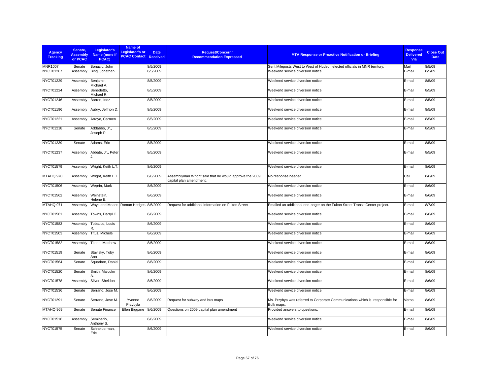| <b>Agency</b><br><b>Tracking</b> | Senate,<br><b>Assembly</b><br>or PCAC | Legislator's<br>Name (none if<br>PCAC) | Name of<br><b>Legislator's or</b><br><b>PCAC Contact Received</b> | <b>Date</b> | <b>Request/Concern/</b><br><b>Recommendation Expressed</b>                        | <b>MTA Response or Proactive Notification or Briefing</b>                                   | <b>Response</b><br><b>Delivered</b><br><b>Via</b> | <b>Close Out</b><br><b>Date</b> |
|----------------------------------|---------------------------------------|----------------------------------------|-------------------------------------------------------------------|-------------|-----------------------------------------------------------------------------------|---------------------------------------------------------------------------------------------|---------------------------------------------------|---------------------------------|
| <b>MNR1007</b>                   | Senate                                | Bonacic, John                          |                                                                   | 8/5/2009    |                                                                                   | Sent Mileposts West to West of Hudson elected officials in MNR territory.                   | Mail                                              | 8/5/09                          |
| <b>NYCT01267</b>                 | Assembly                              | Bing, Jonathan                         |                                                                   | 8/5/2009    |                                                                                   | Weekend service diversion notice                                                            | E-mail                                            | 8/5/09                          |
| NYCT01229                        | Assembly                              | Benjamin,<br>Michael A.                |                                                                   | 8/5/2009    |                                                                                   | Weekend service diversion notice                                                            | E-mail                                            | 8/5/09                          |
| <b>NYCT01224</b>                 | Assembly                              | Benedetto,<br>Michael R.               |                                                                   | 8/5/2009    |                                                                                   | Weekend service diversion notice                                                            | E-mail                                            | 8/5/09                          |
| <b>NYCT01246</b>                 | Assembly                              | Barron, Inez                           |                                                                   | 8/5/2009    |                                                                                   | Weekend service diversion notice                                                            | E-mail                                            | 8/5/09                          |
| NYCT01196                        | Assembly                              | Aubry, Jeffrion D.                     |                                                                   | 8/5/2009    |                                                                                   | Weekend service diversion notice                                                            | E-mail                                            | 8/5/09                          |
| NYCT01221                        | Assembly                              | Arroyo, Carmen                         |                                                                   | 8/5/2009    |                                                                                   | Weekend service diversion notice                                                            | E-mail                                            | 8/5/09                          |
| NYCT01218                        | Senate                                | Addabbo, Jr.,<br>Joseph P.             |                                                                   | 8/5/2009    |                                                                                   | Weekend service diversion notice                                                            | E-mail                                            | 8/5/09                          |
| <b>NYCT01239</b>                 | Senate                                | Adams, Eric                            |                                                                   | 8/5/2009    |                                                                                   | Weekend service diversion notice                                                            | E-mail                                            | 8/5/09                          |
| <b>NYCT01237</b>                 | Assembly                              | Abbate, Jr., Peter                     |                                                                   | 8/5/2009    |                                                                                   | Weekend service diversion notice                                                            | E-mail                                            | 8/5/09                          |
| NYCT01579                        | Assembly                              | Wright, Keith L.T.                     |                                                                   | 8/6/2009    |                                                                                   | Weekend service diversion notice                                                            | E-mail                                            | 8/6/09                          |
| MTAHQ 970                        | Assembly                              | Wright, Keith L.T.                     |                                                                   | 8/6/2009    | Assemblyman Wright said that he would approve the 2009<br>capital plan amendment. | No response needed                                                                          | Call                                              | 8/6/09                          |
| <b>NYCT01506</b>                 | Assembly                              | Weprin, Mark                           |                                                                   | 8/6/2009    |                                                                                   | Weekend service diversion notice                                                            | E-mail                                            | 8/6/09                          |
| NYCT01562                        | Assembly                              | Weinstein,<br>Helene E.                |                                                                   | 8/6/2009    |                                                                                   | Weekend service diversion notice                                                            | E-mail                                            | 8/6/09                          |
| MTAHQ 971                        | Assembly                              | Ways and Means Roman Hedges 8/6/2009   |                                                                   |             | Request for additional information on Fulton Street                               | Emailed an additional one-pager on the Fulton Street Transit Center project.                | E-mail                                            | 8/7/09                          |
| NYCT01561                        | Assembly                              | Towns, Darryl C.                       |                                                                   | 8/6/2009    |                                                                                   | Weekend service diversion notice                                                            | E-mail                                            | 8/6/09                          |
| NYCT01583                        | Assembly                              | Tobacco, Louis                         |                                                                   | 8/6/2009    |                                                                                   | Weekend service diversion notice                                                            | E-mail                                            | 8/6/09                          |
| NYCT01503                        | Assembly                              | Titus, Michele                         |                                                                   | 8/6/2009    |                                                                                   | Weekend service diversion notice                                                            | E-mail                                            | 8/6/09                          |
| <b>NYCT01582</b>                 | Assembly                              | Titone, Matthew                        |                                                                   | 8/6/2009    |                                                                                   | Weekend service diversion notice                                                            | E-mail                                            | 8/6/09                          |
| NYCT01519                        | Senate                                | Stavisky, Toby<br>Ann                  |                                                                   | 8/6/2009    |                                                                                   | Weekend service diversion notice                                                            | E-mail                                            | 8/6/09                          |
| <b>NYCT01564</b>                 | Senate                                | Squadron, Daniel                       |                                                                   | 8/6/2009    |                                                                                   | Weekend service diversion notice                                                            | E-mail                                            | 8/6/09                          |
| NYCT01520                        | Senate                                | Smith, Malcolm                         |                                                                   | 8/6/2009    |                                                                                   | Weekend service diversion notice                                                            | E-mail                                            | 8/6/09                          |
| NYCT01578                        | Assembly                              | Silver, Sheldon                        |                                                                   | 8/6/2009    |                                                                                   | Weekend service diversion notice                                                            | E-mail                                            | 8/6/09                          |
| NYCT01536                        | Senate                                | Serrano, Jose M.                       |                                                                   | 8/6/2009    |                                                                                   | Weekend service diversion notice                                                            | E-mail                                            | 8/6/09                          |
| NYCT01291                        | Senate                                | Serrano, Jose M.                       | Yvonne<br>Przybyla                                                | 8/6/2009    | Request for subway and bus maps                                                   | Ms. Przybya was referred to Corporate Communications which is responsible for<br>Bulk maps. | Verbal                                            | 8/6/09                          |
| MTAHQ 969                        | Senate                                | Senate Finance                         | Ellen Biggane                                                     | 8/6/2009    | Questions on 2009 capital plan amendment                                          | Provided answers to questions.                                                              | E-mail                                            | 8/6/09                          |
| NYCT01516                        | Assembly                              | Seminerio,<br>Anthony S.               |                                                                   | 8/6/2009    |                                                                                   | Weekend service diversion notice                                                            | E-mail                                            | 8/6/09                          |
| NYCT01575                        | Senate                                | Schneiderman,<br>Eric                  |                                                                   | 8/6/2009    |                                                                                   | Weekend service diversion notice                                                            | E-mail                                            | 8/6/09                          |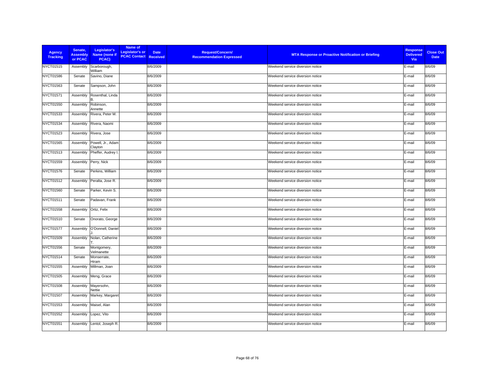| <b>Agency</b><br><b>Tracking</b> | Senate,<br><b>Assembly</b><br>or PCAC | Legislator's<br>Name (none if<br>PCAC) | Name of<br>Legislator's or<br><b>PCAC Contact Received</b> | <b>Request/Concern/</b><br><b>Date</b><br><b>Recommendation Expressed</b> | <b>MTA Response or Proactive Notification or Briefing</b> | <b>Response</b><br><b>Delivered</b><br>Via | <b>Close Out</b><br><b>Date</b> |
|----------------------------------|---------------------------------------|----------------------------------------|------------------------------------------------------------|---------------------------------------------------------------------------|-----------------------------------------------------------|--------------------------------------------|---------------------------------|
| NYCT01515                        | Assembly                              | Scarborough,<br>William                |                                                            | 8/6/2009                                                                  | Weekend service diversion notice                          | E-mail                                     | 8/6/09                          |
| NYCT01586                        | Senate                                | Savino, Diane                          |                                                            | 8/6/2009                                                                  | Weekend service diversion notice                          | E-mail                                     | 8/6/09                          |
| NYCT01563                        | Senate                                | Sampson, John                          |                                                            | 8/6/2009                                                                  | Weekend service diversion notice                          | E-mail                                     | 8/6/09                          |
| NYCT01571                        | Assembly                              | Rosenthal, Linda                       |                                                            | 8/6/2009                                                                  | Weekend service diversion notice                          | E-mail                                     | 8/6/09                          |
| NYCT01550                        | Assembly                              | Robinson,<br>Annette                   |                                                            | 8/6/2009                                                                  | Weekend service diversion notice                          | E-mail                                     | 8/6/09                          |
| NYCT01533                        | Assembly                              | Rivera, Peter M.                       |                                                            | 8/6/2009                                                                  | Weekend service diversion notice                          | E-mail                                     | 8/6/09                          |
| NYCT01534                        | Assembly                              | Rivera, Naomi                          |                                                            | 8/6/2009                                                                  | Weekend service diversion notice                          | E-mail                                     | 8/6/09                          |
| NYCT01523                        | Assembly                              | Rivera, Jose                           |                                                            | 8/6/2009                                                                  | Weekend service diversion notice                          | E-mail                                     | 8/6/09                          |
| NYCT01565                        | Assembly                              | Powell, Jr., Adam<br>Clayton           |                                                            | 8/6/2009                                                                  | Weekend service diversion notice                          | E-mail                                     | 8/6/09                          |
| NYCT01513                        | Assembly                              | Pheffer, Audrey I.                     |                                                            | 8/6/2009                                                                  | Weekend service diversion notice                          | E-mail                                     | 8/6/09                          |
| NYCT01559                        | Assembly                              | Perry, Nick                            |                                                            | 8/6/2009                                                                  | Weekend service diversion notice                          | E-mail                                     | 8/6/09                          |
| <b>NYCT01576</b>                 | Senate                                | Perkins, William                       |                                                            | 8/6/2009                                                                  | Weekend service diversion notice                          | E-mail                                     | 8/6/09                          |
| NYCT01512                        | Assembly                              | Peralta, Jose R.                       |                                                            | 8/6/2009                                                                  | Weekend service diversion notice                          | E-mail                                     | 8/6/09                          |
| NYCT01560                        | Senate                                | Parker, Kevin S.                       |                                                            | 8/6/2009                                                                  | Weekend service diversion notice                          | E-mail                                     | 8/6/09                          |
| NYCT01511                        | Senate                                | Padavan, Frank                         |                                                            | 8/6/2009                                                                  | Weekend service diversion notice                          | E-mail                                     | 8/6/09                          |
| NYCT01558                        | Assembly                              | Ortiz, Felix                           |                                                            | 8/6/2009                                                                  | Weekend service diversion notice                          | E-mail                                     | 8/6/09                          |
| NYCT01510                        | Senate                                | Onorato, George                        |                                                            | 8/6/2009                                                                  | Weekend service diversion notice                          | E-mail                                     | 8/6/09                          |
| <b>NYCT01577</b>                 | Assembly                              | O'Donnell, Daniel                      |                                                            | 8/6/2009                                                                  | Weekend service diversion notice                          | E-mail                                     | 8/6/09                          |
| NYCT01509                        | Assembly                              | Nolan, Catherine                       |                                                            | 8/6/2009                                                                  | Weekend service diversion notice                          | E-mail                                     | 8/6/09                          |
| NYCT01556                        | Senate                                | Montgomery,<br>Velmanette              |                                                            | 8/6/2009                                                                  | Weekend service diversion notice                          | E-mail                                     | 8/6/09                          |
| NYCT01514                        | Senate                                | Monserrate,<br>Hiram                   |                                                            | 8/6/2009                                                                  | Weekend service diversion notice                          | E-mail                                     | 8/6/09                          |
| <b>NYCT01555</b>                 | Assembly                              | Millman, Joan                          |                                                            | 8/6/2009                                                                  | Weekend service diversion notice                          | E-mail                                     | 8/6/09                          |
| <b>NYCT01505</b>                 | Assembly                              | Meng, Grace                            |                                                            | 8/6/2009                                                                  | Weekend service diversion notice                          | E-mail                                     | 8/6/09                          |
| <b>NYCT01508</b>                 | Assembly                              | Mayersohn,<br>Nettie                   |                                                            | 8/6/2009                                                                  | Weekend service diversion notice                          | E-mail                                     | 8/6/09                          |
| NYCT01507                        | Assembly                              | Markey, Margaret                       |                                                            | 8/6/2009                                                                  | Weekend service diversion notice                          | E-mail                                     | 8/6/09                          |
| NYCT01553                        | Assembly                              | Maisel, Alan                           |                                                            | 8/6/2009                                                                  | Weekend service diversion notice                          | E-mail                                     | 8/6/09                          |
| <b>NYCT01552</b>                 | Assembly                              | _opez, Vito                            |                                                            | 8/6/2009                                                                  | Weekend service diversion notice                          | E-mail                                     | 8/6/09                          |
| NYCT01551                        | Assembly                              | Lentol, Joseph R.                      |                                                            | 8/6/2009                                                                  | Weekend service diversion notice                          | E-mail                                     | 8/6/09                          |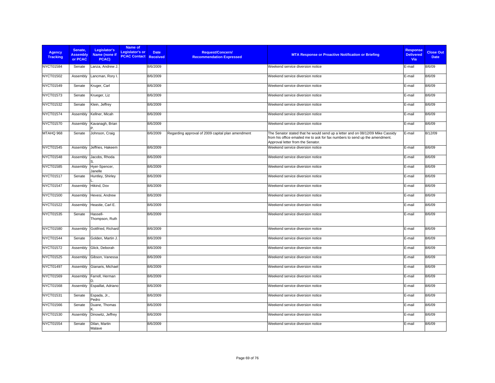| <b>Agency</b><br><b>Tracking</b> | Senate,<br><b>Assembly</b><br>or PCAC | Legislator's<br>Name (none if<br>PCAC) | Name of<br>Legislator's or<br><b>PCAC Contact Received</b> | <b>Date</b> | <b>Request/Concern/</b><br><b>Recommendation Expressed</b> | <b>MTA Response or Proactive Notification or Briefing</b>                                                                                                                                          | <b>Response</b><br><b>Delivered</b><br><b>Via</b> | <b>Close Out</b><br><b>Date</b> |
|----------------------------------|---------------------------------------|----------------------------------------|------------------------------------------------------------|-------------|------------------------------------------------------------|----------------------------------------------------------------------------------------------------------------------------------------------------------------------------------------------------|---------------------------------------------------|---------------------------------|
| NYCT01584                        | Senate                                | Lanza, Andrew J.                       |                                                            | 8/6/2009    |                                                            | Weekend service diversion notice                                                                                                                                                                   | E-mail                                            | 8/6/09                          |
| NYCT01502                        | Assembly                              | Lancman, Rory I.                       |                                                            | 8/6/2009    |                                                            | Weekend service diversion notice                                                                                                                                                                   | E-mail                                            | 8/6/09                          |
| NYCT01549                        | Senate                                | Kruger, Carl                           |                                                            | 8/6/2009    |                                                            | Weekend service diversion notice                                                                                                                                                                   | E-mail                                            | 8/6/09                          |
| NYCT01573                        | Senate                                | Krueger, Liz                           |                                                            | 8/6/2009    |                                                            | Weekend service diversion notice                                                                                                                                                                   | E-mail                                            | 8/6/09                          |
| NYCT01532                        | Senate                                | Klein, Jeffrey                         |                                                            | 8/6/2009    |                                                            | Weekend service diversion notice                                                                                                                                                                   | E-mail                                            | 8/6/09                          |
| <b>NYCT01574</b>                 | Assembly                              | Kellner, Micah                         |                                                            | 8/6/2009    |                                                            | Weekend service diversion notice                                                                                                                                                                   | E-mail                                            | 8/6/09                          |
| NYCT01570                        | Assembly                              | Kavanagh, Brian                        |                                                            | 8/6/2009    |                                                            | Weekend service diversion notice                                                                                                                                                                   | E-mail                                            | 8/6/09                          |
| MTAHQ 968                        | Senate                                | Johnson, Craig                         |                                                            | 8/6/2009    | Regarding approval of 2009 capital plan amendment          | The Senator stated that he would send up a letter and on 08/12/09 Mike Cassidy<br>from his office emailed me to ask for fax numbers to send up the amendment.<br>Approval letter from the Senator. | E-mail                                            | 8/12/09                         |
| <b>NYCT01545</b>                 | Assembly                              | Jeffries, Hakeem                       |                                                            | 8/6/2009    |                                                            | Weekend service diversion notice                                                                                                                                                                   | E-mail                                            | 8/6/09                          |
| <b>NYCT01548</b>                 | Assembly                              | Jacobs, Rhoda<br>S                     |                                                            | 8/6/2009    |                                                            | Weekend service diversion notice                                                                                                                                                                   | E-mail                                            | 8/6/09                          |
| <b>NYCT01585</b>                 | Assembly                              | Hyer-Spencer,<br>Janelle               |                                                            | 8/6/2009    |                                                            | Weekend service diversion notice                                                                                                                                                                   | E-mail                                            | 8/6/09                          |
| <b>NYCT01517</b>                 | Senate                                | Huntley, Shirley                       |                                                            | 8/6/2009    |                                                            | Weekend service diversion notice                                                                                                                                                                   | E-mail                                            | 8/6/09                          |
| <b>NYCT01547</b>                 | Assembly                              | Hikind, Dov                            |                                                            | 8/6/2009    |                                                            | Weekend service diversion notice                                                                                                                                                                   | E-mail                                            | 8/6/09                          |
| NYCT01500                        | Assembly                              | Hevesi, Andrew                         |                                                            | 8/6/2009    |                                                            | Weekend service diversion notice                                                                                                                                                                   | E-mail                                            | 8/6/09                          |
| <b>NYCT01522</b>                 | Assembly                              | Heastie, Carl E.                       |                                                            | 8/6/2009    |                                                            | Weekend service diversion notice                                                                                                                                                                   | E-mail                                            | 8/6/09                          |
| NYCT01535                        | Senate                                | Hassell-<br>Thompson, Ruth             |                                                            | 8/6/2009    |                                                            | Weekend service diversion notice                                                                                                                                                                   | E-mail                                            | 8/6/09                          |
| NYCT01580                        | Assembly                              | Gottfried, Richard                     |                                                            | 8/6/2009    |                                                            | Weekend service diversion notice                                                                                                                                                                   | E-mail                                            | 8/6/09                          |
| <b>NYCT01544</b>                 | Senate                                | Golden, Martin J.                      |                                                            | 8/6/2009    |                                                            | Weekend service diversion notice                                                                                                                                                                   | E-mail                                            | 8/6/09                          |
| <b>NYCT01572</b>                 | Assembly                              | Glick, Deborah                         |                                                            | 8/6/2009    |                                                            | Weekend service diversion notice                                                                                                                                                                   | E-mail                                            | 8/6/09                          |
| <b>NYCT01525</b>                 | Assembly                              | Gibson, Vanessa                        |                                                            | 8/6/2009    |                                                            | Weekend service diversion notice                                                                                                                                                                   | E-mail                                            | 8/6/09                          |
| NYCT01497                        | Assembly                              | Gianaris, Michael                      |                                                            | 8/6/2009    |                                                            | Weekend service diversion notice                                                                                                                                                                   | E-mail                                            | 8/6/09                          |
| NYCT01569                        | Assembly                              | Farrell, Herman                        |                                                            | 8/6/2009    |                                                            | Weekend service diversion notice                                                                                                                                                                   | E-mail                                            | 8/6/09                          |
| NYCT01568                        | Assembly                              | Espaillat, Adriano                     |                                                            | 8/6/2009    |                                                            | Weekend service diversion notice                                                                                                                                                                   | E-mail                                            | 8/6/09                          |
| NYCT01531                        | Senate                                | Espada, Jr.,<br>Pedro                  |                                                            | 8/6/2009    |                                                            | Weekend service diversion notice                                                                                                                                                                   | E-mail                                            | 8/6/09                          |
| NYCT01566                        | Senate                                | Duane, Thomas                          |                                                            | 8/6/2009    |                                                            | Weekend service diversion notice                                                                                                                                                                   | E-mail                                            | 8/6/09                          |
| NYCT01530                        | Assembly                              | Dinowitz, Jeffrey                      |                                                            | 8/6/2009    |                                                            | Weekend service diversion notice                                                                                                                                                                   | E-mail                                            | 8/6/09                          |
| NYCT01554                        | Senate                                | Dilan, Martin<br>Malave                |                                                            | 8/6/2009    |                                                            | Weekend service diversion notice                                                                                                                                                                   | E-mail                                            | 8/6/09                          |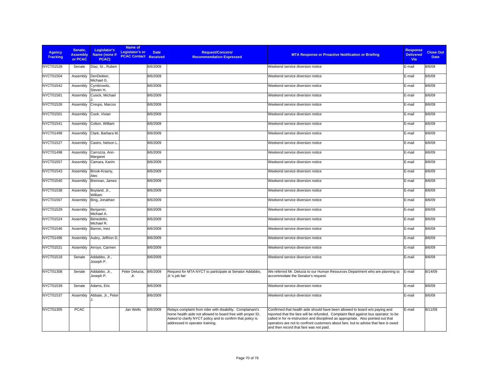| <b>Agency</b><br><b>Tracking</b> | Senate.<br><b>Assembly</b><br>or PCAC | Legislator's<br>Name (none if<br>PCAC) | Name of<br>Legislator's or<br><b>PCAC Contact Received</b> | <b>Date</b> | <b>Request/Concern/</b><br><b>Recommendation Expressed</b>                                                                                                                                                                | <b>MTA Response or Proactive Notification or Briefing</b>                                                                                                                                                                                                                                                                                                                                   | <b>Response</b><br><b>Delivered</b><br><b>Via</b> | <b>Close Out</b><br><b>Date</b> |
|----------------------------------|---------------------------------------|----------------------------------------|------------------------------------------------------------|-------------|---------------------------------------------------------------------------------------------------------------------------------------------------------------------------------------------------------------------------|---------------------------------------------------------------------------------------------------------------------------------------------------------------------------------------------------------------------------------------------------------------------------------------------------------------------------------------------------------------------------------------------|---------------------------------------------------|---------------------------------|
| <b>NYCT01528</b>                 | Senate                                | Diaz, Sr., Ruben                       |                                                            | 8/6/2009    |                                                                                                                                                                                                                           | Weekend service diversion notice                                                                                                                                                                                                                                                                                                                                                            | E-mail                                            | 8/6/09                          |
| <b>NYCT01504</b>                 | Assembly                              | DenDekker,<br>Michael G.               |                                                            | 8/6/2009    |                                                                                                                                                                                                                           | Weekend service diversion notice                                                                                                                                                                                                                                                                                                                                                            | E-mail                                            | 8/6/09                          |
| NYCT01542                        | Assembly                              | Cymbrowitz,<br>Steven H.               |                                                            | 8/6/2009    |                                                                                                                                                                                                                           | Weekend service diversion notice                                                                                                                                                                                                                                                                                                                                                            | E-mail                                            | 8/6/09                          |
| NYCT01581                        | Assembly                              | Cusick, Michael                        |                                                            | 8/6/2009    |                                                                                                                                                                                                                           | Weekend service diversion notice                                                                                                                                                                                                                                                                                                                                                            | E-mail                                            | 8/6/09                          |
| NYCT01526                        | Assembly                              | Crespo, Marcos                         |                                                            | 8/6/2009    |                                                                                                                                                                                                                           | Weekend service diversion notice                                                                                                                                                                                                                                                                                                                                                            | E-mail                                            | 8/6/09                          |
| <b>NYCT01501</b>                 | Assembly                              | Cook, Vivian                           |                                                            | 8/6/2009    |                                                                                                                                                                                                                           | Weekend service diversion notice                                                                                                                                                                                                                                                                                                                                                            | E-mail                                            | 8/6/09                          |
| NYCT01541                        | Assembly                              | Colton, William                        |                                                            | 8/6/2009    |                                                                                                                                                                                                                           | Weekend service diversion notice                                                                                                                                                                                                                                                                                                                                                            | E-mail                                            | 8/6/09                          |
| NYCT01499                        | Assembly                              | Clark. Barbara M.                      |                                                            | 8/6/2009    |                                                                                                                                                                                                                           | Weekend service diversion notice                                                                                                                                                                                                                                                                                                                                                            | E-mail                                            | 8/6/09                          |
| <b>NYCT01527</b>                 | Assembly                              | Castro, Nelson L                       |                                                            | 8/6/2009    |                                                                                                                                                                                                                           | Weekend service diversion notice                                                                                                                                                                                                                                                                                                                                                            | E-mail                                            | 8/6/09                          |
| NYCT01498                        | Assembly                              | Carrozza, Ann-<br>Margaret             |                                                            | 8/6/2009    |                                                                                                                                                                                                                           | Weekend service diversion notice                                                                                                                                                                                                                                                                                                                                                            | E-mail                                            | 8/6/09                          |
| <b>NYCT01557</b>                 | Assembly                              | Camara, Karim                          |                                                            | 8/6/2009    |                                                                                                                                                                                                                           | Weekend service diversion notice                                                                                                                                                                                                                                                                                                                                                            | E-mail                                            | 8/6/09                          |
| NYCT01543                        | Assembly                              | Brook-Krasny,<br>Alec                  |                                                            | 8/6/2009    |                                                                                                                                                                                                                           | Weekend service diversion notice                                                                                                                                                                                                                                                                                                                                                            | E-mail                                            | 8/6/09                          |
| NYCT01540                        | Assembly                              | Brennan, James                         |                                                            | 8/6/2009    |                                                                                                                                                                                                                           | Weekend service diversion notice                                                                                                                                                                                                                                                                                                                                                            | E-mail                                            | 8/6/09                          |
| NYCT01538                        | Assembly                              | Boyland, Jr.,<br>William               |                                                            | 8/6/2009    |                                                                                                                                                                                                                           | Weekend service diversion notice                                                                                                                                                                                                                                                                                                                                                            | E-mail                                            | 8/6/09                          |
| NYCT01567                        | Assembly                              | Bing, Jonathan                         |                                                            | 8/6/2009    |                                                                                                                                                                                                                           | Weekend service diversion notice                                                                                                                                                                                                                                                                                                                                                            | E-mail                                            | 8/6/09                          |
| NYCT01529                        | Assembly                              | Benjamin,<br>Michael A.                |                                                            | 8/6/2009    |                                                                                                                                                                                                                           | Weekend service diversion notice                                                                                                                                                                                                                                                                                                                                                            | E-mail                                            | 8/6/09                          |
| <b>NYCT01524</b>                 | Assembly                              | Benedetto,<br>Michael R.               |                                                            | 8/6/2009    |                                                                                                                                                                                                                           | Weekend service diversion notice                                                                                                                                                                                                                                                                                                                                                            | E-mail                                            | 8/6/09                          |
| NYCT01546                        | Assembly                              | Barron, Inez                           |                                                            | 8/6/2009    |                                                                                                                                                                                                                           | Weekend service diversion notice                                                                                                                                                                                                                                                                                                                                                            | E-mail                                            | 8/6/09                          |
| NYCT01496                        | Assembly                              | Aubry, Jeffrion D.                     |                                                            | 8/6/2009    |                                                                                                                                                                                                                           | Weekend service diversion notice                                                                                                                                                                                                                                                                                                                                                            | E-mail                                            | 8/6/09                          |
| NYCT01521                        | Assembly                              | Arroyo, Carmen                         |                                                            | 8/6/2009    |                                                                                                                                                                                                                           | Weekend service diversion notice                                                                                                                                                                                                                                                                                                                                                            | E-mail                                            | 8/6/09                          |
| NYCT01518                        | Senate                                | Addabbo, Jr.,<br>Joseph P.             |                                                            | 8/6/2009    |                                                                                                                                                                                                                           | Weekend service diversion notice                                                                                                                                                                                                                                                                                                                                                            | E-mail                                            | 8/6/09                          |
| NYCT01308                        | Senate                                | Addabbo, Jr.,<br>Joseph P.             | Peter Delucia.<br>Jr.                                      | 8/6/2009    | Request for MTA NYCT to participate at Senator Addabbo,<br>Jr.'s job fair                                                                                                                                                 | We referred Mr. Delucia to our Human Resources Department who are planning to<br>accommodate the Senator's request.                                                                                                                                                                                                                                                                         | E-mail                                            | 8/14/09                         |
| NYCT01539                        | Senate                                | Adams, Eric                            |                                                            | 8/6/2009    |                                                                                                                                                                                                                           | Weekend service diversion notice                                                                                                                                                                                                                                                                                                                                                            | E-mail                                            | 8/6/09                          |
| <b>NYCT01537</b>                 | Assembly                              | Abbate, Jr., Peter                     |                                                            | 8/6/2009    |                                                                                                                                                                                                                           | Weekend service diversion notice                                                                                                                                                                                                                                                                                                                                                            | E-mail                                            | 8/6/09                          |
| NYCT01305                        | <b>PCAC</b>                           |                                        | Jan Wells                                                  | 8/6/2009    | Relays complaint from rider with disability. Complainant's<br>home health aide not allowed to board free with proper ID.<br>Asked to clarify NYCT policy and to confirm that policy is<br>addressed in operator training. | Confirmed that health aide should have been allowed to board w/o paying and<br>reported that the fare will be refunded. Complaint filed against bus operator; to be<br>called in for re-instruction and disciplined as appropriate. Also pointed out that<br>operators are not to confront customers about fare, but to advise that fare is owed<br>and then record that fare was not paid. | E-mail                                            | 8/11/09                         |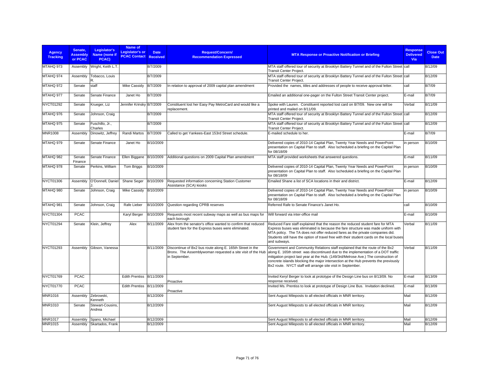| Agency<br><b>Tracking</b> | Senate.<br><b>Assembly</b><br>or PCAC | Legislator's<br>Name (none if<br>PCAC) | Name of<br>Legislator's or<br><b>PCAC Contact Received</b> | <b>Date</b> | <b>Request/Concern/</b><br><b>Recommendation Expressed</b>                                                                               | <b>MTA Response or Proactive Notification or Briefing</b>                                                                                                                                                                                                                                                                                                                                                      | <b>Response</b><br><b>Delivered</b><br>Via | <b>Close Out</b><br><b>Date</b> |
|---------------------------|---------------------------------------|----------------------------------------|------------------------------------------------------------|-------------|------------------------------------------------------------------------------------------------------------------------------------------|----------------------------------------------------------------------------------------------------------------------------------------------------------------------------------------------------------------------------------------------------------------------------------------------------------------------------------------------------------------------------------------------------------------|--------------------------------------------|---------------------------------|
| MTAHQ 973                 |                                       | Assembly Wright, Keith L.T.            |                                                            | 8/7/2009    |                                                                                                                                          | MTA staff offered tour of security at Brooklyn Battery Tunnel and of the Fulton Street call<br>Transit Center Project.                                                                                                                                                                                                                                                                                         |                                            | 8/12/09                         |
| MTAHQ 974                 | Assembly                              | Tobacco, Louis                         |                                                            | 8/7/2009    |                                                                                                                                          | MTA staff offered tour of security at Brooklyn Battery Tunnel and of the Fulton Street call<br><b>Transit Center Project.</b>                                                                                                                                                                                                                                                                                  |                                            | 8/12/09                         |
| MTAHQ 972                 | Senate                                | staff                                  | <b>Mike Cassidy</b>                                        | 8/7/2009    | In relation to approval of 2009 capital plan amendment                                                                                   | Provided the names, titles and addresses of people to receive approval letter.                                                                                                                                                                                                                                                                                                                                 | call                                       | 8/7/09                          |
| MTAHQ 977                 | Senate                                | Senate Finance                         | Janet Ho                                                   | 8/7/2009    |                                                                                                                                          | Emailed an additional one-pager on the Fulton Street Transit Center project.                                                                                                                                                                                                                                                                                                                                   | E-mail                                     | 8/7/09                          |
| NYCT01292                 | Senate                                | Krueger, Liz                           | Jennifer Krinsky 8/7/2009                                  |             | Constituent lost her Easy Pay MetroCard and would like a<br>replacement.                                                                 | Spoke with Lauren. Constituent reported lost card on 8/7/09. New one will be<br>printed and mailed on 8/11/09.                                                                                                                                                                                                                                                                                                 | Verbal                                     | 8/11/09                         |
| MTAHQ 976                 | Senate                                | Johnson, Craig                         |                                                            | 8/7/2009    |                                                                                                                                          | MTA staff offered tour of security at Brooklyn Battery Tunnel and of the Fulton Street call<br><b>Transit Center Project.</b>                                                                                                                                                                                                                                                                                  |                                            | 8/12/09                         |
| MTAHQ 975                 | Senate                                | Fuschillo, Jr.,<br>Charles             |                                                            | 8/7/2009    |                                                                                                                                          | MTA staff offered tour of security at Brooklyn Battery Tunnel and of the Fulton Street call<br><b>Transit Center Project.</b>                                                                                                                                                                                                                                                                                  |                                            | 8/12/09                         |
| <b>MNR1008</b>            | Assembly                              | Dinowitz, Jeffrey                      | Randi Martos                                               | 8/7/2009    | Called to get Yankees-East 153rd Street schedule.                                                                                        | E-mailed schedule to her.                                                                                                                                                                                                                                                                                                                                                                                      | E-mail                                     | 8/7/09                          |
| MTAHQ 979                 | Senate                                | Senate Finance                         | Janet Ho                                                   | 8/10/2009   |                                                                                                                                          | Delivered copies of 2010-14 Capital Plan, Twenty Year Needs and PowerPoint<br>presentation on Capital Plan to staff. Also \scheduled a briefing on the Capital Plan<br>for 08/18/09                                                                                                                                                                                                                            | in person                                  | 8/10/09                         |
| MTAHQ 982                 | Senate<br>Finance                     | Senate Finance                         | Ellen Biggane                                              | 8/10/2009   | Additional questions on 2009 Capital Plan amendment                                                                                      | MTA staff provided worksheets that answered questions.                                                                                                                                                                                                                                                                                                                                                         | E-mail                                     | 8/11/09                         |
| MTAHQ 978                 | Senate                                | Perkins, William                       | Tom Briggs                                                 | 8/10/2009   |                                                                                                                                          | Delivered copies of 2010-14 Capital Plan, Twenty Year Needs and PowerPoint<br>presentation on Capital Plan to staff. Also \scheduled a briefing on the Capital Plan<br>for 08/18/09                                                                                                                                                                                                                            | in person                                  | 8/10/09                         |
| NYCT01306                 | Assembly                              | O'Donnell, Daniel                      | Shane Seger                                                | 8/10/2009   | Requested information concerning Station Customer<br>Assistance (SCA) kiosks                                                             | Emailed Shane a list of SCA locations in their and district.                                                                                                                                                                                                                                                                                                                                                   | E-mail                                     | 8/12/09                         |
| MTAHQ 980                 | Senate                                | Johnson, Craig                         | <b>Mike Cassidy</b>                                        | 8/10/2009   |                                                                                                                                          | Delivered copies of 2010-14 Capital Plan, Twenty Year Needs and PowerPoint<br>presentation on Capital Plan to staff. Also \scheduled a briefing on the Capital Plan<br>for 08/18/09                                                                                                                                                                                                                            | in person                                  | 8/10/09                         |
| MTAHQ 981                 | Senate                                | Johnson, Craig                         | Rafe Lieber                                                | 8/10/2009   | Question regarding CPRB reserves                                                                                                         | Referred Rafe to Senate Finance's Janet Ho.                                                                                                                                                                                                                                                                                                                                                                    | call                                       | 8/10/09                         |
| NYCT01304                 | <b>PCAC</b>                           |                                        | Karyl Berger                                               | 8/10/2009   | Requests most recent subway maps as well as bus maps for<br>each borough                                                                 | Will forward via inter-office mail                                                                                                                                                                                                                                                                                                                                                                             | E-mail                                     | 8/10/09                         |
| <b>NYCT01294</b>          | Senate                                | Klein, Jeffrey                         | Alex                                                       | 8/11/2009   | Alex from the senator's office wanted to confirm that reduced<br>student fare for the Express buses were eliminated.                     | Reduced Fare staff explained that the reason the reduced student fare for MTA<br>Express buses was eliminated is because the fare structure was made uniform with<br>MTA policy. The TA does not offer reduced fares as the private companies did.<br>Students still have the option of travel free with their student cards on the local buses<br>and subways.                                                | Verbal                                     | 8/11/09                         |
| NYCT01293                 | Assembly                              | Gibson, Vanessa                        |                                                            | 8/11/2009   | Discontinue of Bx2 bus route along E. 165th Street in the<br>Bronx. The Assemblywoman requested a site visit of the Hub<br>in September. | Government and Community Relations staff explained that the route of the Bx2<br>along E. 165th street was discontinued due to the implementation of a DOT traffic<br>mitigation project last year at the Hub. (149/3rd/Melrose Ave.) The construction of<br>concrete islands blocking the major intersection at the Hub prevents the previously<br>Bx2 route. NYCT staff will arrange site visit in September. | Verbal                                     | 8/11/09                         |
| NYCT01769                 | <b>PCAC</b>                           |                                        | Edith Prentiss 8/11/2009                                   |             | Proactive                                                                                                                                | Invited Keryl Berger to look at prototype of the Design Line bus on 8/13/09. No<br>response received.                                                                                                                                                                                                                                                                                                          | E-mail                                     | 8/13/09                         |
| <b>NYCT01770</b>          | <b>PCAC</b>                           |                                        | <b>Edith Prentiss</b>                                      | 8/11/2009   | Proactive                                                                                                                                | Invited Ms. Prentiss to look at prototype of Design Line Bus. Invitation declined.                                                                                                                                                                                                                                                                                                                             | E-mail                                     | 8/13/09                         |
| <b>MNR1016</b>            | Assembly                              | Zebrowski,<br>Kenneth                  |                                                            | 8/12/2009   |                                                                                                                                          | Sent August Mileposts to all elected officials in MNR territory.                                                                                                                                                                                                                                                                                                                                               | Mail                                       | 8/12/09                         |
| MNR1010                   | Senate                                | Stewart-Cousins,<br>Andrea             |                                                            | 8/12/2009   |                                                                                                                                          | Sent August Mileposts to all elected officials in MNR territory.                                                                                                                                                                                                                                                                                                                                               | Mail                                       | 8/12/09                         |
| <b>MNR1017</b>            | Assembly                              | Spano, Michael                         |                                                            | 8/12/2009   |                                                                                                                                          | Sent August Mileposts to all elected officials in MNR territory.                                                                                                                                                                                                                                                                                                                                               | Mail                                       | 8/12/09                         |
| <b>MNR1015</b>            | Assembly                              | Skartados, Frank                       |                                                            | 8/12/2009   |                                                                                                                                          | Sent August Mileposts to all elected officials in MNR territory.                                                                                                                                                                                                                                                                                                                                               | Mail                                       | 8/12/09                         |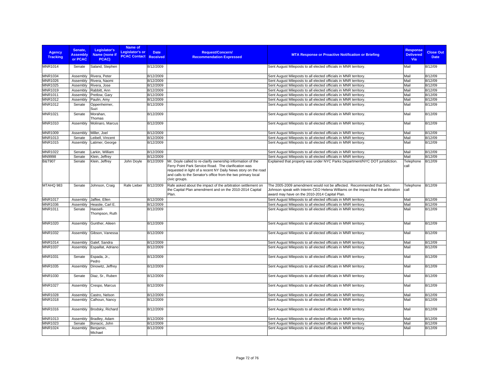| <b>Agency</b><br><b>Tracking</b> | Senate,<br><b>Assembly</b><br>or PCAC | Legislator's<br>Name (none if<br>PCAC) | Name of<br>Legislator's or<br><b>PCAC Contact</b> | <b>Date</b><br><b>Received</b> | <b>Request/Concern/</b><br><b>Recommendation Expressed</b>                                                                                                                                                                                                             | <b>MTA Response or Proactive Notification or Briefing</b>                                                                                                                                                  | <b>Response</b><br><b>Delivered</b><br>Via | <b>Close Out</b><br><b>Date</b> |
|----------------------------------|---------------------------------------|----------------------------------------|---------------------------------------------------|--------------------------------|------------------------------------------------------------------------------------------------------------------------------------------------------------------------------------------------------------------------------------------------------------------------|------------------------------------------------------------------------------------------------------------------------------------------------------------------------------------------------------------|--------------------------------------------|---------------------------------|
| <b>MNR1014</b>                   | Senate                                | Saland, Stephen                        |                                                   | 8/12/2009                      |                                                                                                                                                                                                                                                                        | Sent August Mileposts to all elected officials in MNR territory.                                                                                                                                           | Mail                                       | 8/12/09                         |
| MNR1034                          | Assembly                              | Rivera, Peter                          |                                                   | 8/12/2009                      |                                                                                                                                                                                                                                                                        | Sent August Mileposts to all elected officials in MNR territory.                                                                                                                                           | Mail                                       | 8/12/09                         |
| MNR1026                          | Assembly                              | Rivera, Naomi                          |                                                   | 8/12/2009                      |                                                                                                                                                                                                                                                                        | Sent August Mileposts to all elected officials in MNR territory.                                                                                                                                           | Mail                                       | 8/12/09                         |
| MNR1025                          | Assembly                              | Rivera, Jose                           |                                                   | 8/12/2009                      |                                                                                                                                                                                                                                                                        | Sent August Mileposts to all elected officials in MNR territory.                                                                                                                                           | Mail                                       | 8/12/09                         |
| MNR1019                          | Assembly                              | Rabbitt, Ann                           |                                                   | 8/12/2009                      |                                                                                                                                                                                                                                                                        | Sent August Mileposts to all elected officials in MNR territory.                                                                                                                                           | Mail                                       | 8/12/09                         |
| MNR1011                          | Assembly                              | Pretlow, Gary                          |                                                   | 8/12/2009                      |                                                                                                                                                                                                                                                                        | Sent August Mileposts to all elected officials in MNR territory.                                                                                                                                           | Mail                                       | 8/12/09                         |
| MNR1012                          | Assembly                              | Paulin, Amy                            |                                                   | 8/12/2009                      |                                                                                                                                                                                                                                                                        | Sent August Mileposts to all elected officials in MNR territory.                                                                                                                                           | Mail                                       | 8/12/09                         |
| MNR1012                          | Senate                                | Oppenheimer,<br>Suzi                   |                                                   | 8/12/2009                      |                                                                                                                                                                                                                                                                        | Sent August Mileposts to all elected officials in MNR territory.                                                                                                                                           | Mail                                       | 8/12/09                         |
| <b>MNR1021</b>                   | Senate                                | Morahan,<br>Thomas                     |                                                   | 8/12/2009                      |                                                                                                                                                                                                                                                                        | Sent August Mileposts to all elected officials in MNR territory.                                                                                                                                           | Mail                                       | 8/12/09                         |
| MNR1010                          | Assembly                              | Molinaro, Marcus                       |                                                   | 8/12/2009                      |                                                                                                                                                                                                                                                                        | Sent August Mileposts to all elected officials in MNR territory.                                                                                                                                           | Mail                                       | 8/12/09                         |
| MNR1009                          | Assembly                              | Miller, Joel                           |                                                   | 8/12/2009                      |                                                                                                                                                                                                                                                                        | Sent August Mileposts to all elected officials in MNR territory.                                                                                                                                           | Mail                                       | 8/12/09                         |
| MNR1013                          | Senate                                | eibell, Vincent                        |                                                   | 8/12/2009                      |                                                                                                                                                                                                                                                                        | Sent August Mileposts to all elected officials in MNR territory.                                                                                                                                           | Mail                                       | 8/12/09                         |
| MNR1015                          | Assembly                              | Latimer, George                        |                                                   | 8/12/2009                      |                                                                                                                                                                                                                                                                        | Sent August Mileposts to all elected officials in MNR territory.                                                                                                                                           | Mail                                       | 8/12/09                         |
| MNR1022                          | Senate                                | Larkin, William                        |                                                   | 8/12/2009                      |                                                                                                                                                                                                                                                                        | Sent August Mileposts to all elected officials in MNR territory.                                                                                                                                           | Mail                                       | 8/12/09                         |
| MN9998                           | Senate                                | Klein, Jeffrey                         |                                                   | 8/12/2009                      |                                                                                                                                                                                                                                                                        | Sent August Mileposts to all elected officials in MNR territory.                                                                                                                                           | Mail                                       | 8/12/09                         |
| <b>B&amp;T907</b>                | Senate                                | Klein, Jeffrey                         | John Doyle                                        | 8/12/2009                      | Mr. Doyle called to re-clarify ownership information of the<br>Ferry Point Park Service Road. The clarification was<br>requested in light of a recent NY Daily News story on the road<br>and calls to the Senator's office from the two primary local<br>civic groups. | Explained that property was under NYC Parks Department/NYC DOT jurisdiction.                                                                                                                               | Telephone<br>call                          | 8/12/09                         |
| MTAHQ 983                        | Senate                                | Johnson, Craig                         | Rafe Lieber                                       | 8/12/2009                      | Rafe asked about the impact of the arbitration settlement on<br>the Capital Plan amendment and on the 2010-2014 Capital<br>Plan.                                                                                                                                       | The 2005-2009 amendment would not be affected. Recommended that Sen.<br>Johnson speak with Interim CEO Helena Williams on the impact that the arbitration<br>award may have on the 2010-2014 Capital Plan. | Telephone<br>call                          | 8/12/09                         |
| <b>MNR1017</b>                   | Assembly                              | Jaffee, Ellen                          |                                                   | 8/12/2009                      |                                                                                                                                                                                                                                                                        | Sent August Mileposts to all elected officials in MNR territory.                                                                                                                                           | Mail                                       | 8/12/09                         |
| MNR1036                          | Assembly                              | Heastie, Carl E.                       |                                                   | 8/12/2009                      |                                                                                                                                                                                                                                                                        | Sent August Mileposts to all elected officials in MNR territory.                                                                                                                                           | Mail                                       | 8/12/09                         |
| <b>MNR1011</b>                   | Senate                                | Hassell-<br>Thompson, Ruth             |                                                   | 8/12/2009                      |                                                                                                                                                                                                                                                                        | Sent August Mileposts to all elected officials in MNR territory.                                                                                                                                           | Mail                                       | 8/12/09                         |
| <b>MNR1020</b>                   | Assembly                              | Gunther, Aileen                        |                                                   | 8/12/2009                      |                                                                                                                                                                                                                                                                        | Sent August Mileposts to all elected officials in MNR territory.                                                                                                                                           | Mail                                       | 8/12/09                         |
| MNR1032                          | Assembly                              | Gibson, Vanessa                        |                                                   | 8/12/2009                      |                                                                                                                                                                                                                                                                        | Sent August Mileposts to all elected officials in MNR territory.                                                                                                                                           | Mail                                       | 8/12/09                         |
| <b>MNR1014</b>                   | Assembly                              | Galef, Sandra                          |                                                   | 8/12/2009                      |                                                                                                                                                                                                                                                                        | Sent August Mileposts to all elected officials in MNR territory.                                                                                                                                           | Mail                                       | 8/12/09                         |
| MNR1037                          | Assembly                              | Espaillat, Adriano                     |                                                   | 8/12/2009                      |                                                                                                                                                                                                                                                                        | Sent August Mileposts to all elected officials in MNR territory.                                                                                                                                           | Mail                                       | 8/12/09                         |
| MNR1031                          | Senate                                | Espada, Jr.,<br>Pedro                  |                                                   | 8/12/2009                      |                                                                                                                                                                                                                                                                        | Sent August Mileposts to all elected officials in MNR territory.                                                                                                                                           | Mail                                       | 8/12/09                         |
| MNR1035                          | Assembly                              | Dinowitz, Jeffrey                      |                                                   | 8/12/2009                      |                                                                                                                                                                                                                                                                        | Sent August Mileposts to all elected officials in MNR territory.                                                                                                                                           | Mail                                       | 8/12/09                         |
| MNR1030                          | Senate                                | Diaz, Sr., Ruben                       |                                                   | 8/12/2009                      |                                                                                                                                                                                                                                                                        | Sent August Mileposts to all elected officials in MNR territory.                                                                                                                                           | Mail                                       | 8/12/09                         |
| MNR1027                          | Assembly                              | Crespo, Marcus                         |                                                   | 8/12/2009                      |                                                                                                                                                                                                                                                                        | Sent August Mileposts to all elected officials in MNR territory.                                                                                                                                           | Mail                                       | 8/12/09                         |
| <b>MNR1028</b>                   | Assembly                              | Castro, Nelson                         |                                                   | 8/12/2009                      |                                                                                                                                                                                                                                                                        | Sent August Mileposts to all elected officials in MNR territory.                                                                                                                                           | Mail                                       | 8/12/09                         |
| MNR1018                          | Assembly                              | Calhoun, Nancy                         |                                                   | 8/12/2009                      |                                                                                                                                                                                                                                                                        | Sent August Mileposts to all elected officials in MNR territory.                                                                                                                                           | Mail                                       | 8/12/09                         |
| <b>MNR1016</b>                   | Assembly                              | Brodsky, Richard                       |                                                   | 8/12/2009                      |                                                                                                                                                                                                                                                                        | Sent August Mileposts to all elected officials in MNR territory.                                                                                                                                           | Mail                                       | 8/12/09                         |
| MNR1013                          | Assembly                              | Bradley, Adam                          |                                                   | 8/12/2009                      |                                                                                                                                                                                                                                                                        | Sent August Mileposts to all elected officials in MNR territory.                                                                                                                                           | Mail                                       | 8/12/09                         |
| MNR1023                          | Senate                                | Bonacic, John                          |                                                   | 8/12/2009                      |                                                                                                                                                                                                                                                                        | Sent August Mileposts to all elected officials in MNR territory.                                                                                                                                           | Mail                                       | 8/12/09                         |
| MNR1024                          | Assembly                              | Benjamin,<br>Michael                   |                                                   | 8/12/2009                      |                                                                                                                                                                                                                                                                        | Sent August Mileposts to all elected officials in MNR territory.                                                                                                                                           | Mail                                       | 8/12/09                         |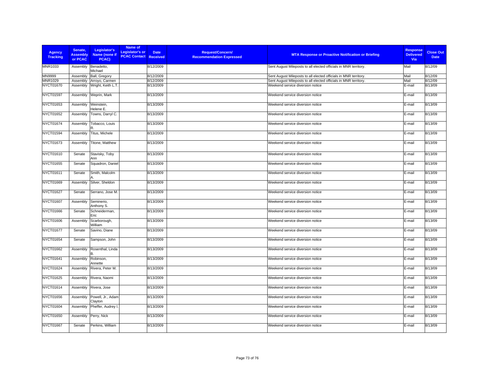| <b>Agency</b><br><b>Tracking</b> | Senate.<br><b>Assembly</b><br>or PCAC | Legislator's<br>Name (none if<br>PCAC) | Name of<br>Legislator's or<br><b>PCAC Contact Received</b> | <b>Date</b> | Request/Concern/<br><b>MTA Response or Proactive Notification or Briefing</b><br><b>Recommendation Expressed</b> | <b>Response</b><br><b>Delivered</b><br>Via | <b>Close Out</b><br><b>Date</b> |
|----------------------------------|---------------------------------------|----------------------------------------|------------------------------------------------------------|-------------|------------------------------------------------------------------------------------------------------------------|--------------------------------------------|---------------------------------|
| MNR1033                          | Assembly                              | Benadetto,<br>Michael                  |                                                            | 8/12/2009   | Sent August Mileposts to all elected officials in MNR territory.                                                 | Mail                                       | 8/12/09                         |
| MN9999                           | Assembly                              | Ball, Gregory                          |                                                            | 8/12/2009   | Sent August Mileposts to all elected officials in MNR territory.                                                 | Mail                                       | 8/12/09                         |
| MNR1029                          | Assembly                              | Arroyo, Carmen                         |                                                            | 8/12/2009   | Sent August Mileposts to all elected officials in MNR territory.                                                 | Mail                                       | 8/12/09                         |
| NYCT01670                        | Assembly                              | Wright, Keith L.T                      |                                                            | 8/13/2009   | Weekend service diversion notice                                                                                 | E-mail                                     | 8/13/09                         |
| <b>NYCT01597</b>                 | Assembly                              | Weprin, Mark                           |                                                            | 8/13/2009   | Weekend service diversion notice                                                                                 | E-mail                                     | 8/13/09                         |
| NYCT01653                        | Assembly                              | Weinstein,<br>Helene E.                |                                                            | 8/13/2009   | Weekend service diversion notice                                                                                 | E-mail                                     | 8/13/09                         |
| NYCT01652                        | Assembly                              | Towns, Darryl C.                       |                                                            | 8/13/2009   | Weekend service diversion notice                                                                                 | E-mail                                     | 8/13/09                         |
| NYCT01674                        | Assembly                              | Tobacco, Louis                         |                                                            | 8/13/2009   | Weekend service diversion notice                                                                                 | E-mail                                     | 8/13/09                         |
| NYCT01594                        | Assembly                              | Titus, Michele                         |                                                            | 8/13/2009   | Weekend service diversion notice                                                                                 | E-mail                                     | 8/13/09                         |
| NYCT01673                        | Assembly                              | Titone, Matthew                        |                                                            | 8/13/2009   | Weekend service diversion notice                                                                                 | E-mail                                     | 8/13/09                         |
| NYCT01610                        | Senate                                | Stavisky, Toby<br>Ann                  |                                                            | 8/13/2009   | Weekend service diversion notice                                                                                 | E-mail                                     | 8/13/09                         |
| NYCT01655                        | Senate                                | Squadron, Daniel                       |                                                            | 8/13/2009   | Weekend service diversion notice                                                                                 | E-mail                                     | 8/13/09                         |
| NYCT01611                        | Senate                                | Smith, Malcolm                         |                                                            | 8/13/2009   | Weekend service diversion notice                                                                                 | E-mail                                     | 8/13/09                         |
| NYCT01669                        | Assembly                              | Silver, Sheldon                        |                                                            | 8/13/2009   | Weekend service diversion notice                                                                                 | E-mail                                     | 8/13/09                         |
| NYCT01627                        | Senate                                | Serrano, Jose M.                       |                                                            | 8/13/2009   | Weekend service diversion notice                                                                                 | E-mail                                     | 8/13/09                         |
| NYCT01607                        | Assembly                              | Seminerio,<br>Anthony S.               |                                                            | 8/13/2009   | Weekend service diversion notice                                                                                 | E-mail                                     | 8/13/09                         |
| NYCT01666                        | Senate                                | Schneiderman,<br>Eric                  |                                                            | 8/13/2009   | Weekend service diversion notice                                                                                 | E-mail                                     | 8/13/09                         |
| NYCT01606                        | Assembly                              | Scarborough,<br>William                |                                                            | 8/13/2009   | Weekend service diversion notice                                                                                 | E-mail                                     | 8/13/09                         |
| NYCT01677                        | Senate                                | Savino, Diane                          |                                                            | 8/13/2009   | Weekend service diversion notice                                                                                 | E-mail                                     | 8/13/09                         |
| NYCT01654                        | Senate                                | Sampson, John                          |                                                            | 8/13/2009   | Weekend service diversion notice                                                                                 | E-mail                                     | 8/13/09                         |
| NYCT01662                        | Assembly                              | Rosenthal, Linda                       |                                                            | 8/13/2009   | Weekend service diversion notice                                                                                 | E-mail                                     | 8/13/09                         |
| NYCT01641                        | Assembly                              | Robinson,<br>Annette                   |                                                            | 8/13/2009   | Weekend service diversion notice                                                                                 | E-mail                                     | 8/13/09                         |
| NYCT01624                        | Assembly                              | Rivera, Peter M.                       |                                                            | 8/13/2009   | Weekend service diversion notice                                                                                 | E-mail                                     | 8/13/09                         |
| NYCT01625                        | Assembly                              | Rivera, Naomi                          |                                                            | 8/13/2009   | Weekend service diversion notice                                                                                 | E-mail                                     | 8/13/09                         |
| NYCT01614                        | Assembly                              | Rivera, Jose                           |                                                            | 8/13/2009   | Weekend service diversion notice                                                                                 | E-mail                                     | 8/13/09                         |
| NYCT01656                        | Assembly                              | Powell, Jr., Adam<br>Clayton           |                                                            | 8/13/2009   | Weekend service diversion notice                                                                                 | E-mail                                     | 8/13/09                         |
| NYCT01604                        | Assembly                              | Pheffer, Audrey I.                     |                                                            | 8/13/2009   | Weekend service diversion notice                                                                                 | E-mail                                     | 8/13/09                         |
| NYCT01650                        | Assembly                              | Perry, Nick                            |                                                            | 8/13/2009   | Weekend service diversion notice                                                                                 | E-mail                                     | 8/13/09                         |
| NYCT01667                        | Senate                                | Perkins, William                       |                                                            | 8/13/2009   | Weekend service diversion notice                                                                                 | E-mail                                     | 8/13/09                         |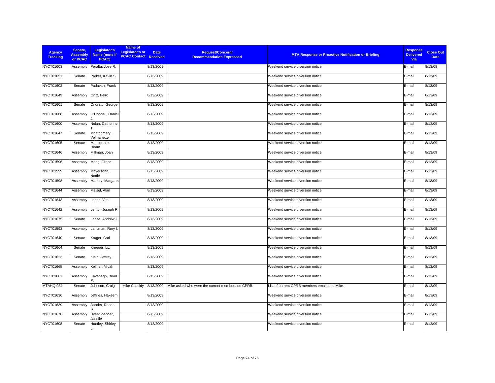| <b>Agency</b><br><b>Tracking</b> | Senate,<br><b>Assembly</b><br>or PCAC | Legislator's<br>Name (none if<br>PCAC) | Name of<br><b>Legislator's or</b><br><b>PCAC Contact Received</b> | <b>Date</b> | <b>Request/Concern/</b><br><b>Recommendation Expressed</b> | <b>MTA Response or Proactive Notification or Briefing</b> | <b>Response</b><br><b>Delivered</b><br>Via | <b>Close Out</b><br><b>Date</b> |
|----------------------------------|---------------------------------------|----------------------------------------|-------------------------------------------------------------------|-------------|------------------------------------------------------------|-----------------------------------------------------------|--------------------------------------------|---------------------------------|
| NYCT01603                        | Assembly                              | Peralta, Jose R.                       |                                                                   | 8/13/2009   |                                                            | Weekend service diversion notice                          | E-mail                                     | 8/13/09                         |
| NYCT01651                        | Senate                                | Parker, Kevin S.                       |                                                                   | 8/13/2009   |                                                            | Weekend service diversion notice                          | E-mail                                     | 8/13/09                         |
| NYCT01602                        | Senate                                | Padavan, Frank                         |                                                                   | 8/13/2009   |                                                            | Weekend service diversion notice                          | E-mail                                     | 8/13/09                         |
| NYCT01649                        | Assembly                              | Ortiz, Felix                           |                                                                   | 8/13/2009   |                                                            | Weekend service diversion notice                          | E-mail                                     | 8/13/09                         |
| NYCT01601                        | Senate                                | Onorato, George                        |                                                                   | 8/13/2009   |                                                            | Weekend service diversion notice                          | E-mail                                     | 8/13/09                         |
| <b>NYCT01668</b>                 | Assembly                              | O'Donnell, Daniel                      |                                                                   | 8/13/2009   |                                                            | Weekend service diversion notice                          | E-mail                                     | 8/13/09                         |
| NYCT01600                        | Assembly                              | Nolan, Catherine                       |                                                                   | 8/13/2009   |                                                            | Weekend service diversion notice                          | E-mail                                     | 8/13/09                         |
| NYCT01647                        | Senate                                | Montgomery,<br>Velmanette              |                                                                   | 8/13/2009   |                                                            | Weekend service diversion notice                          | E-mail                                     | 8/13/09                         |
| <b>NYCT01605</b>                 | Senate                                | Monserrate,<br>Hiram                   |                                                                   | 8/13/2009   |                                                            | Weekend service diversion notice                          | E-mail                                     | 8/13/09                         |
| NYCT01646                        | Assembly                              | Millman, Joan                          |                                                                   | 8/13/2009   |                                                            | Weekend service diversion notice                          | E-mail                                     | 8/13/09                         |
| NYCT01596                        | Assembly                              | Meng, Grace                            |                                                                   | 8/13/2009   |                                                            | Weekend service diversion notice                          | E-mail                                     | 8/13/09                         |
| <b>NYCT01599</b>                 | Assembly                              | Mayersohn,<br>Nettie                   |                                                                   | 8/13/2009   |                                                            | Weekend service diversion notice                          | E-mail                                     | 8/13/09                         |
| <b>NYCT01598</b>                 | Assembly                              | Markey, Margaret                       |                                                                   | 8/13/2009   |                                                            | Weekend service diversion notice                          | E-mail                                     | 8/13/09                         |
| NYCT01644                        | Assembly                              | Maisel, Alan                           |                                                                   | 8/13/2009   |                                                            | Weekend service diversion notice                          | E-mail                                     | 8/13/09                         |
| NYCT01643                        | Assembly                              | Lopez, Vito                            |                                                                   | 8/13/2009   |                                                            | Weekend service diversion notice                          | E-mail                                     | 8/13/09                         |
| NYCT01642                        | Assembly                              | Lentol, Joseph R.                      |                                                                   | 8/13/2009   |                                                            | Weekend service diversion notice                          | E-mail                                     | 8/13/09                         |
| <b>NYCT01675</b>                 | Senate                                | Lanza, Andrew J.                       |                                                                   | 8/13/2009   |                                                            | Weekend service diversion notice                          | E-mail                                     | 8/13/09                         |
| NYCT01593                        | Assembly                              | Lancman, Rory I.                       |                                                                   | 8/13/2009   |                                                            | Weekend service diversion notice                          | E-mail                                     | 8/13/09                         |
| NYCT01640                        | Senate                                | Kruger, Carl                           |                                                                   | 8/13/2009   |                                                            | Weekend service diversion notice                          | E-mail                                     | 8/13/09                         |
| <b>NYCT01664</b>                 | Senate                                | Krueger, Liz                           |                                                                   | 8/13/2009   |                                                            | Weekend service diversion notice                          | E-mail                                     | 8/13/09                         |
| NYCT01623                        | Senate                                | Klein, Jeffrey                         |                                                                   | 8/13/2009   |                                                            | Weekend service diversion notice                          | E-mail                                     | 8/13/09                         |
| NYCT01665                        | Assembly                              | Kellner, Micah                         |                                                                   | 8/13/2009   |                                                            | Weekend service diversion notice                          | E-mail                                     | 8/13/09                         |
| NYCT01661                        | Assembly                              | Kavanagh, Brian                        |                                                                   | 8/13/2009   |                                                            | Weekend service diversion notice                          | E-mail                                     | 8/13/09                         |
| MTAHQ 984                        | Senate                                | Johnson, Craig                         | Mike Cassidy                                                      | 8/13/2009   | Mike asked who were the current members on CPRB.           | List of current CPRB members emailed to Mike.             | E-mail                                     | 8/13/09                         |
| NYCT01636                        | Assembly                              | Jeffries, Hakeem                       |                                                                   | 8/13/2009   |                                                            | Weekend service diversion notice                          | E-mail                                     | 8/13/09                         |
| NYCT01639                        | Assembly                              | Jacobs, Rhoda                          |                                                                   | 8/13/2009   |                                                            | Weekend service diversion notice                          | E-mail                                     | 8/13/09                         |
| NYCT01676                        | Assembly                              | Hyer-Spencer,<br>Janelle               |                                                                   | 8/13/2009   |                                                            | Weekend service diversion notice                          | E-mail                                     | 8/13/09                         |
| <b>NYCT01608</b>                 | Senate                                | Huntley, Shirley                       |                                                                   | 8/13/2009   |                                                            | Weekend service diversion notice                          | E-mail                                     | 8/13/09                         |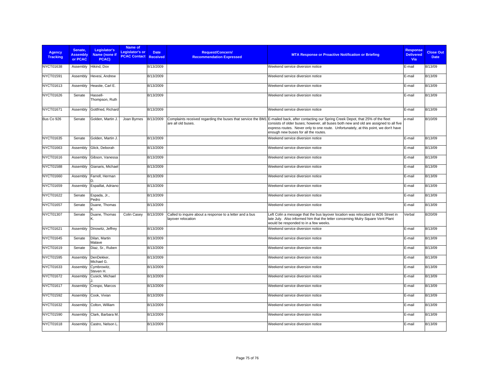| <b>Agency</b><br><b>Tracking</b> | Senate.<br><b>Assembly</b><br>or PCAC | Legislator's<br>Name (none if<br>PCAC) | Name of<br>Legislator's or<br><b>PCAC Contact Received</b> | <b>Date</b> | <b>Request/Concern/</b><br><b>Recommendation Expressed</b>                     | <b>MTA Response or Proactive Notification or Briefing</b>                                                                                                                                                                                                                                                                                                           | <b>Response</b><br><b>Delivered</b><br><b>Via</b> | <b>Close Out</b><br><b>Date</b> |
|----------------------------------|---------------------------------------|----------------------------------------|------------------------------------------------------------|-------------|--------------------------------------------------------------------------------|---------------------------------------------------------------------------------------------------------------------------------------------------------------------------------------------------------------------------------------------------------------------------------------------------------------------------------------------------------------------|---------------------------------------------------|---------------------------------|
| NYCT01638                        | Assembly                              | Hikind, Dov                            |                                                            | 8/13/2009   |                                                                                | Weekend service diversion notice                                                                                                                                                                                                                                                                                                                                    | E-mail                                            | 8/13/09                         |
| NYCT01591                        | Assembly                              | Hevesi, Andrew                         |                                                            | 8/13/2009   |                                                                                | Weekend service diversion notice                                                                                                                                                                                                                                                                                                                                    | E-mail                                            | 8/13/09                         |
| NYCT01613                        | Assembly                              | Heastie, Carl E.                       |                                                            | 8/13/2009   |                                                                                | Weekend service diversion notice                                                                                                                                                                                                                                                                                                                                    | E-mail                                            | 8/13/09                         |
| NYCT01626                        | Senate                                | Hassell-<br>Thompson, Ruth             |                                                            | 8/13/2009   |                                                                                | Weekend service diversion notice                                                                                                                                                                                                                                                                                                                                    | E-mail                                            | 8/13/09                         |
| NYCT01671                        | Assembly                              | Gottfried, Richard                     |                                                            | 8/13/2009   |                                                                                | Weekend service diversion notice                                                                                                                                                                                                                                                                                                                                    | E-mail                                            | 8/13/09                         |
| Bus Co 926                       | Senate                                | Golden, Martin J.                      | Joan Byrnes                                                | 8/13/2009   | are all old buses.                                                             | Complaints received regarding the buses that service the BM1 E-mailed back, after contacting our Spring Creek Depot, that 25% of the fleet<br>consists of older buses; however, all buses both new and old are assigned to all five<br>express routes. Never only to one route. Unfortunately, at this point, we don't have<br>enough new buses for all the routes. | e-mail                                            | 8/10/09                         |
| NYCT01635                        | Senate                                | Golden, Martin J.                      |                                                            | 8/13/2009   |                                                                                | Weekend service diversion notice                                                                                                                                                                                                                                                                                                                                    | E-mail                                            | 8/13/09                         |
| NYCT01663                        | Assembly                              | Glick, Deborah                         |                                                            | 8/13/2009   |                                                                                | Weekend service diversion notice                                                                                                                                                                                                                                                                                                                                    | E-mail                                            | 8/13/09                         |
| NYCT01616                        | Assembly                              | Gibson, Vanessa                        |                                                            | 8/13/2009   |                                                                                | Weekend service diversion notice                                                                                                                                                                                                                                                                                                                                    | E-mail                                            | 8/13/09                         |
| <b>NYCT01588</b>                 | Assembly                              | Gianaris, Michael                      |                                                            | 8/13/2009   |                                                                                | Weekend service diversion notice                                                                                                                                                                                                                                                                                                                                    | E-mail                                            | 8/13/09                         |
| NYCT01660                        | Assembly                              | Farrell, Herman                        |                                                            | 8/13/2009   |                                                                                | Weekend service diversion notice                                                                                                                                                                                                                                                                                                                                    | E-mail                                            | 8/13/09                         |
| NYCT01659                        | Assembly                              | Espaillat, Adriano                     |                                                            | 8/13/2009   |                                                                                | Weekend service diversion notice                                                                                                                                                                                                                                                                                                                                    | E-mail                                            | 8/13/09                         |
| <b>NYCT01622</b>                 | Senate                                | Espada, Jr.,<br>Pedro                  |                                                            | 8/13/2009   |                                                                                | Weekend service diversion notice                                                                                                                                                                                                                                                                                                                                    | E-mail                                            | 8/13/09                         |
| NYCT01657                        | Senate                                | Duane, Thomas                          |                                                            | 8/13/2009   |                                                                                | Weekend service diversion notice                                                                                                                                                                                                                                                                                                                                    | E-mail                                            | 8/13/09                         |
| NYCT01307                        | Senate                                | Duane, Thomas                          | Colin Casey                                                | 8/13/2009   | Called to inquire about a response to a letter and a bus<br>layover relocation | Left Colin a message that the bus layover location was relocated to W26 Street in<br>late July. Also informed him that the letter concerning Mulry Square Vent Plant<br>would be responded to in a few weeks.                                                                                                                                                       | Verbal                                            | 8/20/09                         |
| NYCT01621                        | Assembly                              | Dinowitz, Jeffrey                      |                                                            | 8/13/2009   |                                                                                | Weekend service diversion notice                                                                                                                                                                                                                                                                                                                                    | E-mail                                            | 8/13/09                         |
| <b>NYCT01645</b>                 | Senate                                | Dilan, Martin<br>Malave                |                                                            | 8/13/2009   |                                                                                | Weekend service diversion notice                                                                                                                                                                                                                                                                                                                                    | E-mail                                            | 8/13/09                         |
| NYCT01619                        | Senate                                | Diaz, Sr., Ruben                       |                                                            | 8/13/2009   |                                                                                | Weekend service diversion notice                                                                                                                                                                                                                                                                                                                                    | E-mail                                            | 8/13/09                         |
| <b>NYCT01595</b>                 | Assembly                              | DenDekker,<br>Michael G.               |                                                            | 8/13/2009   |                                                                                | Weekend service diversion notice                                                                                                                                                                                                                                                                                                                                    | E-mail                                            | 8/13/09                         |
| NYCT01633                        | Assembly                              | Cymbrowitz,<br>Steven H.               |                                                            | 8/13/2009   |                                                                                | Weekend service diversion notice                                                                                                                                                                                                                                                                                                                                    | E-mail                                            | 8/13/09                         |
| NYCT01672                        | Assembly                              | Cusick, Michael                        |                                                            | 8/13/2009   |                                                                                | Weekend service diversion notice                                                                                                                                                                                                                                                                                                                                    | E-mail                                            | 8/13/09                         |
| NYCT01617                        | Assembly                              | Crespo, Marcos                         |                                                            | 8/13/2009   |                                                                                | Weekend service diversion notice                                                                                                                                                                                                                                                                                                                                    | E-mail                                            | 8/13/09                         |
| NYCT01592                        | Assembly                              | Cook. Vivian                           |                                                            | 8/13/2009   |                                                                                | Weekend service diversion notice                                                                                                                                                                                                                                                                                                                                    | E-mail                                            | 8/13/09                         |
| NYCT01632                        | Assembly                              | Colton, William                        |                                                            | 8/13/2009   |                                                                                | Weekend service diversion notice                                                                                                                                                                                                                                                                                                                                    | E-mail                                            | 8/13/09                         |
| NYCT01590                        | Assembly                              | Clark, Barbara M.                      |                                                            | 8/13/2009   |                                                                                | Weekend service diversion notice                                                                                                                                                                                                                                                                                                                                    | E-mail                                            | 8/13/09                         |
| NYCT01618                        | Assembly                              | Castro, Nelson L.                      |                                                            | 8/13/2009   |                                                                                | Weekend service diversion notice                                                                                                                                                                                                                                                                                                                                    | E-mail                                            | 8/13/09                         |